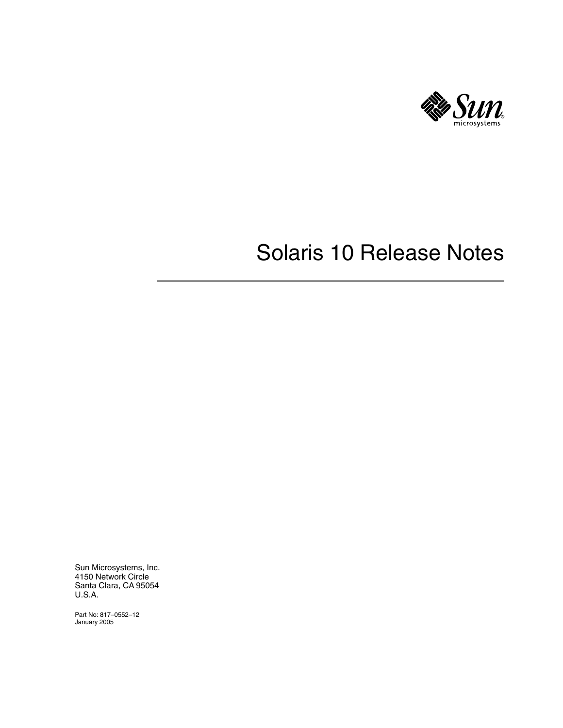

# Solaris 10 Release Notes

Sun Microsystems, Inc. 4150 Network Circle Santa Clara, CA 95054 U.S.A.

Part No: 817–0552–12 January 2005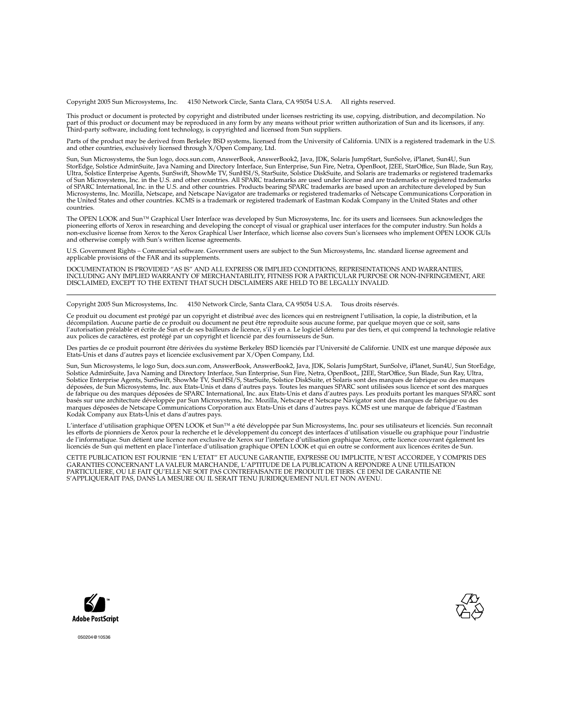Copyright 2005 Sun Microsystems, Inc. 4150 Network Circle, Santa Clara, CA 95054 U.S.A. All rights reserved.

This product or document is protected by copyright and distributed under licenses restricting its use, copying, distribution, and decompilation. No part of this product or document may be reproduced in any form by any means without prior written authorization of Sun and its licensors, if any.<br>Third-party software, including font technology, is copyrighted and licensed

Parts of the product may be derived from Berkeley BSD systems, licensed from the University of California. UNIX is a registered trademark in the U.S. and other countries, exclusively licensed through X/Open Company, Ltd.

Sun, Sun Microsystems, the Sun logo, docs.sun.com, AnswerBook, AnswerBook2, Java, JDK, Solaris JumpStart, SunSolve, iPlanet, Sun4U, Sun StorEdge, Solstice AdminSuite, Java Naming and Directory Interface, Sun Enterprise, Sun Fire, Netra, OpenBoot, J2EE, StarOffice, Sun Blade, Sun Ray,<br>Ultra, Solstice Enterprise Agents, SunSwift, ShowMe TV, SunHSI/S, StarSui of Sun Microsystems, Inc. in the U.S. and other countries. All SPARC trademarks are used under license and are trademarks or registered trademarks of SPARC International, Inc. in the U.S. and other countries. Products bearing SPARC trademarks are based upon an architecture developed by Sun Microsystems, Inc. Mozilla, Netscape, and Netscape Navigator are trademarks or registered trademarks of Netscape Communications Corporation in the United States and other countries. KCMS is a trademark or registered trademark of Eastman Kodak Company in the United States and other countries.

The OPEN LOOK and Sun™ Graphical User Interface was developed by Sun Microsystems, Inc. for its users and licensees. Sun acknowledges the<br>pioneering efforts of Xerox in researching and developing the concept of visual or and otherwise comply with Sun's written license agreements.

U.S. Government Rights – Commercial software. Government users are subject to the Sun Microsystems, Inc. standard license agreement and applicable provisions of the FAR and its supplements.

DOCUMENTATION IS PROVIDED "AS IS" AND ALL EXPRESS OR IMPLIED CONDITIONS, REPRESENTATIONS AND WARRANTIES, INCLUDING ANY IMPLIED WARRANTY OF MERCHANTABILITY, FITNESS FOR A PARTICULAR PURPOSE OR NON-INFRINGEMENT, ARE DISCLAIMED, EXCEPT TO THE EXTENT THAT SUCH DISCLAIMERS ARE HELD TO BE LEGALLY INVALID.

Copyright 2005 Sun Microsystems, Inc. 4150 Network Circle, Santa Clara, CA 95054 U.S.A. Tous droits réservés.

Ce produit ou document est protégé par un copyright et distribué avec des licences qui en restreignent l'utilisation, la copie, la distribution, et la décompilation. Aucune partie de ce produit ou document ne peut être reproduite sous aucune forme, par quelque moyen que ce soit, sans<br>l'autorisation préalable et écrite de Sun et de ses bailleurs de licence, s'il y en a. L aux polices de caractères, est protégé par un copyright et licencié par des fournisseurs de Sun.

Des parties de ce produit pourront être dérivées du système Berkeley BSD licenciés par l'Université de Californie. UNIX est une marque déposée aux Etats-Unis et dans d'autres pays et licenciée exclusivement par X/Open Company, Ltd.

Sun, Sun Microsystems, le logo Sun, docs.sun.com, AnswerBook, AnswerBook2, Java, JDK, Solaris JumpStart, SunSolve, iPlanet, Sun4U, Sun StorEdge, Solstice AdminSuite, Java Naming and Directory Interface, Sun Enterprise, Sun Fire, Netra, OpenBoot,, J2EE, StarOffice, Sun Blade, Sun Ray, Ultra,<br>Solstice Enterprise Agents, SunSwift, ShowMe TV, SunHSI/S, StarSuite, Solst marques déposées de Netscape Communications Corporation aux Etats-Unis et dans d'autres pays. KCMS est une marque de fabrique d'Eastman Kodak Company aux Etats-Unis et dans d'autres pays.

L'interface d'utilisation graphique OPEN LOOK et Sun™a été développée par Sun Microsystems, Inc. pour ses utilisateurs et licenciés. Sun reconnaît<br>les efforts de pionniers de Xerox pour la recherche et le développement du licenciés de Sun qui mettent en place l'interface d'utilisation graphique OPEN LOOK et qui en outre se conforment aux licences écrites de Sun.

CETTE PUBLICATION EST FOURNIE "EN L'ETAT" ET AUCUNE GARANTIE, EXPRESSE OU IMPLICITE, N'EST ACCORDEE, Y COMPRIS DES<br>GARANTIES CONCERNANT LA VALEUR MARCHANDE, L'APTITUDE DE LA PUBLICATION A REPONDRE A UNE UTILISATION<br>PARTICU S'APPLIQUERAIT PAS, DANS LA MESURE OU IL SERAIT TENU JURIDIQUEMENT NUL ET NON AVENU.





050204@10536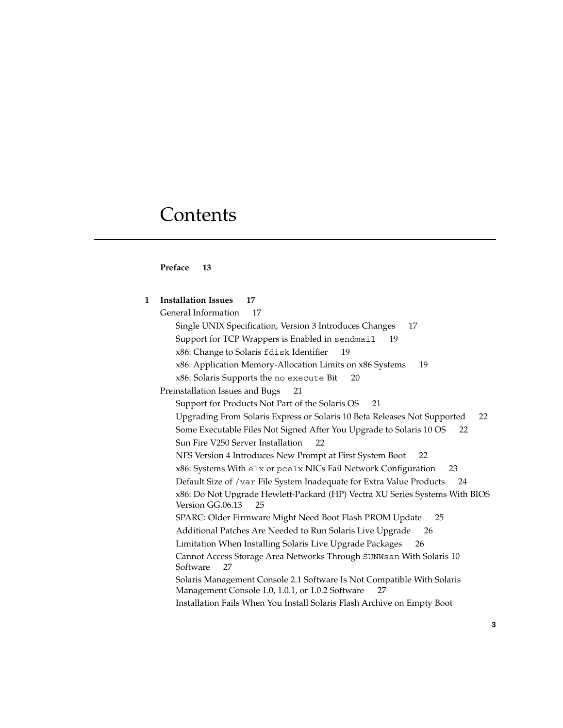## Contents

#### **[Preface 13](#page-12-0)**

**[1 Installation Issues 17](#page-16-0)**

[General Information 17](#page-16-0) [Single UNIX Specification, Version 3 Introduces Changes 17](#page-16-0) [Support for TCP Wrappers is Enabled in](#page-18-0) sendmail 19 [x86: Change to Solaris](#page-18-0) fdisk Identifier 19 [x86: Application Memory-Allocation Limits on x86 Systems 19](#page-18-0) [x86: Solaris Supports the](#page-19-0) no execute Bit 20 [Preinstallation Issues and Bugs 21](#page-20-0) [Support for Products Not Part of the Solaris OS 21](#page-20-0) [Upgrading From Solaris Express or Solaris 10 Beta Releases Not Supported 22](#page-21-0) [Some Executable Files Not Signed After You Upgrade to Solaris 10 OS 22](#page-21-0) [Sun Fire V250 Server Installation 22](#page-21-0) [NFS Version 4 Introduces New Prompt at First System Boot 22](#page-21-0) x86: Systems With elx or pcelx [NICs Fail Network Configuration 23](#page-22-0) Default Size of /var [File System Inadequate for Extra Value Products 24](#page-23-0) [x86: Do Not Upgrade Hewlett-Packard \(HP\) Vectra XU Series Systems With BIOS](#page-24-0) Version GG.06.13 [SPARC: Older Firmware Might Need Boot Flash PROM Update 25](#page-24-0) [Additional Patches Are Needed to Run Solaris Live Upgrade 26](#page-25-0) [Limitation When Installing Solaris Live Upgrade Packages 26](#page-25-0) [Cannot Access Storage Area Networks Through](#page-26-0) SUNWsan With Solaris 10 [Software 27](#page-26-0) [Solaris Management Console 2.1 Software Is Not Compatible With Solaris](#page-26-0) [Management Console 1.0, 1.0.1, or 1.0.2 Software 27](#page-26-0) Installation Fails When You Install Solaris Flash Archive on Empty Boot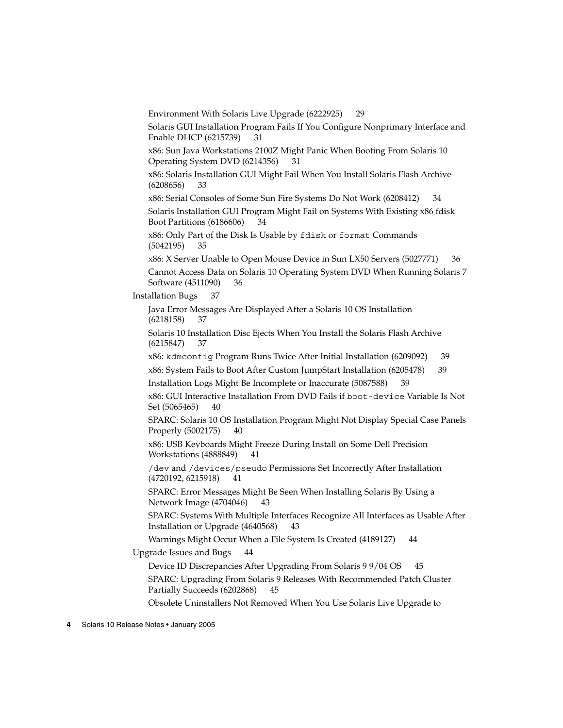[Environment With Solaris Live Upgrade \(6222925\) 29](#page-28-0)

[Solaris GUI Installation Program Fails If You Configure Nonprimary Interface and](#page-30-0) [Enable DHCP \(6215739\) 31](#page-30-0)

[x86: Sun Java Workstations 2100Z Might Panic When Booting From Solaris 10](#page-30-0) [Operating System DVD \(6214356\) 31](#page-30-0)

[x86: Solaris Installation GUI Might Fail When You Install Solaris Flash Archive](#page-32-0) [\(6208656\) 33](#page-32-0)

[x86: Serial Consoles of Some Sun Fire Systems Do Not Work \(6208412\) 34](#page-33-0)

[Solaris Installation GUI Program Might Fail on Systems With Existing x86 fdisk](#page-33-0) [Boot Partitions \(6186606\) 34](#page-33-0)

[x86: Only Part of the Disk Is Usable by](#page-34-0) fdisk or format Commands [\(5042195\) 35](#page-34-0)

[x86: X Server Unable to Open Mouse Device in Sun LX50 Servers \(5027771\) 36](#page-35-0)

[Cannot Access Data on Solaris 10 Operating System DVD When Running Solaris 7](#page-35-0) [Software \(4511090\) 36](#page-35-0)

[Installation Bugs 37](#page-36-0)

[Java Error Messages Are Displayed After a Solaris 10 OS Installation](#page-36-0) [\(6218158\) 37](#page-36-0)

[Solaris 10 Installation Disc Ejects When You Install the Solaris Flash Archive](#page-36-0) [\(6215847\) 37](#page-36-0)

x86: kdmconfig [Program Runs Twice After Initial Installation \(6209092\) 39](#page-38-0)

[x86: System Fails to Boot After Custom JumpStart Installation \(6205478\) 39](#page-38-0)

Installation Logs Might Be Incomplete or Inaccurate (5087588)

[x86: GUI Interactive Installation From DVD Fails if](#page-39-0) boot-device Variable Is Not [Set \(5065465\) 40](#page-39-0)

[SPARC: Solaris 10 OS Installation Program Might Not Display Special Case Panels](#page-39-0) [Properly \(5002175\) 40](#page-39-0)

[x86: USB Keyboards Might Freeze During Install on Some Dell Precision](#page-40-0) [Workstations \(4888849\) 41](#page-40-0)

/dev and /devices/pseudo [Permissions Set Incorrectly After Installation](#page-40-0) [\(4720192, 6215918\) 41](#page-40-0)

[SPARC: Error Messages Might Be Seen When Installing Solaris By Using a](#page-42-0) [Network Image \(4704046\) 43](#page-42-0)

[SPARC: Systems With Multiple Interfaces Recognize All Interfaces as Usable After](#page-42-0) [Installation or Upgrade \(4640568\) 43](#page-42-0)

[Warnings Might Occur When a File System Is Created \(4189127\) 44](#page-43-0)

[Upgrade Issues and Bugs 44](#page-43-0)

[Device ID Discrepancies After Upgrading From Solaris 9 9/04 OS 45](#page-44-0)

[SPARC: Upgrading From Solaris 9 Releases With Recommended Patch Cluster](#page-44-0) [Partially Succeeds \(6202868\) 45](#page-44-0)

Obsolete Uninstallers Not Removed When You Use Solaris Live Upgrade to

**4** Solaris 10 Release Notes • January 2005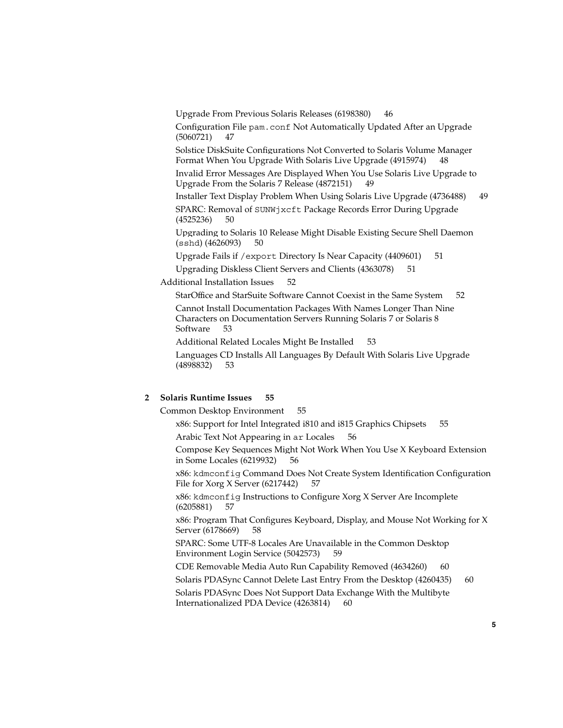[Upgrade From Previous Solaris Releases \(6198380\) 46](#page-45-0)

Configuration File pam.conf [Not Automatically Updated After an Upgrade](#page-46-0) [\(5060721\) 47](#page-46-0)

[Solstice DiskSuite Configurations Not Converted to Solaris Volume Manager](#page-47-0) [Format When You Upgrade With Solaris Live Upgrade \(4915974\) 48](#page-47-0)

[Invalid Error Messages Are Displayed When You Use Solaris Live Upgrade to](#page-48-0) [Upgrade From the Solaris 7 Release \(4872151\) 49](#page-48-0)

[Installer Text Display Problem When Using Solaris Live Upgrade \(4736488\) 49](#page-48-0) SPARC: Removal of SUNWjxcft [Package Records Error During Upgrade](#page-49-0) [\(4525236\) 50](#page-49-0)

[Upgrading to Solaris 10 Release Might Disable Existing Secure Shell Daemon](#page-49-0)  $(sshd)$   $(4626093)$  50

Upgrade Fails if /export [Directory Is Near Capacity \(4409601\) 51](#page-50-0) [Upgrading Diskless Client Servers and Clients \(4363078\) 51](#page-50-0)

[Additional Installation Issues 52](#page-51-0)

[StarOffice and StarSuite Software Cannot Coexist in the Same System 52](#page-51-0) [Cannot Install Documentation Packages With Names Longer Than Nine](#page-52-0) [Characters on Documentation Servers Running Solaris 7 or Solaris 8](#page-52-0) [Software 53](#page-52-0)

[Additional Related Locales Might Be Installed 53](#page-52-0)

[Languages CD Installs All Languages By Default With Solaris Live Upgrade](#page-52-0) [\(4898832\) 53](#page-52-0)

#### **[2 Solaris Runtime Issues 55](#page-54-0)**

[Common Desktop Environment 55](#page-54-0)

[x86: Support for Intel Integrated i810 and i815 Graphics Chipsets 55](#page-54-0)

[Arabic Text Not Appearing in](#page-55-0) ar Locales 56

[Compose Key Sequences Might Not Work When You Use X Keyboard Extension](#page-55-0) [in Some Locales \(6219932\) 56](#page-55-0)

x86: kdmconfig [Command Does Not Create System Identification Configuration](#page-56-0) [File for Xorg X Server \(6217442\) 57](#page-56-0)

x86: kdmconfig [Instructions to Configure Xorg X Server Are Incomplete](#page-56-0) [\(6205881\) 57](#page-56-0)

[x86: Program That Configures Keyboard, Display, and Mouse Not Working for X](#page-57-0) [Server \(6178669\) 58](#page-57-0)

[SPARC: Some UTF-8 Locales Are Unavailable in the Common Desktop](#page-58-0) [Environment Login Service \(5042573\) 59](#page-58-0)

[CDE Removable Media Auto Run Capability Removed \(4634260\) 60](#page-59-0)

[Solaris PDASync Cannot Delete Last Entry From the Desktop \(4260435\) 60](#page-59-0)

[Solaris PDASync Does Not Support Data Exchange With the Multibyte](#page-59-0) [Internationalized PDA Device \(4263814\) 60](#page-59-0)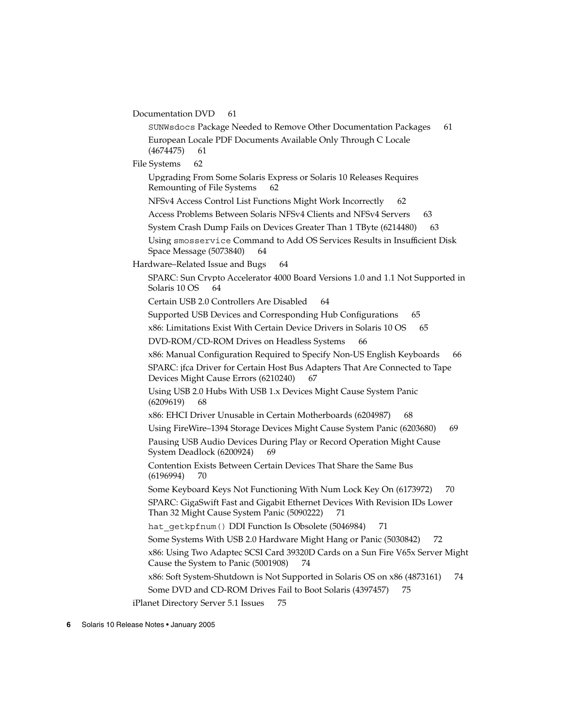[Documentation DVD 61](#page-60-0)

SUNWsdocs [Package Needed to Remove Other Documentation Packages 61](#page-60-0) [European Locale PDF Documents Available Only Through C Locale](#page-60-0) [\(4674475\) 61](#page-60-0) [File Systems 62](#page-61-0) [Upgrading From Some Solaris Express or Solaris 10 Releases Requires](#page-61-0) [Remounting of File Systems 62](#page-61-0) [NFSv4 Access Control List Functions Might Work Incorrectly 62](#page-61-0) [Access Problems Between Solaris NFSv4 Clients and NFSv4 Servers 63](#page-62-0) [System Crash Dump Fails on Devices Greater Than 1 TByte \(6214480\) 63](#page-62-0) Using smosservice [Command to Add OS Services Results in Insufficient Disk](#page-63-0) [Space Message \(5073840\) 64](#page-63-0) [Hardware–Related Issue and Bugs 64](#page-63-0) [SPARC: Sun Crypto Accelerator 4000 Board Versions 1.0 and 1.1 Not Supported in](#page-63-0) [Solaris 10 OS 64](#page-63-0) [Certain USB 2.0 Controllers Are Disabled 64](#page-63-0) [Supported USB Devices and Corresponding Hub Configurations 65](#page-64-0) [x86: Limitations Exist With Certain Device Drivers in Solaris 10 OS 65](#page-64-0) [DVD-ROM/CD-ROM Drives on Headless Systems 66](#page-65-0) [x86: Manual Configuration Required to Specify Non-US English Keyboards 66](#page-65-0) [SPARC: jfca Driver for Certain Host Bus Adapters That Are Connected to Tape](#page-66-0) [Devices Might Cause Errors \(6210240\) 67](#page-66-0) [Using USB 2.0 Hubs With USB 1.x Devices Might Cause System Panic](#page-67-0)  $(6209619)$  68 [x86: EHCI Driver Unusable in Certain Motherboards \(6204987\) 68](#page-67-0) [Using FireWire–1394 Storage Devices Might Cause System Panic \(6203680\) 69](#page-68-0) [Pausing USB Audio Devices During Play or Record Operation Might Cause](#page-68-0) [System Deadlock \(6200924\) 69](#page-68-0) [Contention Exists Between Certain Devices That Share the Same Bus](#page-69-0) [\(6196994\) 70](#page-69-0) [Some Keyboard Keys Not Functioning With Num Lock Key On \(6173972\) 70](#page-69-0) [SPARC: GigaSwift Fast and Gigabit Ethernet Devices With Revision IDs Lower](#page-70-0) [Than 32 Might Cause System Panic \(5090222\) 71](#page-70-0) hat\_getkpfnum() [DDI Function Is Obsolete \(5046984\) 71](#page-70-0) [Some Systems With USB 2.0 Hardware Might Hang or Panic \(5030842\) 72](#page-71-0) [x86: Using Two Adaptec SCSI Card 39320D Cards on a Sun Fire V65x Server Might](#page-73-0) [Cause the System to Panic \(5001908\) 74](#page-73-0) [x86: Soft System-Shutdown is Not Supported in Solaris OS on x86 \(4873161\) 74](#page-73-0) [Some DVD and CD-ROM Drives Fail to Boot Solaris \(4397457\) 75](#page-74-0) [iPlanet Directory Server 5.1 Issues 75](#page-74-0)

**6** Solaris 10 Release Notes • January 2005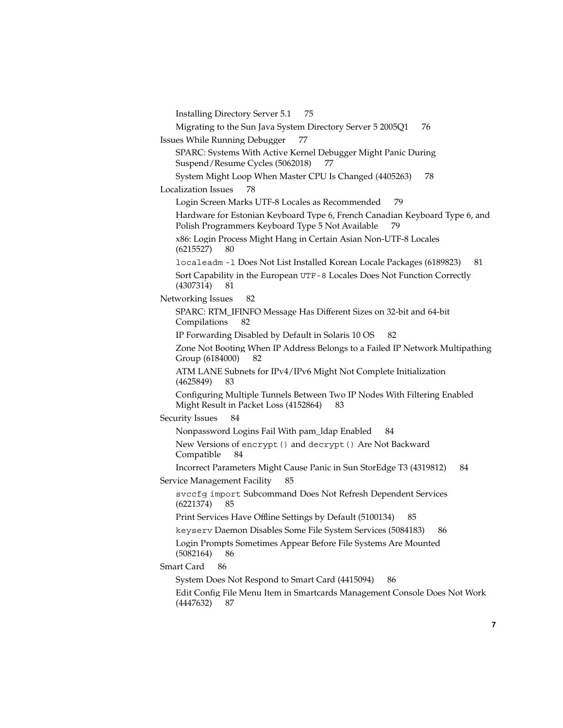[Installing Directory Server 5.1 75](#page-74-0) [Migrating to the Sun Java System Directory Server 5 2005Q1 76](#page-75-0) [Issues While Running Debugger 77](#page-76-0) [SPARC: Systems With Active Kernel Debugger Might Panic During](#page-76-0) [Suspend/Resume Cycles \(5062018\) 77](#page-76-0) [System Might Loop When Master CPU Is Changed \(4405263\) 78](#page-77-0) [Localization Issues 78](#page-77-0) [Login Screen Marks UTF-8 Locales as Recommended 79](#page-78-0) [Hardware for Estonian Keyboard Type 6, French Canadian Keyboard Type 6, and](#page-78-0) [Polish Programmers Keyboard Type 5 Not Available 79](#page-78-0) [x86: Login Process Might Hang in Certain Asian Non-UTF-8 Locales](#page-79-0)  $(6215527)$  80 1 ocaleadm - 1 [Does Not List Installed Korean Locale Packages \(6189823\) 81](#page-80-0) Sort Capability in the European UTF-8 [Locales Does Not Function Correctly](#page-80-0) [\(4307314\) 81](#page-80-0) [Networking Issues 82](#page-81-0) [SPARC: RTM\\_IFINFO Message Has Different Sizes on 32-bit and 64-bit](#page-81-0) [Compilations 82](#page-81-0) [IP Forwarding Disabled by Default in Solaris 10 OS 82](#page-81-0) [Zone Not Booting When IP Address Belongs to a Failed IP Network Multipathing](#page-81-0) [Group \(6184000\) 82](#page-81-0) [ATM LANE Subnets for IPv4/IPv6 Might Not Complete Initialization](#page-82-0) [\(4625849\) 83](#page-82-0) [Configuring Multiple Tunnels Between Two IP Nodes With Filtering Enabled](#page-82-0) [Might Result in Packet Loss \(4152864\) 83](#page-82-0) [Security Issues 84](#page-83-0) [Nonpassword Logins Fail With pam\\_ldap Enabled 84](#page-83-0) New Versions of encrypt() and decrypt() [Are Not Backward](#page-83-0) [Compatible 84](#page-83-0) [Incorrect Parameters Might Cause Panic in Sun StorEdge T3 \(4319812\) 84](#page-83-0) [Service Management Facility 85](#page-84-0) svccfg import [Subcommand Does Not Refresh Dependent Services](#page-84-0) [\(6221374\) 85](#page-84-0) [Print Services Have Offline Settings by Default \(5100134\) 85](#page-84-0) keyserv [Daemon Disables Some File System Services \(5084183\) 86](#page-85-0) [Login Prompts Sometimes Appear Before File Systems Are Mounted](#page-85-0) [\(5082164\) 86](#page-85-0) [Smart Card 86](#page-85-0) [System Does Not Respond to Smart Card \(4415094\) 86](#page-85-0) [Edit Config File Menu Item in Smartcards Management Console Does Not Work](#page-86-0) [\(4447632\) 87](#page-86-0) **7**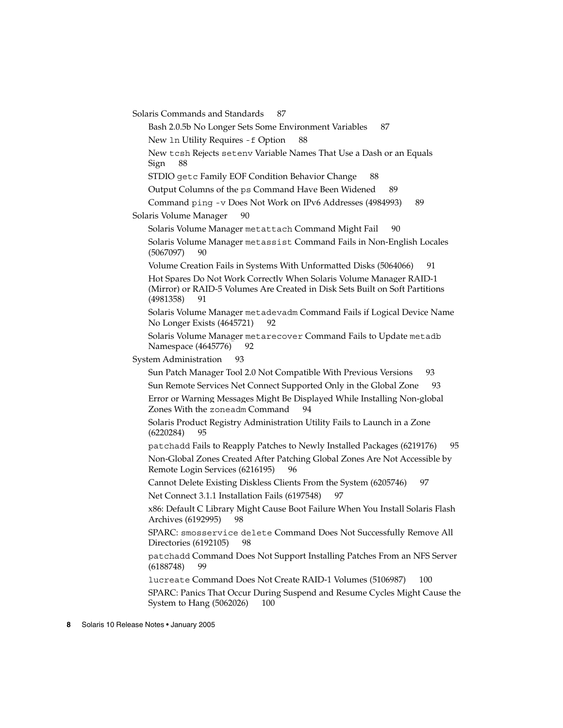[Solaris Commands and Standards 87](#page-86-0)

[Bash 2.0.5b No Longer Sets Some Environment Variables 87](#page-86-0)

New 1n [Utility Requires](#page-87-0) - f Option 88

New tcsh Rejects setenv [Variable Names That Use a Dash or an Equals](#page-87-0) [Sign 88](#page-87-0)

STDIO getc [Family EOF Condition Behavior Change 88](#page-87-0)

Output Columns of the ps [Command Have Been Widened 89](#page-88-0)

Command ping -v [Does Not Work on IPv6 Addresses \(4984993\) 89](#page-88-0)

[Solaris Volume Manager 90](#page-89-0)

Solaris Volume Manager metattach [Command Might Fail 90](#page-89-0)

Solaris Volume Manager metassist [Command Fails in Non-English Locales](#page-89-0) [\(5067097\) 90](#page-89-0)

[Volume Creation Fails in Systems With Unformatted Disks \(5064066\) 91](#page-90-0)

[Hot Spares Do Not Work Correctly When Solaris Volume Manager RAID-1](#page-90-0) [\(Mirror\) or RAID-5 Volumes Are Created in Disk Sets Built on Soft Partitions](#page-90-0) [\(4981358\) 91](#page-90-0)

Solaris Volume Manager metadevadm [Command Fails if Logical Device Name](#page-91-0) [No Longer Exists \(4645721\) 92](#page-91-0)

Solaris Volume Manager metarecover [Command Fails to Update](#page-91-0) metadb [Namespace \(4645776\) 92](#page-91-0)

[System Administration 93](#page-92-0)

[Sun Patch Manager Tool 2.0 Not Compatible With Previous Versions 93](#page-92-0)

[Sun Remote Services Net Connect Supported Only in the Global Zone 93](#page-92-0)

[Error or Warning Messages Might Be Displayed While Installing Non-global](#page-93-0) Zones With the zoneadm [Command 94](#page-93-0)

[Solaris Product Registry Administration Utility Fails to Launch in a Zone](#page-94-0) [\(6220284\) 95](#page-94-0)

patchadd [Fails to Reapply Patches to Newly Installed Packages \(6219176\) 95](#page-94-0) [Non-Global Zones Created After Patching Global Zones Are Not Accessible by](#page-95-0) [Remote Login Services \(6216195\) 96](#page-95-0)

[Cannot Delete Existing Diskless Clients From the System \(6205746\) 97](#page-96-0) [Net Connect 3.1.1 Installation Fails \(6197548\) 97](#page-96-0)

[x86: Default C Library Might Cause Boot Failure When You Install Solaris Flash](#page-97-0) [Archives \(6192995\) 98](#page-97-0)

SPARC: smosservice delete [Command Does Not Successfully Remove All](#page-97-0) [Directories \(6192105\) 98](#page-97-0)

patchadd [Command Does Not Support Installing Patches From an NFS Server](#page-98-0) [\(6188748\) 99](#page-98-0)

lucreate [Command Does Not Create RAID-1 Volumes \(5106987\) 100](#page-99-0)

[SPARC: Panics That Occur During Suspend and Resume Cycles Might Cause the](#page-99-0) [System to Hang \(5062026\) 100](#page-99-0)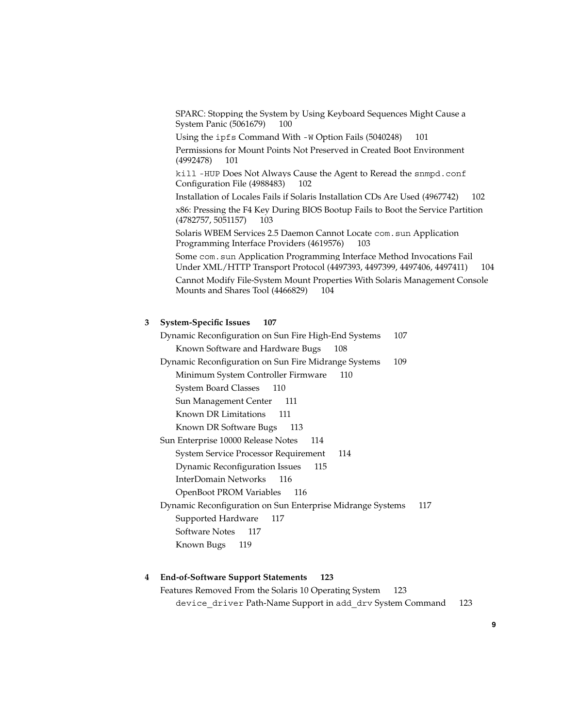SPARC: Stopping the System by Using Keyboard Sequences Might Cause a [System Panic \(5061679\) 100](#page-99-0)

Using the ipfs Command With -W [Option Fails \(5040248\) 101](#page-100-0)

[Permissions for Mount Points Not Preserved in Created Boot Environment](#page-100-0) [\(4992478\) 101](#page-100-0)

kill -HUP [Does Not Always Cause the Agent to Reread the](#page-101-0) snmpd.conf [Configuration File \(4988483\) 102](#page-101-0)

[Installation of Locales Fails if Solaris Installation CDs Are Used \(4967742\) 102](#page-101-0)

[x86: Pressing the F4 Key During BIOS Bootup Fails to Boot the Service Partition](#page-102-0) [\(4782757, 5051157\) 103](#page-102-0)

[Solaris WBEM Services 2.5 Daemon Cannot Locate](#page-102-0) com. sun Application [Programming Interface Providers \(4619576\) 103](#page-102-0)

Some com. sun [Application Programming Interface Method Invocations Fail](#page-103-0) [Under XML/HTTP Transport Protocol \(4497393, 4497399, 4497406, 4497411\) 104](#page-103-0) [Cannot Modify File-System Mount Properties With Solaris Management Console](#page-103-0) [Mounts and Shares Tool \(4466829\) 104](#page-103-0)

#### **[3 System-Specific Issues 107](#page-106-0)**

[Dynamic Reconfiguration on Sun Fire High-End Systems 107](#page-106-0)

[Known Software and Hardware Bugs 108](#page-107-0)

[Dynamic Reconfiguration on Sun Fire Midrange Systems 109](#page-108-0)

[Minimum System Controller Firmware 110](#page-109-0)

[System Board Classes 110](#page-109-0)

[Sun Management Center 111](#page-110-0)

[Known DR Limitations 111](#page-110-0)

[Known DR Software Bugs 113](#page-112-0)

[Sun Enterprise 10000 Release Notes 114](#page-113-0)

[System Service Processor Requirement 114](#page-113-0)

[Dynamic Reconfiguration Issues 115](#page-114-0)

[InterDomain Networks 116](#page-115-0)

[OpenBoot PROM Variables 116](#page-115-0)

[Dynamic Reconfiguration on Sun Enterprise Midrange Systems 117](#page-116-0)

[Supported Hardware 117](#page-116-0)

[Software Notes 117](#page-116-0)

[Known Bugs 119](#page-118-0)

#### **[4 End-of-Software Support Statements 123](#page-122-0)**

[Features Removed From the Solaris 10 Operating System 123](#page-122-0) device driver Path-Name Support in add drv [System Command 123](#page-122-0)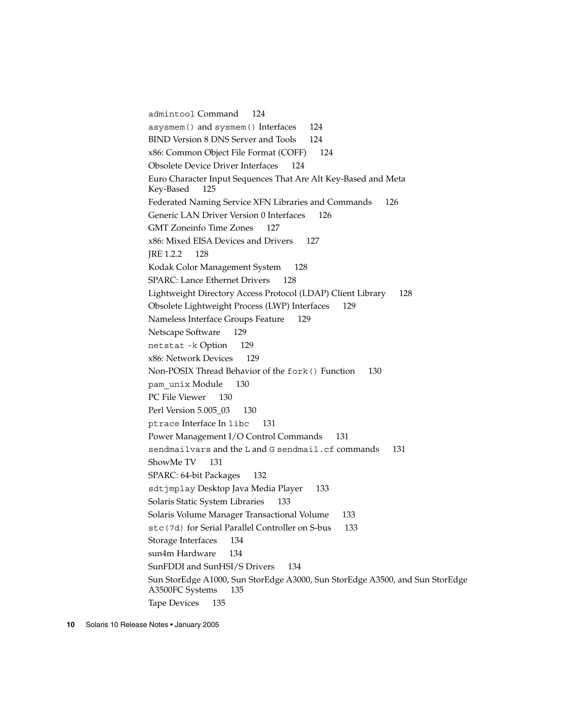admintool [Command 124](#page-123-0) asysmem() and sysmem() [Interfaces 124](#page-123-0) [BIND Version 8 DNS Server and Tools 124](#page-123-0) [x86: Common Object File Format \(COFF\) 124](#page-123-0) [Obsolete Device Driver Interfaces 124](#page-123-0) [Euro Character Input Sequences That Are Alt Key-Based and Meta](#page-124-0) [Key-Based 125](#page-124-0) [Federated Naming Service XFN Libraries and Commands 126](#page-125-0) [Generic LAN Driver Version 0 Interfaces 126](#page-125-0) [GMT Zoneinfo Time Zones 127](#page-126-0) [x86: Mixed EISA Devices and Drivers 127](#page-126-0) [JRE 1.2.2 128](#page-127-0) [Kodak Color Management System 128](#page-127-0) [SPARC: Lance Ethernet Drivers 128](#page-127-0) [Lightweight Directory Access Protocol \(LDAP\) Client Library 128](#page-127-0) [Obsolete Lightweight Process \(LWP\) Interfaces 129](#page-128-0) [Nameless Interface Groups Feature 129](#page-128-0) [Netscape Software 129](#page-128-0) netstat -k [Option 129](#page-128-0) [x86: Network Devices 129](#page-128-0) [Non-POSIX Thread Behavior of the](#page-129-0) fork() Function 130 pam\_unix [Module 130](#page-129-0) [PC File Viewer 130](#page-129-0) Perl Version 5.005 03 130 ptrace [Interface In](#page-130-0) libc 131 [Power Management I/O Control Commands 131](#page-130-0) sendmailvars and the L and G sendmail.cf [commands 131](#page-130-0) [ShowMe TV 131](#page-130-0) [SPARC: 64-bit Packages 132](#page-131-0) sdtjmplay [Desktop Java Media Player 133](#page-132-0) [Solaris Static System Libraries 133](#page-132-0) [Solaris Volume Manager Transactional Volume 133](#page-132-0) stc(7d) [for Serial Parallel Controller on S-bus 133](#page-132-0) [Storage Interfaces 134](#page-133-0) [sun4m Hardware 134](#page-133-0) [SunFDDI and SunHSI/S Drivers 134](#page-133-0) [Sun StorEdge A1000, Sun StorEdge A3000, Sun StorEdge A3500, and Sun StorEdge](#page-134-0) [A3500FC Systems 135](#page-134-0) [Tape Devices 135](#page-134-0)

**10** Solaris 10 Release Notes • January 2005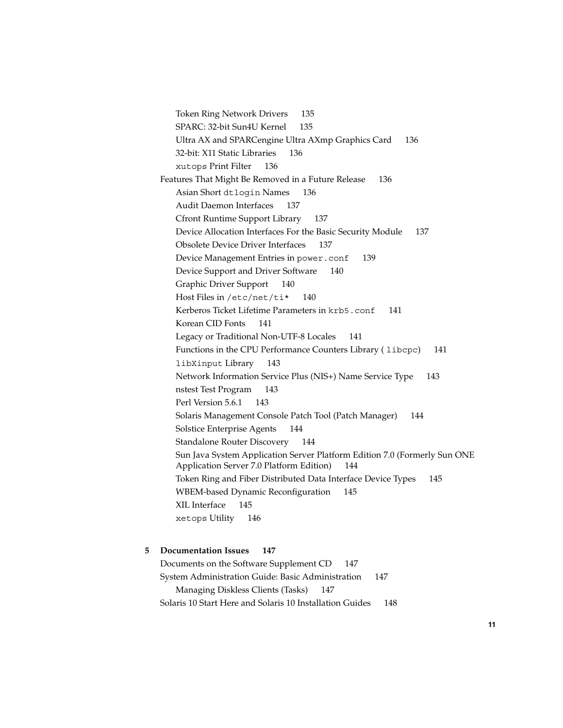[Token Ring Network Drivers 135](#page-134-0) [SPARC: 32-bit Sun4U Kernel 135](#page-134-0) [Ultra AX and SPARCengine Ultra AXmp Graphics Card 136](#page-135-0) [32-bit: X11 Static Libraries 136](#page-135-0) xutops [Print Filter 136](#page-135-0) [Features That Might Be Removed in a Future Release 136](#page-135-0) Asian Short dtlogin [Names 136](#page-135-0) [Audit Daemon Interfaces 137](#page-136-0) [Cfront Runtime Support Library 137](#page-136-0) [Device Allocation Interfaces For the Basic Security Module 137](#page-136-0) [Obsolete Device Driver Interfaces 137](#page-136-0) [Device Management Entries in](#page-138-0) power.conf 139 [Device Support and Driver Software 140](#page-139-0) [Graphic Driver Support 140](#page-139-0) Host Files in [/etc/net/ti\\*](#page-139-0) 140 [Kerberos Ticket Lifetime Parameters in](#page-140-0) krb5.conf 141 [Korean CID Fonts 141](#page-140-0) [Legacy or Traditional Non-UTF-8 Locales 141](#page-140-0) [Functions in the CPU Performance Counters Library \(](#page-140-0)1ibcpc) 141 libXinput [Library 143](#page-142-0) [Network Information Service Plus \(NIS+\) Name Service Type 143](#page-142-0) [nstest Test Program 143](#page-142-0) [Perl Version 5.6.1 143](#page-142-0) [Solaris Management Console Patch Tool \(Patch Manager\) 144](#page-143-0) [Solstice Enterprise Agents 144](#page-143-0) [Standalone Router Discovery 144](#page-143-0) [Sun Java System Application Server Platform Edition 7.0 \(Formerly Sun ONE](#page-143-0) [Application Server 7.0 Platform Edition\) 144](#page-143-0) [Token Ring and Fiber Distributed Data Interface Device Types 145](#page-144-0) [WBEM-based Dynamic Reconfiguration 145](#page-144-0) [XIL Interface 145](#page-144-0) xetops [Utility 146](#page-145-0)

#### **[5 Documentation Issues 147](#page-146-0)**

[Documents on the Software Supplement CD 147](#page-146-0) [System Administration Guide: Basic Administration 147](#page-146-0) [Managing Diskless Clients \(Tasks\) 147](#page-146-0) [Solaris 10 Start Here and Solaris 10 Installation Guides 148](#page-147-0)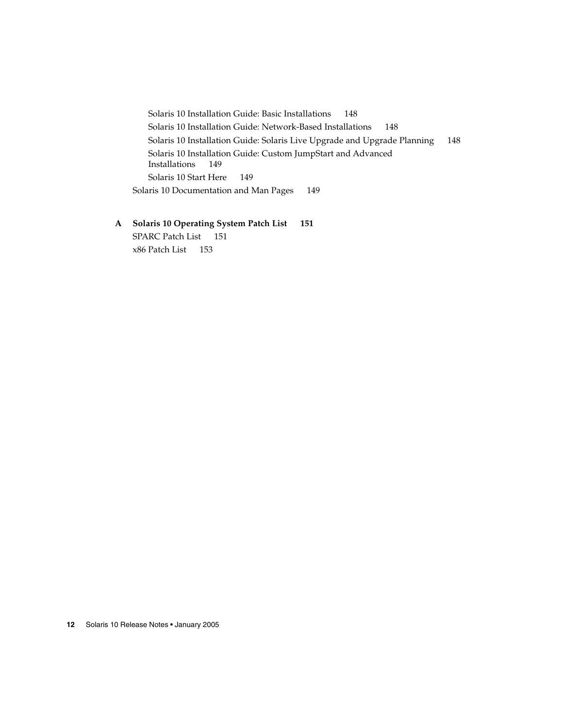[Solaris 10 Installation Guide: Basic Installations 148](#page-147-0) [Solaris 10 Installation Guide: Network-Based Installations 148](#page-147-0) [Solaris 10 Installation Guide: Solaris Live Upgrade and Upgrade Planning 148](#page-147-0) [Solaris 10 Installation Guide: Custom JumpStart and Advanced](#page-148-0) Installations [Solaris 10 Start Here 149](#page-148-0) [Solaris 10 Documentation and Man Pages 149](#page-148-0)

**[A Solaris 10 Operating System Patch List 151](#page-150-0)**

[SPARC Patch List 151](#page-150-0) [x86 Patch List 153](#page-152-0)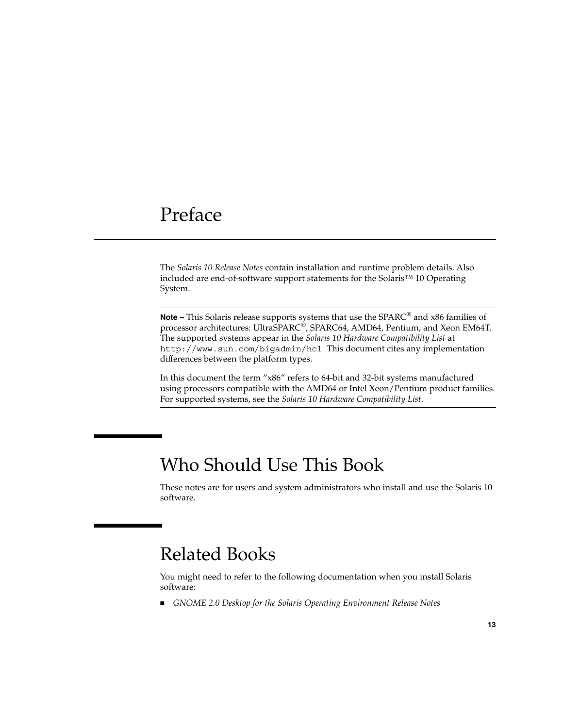## <span id="page-12-0"></span>Preface

The *Solaris 10 Release Notes* contain installation and runtime problem details. Also included are end-of-software support statements for the Solaris™ 10 Operating System.

**Note –** This Solaris release supports systems that use the SPARC® and x86 families of processor architectures: UltraSPARC®, SPARC64, AMD64, Pentium, and Xeon EM64T. The supported systems appear in the *Solaris 10 Hardware Compatibility List* at <http://www.sun.com/bigadmin/hcl>. This document cites any implementation differences between the platform types.

In this document the term "x86" refers to 64-bit and 32-bit systems manufactured using processors compatible with the AMD64 or Intel Xeon/Pentium product families. For supported systems, see the *Solaris 10 Hardware Compatibility List*.

## Who Should Use This Book

These notes are for users and system administrators who install and use the Solaris 10 software.

## Related Books

You might need to refer to the following documentation when you install Solaris software:

■ *GNOME 2.0 Desktop for the Solaris Operating Environment Release Notes*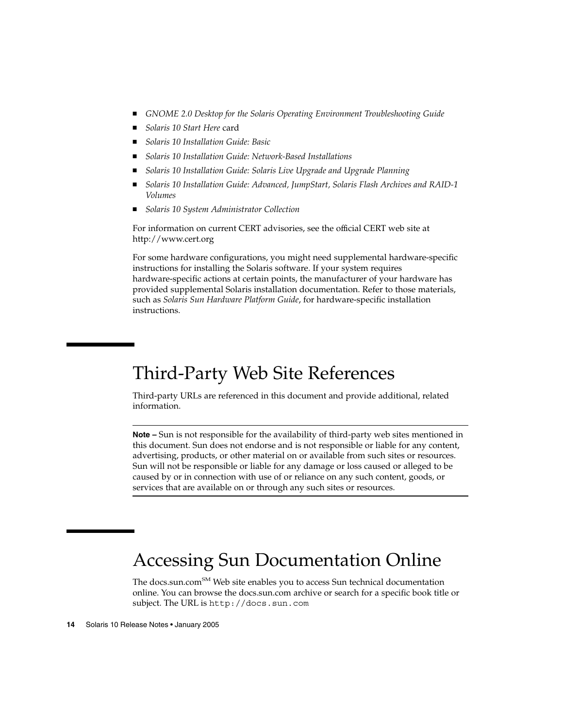- GNOME 2.0 Desktop for the Solaris Operating Environment Troubleshooting Guide
- Solaris 10 Start Here card
- *Solaris 10 Installation Guide: Basic*
- *Solaris 10 Installation Guide: Network-Based Installations*
- **Solaris 10 Installation Guide: Solaris Live Upgrade and Upgrade Planning**
- Solaris 10 Installation Guide: Advanced, JumpStart, Solaris Flash Archives and RAID-1 *Volumes*
- *Solaris 10 System Administrator Collection*

For information on current CERT advisories, see the official CERT web site at [http://www.cert.org.](http://www.cert.org)

For some hardware configurations, you might need supplemental hardware-specific instructions for installing the Solaris software. If your system requires hardware-specific actions at certain points, the manufacturer of your hardware has provided supplemental Solaris installation documentation. Refer to those materials, such as *Solaris Sun Hardware Platform Guide*, for hardware-specific installation instructions.

# Third-Party Web Site References

Third-party URLs are referenced in this document and provide additional, related information.

**Note –** Sun is not responsible for the availability of third-party web sites mentioned in this document. Sun does not endorse and is not responsible or liable for any content, advertising, products, or other material on or available from such sites or resources. Sun will not be responsible or liable for any damage or loss caused or alleged to be caused by or in connection with use of or reliance on any such content, goods, or services that are available on or through any such sites or resources.

## Accessing Sun Documentation Online

The docs.sun.com<sup>SM</sup> Web site enables you to access Sun technical documentation online. You can browse the docs.sun.com archive or search for a specific book title or subject. The URL is <http://docs.sun.com>.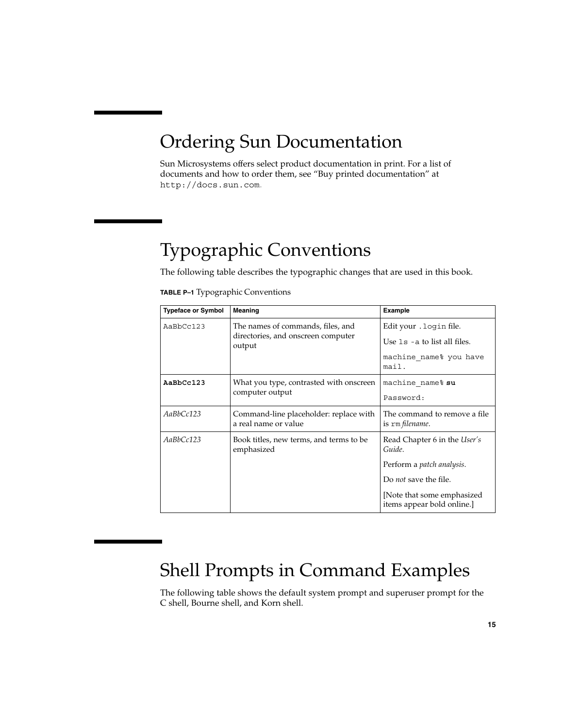# Ordering Sun Documentation

Sun Microsystems offers select product documentation in print. For a list of documents and how to order them, see "Buy printed documentation" at <http://docs.sun.com>.

# Typographic Conventions

The following table describes the typographic changes that are used in this book.

|  | TABLE P-1 Typographic Conventions |  |
|--|-----------------------------------|--|
|--|-----------------------------------|--|

| <b>Typeface or Symbol</b> | <b>Meaning</b>                                                                    | Example                                                                              |
|---------------------------|-----------------------------------------------------------------------------------|--------------------------------------------------------------------------------------|
| AaBbCc123                 | The names of commands, files, and<br>directories, and onscreen computer<br>output | Edit your . login file.<br>Use $1s$ - a to list all files.<br>machine name% you have |
|                           |                                                                                   | mail.                                                                                |
| AaBbCc123                 | What you type, contrasted with onscreen<br>computer output                        | machine name% su                                                                     |
|                           |                                                                                   | Password:                                                                            |
| AaBbCc123                 | Command-line placeholder: replace with<br>a real name or value                    | The command to remove a file.<br>is rm filename.                                     |
| AaBbCc123                 | Book titles, new terms, and terms to be<br>emphasized                             | Read Chapter 6 in the User's<br>Guide.                                               |
|                           |                                                                                   | Perform a <i>patch analysis</i> .                                                    |
|                           |                                                                                   | Do <i>not</i> save the file.                                                         |
|                           |                                                                                   | [Note that some emphasized]<br>items appear bold online.]                            |

# Shell Prompts in Command Examples

The following table shows the default system prompt and superuser prompt for the C shell, Bourne shell, and Korn shell.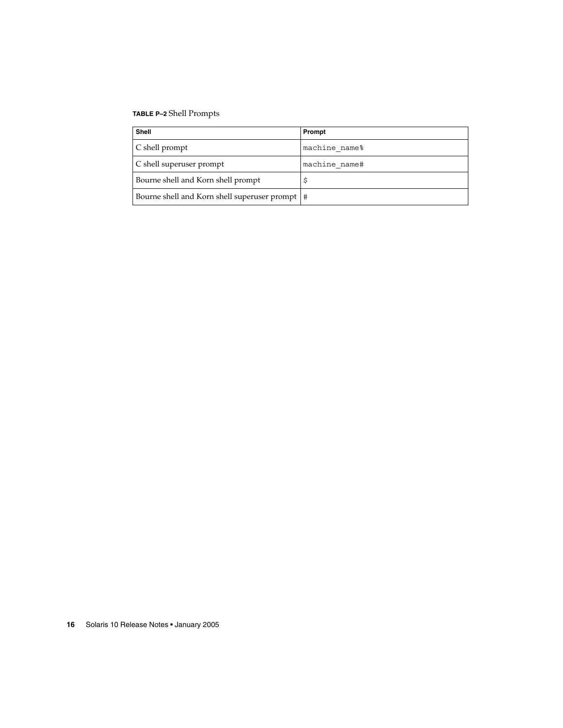#### **TABLE P–2** Shell Prompts

| <b>Shell</b>                                     | Prompt        |
|--------------------------------------------------|---------------|
| C shell prompt                                   | machine name% |
| C shell superuser prompt                         | machine name# |
| Bourne shell and Korn shell prompt               | \$            |
| Bourne shell and Korn shell superuser prompt   # |               |

**16** Solaris 10 Release Notes • January 2005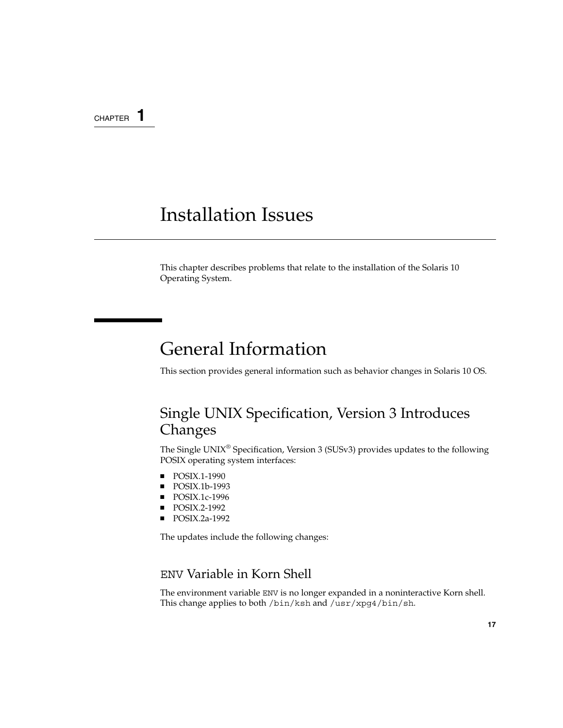<span id="page-16-0"></span>CHAPTER **1**

## Installation Issues

This chapter describes problems that relate to the installation of the Solaris 10 Operating System.

## General Information

This section provides general information such as behavior changes in Solaris 10 OS.

## Single UNIX Specification, Version 3 Introduces Changes

The Single UNIX® Specification, Version 3 (SUSv3) provides updates to the following POSIX operating system interfaces:

- POSIX.1-1990
- POSIX.1b-1993
- POSIX.1c-1996
- POSIX.2-1992
- POSIX.2a-1992

The updates include the following changes:

#### ENV Variable in Korn Shell

The environment variable ENV is no longer expanded in a noninteractive Korn shell. This change applies to both /bin/ksh and /usr/xpg4/bin/sh.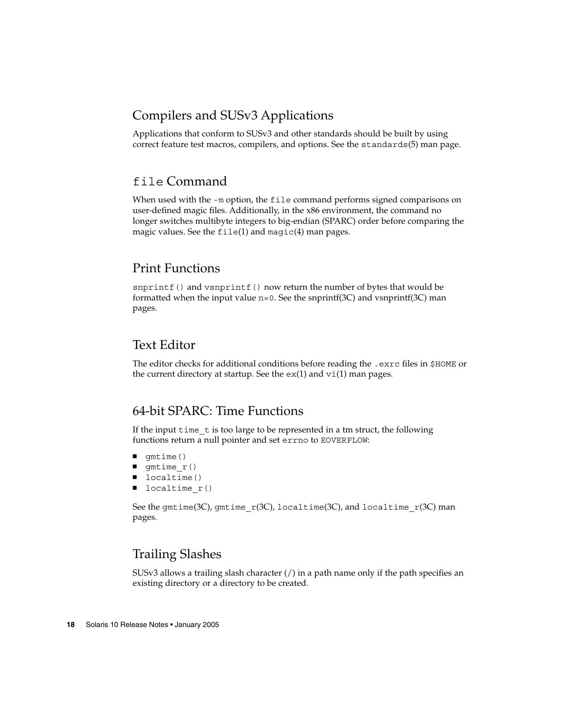### Compilers and SUSv3 Applications

Applications that conform to SUSv3 and other standards should be built by using correct feature test macros, compilers, and options. See the standards(5) man page.

#### file Command

When used with the -m option, the file command performs signed comparisons on user-defined magic files. Additionally, in the x86 environment, the command no longer switches multibyte integers to big-endian (SPARC) order before comparing the magic values. See the  $file(1)$  and magic(4) man pages.

#### Print Functions

snprintf() and vsnprintf() now return the number of bytes that would be formatted when the input value n=0. See the snprintf(3C) and vsnprintf(3C) man pages.

#### Text Editor

The editor checks for additional conditions before reading the .exrc files in \$HOME or the current directory at startup. See the  $ex(1)$  and  $vi(1)$  man pages.

### 64-bit SPARC: Time Functions

If the input time  $t$  is too large to be represented in a tm struct, the following functions return a null pointer and set errno to EOVERFLOW:

- qmtime()
- qmtime r()
- localtime()
- localtime r()

See the gmtime(3C), gmtime  $r(3C)$ , localtime(3C), and localtime  $r(3C)$  man pages.

### Trailing Slashes

SUSv3 allows a trailing slash character  $\left(\frac{\ }{\right)}$  in a path name only if the path specifies an existing directory or a directory to be created.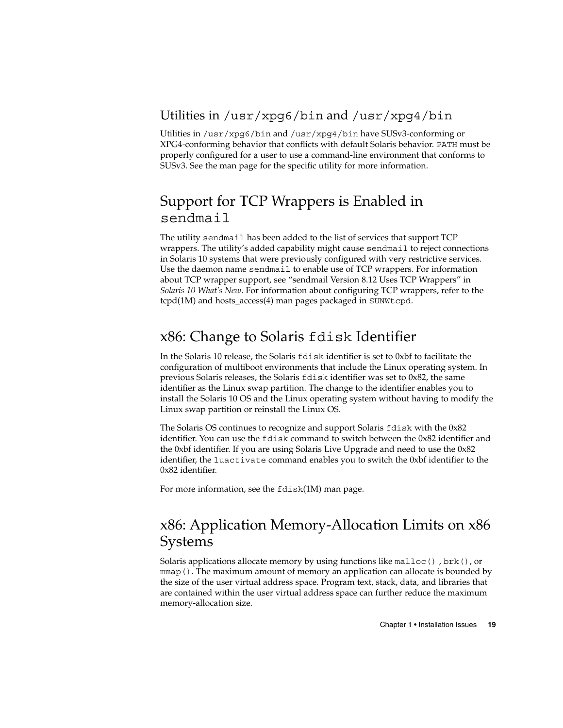### <span id="page-18-0"></span>Utilities in /usr/xpg6/bin and /usr/xpg4/bin

Utilities in /usr/xpg6/bin and /usr/xpg4/bin have SUSv3-conforming or XPG4-conforming behavior that conflicts with default Solaris behavior. PATH must be properly configured for a user to use a command-line environment that conforms to SUSv3. See the man page for the specific utility for more information.

## Support for TCP Wrappers is Enabled in sendmail

The utility sendmail has been added to the list of services that support TCP wrappers. The utility's added capability might cause sendmail to reject connections in Solaris 10 systems that were previously configured with very restrictive services. Use the daemon name sendmail to enable use of TCP wrappers. For information about TCP wrapper support, see "sendmail Version 8.12 Uses TCP Wrappers" in *Solaris 10 What's New*. For information about configuring TCP wrappers, refer to the tcpd(1M) and hosts\_access(4) man pages packaged in SUNWtcpd.

## x86: Change to Solaris fdisk Identifier

In the Solaris 10 release, the Solaris fdisk identifier is set to 0xbf to facilitate the configuration of multiboot environments that include the Linux operating system. In previous Solaris releases, the Solaris fdisk identifier was set to 0x82, the same identifier as the Linux swap partition. The change to the identifier enables you to install the Solaris 10 OS and the Linux operating system without having to modify the Linux swap partition or reinstall the Linux OS.

The Solaris OS continues to recognize and support Solaris fdisk with the 0x82 identifier. You can use the fdisk command to switch between the 0x82 identifier and the 0xbf identifier. If you are using Solaris Live Upgrade and need to use the 0x82 identifier, the luactivate command enables you to switch the 0xbf identifier to the 0x82 identifier.

For more information, see the fdisk(1M) man page.

## x86: Application Memory-Allocation Limits on x86 Systems

Solaris applications allocate memory by using functions like malloc() , brk(), or mmap(). The maximum amount of memory an application can allocate is bounded by the size of the user virtual address space. Program text, stack, data, and libraries that are contained within the user virtual address space can further reduce the maximum memory-allocation size.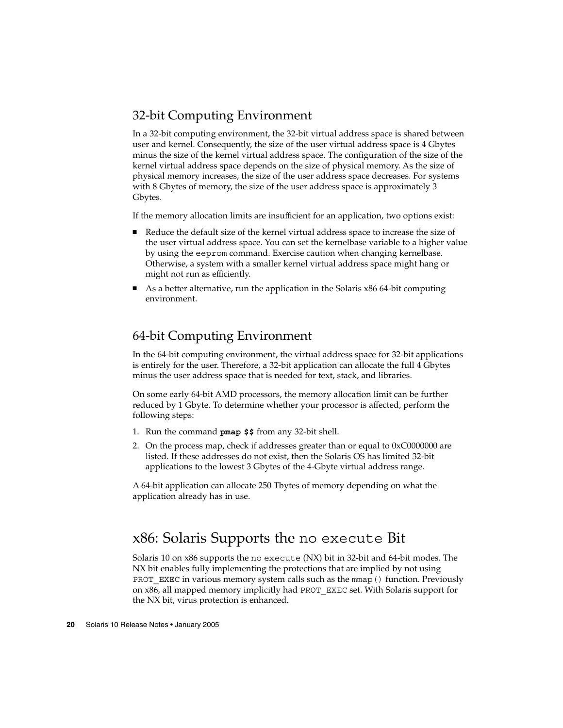#### <span id="page-19-0"></span>32-bit Computing Environment

In a 32-bit computing environment, the 32-bit virtual address space is shared between user and kernel. Consequently, the size of the user virtual address space is 4 Gbytes minus the size of the kernel virtual address space. The configuration of the size of the kernel virtual address space depends on the size of physical memory. As the size of physical memory increases, the size of the user address space decreases. For systems with 8 Gbytes of memory, the size of the user address space is approximately 3 Gbytes.

If the memory allocation limits are insufficient for an application, two options exist:

- Reduce the default size of the kernel virtual address space to increase the size of the user virtual address space. You can set the kernelbase variable to a higher value by using the eeprom command. Exercise caution when changing kernelbase. Otherwise, a system with a smaller kernel virtual address space might hang or might not run as efficiently.
- As a better alternative, run the application in the Solaris x86 64-bit computing environment.

#### 64-bit Computing Environment

In the 64-bit computing environment, the virtual address space for 32-bit applications is entirely for the user. Therefore, a 32-bit application can allocate the full 4 Gbytes minus the user address space that is needed for text, stack, and libraries.

On some early 64-bit AMD processors, the memory allocation limit can be further reduced by 1 Gbyte. To determine whether your processor is affected, perform the following steps:

- 1. Run the command **pmap \$\$** from any 32-bit shell.
- 2. On the process map, check if addresses greater than or equal to 0xC0000000 are listed. If these addresses do not exist, then the Solaris OS has limited 32-bit applications to the lowest 3 Gbytes of the 4-Gbyte virtual address range.

A 64-bit application can allocate 250 Tbytes of memory depending on what the application already has in use.

### x86: Solaris Supports the no execute Bit

Solaris 10 on x86 supports the no execute (NX) bit in 32-bit and 64-bit modes. The NX bit enables fully implementing the protections that are implied by not using PROT\_EXEC in various memory system calls such as the mmap() function. Previously on x86, all mapped memory implicitly had PROT\_EXEC set. With Solaris support for the NX bit, virus protection is enhanced.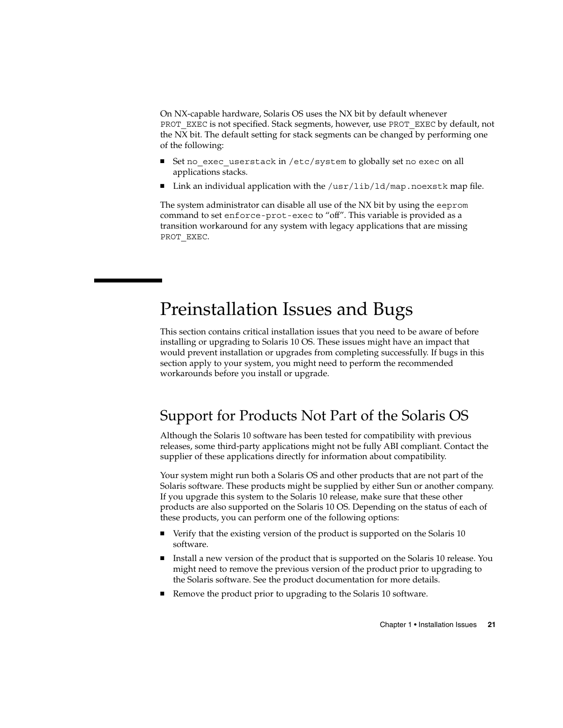<span id="page-20-0"></span>On NX-capable hardware, Solaris OS uses the NX bit by default whenever PROT\_EXEC is not specified. Stack segments, however, use PROT\_EXEC by default, not the NX bit. The default setting for stack segments can be changed by performing one of the following:

- Set no exec userstack in /etc/system to globally set no exec on all applications stacks.
- Link an individual application with the  $/usr/lib/ld/map$ .noexstk map file.

The system administrator can disable all use of the NX bit by using the eeprom command to set enforce-prot-exec to "off". This variable is provided as a transition workaround for any system with legacy applications that are missing PROT\_EXEC.

# Preinstallation Issues and Bugs

This section contains critical installation issues that you need to be aware of before installing or upgrading to Solaris 10 OS. These issues might have an impact that would prevent installation or upgrades from completing successfully. If bugs in this section apply to your system, you might need to perform the recommended workarounds before you install or upgrade.

## Support for Products Not Part of the Solaris OS

Although the Solaris 10 software has been tested for compatibility with previous releases, some third-party applications might not be fully ABI compliant. Contact the supplier of these applications directly for information about compatibility.

Your system might run both a Solaris OS and other products that are not part of the Solaris software. These products might be supplied by either Sun or another company. If you upgrade this system to the Solaris 10 release, make sure that these other products are also supported on the Solaris 10 OS. Depending on the status of each of these products, you can perform one of the following options:

- Verify that the existing version of the product is supported on the Solaris 10 software.
- Install a new version of the product that is supported on the Solaris 10 release. You might need to remove the previous version of the product prior to upgrading to the Solaris software. See the product documentation for more details.
- Remove the product prior to upgrading to the Solaris 10 software.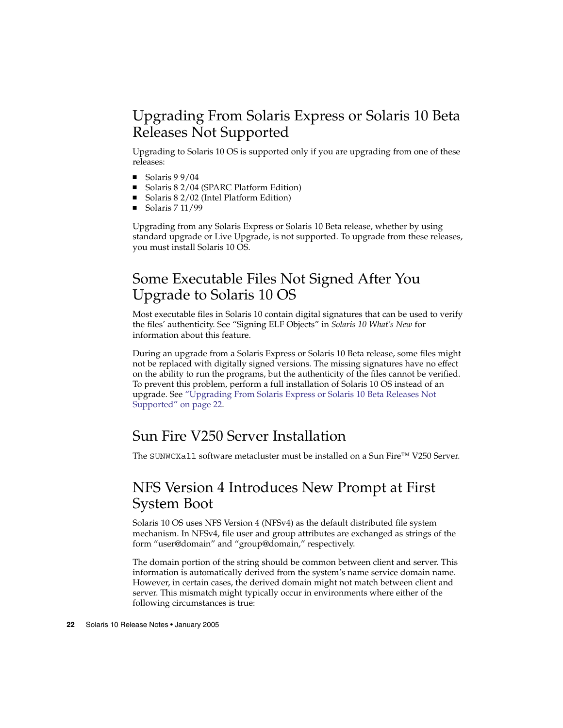## <span id="page-21-0"></span>Upgrading From Solaris Express or Solaris 10 Beta Releases Not Supported

Upgrading to Solaris 10 OS is supported only if you are upgrading from one of these releases:

- Solaris 9 9/04
- Solaris 8 2/04 (SPARC Platform Edition)
- Solaris 8 2/02 (Intel Platform Edition)
- Solaris  $7 \frac{11}{99}$

Upgrading from any Solaris Express or Solaris 10 Beta release, whether by using standard upgrade or Live Upgrade, is not supported. To upgrade from these releases, you must install Solaris 10 OS.

## Some Executable Files Not Signed After You Upgrade to Solaris 10 OS

Most executable files in Solaris 10 contain digital signatures that can be used to verify the files' authenticity. See "Signing ELF Objects" in *Solaris 10 What's New* for information about this feature.

During an upgrade from a Solaris Express or Solaris 10 Beta release, some files might not be replaced with digitally signed versions. The missing signatures have no effect on the ability to run the programs, but the authenticity of the files cannot be verified. To prevent this problem, perform a full installation of Solaris 10 OS instead of an upgrade. See "Upgrading From Solaris Express or Solaris 10 Beta Releases Not Supported" on page 22.

### Sun Fire V250 Server Installation

The SUNWCXall software metacluster must be installed on a Sun Fire™ V250 Server.

### NFS Version 4 Introduces New Prompt at First System Boot

Solaris 10 OS uses NFS Version 4 (NFSv4) as the default distributed file system mechanism. In NFSv4, file user and group attributes are exchanged as strings of the form "user@domain" and "group@domain," respectively.

The domain portion of the string should be common between client and server. This information is automatically derived from the system's name service domain name. However, in certain cases, the derived domain might not match between client and server. This mismatch might typically occur in environments where either of the following circumstances is true: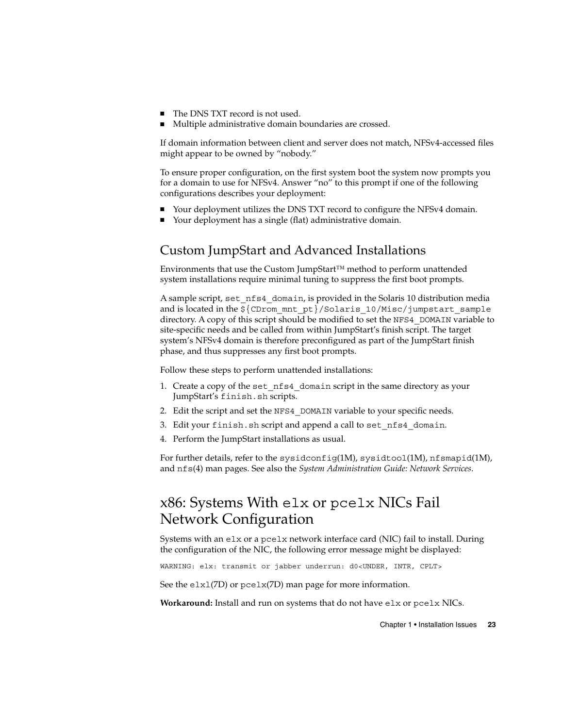- <span id="page-22-0"></span>■ The DNS TXT record is not used.
- Multiple administrative domain boundaries are crossed.

If domain information between client and server does not match, NFSv4-accessed files might appear to be owned by "nobody."

To ensure proper configuration, on the first system boot the system now prompts you for a domain to use for NFSv4. Answer "no" to this prompt if one of the following configurations describes your deployment:

- Your deployment utilizes the DNS TXT record to configure the NFSv4 domain.
- Your deployment has a single (flat) administrative domain.

### Custom JumpStart and Advanced Installations

Environments that use the Custom JumpStart™ method to perform unattended system installations require minimal tuning to suppress the first boot prompts.

A sample script, set\_nfs4\_domain, is provided in the Solaris 10 distribution media and is located in the  $\S$ {CDrom\_mnt\_pt}/Solaris\_10/Misc/jumpstart\_sample directory. A copy of this script should be modified to set the NFS4\_DOMAIN variable to site-specific needs and be called from within JumpStart's finish script. The target system's NFSv4 domain is therefore preconfigured as part of the JumpStart finish phase, and thus suppresses any first boot prompts.

Follow these steps to perform unattended installations:

- 1. Create a copy of the set\_nfs4\_domain script in the same directory as your JumpStart's finish.sh scripts.
- 2. Edit the script and set the NFS4\_DOMAIN variable to your specific needs.
- 3. Edit your finish.sh script and append a call to set nfs4 domain.
- 4. Perform the JumpStart installations as usual.

For further details, refer to the sysidconfig(1M), sysidtool(1M), nfsmapid(1M), and nfs(4) man pages. See also the *System Administration Guide: Network Services*.

## x86: Systems With elx or pcelx NICs Fail Network Configuration

Systems with an elx or a pcelx network interface card (NIC) fail to install. During the configuration of the NIC, the following error message might be displayed:

WARNING: elx: transmit or jabber underrun: d0<UNDER, INTR, CPLT>

See the  $e1x1(7D)$  or  $pe1x(7D)$  man page for more information.

**Workaround:** Install and run on systems that do not have elx or pcelx NICs.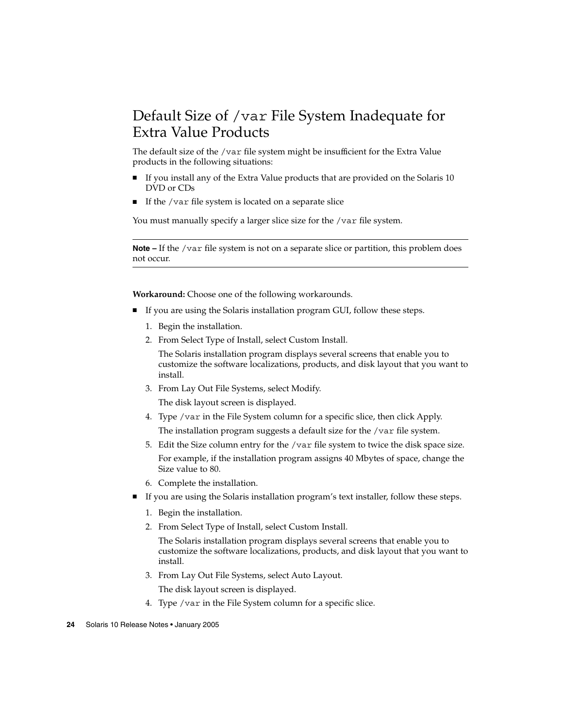## <span id="page-23-0"></span>Default Size of /var File System Inadequate for Extra Value Products

The default size of the /var file system might be insufficient for the Extra Value products in the following situations:

- If you install any of the Extra Value products that are provided on the Solaris 10 DVD or CDs
- If the /var file system is located on a separate slice

You must manually specify a larger slice size for the /var file system.

**Note** – If the /var file system is not on a separate slice or partition, this problem does not occur.

**Workaround:** Choose one of the following workarounds.

- If you are using the Solaris installation program GUI, follow these steps.
	- 1. Begin the installation.
	- 2. From Select Type of Install, select Custom Install.

The Solaris installation program displays several screens that enable you to customize the software localizations, products, and disk layout that you want to install.

3. From Lay Out File Systems, select Modify.

The disk layout screen is displayed.

- 4. Type /var in the File System column for a specific slice, then click Apply. The installation program suggests a default size for the /var file system.
- 5. Edit the Size column entry for the /var file system to twice the disk space size. For example, if the installation program assigns 40 Mbytes of space, change the Size value to 80.
- 6. Complete the installation.
- If you are using the Solaris installation program's text installer, follow these steps.
	- 1. Begin the installation.
	- 2. From Select Type of Install, select Custom Install.

The Solaris installation program displays several screens that enable you to customize the software localizations, products, and disk layout that you want to install.

3. From Lay Out File Systems, select Auto Layout.

The disk layout screen is displayed.

4. Type /var in the File System column for a specific slice.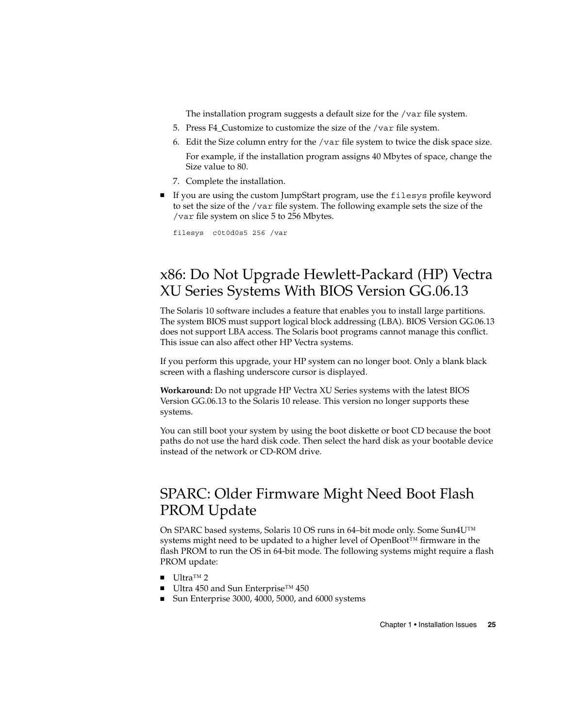The installation program suggests a default size for the /var file system.

- <span id="page-24-0"></span>5. Press F4\_Customize to customize the size of the /var file system.
- 6. Edit the Size column entry for the /var file system to twice the disk space size. For example, if the installation program assigns 40 Mbytes of space, change the Size value to 80.
- 7. Complete the installation.
- If you are using the custom JumpStart program, use the filesys profile keyword to set the size of the /var file system. The following example sets the size of the /var file system on slice 5 to 256 Mbytes.

filesys c0t0d0s5 256 /var

## x86: Do Not Upgrade Hewlett-Packard (HP) Vectra XU Series Systems With BIOS Version GG.06.13

The Solaris 10 software includes a feature that enables you to install large partitions. The system BIOS must support logical block addressing (LBA). BIOS Version GG.06.13 does not support LBA access. The Solaris boot programs cannot manage this conflict. This issue can also affect other HP Vectra systems.

If you perform this upgrade, your HP system can no longer boot. Only a blank black screen with a flashing underscore cursor is displayed.

**Workaround:** Do not upgrade HP Vectra XU Series systems with the latest BIOS Version GG.06.13 to the Solaris 10 release. This version no longer supports these systems.

You can still boot your system by using the boot diskette or boot CD because the boot paths do not use the hard disk code. Then select the hard disk as your bootable device instead of the network or CD-ROM drive.

## SPARC: Older Firmware Might Need Boot Flash PROM Update

On SPARC based systems, Solaris 10 OS runs in 64–bit mode only. Some Sun4U™ systems might need to be updated to a higher level of OpenBoot™ firmware in the flash PROM to run the OS in 64-bit mode. The following systems might require a flash PROM update:

- Ultra<sup>™</sup> 2
- Ultra 450 and Sun Enterprise<sup>™</sup> 450
- Sun Enterprise 3000, 4000, 5000, and 6000 systems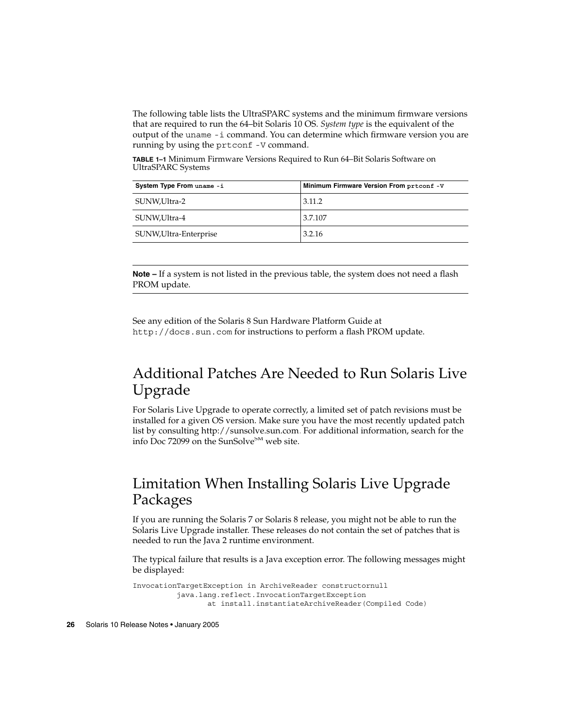<span id="page-25-0"></span>The following table lists the UltraSPARC systems and the minimum firmware versions that are required to run the 64–bit Solaris 10 OS. *System type* is the equivalent of the output of the uname -i command. You can determine which firmware version you are running by using the prtconf -V command.

**TABLE 1–1** Minimum Firmware Versions Required to Run 64–Bit Solaris Software on UltraSPARC Systems

| System Type From uname -i | Minimum Firmware Version From prtconf -V |
|---------------------------|------------------------------------------|
| SUNW,Ultra-2              | 3.11.2                                   |
| SUNW,Ultra-4              | 3.7.107                                  |
| SUNW, Ultra-Enterprise    | 3.2.16                                   |

**Note** – If a system is not listed in the previous table, the system does not need a flash PROM update.

See any edition of the Solaris 8 Sun Hardware Platform Guide at <http://docs.sun.com> for instructions to perform a flash PROM update.

## Additional Patches Are Needed to Run Solaris Live Upgrade

For Solaris Live Upgrade to operate correctly, a limited set of patch revisions must be installed for a given OS version. Make sure you have the most recently updated patch list by consulting [http://sunsolve.sun.com.](http://sunsolve.sun.com) For additional information, search for the info Doc 72099 on the SunSolve<sup>SM</sup> web site.

## Limitation When Installing Solaris Live Upgrade Packages

If you are running the Solaris 7 or Solaris 8 release, you might not be able to run the Solaris Live Upgrade installer. These releases do not contain the set of patches that is needed to run the Java 2 runtime environment.

The typical failure that results is a Java exception error. The following messages might be displayed:

```
InvocationTargetException in ArchiveReader constructornull
         java.lang.reflect.InvocationTargetException
                at install.instantiateArchiveReader(Compiled Code)
```
**26** Solaris 10 Release Notes • January 2005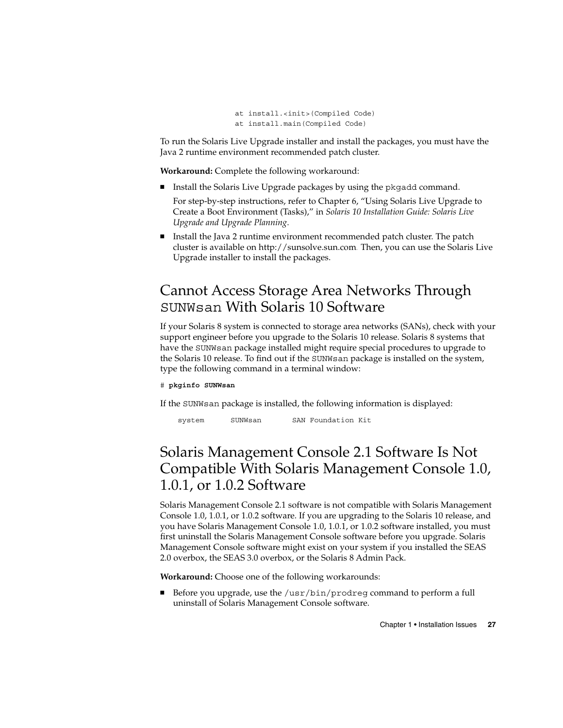```
at install.<init>(Compiled Code)
at install.main(Compiled Code)
```
<span id="page-26-0"></span>To run the Solaris Live Upgrade installer and install the packages, you must have the Java 2 runtime environment recommended patch cluster.

**Workaround:** Complete the following workaround:

■ Install the Solaris Live Upgrade packages by using the pkgadd command.

For step-by-step instructions, refer to Chapter 6, "Using Solaris Live Upgrade to Create a Boot Environment (Tasks)," in *Solaris 10 Installation Guide: Solaris Live Upgrade and Upgrade Planning*.

■ Install the Java 2 runtime environment recommended patch cluster. The patch cluster is available on [http://sunsolve.sun.com.](http://sunsolve.sun.com) Then, you can use the Solaris Live Upgrade installer to install the packages.

## Cannot Access Storage Area Networks Through SUNWsan With Solaris 10 Software

If your Solaris 8 system is connected to storage area networks (SANs), check with your support engineer before you upgrade to the Solaris 10 release. Solaris 8 systems that have the SUNWsan package installed might require special procedures to upgrade to the Solaris 10 release. To find out if the SUNWsan package is installed on the system, type the following command in a terminal window:

#### # **pkginfo SUNWsan**

If the SUNWsan package is installed, the following information is displayed:

system SUNWsan SAN Foundation Kit

## Solaris Management Console 2.1 Software Is Not Compatible With Solaris Management Console 1.0, 1.0.1, or 1.0.2 Software

Solaris Management Console 2.1 software is not compatible with Solaris Management Console 1.0, 1.0.1, or 1.0.2 software. If you are upgrading to the Solaris 10 release, and you have Solaris Management Console 1.0, 1.0.1, or 1.0.2 software installed, you must first uninstall the Solaris Management Console software before you upgrade. Solaris Management Console software might exist on your system if you installed the SEAS 2.0 overbox, the SEAS 3.0 overbox, or the Solaris 8 Admin Pack.

**Workaround:** Choose one of the following workarounds:

Before you upgrade, use the  $/\text{usr/bin/prodreg}$  command to perform a full uninstall of Solaris Management Console software.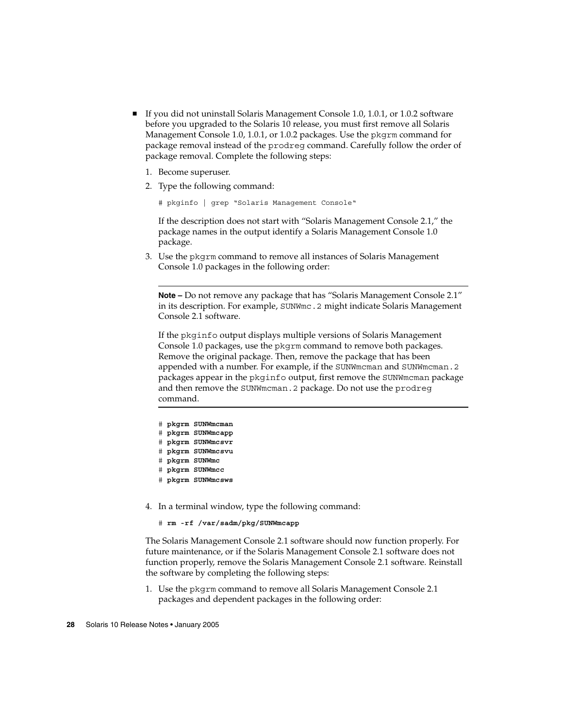- If you did not uninstall Solaris Management Console 1.0, 1.0.1, or 1.0.2 software before you upgraded to the Solaris 10 release, you must first remove all Solaris Management Console 1.0, 1.0.1, or 1.0.2 packages. Use the pkgrm command for package removal instead of the prodreg command. Carefully follow the order of package removal. Complete the following steps:
	- 1. Become superuser.
	- 2. Type the following command:

# pkginfo | grep "Solaris Management Console"

If the description does not start with "Solaris Management Console 2.1," the package names in the output identify a Solaris Management Console 1.0 package.

3. Use the pkgrm command to remove all instances of Solaris Management Console 1.0 packages in the following order:

**Note –** Do not remove any package that has "Solaris Management Console 2.1" in its description. For example, SUNWmc.2 might indicate Solaris Management Console 2.1 software.

If the pkginfo output displays multiple versions of Solaris Management Console 1.0 packages, use the pkgrm command to remove both packages. Remove the original package. Then, remove the package that has been appended with a number. For example, if the SUNWmcman and SUNWmcman.2 packages appear in the pkginfo output, first remove the SUNWmcman package and then remove the SUNWmcman.2 package. Do not use the prodreg command.

- # **pkgrm SUNWmcman** # **pkgrm SUNWmcapp** # **pkgrm SUNWmcsvr** # **pkgrm SUNWmcsvu** # **pkgrm SUNWmc**
- # **pkgrm SUNWmcc**
- # **pkgrm SUNWmcsws**
- 4. In a terminal window, type the following command:

```
# rm -rf /var/sadm/pkg/SUNWmcapp
```
The Solaris Management Console 2.1 software should now function properly. For future maintenance, or if the Solaris Management Console 2.1 software does not function properly, remove the Solaris Management Console 2.1 software. Reinstall the software by completing the following steps:

1. Use the pkgrm command to remove all Solaris Management Console 2.1 packages and dependent packages in the following order: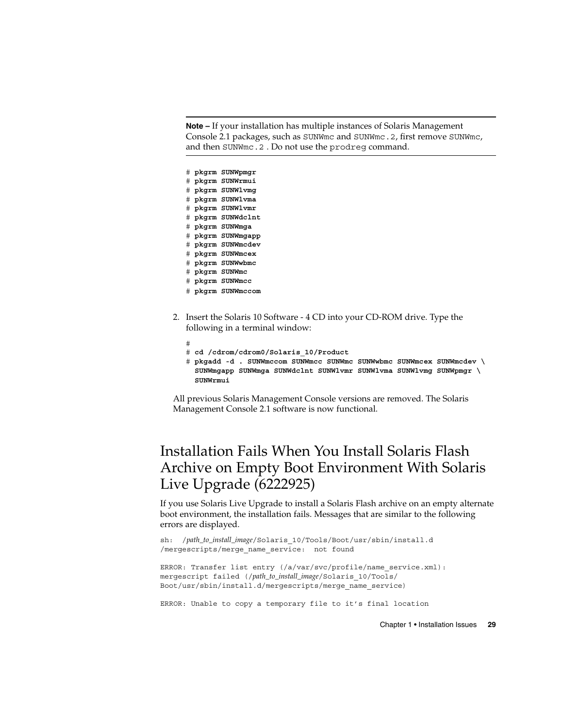<span id="page-28-0"></span>**Note –** If your installation has multiple instances of Solaris Management Console 2.1 packages, such as SUNWmc and SUNWmc.2, first remove SUNWmc, and then SUNWmc.2 . Do not use the prodreg command.

# **pkgrm SUNWpmgr** # **pkgrm SUNWrmui** # **pkgrm SUNWlvmg** # **pkgrm SUNWlvma** # **pkgrm SUNWlvmr** # **pkgrm SUNWdclnt** # **pkgrm SUNWmga** # **pkgrm SUNWmgapp** # **pkgrm SUNWmcdev** # **pkgrm SUNWmcex** # **pkgrm SUNWwbmc** # **pkgrm SUNWmc** # **pkgrm SUNWmcc** # **pkgrm SUNWmccom**

2. Insert the Solaris 10 Software - 4 CD into your CD-ROM drive. Type the following in a terminal window:

```
#
# cd /cdrom/cdrom0/Solaris_10/Product
# pkgadd -d . SUNWmccom SUNWmcc SUNWmc SUNWwbmc SUNWmcex SUNWmcdev \
 SUNWmgapp SUNWmga SUNWdclnt SUNWlvmr SUNWlvma SUNWlvmg SUNWpmgr \
 SUNWrmui
```
All previous Solaris Management Console versions are removed. The Solaris Management Console 2.1 software is now functional.

## Installation Fails When You Install Solaris Flash Archive on Empty Boot Environment With Solaris Live Upgrade (6222925)

If you use Solaris Live Upgrade to install a Solaris Flash archive on an empty alternate boot environment, the installation fails. Messages that are similar to the following errors are displayed.

```
sh: /path_to_install_image/Solaris_10/Tools/Boot/usr/sbin/install.d
/mergescripts/merge_name_service: not found
```

```
ERROR: Transfer list entry (/a/var/svc/profile/name service.xml):
mergescript failed (/path_to_install_image/Solaris_10/Tools/
Boot/usr/sbin/install.d/mergescripts/merge_name_service)
```
ERROR: Unable to copy a temporary file to it's final location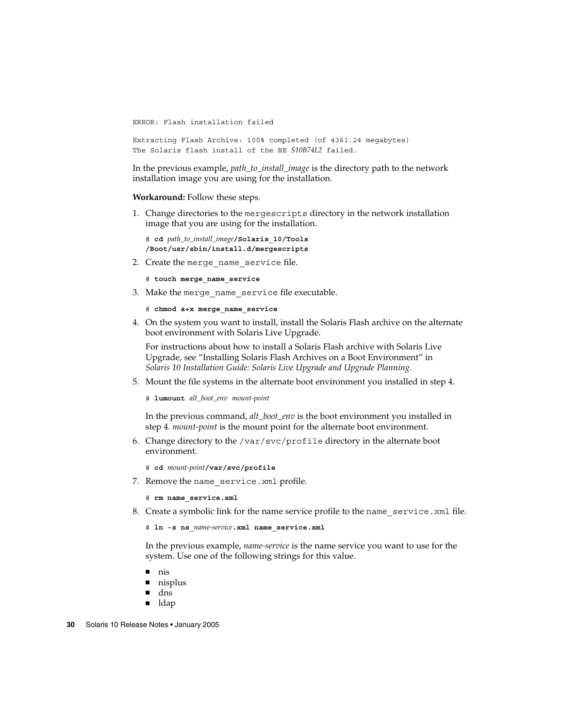ERROR: Flash installation failed

Extracting Flash Archive: 100% completed (of 4361.24 megabytes) The Solaris flash install of the BE *S10B74L2* failed.

In the previous example, *path\_to\_install\_image* is the directory path to the network installation image you are using for the installation.

**Workaround:** Follow these steps.

1. Change directories to the mergescripts directory in the network installation image that you are using for the installation.

```
# cd path_to_install_image/Solaris_10/Tools
/Boot/usr/sbin/install.d/mergescripts
```
2. Create the merge\_name\_service file.

# **touch merge\_name\_service**

3. Make the merge name service file executable.

```
# chmod a+x merge_name_service
```
4. On the system you want to install, install the Solaris Flash archive on the alternate boot environment with Solaris Live Upgrade.

For instructions about how to install a Solaris Flash archive with Solaris Live Upgrade, see "Installing Solaris Flash Archives on a Boot Environment" in *Solaris 10 Installation Guide: Solaris Live Upgrade and Upgrade Planning*.

5. Mount the file systems in the alternate boot environment you installed in step 4.

# **lumount** *alt\_boot\_env mount-point*

In the previous command, *alt\_boot\_env* is the boot environment you installed in step 4. *mount-point* is the mount point for the alternate boot environment.

6. Change directory to the /var/svc/profile directory in the alternate boot environment.

```
# cd mount-point/var/svc/profile
```
7. Remove the name\_service.xml profile.

```
# rm name_service.xml
```
8. Create a symbolic link for the name service profile to the name service.xml file.

```
# ln -s ns_name-service.xml name_service.xml
```
In the previous example, *name-service* is the name service you want to use for the system. Use one of the following strings for this value.

- nis
- nisplus
- dns
- ldap

```
30 Solaris 10 Release Notes • January 2005
```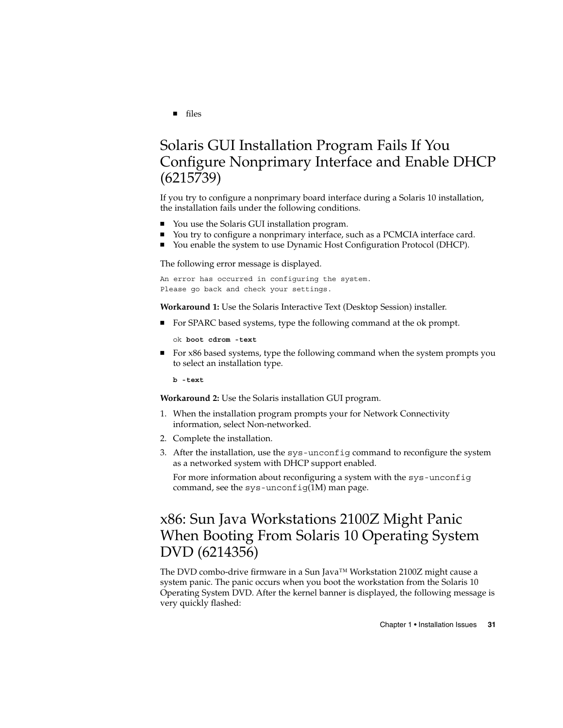<span id="page-30-0"></span>■ files

## Solaris GUI Installation Program Fails If You Configure Nonprimary Interface and Enable DHCP (6215739)

If you try to configure a nonprimary board interface during a Solaris 10 installation, the installation fails under the following conditions.

- You use the Solaris GUI installation program.
- You try to configure a nonprimary interface, such as a PCMCIA interface card.
- You enable the system to use Dynamic Host Configuration Protocol (DHCP).

The following error message is displayed.

An error has occurred in configuring the system. Please go back and check your settings.

**Workaround 1:** Use the Solaris Interactive Text (Desktop Session) installer.

■ For SPARC based systems, type the following command at the ok prompt.

ok **boot cdrom -text**

■ For x86 based systems, type the following command when the system prompts you to select an installation type.

**b -text**

**Workaround 2:** Use the Solaris installation GUI program.

- 1. When the installation program prompts your for Network Connectivity information, select Non-networked.
- 2. Complete the installation.
- 3. After the installation, use the sys-unconfig command to reconfigure the system as a networked system with DHCP support enabled.

For more information about reconfiguring a system with the sys-unconfig command, see the sys-uncon $fig(1M)$  man page.

### x86: Sun Java Workstations 2100Z Might Panic When Booting From Solaris 10 Operating System DVD (6214356)

The DVD combo-drive firmware in a Sun Java™ Workstation 2100Z might cause a system panic. The panic occurs when you boot the workstation from the Solaris 10 Operating System DVD. After the kernel banner is displayed, the following message is very quickly flashed: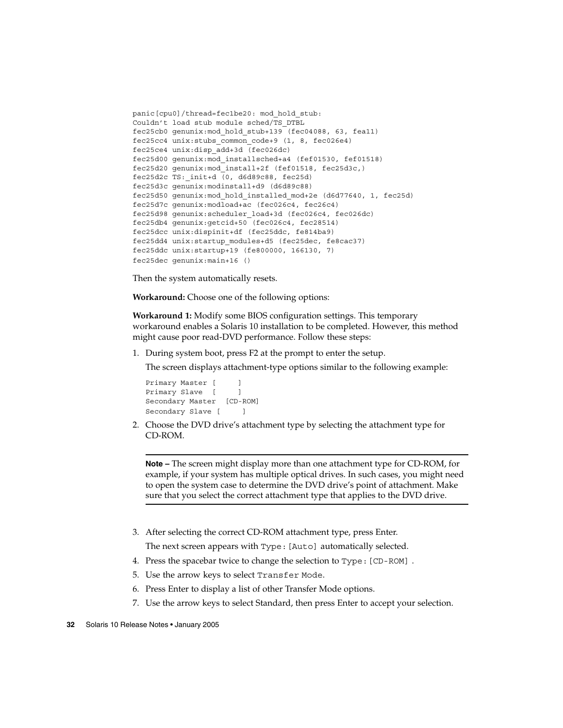```
panic[cpu0]/thread=fec1be20: mod hold stub:
Couldn't load stub module sched/TS_DTBL
fec25cb0 genunix:mod_hold_stub+139 (fec04088, 63, fea11)
fec25cc4 unix:stubs_common_code+9 (1, 8, fec026e4)
fec25ce4 unix:disp_add+3d (fec026dc)
fec25d00 genunix:mod_installsched+a4 (fef01530, fef01518)
fec25d20 genunix:mod_install+2f (fef01518, fec25d3c,)
fec25d2c TS:_init+d (0, d6d89c88, fec25d)
fec25d3c genunix:modinstall+d9 (d6d89c88)
fec25d50 genunix:mod_hold_installed_mod+2e (d6d77640, 1, fec25d)
fec25d7c genunix:modload+ac (fec026c4, fec26c4)
fec25d98 genunix:scheduler_load+3d (fec026c4, fec026dc)
fec25db4 genunix:getcid+50 (fec026c4, fec28514)
fec25dcc unix:dispinit+df (fec25ddc, fe814ba9)
fec25dd4 unix:startup_modules+d5 (fec25dec, fe8cac37)
fec25ddc unix:startup+19 (fe800000, 166130, 7)
fec25dec genunix:main+16 ()
```
Then the system automatically resets.

**Workaround:** Choose one of the following options:

**Workaround 1:** Modify some BIOS configuration settings. This temporary workaround enables a Solaris 10 installation to be completed. However, this method might cause poor read-DVD performance. Follow these steps:

1. During system boot, press F2 at the prompt to enter the setup.

The screen displays attachment-type options similar to the following example:

```
Primary Master [ ]
Primary Slave [ ]
Secondary Master [CD-ROM]
Secondary Slave [ ]
```
2. Choose the DVD drive's attachment type by selecting the attachment type for CD-ROM.

**Note –** The screen might display more than one attachment type for CD-ROM, for example, if your system has multiple optical drives. In such cases, you might need to open the system case to determine the DVD drive's point of attachment. Make sure that you select the correct attachment type that applies to the DVD drive.

3. After selecting the correct CD-ROM attachment type, press Enter.

The next screen appears with Type:[Auto] automatically selected.

- 4. Press the spacebar twice to change the selection to Type:[CD-ROM] .
- 5. Use the arrow keys to select Transfer Mode.
- 6. Press Enter to display a list of other Transfer Mode options.
- 7. Use the arrow keys to select Standard, then press Enter to accept your selection.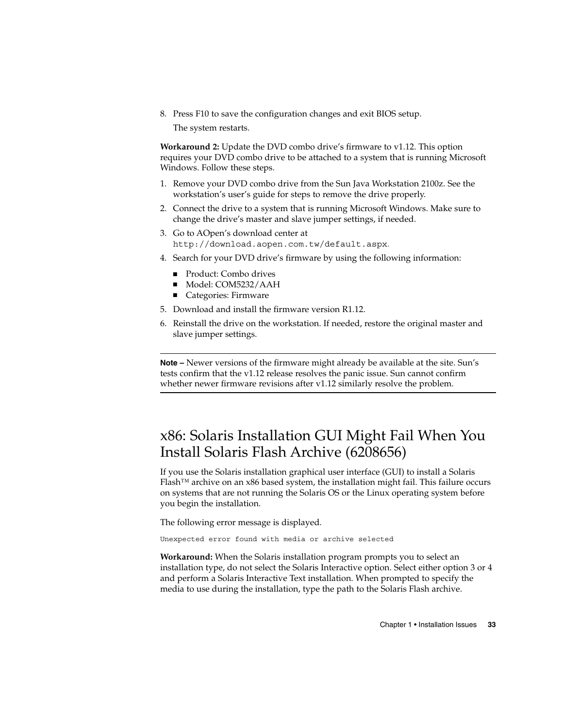<span id="page-32-0"></span>8. Press F10 to save the configuration changes and exit BIOS setup.

The system restarts.

**Workaround 2:** Update the DVD combo drive's firmware to v1.12. This option requires your DVD combo drive to be attached to a system that is running Microsoft Windows. Follow these steps.

- 1. Remove your DVD combo drive from the Sun Java Workstation 2100z. See the workstation's user's guide for steps to remove the drive properly.
- 2. Connect the drive to a system that is running Microsoft Windows. Make sure to change the drive's master and slave jumper settings, if needed.
- 3. Go to AOpen's download center at <http://download.aopen.com.tw/default.aspx>.
- 4. Search for your DVD drive's firmware by using the following information:
	- Product: Combo drives
	- Model: COM5232/AAH
	- Categories: Firmware
- 5. Download and install the firmware version R1.12.
- 6. Reinstall the drive on the workstation. If needed, restore the original master and slave jumper settings.

**Note –** Newer versions of the firmware might already be available at the site. Sun's tests confirm that the v1.12 release resolves the panic issue. Sun cannot confirm whether newer firmware revisions after v1.12 similarly resolve the problem.

## x86: Solaris Installation GUI Might Fail When You Install Solaris Flash Archive (6208656)

If you use the Solaris installation graphical user interface (GUI) to install a Solaris Flash™ archive on an x86 based system, the installation might fail. This failure occurs on systems that are not running the Solaris OS or the Linux operating system before you begin the installation.

The following error message is displayed.

Unexpected error found with media or archive selected

**Workaround:** When the Solaris installation program prompts you to select an installation type, do not select the Solaris Interactive option. Select either option 3 or 4 and perform a Solaris Interactive Text installation. When prompted to specify the media to use during the installation, type the path to the Solaris Flash archive.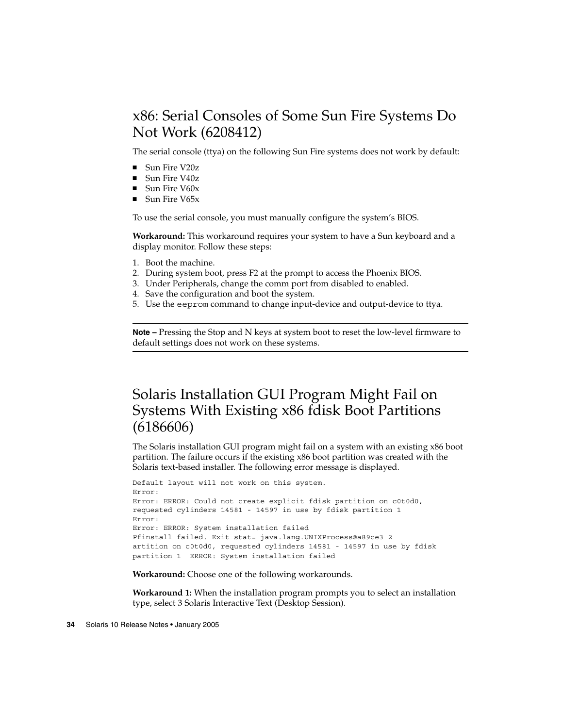## <span id="page-33-0"></span>x86: Serial Consoles of Some Sun Fire Systems Do Not Work (6208412)

The serial console (ttya) on the following Sun Fire systems does not work by default:

- Sun Fire V20z
- Sun Fire V40z
- Sun Fire V60x
- Sun Fire V65x

To use the serial console, you must manually configure the system's BIOS.

**Workaround:** This workaround requires your system to have a Sun keyboard and a display monitor. Follow these steps:

- 1. Boot the machine.
- 2. During system boot, press F2 at the prompt to access the Phoenix BIOS.
- 3. Under Peripherals, change the comm port from disabled to enabled.
- 4. Save the configuration and boot the system.
- 5. Use the eeprom command to change input-device and output-device to ttya.

**Note –** Pressing the Stop and N keys at system boot to reset the low-level firmware to default settings does not work on these systems.

### Solaris Installation GUI Program Might Fail on Systems With Existing x86 fdisk Boot Partitions (6186606)

The Solaris installation GUI program might fail on a system with an existing x86 boot partition. The failure occurs if the existing x86 boot partition was created with the Solaris text-based installer. The following error message is displayed.

Default layout will not work on this system. Error: Error: ERROR: Could not create explicit fdisk partition on c0t0d0, requested cylinders 14581 - 14597 in use by fdisk partition 1 Error: Error: ERROR: System installation failed Pfinstall failed. Exit stat= java.lang.UNIXProcess@a89ce3 2 artition on c0t0d0, requested cylinders 14581 - 14597 in use by fdisk partition 1 ERROR: System installation failed

**Workaround:** Choose one of the following workarounds.

**Workaround 1:** When the installation program prompts you to select an installation type, select 3 Solaris Interactive Text (Desktop Session).

**34** Solaris 10 Release Notes • January 2005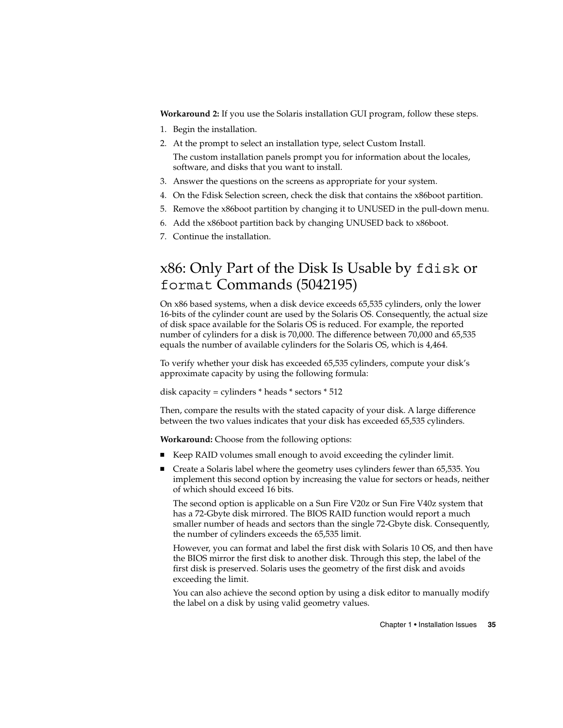<span id="page-34-0"></span>**Workaround 2:** If you use the Solaris installation GUI program, follow these steps.

- 1. Begin the installation.
- 2. At the prompt to select an installation type, select Custom Install. The custom installation panels prompt you for information about the locales, software, and disks that you want to install.
- 3. Answer the questions on the screens as appropriate for your system.
- 4. On the Fdisk Selection screen, check the disk that contains the x86boot partition.
- 5. Remove the x86boot partition by changing it to UNUSED in the pull-down menu.
- 6. Add the x86boot partition back by changing UNUSED back to x86boot.
- 7. Continue the installation.

## x86: Only Part of the Disk Is Usable by fdisk or format Commands (5042195)

On x86 based systems, when a disk device exceeds 65,535 cylinders, only the lower 16-bits of the cylinder count are used by the Solaris OS. Consequently, the actual size of disk space available for the Solaris OS is reduced. For example, the reported number of cylinders for a disk is 70,000. The difference between 70,000 and 65,535 equals the number of available cylinders for the Solaris OS, which is 4,464.

To verify whether your disk has exceeded 65,535 cylinders, compute your disk's approximate capacity by using the following formula:

disk capacity = cylinders \* heads \* sectors \* 512

Then, compare the results with the stated capacity of your disk. A large difference between the two values indicates that your disk has exceeded 65,535 cylinders.

**Workaround:** Choose from the following options:

- Keep RAID volumes small enough to avoid exceeding the cylinder limit.
- Create a Solaris label where the geometry uses cylinders fewer than 65,535. You implement this second option by increasing the value for sectors or heads, neither of which should exceed 16 bits.

The second option is applicable on a Sun Fire V20z or Sun Fire V40z system that has a 72-Gbyte disk mirrored. The BIOS RAID function would report a much smaller number of heads and sectors than the single 72-Gbyte disk. Consequently, the number of cylinders exceeds the 65,535 limit.

However, you can format and label the first disk with Solaris 10 OS, and then have the BIOS mirror the first disk to another disk. Through this step, the label of the first disk is preserved. Solaris uses the geometry of the first disk and avoids exceeding the limit.

You can also achieve the second option by using a disk editor to manually modify the label on a disk by using valid geometry values.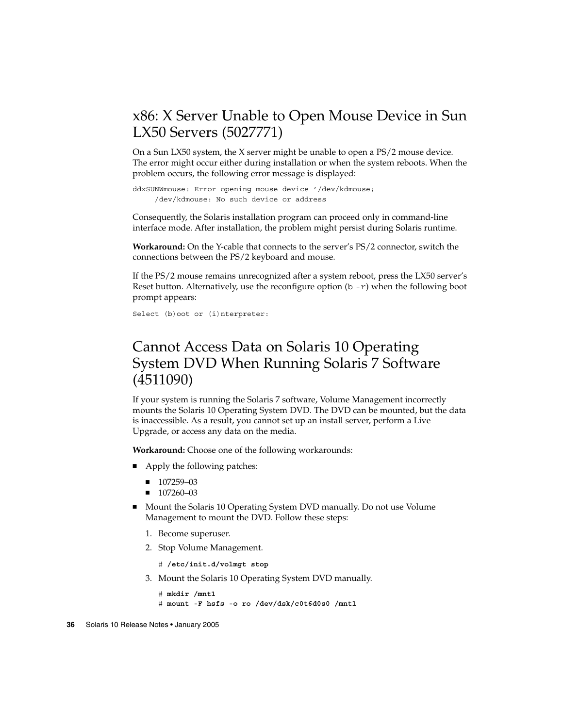## <span id="page-35-0"></span>x86: X Server Unable to Open Mouse Device in Sun LX50 Servers (5027771)

On a Sun LX50 system, the X server might be unable to open a PS/2 mouse device. The error might occur either during installation or when the system reboots. When the problem occurs, the following error message is displayed:

ddxSUNWmouse: Error opening mouse device '/dev/kdmouse; /dev/kdmouse: No such device or address

Consequently, the Solaris installation program can proceed only in command-line interface mode. After installation, the problem might persist during Solaris runtime.

**Workaround:** On the Y-cable that connects to the server's PS/2 connector, switch the connections between the PS/2 keyboard and mouse.

If the PS/2 mouse remains unrecognized after a system reboot, press the LX50 server's Reset button. Alternatively, use the reconfigure option  $(b - r)$  when the following boot prompt appears:

Select (b) oot or (i) nterpreter:

## Cannot Access Data on Solaris 10 Operating System DVD When Running Solaris 7 Software (4511090)

If your system is running the Solaris 7 software, Volume Management incorrectly mounts the Solaris 10 Operating System DVD. The DVD can be mounted, but the data is inaccessible. As a result, you cannot set up an install server, perform a Live Upgrade, or access any data on the media.

**Workaround:** Choose one of the following workarounds:

- Apply the following patches:
	- 107259-03
	- 107260–03
- Mount the Solaris 10 Operating System DVD manually. Do not use Volume Management to mount the DVD. Follow these steps:
	- 1. Become superuser.
	- 2. Stop Volume Management.
		- # **/etc/init.d/volmgt stop**
	- 3. Mount the Solaris 10 Operating System DVD manually.

```
# mkdir /mnt1
# mount -F hsfs -o ro /dev/dsk/c0t6d0s0 /mnt1
```
**36** Solaris 10 Release Notes • January 2005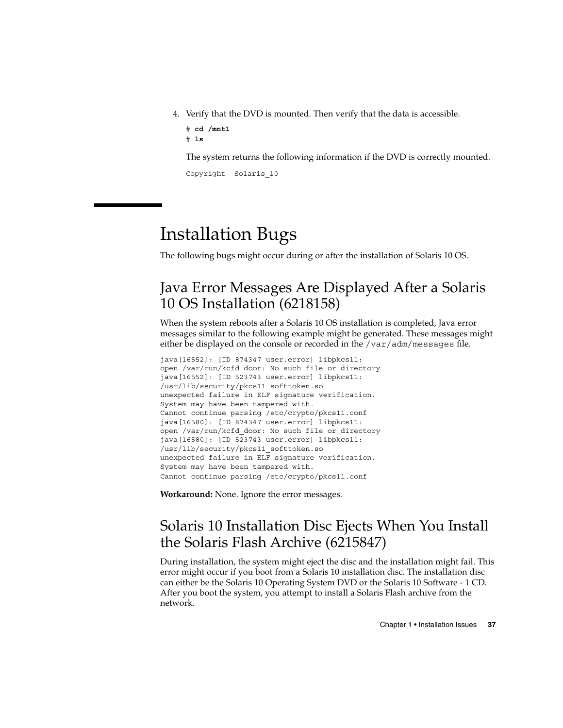4. Verify that the DVD is mounted. Then verify that the data is accessible.

```
# cd /mnt1
# ls
```
The system returns the following information if the DVD is correctly mounted.

Copyright Solaris\_10

### Installation Bugs

The following bugs might occur during or after the installation of Solaris 10 OS.

#### Java Error Messages Are Displayed After a Solaris 10 OS Installation (6218158)

When the system reboots after a Solaris 10 OS installation is completed, Java error messages similar to the following example might be generated. These messages might either be displayed on the console or recorded in the /var/adm/messages file.

```
java[16552]: [ID 874347 user.error] libpkcs11:
open /var/run/kcfd_door: No such file or directory
java[16552]: [ID 523743 user.error] libpkcs11:
/usr/lib/security/pkcs11_softtoken.so
unexpected failure in ELF signature verification.
System may have been tampered with.
Cannot continue parsing /etc/crypto/pkcs11.conf
java[16580]: [ID 874347 user.error] libpkcs11:
open /var/run/kcfd_door: No such file or directory
java[16580]: [ID 523743 user.error] libpkcs11:
/usr/lib/security/pkcs11_softtoken.so
unexpected failure in ELF signature verification.
System may have been tampered with.
Cannot continue parsing /etc/crypto/pkcs11.conf
```
**Workaround:** None. Ignore the error messages.

#### Solaris 10 Installation Disc Ejects When You Install the Solaris Flash Archive (6215847)

During installation, the system might eject the disc and the installation might fail. This error might occur if you boot from a Solaris 10 installation disc. The installation disc can either be the Solaris 10 Operating System DVD or the Solaris 10 Software - 1 CD. After you boot the system, you attempt to install a Solaris Flash archive from the network.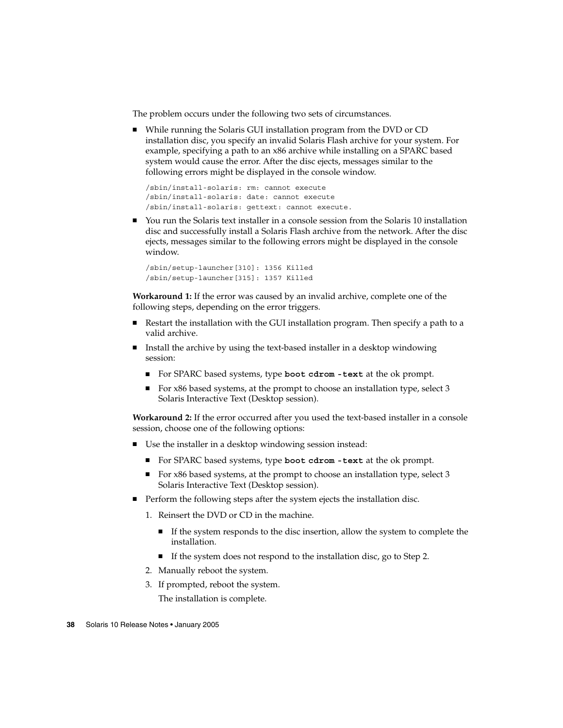The problem occurs under the following two sets of circumstances.

■ While running the Solaris GUI installation program from the DVD or CD installation disc, you specify an invalid Solaris Flash archive for your system. For example, specifying a path to an x86 archive while installing on a SPARC based system would cause the error. After the disc ejects, messages similar to the following errors might be displayed in the console window.

```
/sbin/install-solaris: rm: cannot execute
/sbin/install-solaris: date: cannot execute
/sbin/install-solaris: gettext: cannot execute.
```
■ You run the Solaris text installer in a console session from the Solaris 10 installation disc and successfully install a Solaris Flash archive from the network. After the disc ejects, messages similar to the following errors might be displayed in the console window.

```
/sbin/setup-launcher[310]: 1356 Killed
/sbin/setup-launcher[315]: 1357 Killed
```
**Workaround 1:** If the error was caused by an invalid archive, complete one of the following steps, depending on the error triggers.

- Restart the installation with the GUI installation program. Then specify a path to a valid archive.
- Install the archive by using the text-based installer in a desktop windowing session:
	- For SPARC based systems, type **boot cdrom -text** at the ok prompt.
	- For x86 based systems, at the prompt to choose an installation type, select 3 Solaris Interactive Text (Desktop session).

**Workaround 2:** If the error occurred after you used the text-based installer in a console session, choose one of the following options:

- Use the installer in a desktop windowing session instead:
	- For SPARC based systems, type **boot cdrom -text** at the ok prompt.
	- For x86 based systems, at the prompt to choose an installation type, select 3 Solaris Interactive Text (Desktop session).
- Perform the following steps after the system ejects the installation disc.
	- 1. Reinsert the DVD or CD in the machine.
		- If the system responds to the disc insertion, allow the system to complete the installation.
		- If the system does not respond to the installation disc, go to Step 2.
	- 2. Manually reboot the system.
	- 3. If prompted, reboot the system.

The installation is complete.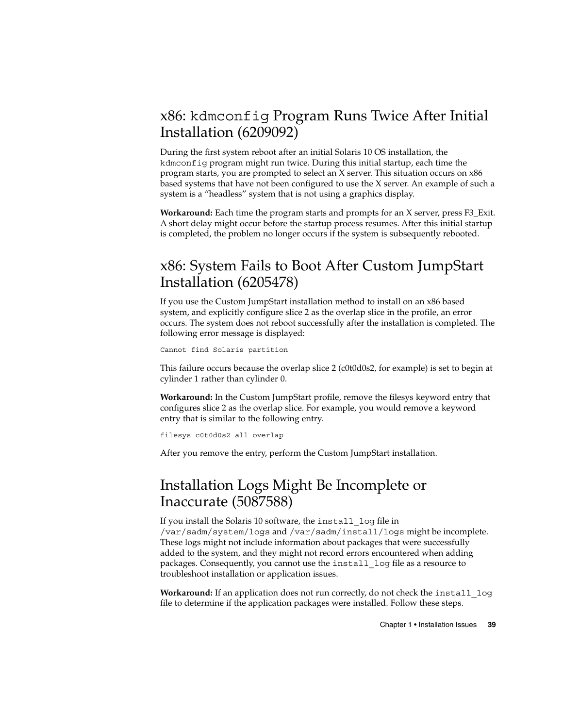#### x86: kdmconfig Program Runs Twice After Initial Installation (6209092)

During the first system reboot after an initial Solaris 10 OS installation, the kdmconfig program might run twice. During this initial startup, each time the program starts, you are prompted to select an X server. This situation occurs on x86 based systems that have not been configured to use the X server. An example of such a system is a "headless" system that is not using a graphics display.

**Workaround:** Each time the program starts and prompts for an X server, press F3\_Exit. A short delay might occur before the startup process resumes. After this initial startup is completed, the problem no longer occurs if the system is subsequently rebooted.

#### x86: System Fails to Boot After Custom JumpStart Installation (6205478)

If you use the Custom JumpStart installation method to install on an x86 based system, and explicitly configure slice 2 as the overlap slice in the profile, an error occurs. The system does not reboot successfully after the installation is completed. The following error message is displayed:

Cannot find Solaris partition

This failure occurs because the overlap slice 2 (c0t0d0s2, for example) is set to begin at cylinder 1 rather than cylinder 0.

**Workaround:** In the Custom JumpStart profile, remove the filesys keyword entry that configures slice 2 as the overlap slice. For example, you would remove a keyword entry that is similar to the following entry.

filesys c0t0d0s2 all overlap

After you remove the entry, perform the Custom JumpStart installation.

#### Installation Logs Might Be Incomplete or Inaccurate (5087588)

If you install the Solaris 10 software, the install\_log file in /var/sadm/system/logs and /var/sadm/install/logs might be incomplete. These logs might not include information about packages that were successfully added to the system, and they might not record errors encountered when adding packages. Consequently, you cannot use the install log file as a resource to troubleshoot installation or application issues.

Workaround: If an application does not run correctly, do not check the install log file to determine if the application packages were installed. Follow these steps.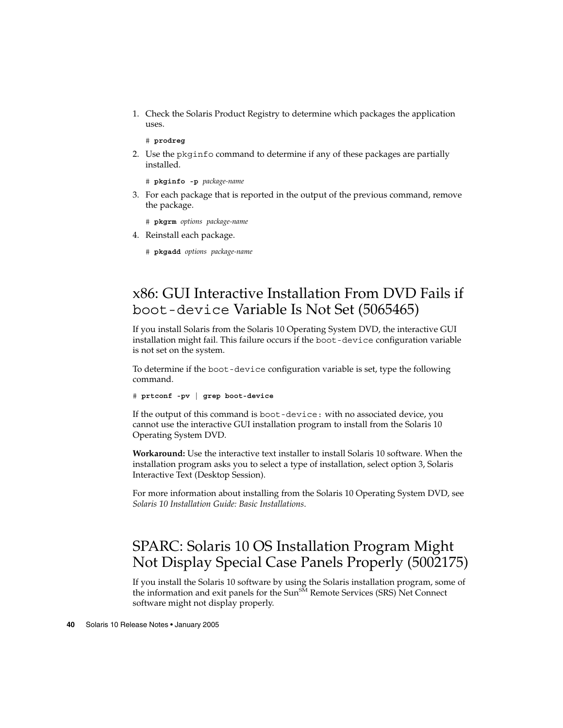- 1. Check the Solaris Product Registry to determine which packages the application uses.
	- # **prodreg**
- 2. Use the pkginfo command to determine if any of these packages are partially installed.
	- # **pkginfo -p** *package-name*
- 3. For each package that is reported in the output of the previous command, remove the package.

# **pkgrm** *options package-name*

- 4. Reinstall each package.
	- # **pkgadd** *options package-name*

#### x86: GUI Interactive Installation From DVD Fails if boot-device Variable Is Not Set (5065465)

If you install Solaris from the Solaris 10 Operating System DVD, the interactive GUI installation might fail. This failure occurs if the boot-device configuration variable is not set on the system.

To determine if the boot-device configuration variable is set, type the following command.

```
# prtconf -pv | grep boot-device
```
If the output of this command is boot-device: with no associated device, you cannot use the interactive GUI installation program to install from the Solaris 10 Operating System DVD.

**Workaround:** Use the interactive text installer to install Solaris 10 software. When the installation program asks you to select a type of installation, select option 3, Solaris Interactive Text (Desktop Session).

For more information about installing from the Solaris 10 Operating System DVD, see *Solaris 10 Installation Guide: Basic Installations*.

#### SPARC: Solaris 10 OS Installation Program Might Not Display Special Case Panels Properly (5002175)

If you install the Solaris 10 software by using the Solaris installation program, some of the information and exit panels for the Sun<sup>SM</sup> Remote Services (SRS) Net Connect software might not display properly.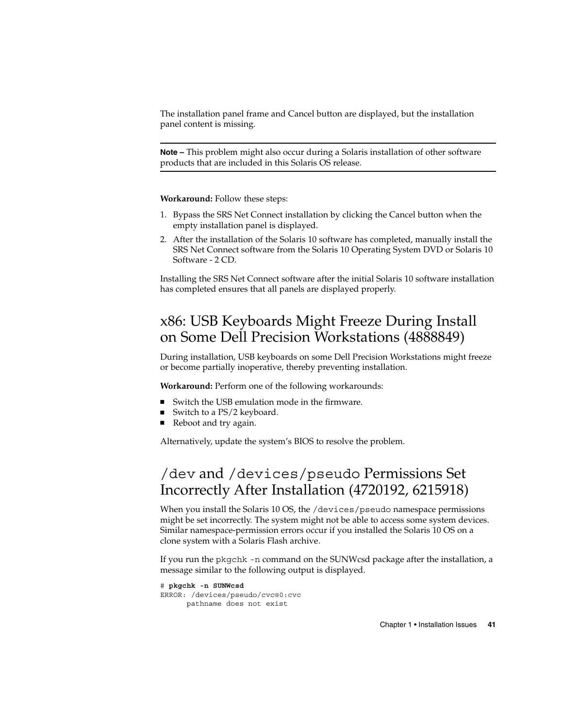The installation panel frame and Cancel button are displayed, but the installation panel content is missing.

**Note –** This problem might also occur during a Solaris installation of other software products that are included in this Solaris OS release.

**Workaround:** Follow these steps:

- 1. Bypass the SRS Net Connect installation by clicking the Cancel button when the empty installation panel is displayed.
- 2. After the installation of the Solaris 10 software has completed, manually install the SRS Net Connect software from the Solaris 10 Operating System DVD or Solaris 10 Software - 2 CD.

Installing the SRS Net Connect software after the initial Solaris 10 software installation has completed ensures that all panels are displayed properly.

#### x86: USB Keyboards Might Freeze During Install on Some Dell Precision Workstations (4888849)

During installation, USB keyboards on some Dell Precision Workstations might freeze or become partially inoperative, thereby preventing installation.

**Workaround:** Perform one of the following workarounds:

- Switch the USB emulation mode in the firmware.
- Switch to a PS/2 keyboard.
- Reboot and try again.

Alternatively, update the system's BIOS to resolve the problem.

#### /dev and /devices/pseudo Permissions Set Incorrectly After Installation (4720192, 6215918)

When you install the Solaris 10 OS, the /devices/pseudo namespace permissions might be set incorrectly. The system might not be able to access some system devices. Similar namespace-permission errors occur if you installed the Solaris 10 OS on a clone system with a Solaris Flash archive.

If you run the pkgchk -n command on the SUNWcsd package after the installation, a message similar to the following output is displayed.

```
# pkgchk -n SUNWcsd
ERROR: /devices/pseudo/cvc@0:cvc
      pathname does not exist
```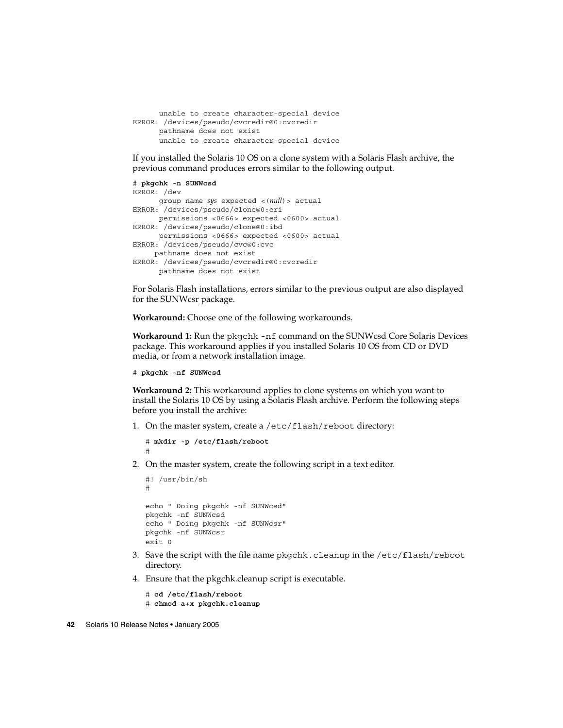unable to create character-special device ERROR: /devices/pseudo/cvcredir@0:cvcredir pathname does not exist unable to create character-special device

If you installed the Solaris 10 OS on a clone system with a Solaris Flash archive, the previous command produces errors similar to the following output.

```
# pkgchk -n SUNWcsd
ERROR: /dev
     group name sys expected <(null)> actual
ERROR: /devices/pseudo/clone@0:eri
     permissions <0666> expected <0600> actual
ERROR: /devices/pseudo/clone@0:ibd
     permissions <0666> expected <0600> actual
ERROR: /devices/pseudo/cvc@0:cvc
    pathname does not exist
ERROR: /devices/pseudo/cvcredir@0:cvcredir
     pathname does not exist
```
For Solaris Flash installations, errors similar to the previous output are also displayed for the SUNWcsr package.

**Workaround:** Choose one of the following workarounds.

**Workaround 1:** Run the pkgchk -nf command on the SUNWcsd Core Solaris Devices package. This workaround applies if you installed Solaris 10 OS from CD or DVD media, or from a network installation image.

# **pkgchk -nf SUNWcsd**

**Workaround 2:** This workaround applies to clone systems on which you want to install the Solaris 10 OS by using a Solaris Flash archive. Perform the following steps before you install the archive:

1. On the master system, create a /etc/flash/reboot directory:

```
# mkdir -p /etc/flash/reboot
#
```
2. On the master system, create the following script in a text editor.

```
#! /usr/bin/sh
#
echo " Doing pkgchk -nf SUNWcsd"
pkgchk -nf SUNWcsd
echo " Doing pkgchk -nf SUNWcsr"
pkgchk -nf SUNWcsr
exit 0
```
- 3. Save the script with the file name pkgchk.cleanup in the /etc/flash/reboot directory.
- 4. Ensure that the pkgchk.cleanup script is executable.

```
# cd /etc/flash/reboot
# chmod a+x pkgchk.cleanup
```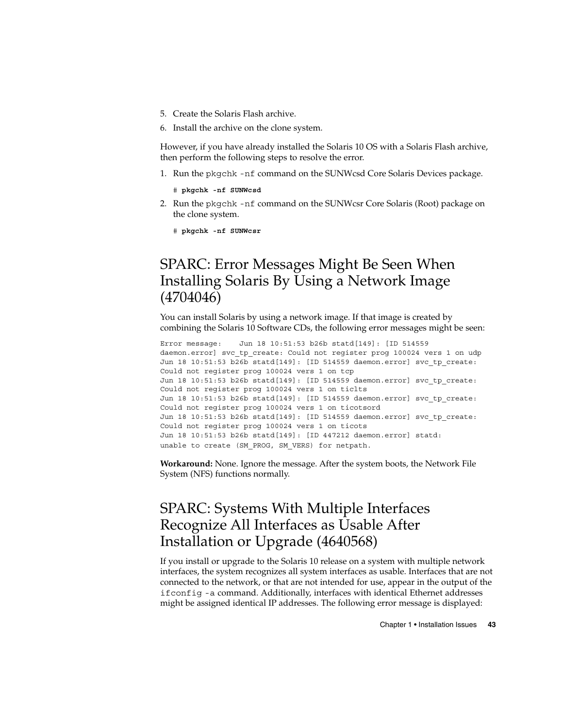- 5. Create the Solaris Flash archive.
- 6. Install the archive on the clone system.

However, if you have already installed the Solaris 10 OS with a Solaris Flash archive, then perform the following steps to resolve the error.

1. Run the pkgchk -nf command on the SUNWcsd Core Solaris Devices package.

# **pkgchk -nf SUNWcsd**

2. Run the pkgchk -nf command on the SUNWcsr Core Solaris (Root) package on the clone system.

# **pkgchk -nf SUNWcsr**

#### SPARC: Error Messages Might Be Seen When Installing Solaris By Using a Network Image (4704046)

You can install Solaris by using a network image. If that image is created by combining the Solaris 10 Software CDs, the following error messages might be seen:

Error message: Jun 18 10:51:53 b26b statd[149]: [ID 514559 daemon.error] svc\_tp\_create: Could not register prog 100024 vers 1 on udp Jun 18 10:51:53 b26b statd[149]: [ID 514559 daemon.error] svc\_tp\_create: Could not register prog 100024 vers 1 on tcp Jun 18 10:51:53 b26b statd[149]: [ID 514559 daemon.error] svc\_tp\_create: Could not register prog 100024 vers 1 on ticlts Jun 18 10:51:53 b26b statd[149]: [ID 514559 daemon.error] svc\_tp\_create: Could not register prog 100024 vers 1 on ticotsord Jun 18 10:51:53 b26b statd[149]: [ID 514559 daemon.error] svc\_tp\_create: Could not register prog 100024 vers 1 on ticots Jun 18 10:51:53 b26b statd[149]: [ID 447212 daemon.error] statd: unable to create (SM\_PROG, SM\_VERS) for netpath.

**Workaround:** None. Ignore the message. After the system boots, the Network File System (NFS) functions normally.

#### SPARC: Systems With Multiple Interfaces Recognize All Interfaces as Usable After Installation or Upgrade (4640568)

If you install or upgrade to the Solaris 10 release on a system with multiple network interfaces, the system recognizes all system interfaces as usable. Interfaces that are not connected to the network, or that are not intended for use, appear in the output of the ifconfig -a command. Additionally, interfaces with identical Ethernet addresses might be assigned identical IP addresses. The following error message is displayed: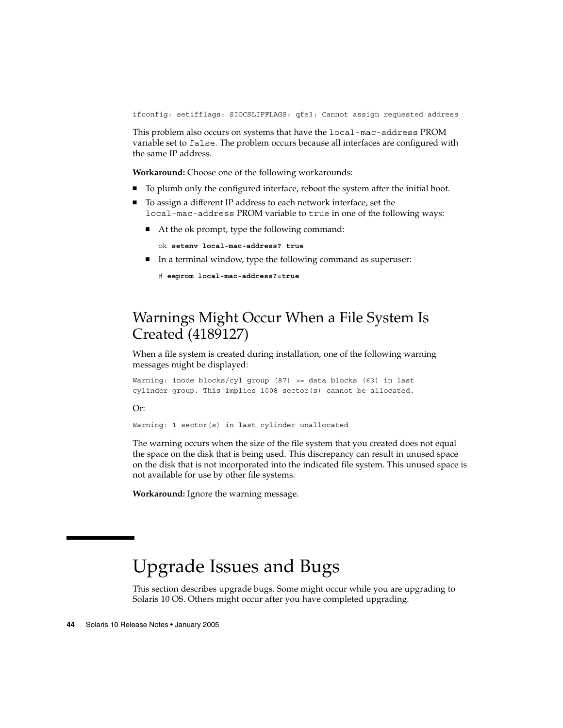ifconfig: setifflags: SIOCSLIFFLAGS: qfe3: Cannot assign requested address

This problem also occurs on systems that have the local-mac-address PROM variable set to false. The problem occurs because all interfaces are configured with the same IP address.

**Workaround:** Choose one of the following workarounds:

- To plumb only the configured interface, reboot the system after the initial boot.
- To assign a different IP address to each network interface, set the local-mac-address PROM variable to true in one of the following ways:
	- At the ok prompt, type the following command:

ok **setenv local-mac-address? true**

■ In a terminal window, type the following command as superuser:

```
# eeprom local-mac-address?=true
```
#### Warnings Might Occur When a File System Is Created (4189127)

When a file system is created during installation, one of the following warning messages might be displayed:

Warning: inode blocks/cyl group (87) >= data blocks (63) in last cylinder group. This implies 1008 sector(s) cannot be allocated.

Or:

Warning: 1 sector(s) in last cylinder unallocated

The warning occurs when the size of the file system that you created does not equal the space on the disk that is being used. This discrepancy can result in unused space on the disk that is not incorporated into the indicated file system. This unused space is not available for use by other file systems.

**Workaround:** Ignore the warning message.

### Upgrade Issues and Bugs

This section describes upgrade bugs. Some might occur while you are upgrading to Solaris 10 OS. Others might occur after you have completed upgrading.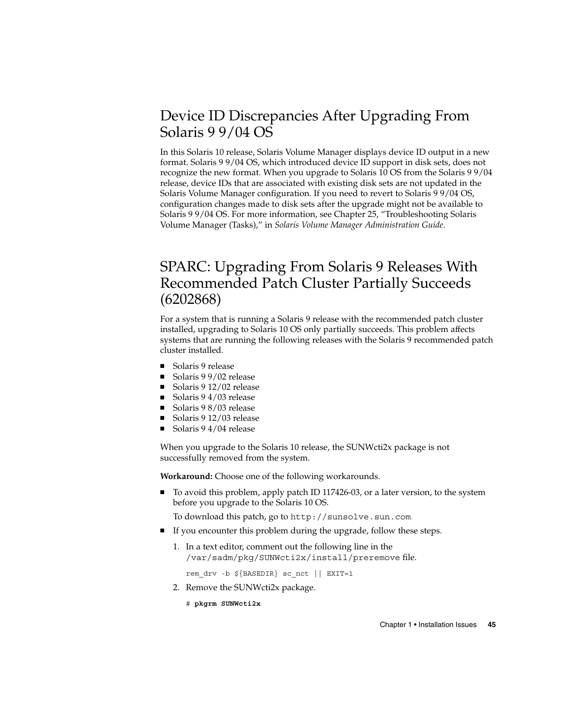#### Device ID Discrepancies After Upgrading From Solaris 9 9/04 OS

In this Solaris 10 release, Solaris Volume Manager displays device ID output in a new format. Solaris 9 9/04 OS, which introduced device ID support in disk sets, does not recognize the new format. When you upgrade to Solaris 10 OS from the Solaris 9 9/04 release, device IDs that are associated with existing disk sets are not updated in the Solaris Volume Manager configuration. If you need to revert to Solaris 9 9/04 OS, configuration changes made to disk sets after the upgrade might not be available to Solaris 9 9/04 OS. For more information, see Chapter 25, "Troubleshooting Solaris Volume Manager (Tasks)," in *Solaris Volume Manager Administration Guide*.

#### SPARC: Upgrading From Solaris 9 Releases With Recommended Patch Cluster Partially Succeeds (6202868)

For a system that is running a Solaris 9 release with the recommended patch cluster installed, upgrading to Solaris 10 OS only partially succeeds. This problem affects systems that are running the following releases with the Solaris 9 recommended patch cluster installed.

- Solaris 9 release
- Solaris 9 9/02 release
- Solaris 9 12/02 release
- Solaris 9 4/03 release
- Solaris 9 8/03 release
- Solaris 9 12/03 release
- Solaris 9 4/04 release

When you upgrade to the Solaris 10 release, the SUNWcti2x package is not successfully removed from the system.

**Workaround:** Choose one of the following workarounds.

To avoid this problem, apply patch ID 117426-03, or a later version, to the system before you upgrade to the Solaris 10 OS.

To download this patch, go to <http://sunsolve.sun.com>.

- If you encounter this problem during the upgrade, follow these steps.
	- 1. In a text editor, comment out the following line in the /var/sadm/pkg/SUNWcti2x/install/preremove file.

rem\_drv -b \${BASEDIR} sc\_nct || EXIT=1

2. Remove the SUNWcti2x package.

# **pkgrm SUNWcti2x**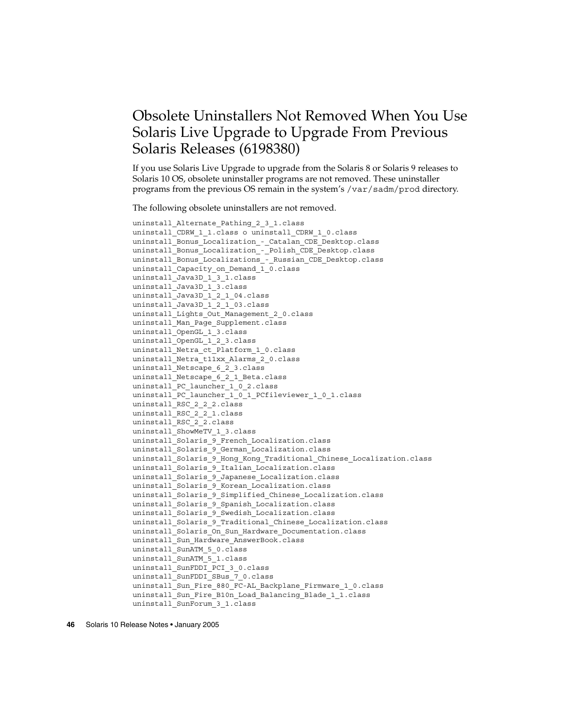#### Obsolete Uninstallers Not Removed When You Use Solaris Live Upgrade to Upgrade From Previous Solaris Releases (6198380)

If you use Solaris Live Upgrade to upgrade from the Solaris 8 or Solaris 9 releases to Solaris 10 OS, obsolete uninstaller programs are not removed. These uninstaller programs from the previous OS remain in the system's /var/sadm/prod directory.

The following obsolete uninstallers are not removed.

```
uninstall Alternate Pathing 2 3 1.class
uninstall_CDRW_1_1.class o uninstall_CDRW_1_0.class
uninstall_Bonus_Localization_-_Catalan_CDE_Desktop.class
uninstall_Bonus_Localization_-_Polish_CDE_Desktop.class
uninstall Bonus Localizations - Russian CDE Desktop.class
uninstall_Capacity_on_Demand_1_0.class
uninstall_Java3D_1_3_1.class
uninstall_Java3D_1_3.class
uninstall Java3D 1 2 1 04.class
uninstall_Java3D_1_2_1_03.class
uninstall Lights Out Management 2 0.class
uninstall Man Page Supplement.class
uninstall_OpenGL_1_3.class
uninstall_OpenGL_1_2_3.class
uninstall_Netra_ct_Platform_1_0.class
uninstall Netra t11xx Alarms 2 0.class
uninstall_Netscape_6_2_3.class
uninstall Netscape 6 2 1 Beta.class
uninstall PC launcher 1 0 2.class
uninstall_PC_launcher_1_0_1_PCfileviewer_1_0_1.class
uninstall_RSC_2_2_2.class
uninstall_RSC_2_2_1.class
uninstall_RSC_2_2.class
uninstall ShowMeTV 1 3.class
uninstall_Solaris 9_French_Localization.class
uninstall Solaris 9 German Localization.class
uninstall Solaris 9 Hong Kong Traditional Chinese Localization.class
uninstall_Solaris_9_Italian_Localization.class
uninstall Solaris 9 Japanese Localization.class
uninstall_Solaris_9_Korean_Localization.class
uninstall Solaris 9 Simplified Chinese Localization.class
uninstall Solaris 9 Spanish Localization.class
uninstall_Solaris_9_Swedish_Localization.class
uninstall_Solaris_9_Traditional_Chinese_Localization.class
uninstall Solaris On Sun Hardware Documentation.class
uninstall_Sun_Hardware_AnswerBook.class
uninstall_SunATM_5_0.class
uninstall_SunATM_5_1.class
uninstall SunFDDI PCI 3 0.class
uninstall_SunFDDI_SBus_7_0.class
uninstall_Sun_Fire_880_FC-AL_Backplane_Firmware_1_0.class
uninstall Sun Fire B10n Load Balancing Blade 1 1.class
uninstall_SunForum_3_1.class
```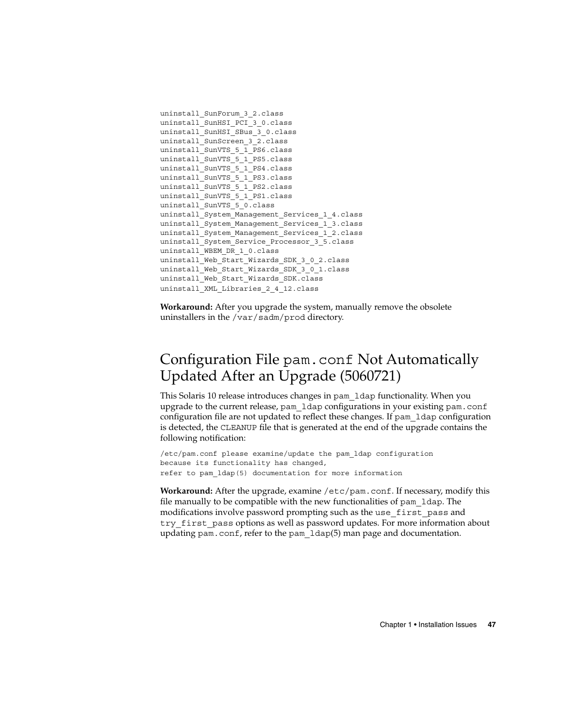```
uninstall_SunForum_3_2.class
uninstall SunHSI PCI 3 0.class
uninstall_SunHSI_SBus_3_0.class
uninstall_SunScreen_3_2.class
uninstall SunVTS 5 1 PS6.class
uninstall SunVTS 5 1 PS5.class
uninstall_SunVTS_5_1_PS4.class
uninstall SunVTS 5 1 PS3.class
uninstall SunVTS 5 1 PS2.class
uninstall_SunVTS_5_1_PS1.class
uninstall SunVTS 5 0.class
uninstall System Management Services 1 4.class
uninstall System Management Services 1 3.class
uninstall_System_Management_Services_1_2.class
uninstall System Service Processor 3 5.class
uninstall_WBEM_DR_1_0.class
uninstall Web Start Wizards SDK 3 0 2.class
uninstall Web Start Wizards SDK 3 0 1.class
uninstall_Web_Start_Wizards_SDK.class
uninstall XML Libraries 2 4 12.class
```
**Workaround:** After you upgrade the system, manually remove the obsolete uninstallers in the /var/sadm/prod directory.

#### Configuration File pam.conf Not Automatically Updated After an Upgrade (5060721)

This Solaris 10 release introduces changes in pam\_ldap functionality. When you upgrade to the current release, pam\_ldap configurations in your existing pam.conf configuration file are not updated to reflect these changes. If pam\_ldap configuration is detected, the CLEANUP file that is generated at the end of the upgrade contains the following notification:

/etc/pam.conf please examine/update the pam\_ldap configuration because its functionality has changed, refer to pam\_ldap(5) documentation for more information

**Workaround:** After the upgrade, examine /etc/pam.conf. If necessary, modify this file manually to be compatible with the new functionalities of pam\_ldap. The modifications involve password prompting such as the use\_first\_pass and try first pass options as well as password updates. For more information about updating pam.conf, refer to the pam\_ldap(5) man page and documentation.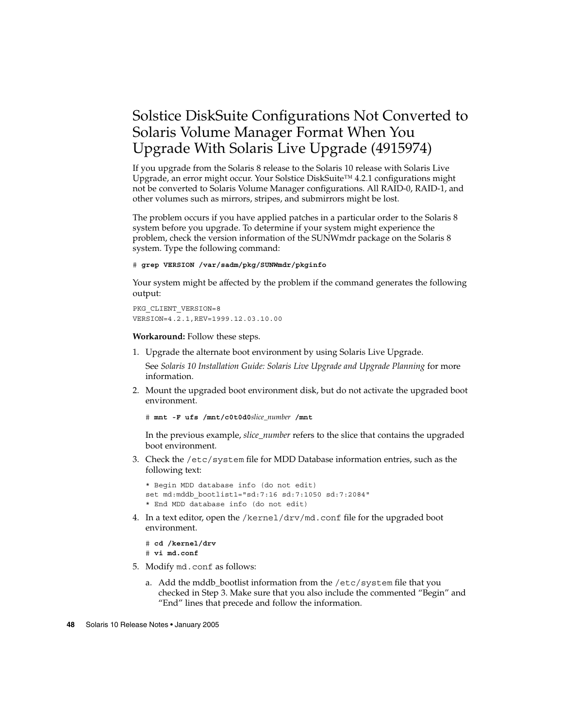#### Solstice DiskSuite Configurations Not Converted to Solaris Volume Manager Format When You Upgrade With Solaris Live Upgrade (4915974)

If you upgrade from the Solaris 8 release to the Solaris 10 release with Solaris Live Upgrade, an error might occur. Your Solstice DiskSuite™ 4.2.1 configurations might not be converted to Solaris Volume Manager configurations. All RAID-0, RAID-1, and other volumes such as mirrors, stripes, and submirrors might be lost.

The problem occurs if you have applied patches in a particular order to the Solaris 8 system before you upgrade. To determine if your system might experience the problem, check the version information of the SUNWmdr package on the Solaris 8 system. Type the following command:

#### # **grep VERSION /var/sadm/pkg/SUNWmdr/pkginfo**

Your system might be affected by the problem if the command generates the following output:

```
PKG_CLIENT_VERSION=8
VERSION=4.2.1,REV=1999.12.03.10.00
```
**Workaround:** Follow these steps.

1. Upgrade the alternate boot environment by using Solaris Live Upgrade.

See *Solaris 10 Installation Guide: Solaris Live Upgrade and Upgrade Planning* for more information.

2. Mount the upgraded boot environment disk, but do not activate the upgraded boot environment.

# **mnt -F ufs /mnt/c0t0d0***slice\_number* **/mnt**

In the previous example, *slice\_number* refers to the slice that contains the upgraded boot environment.

3. Check the /etc/system file for MDD Database information entries, such as the following text:

```
* Begin MDD database info (do not edit)
set md:mddb_bootlist1="sd:7:16 sd:7:1050 sd:7:2084"
* End MDD database info (do not edit)
```
- 4. In a text editor, open the /kernel/drv/md.conf file for the upgraded boot environment.
	- # **cd /kernel/drv** # **vi md.conf**
- 5. Modify md.conf as follows:
	- a. Add the mddb bootlist information from the  $/etc/system$  file that you checked in Step 3. Make sure that you also include the commented "Begin" and "End" lines that precede and follow the information.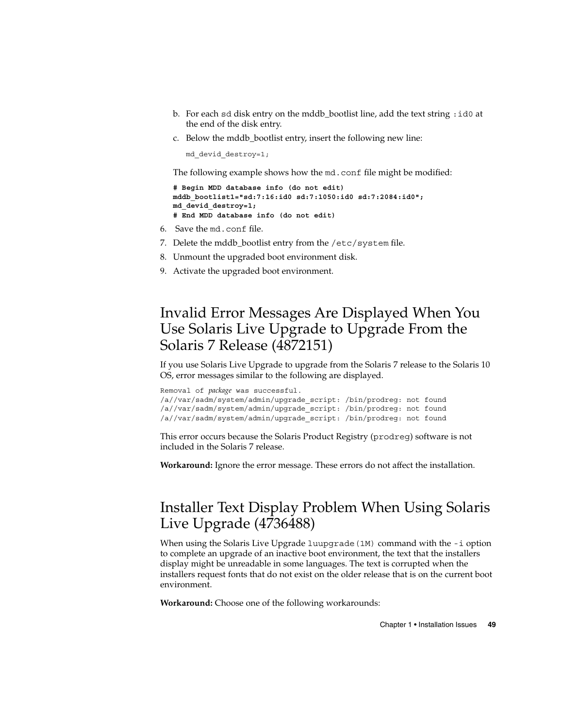- b. For each sd disk entry on the mddb\_bootlist line, add the text string : id0 at the end of the disk entry.
- c. Below the mddb\_bootlist entry, insert the following new line:

md\_devid\_destroy=1;

The following example shows how the md.conf file might be modified:

```
# Begin MDD database info (do not edit)
mddb_bootlist1="sd:7:16:id0 sd:7:1050:id0 sd:7:2084:id0";
md_devid_destroy=1;
# End MDD database info (do not edit)
```
- 6. Save the md.conf file.
- 7. Delete the mddb\_bootlist entry from the /etc/system file.
- 8. Unmount the upgraded boot environment disk.
- 9. Activate the upgraded boot environment.

#### Invalid Error Messages Are Displayed When You Use Solaris Live Upgrade to Upgrade From the Solaris 7 Release (4872151)

If you use Solaris Live Upgrade to upgrade from the Solaris 7 release to the Solaris 10 OS, error messages similar to the following are displayed.

```
Removal of package was successful.
/a//var/sadm/system/admin/upgrade_script: /bin/prodreg: not found
/a//var/sadm/system/admin/upgrade_script: /bin/prodreg: not found
/a//var/sadm/system/admin/upgrade_script: /bin/prodreg: not found
```
This error occurs because the Solaris Product Registry (prodreg) software is not included in the Solaris 7 release.

**Workaround:** Ignore the error message. These errors do not affect the installation.

#### Installer Text Display Problem When Using Solaris Live Upgrade (4736488)

When using the Solaris Live Upgrade  $l$ uupgrade $(1M)$  command with the  $-i$  option to complete an upgrade of an inactive boot environment, the text that the installers display might be unreadable in some languages. The text is corrupted when the installers request fonts that do not exist on the older release that is on the current boot environment.

**Workaround:** Choose one of the following workarounds: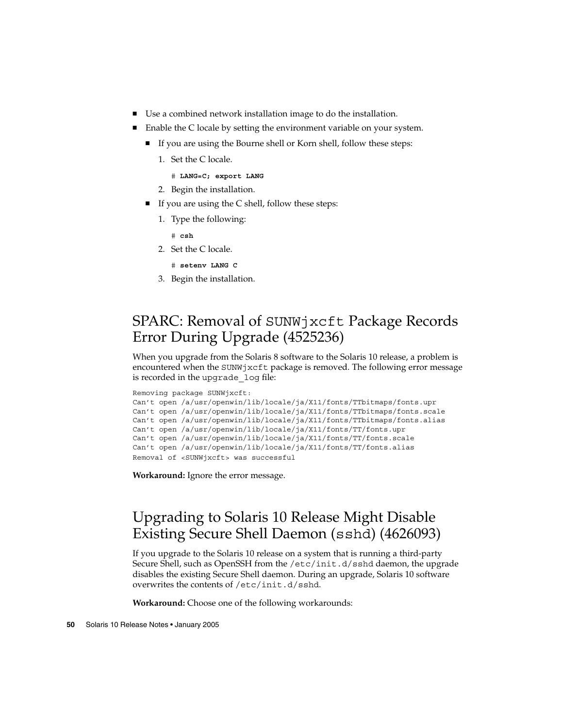- Use a combined network installation image to do the installation.
- Enable the C locale by setting the environment variable on your system.
	- If you are using the Bourne shell or Korn shell, follow these steps:
		- 1. Set the C locale.

# **LANG=C; export LANG**

- 2. Begin the installation.
- If you are using the C shell, follow these steps:
	- 1. Type the following:

# **csh**

2. Set the C locale.

# **setenv LANG C**

3. Begin the installation.

#### SPARC: Removal of SUNWjxcft Package Records Error During Upgrade (4525236)

When you upgrade from the Solaris 8 software to the Solaris 10 release, a problem is encountered when the SUNWjxcft package is removed. The following error message is recorded in the upgrade log file:

```
Removing package SUNWjxcft:
Can't open /a/usr/openwin/lib/locale/ja/X11/fonts/TTbitmaps/fonts.upr
Can't open /a/usr/openwin/lib/locale/ja/X11/fonts/TTbitmaps/fonts.scale
Can't open /a/usr/openwin/lib/locale/ja/X11/fonts/TTbitmaps/fonts.alias
Can't open /a/usr/openwin/lib/locale/ja/X11/fonts/TT/fonts.upr
Can't open /a/usr/openwin/lib/locale/ja/X11/fonts/TT/fonts.scale
Can't open /a/usr/openwin/lib/locale/ja/X11/fonts/TT/fonts.alias
Removal of <SUNWjxcft> was successful
```
**Workaround:** Ignore the error message.

#### Upgrading to Solaris 10 Release Might Disable Existing Secure Shell Daemon (sshd) (4626093)

If you upgrade to the Solaris 10 release on a system that is running a third-party Secure Shell, such as OpenSSH from the /etc/init.d/sshd daemon, the upgrade disables the existing Secure Shell daemon. During an upgrade, Solaris 10 software overwrites the contents of /etc/init.d/sshd.

**Workaround:** Choose one of the following workarounds: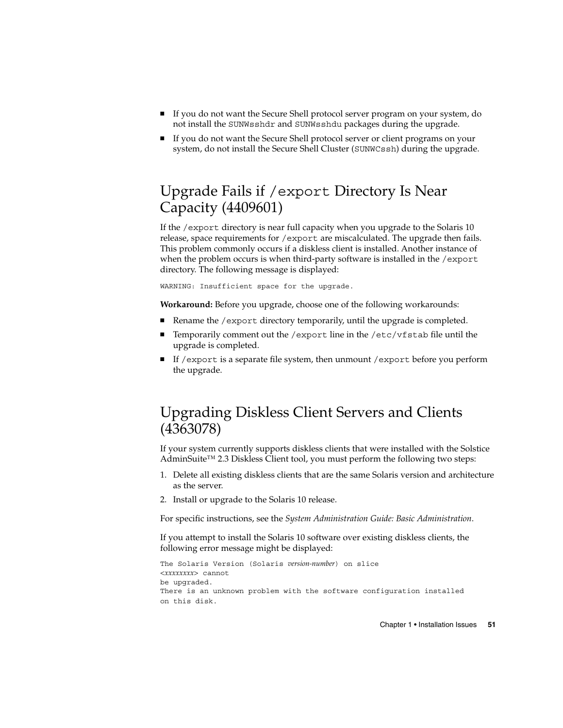- If you do not want the Secure Shell protocol server program on your system, do not install the SUNWsshdr and SUNWsshdu packages during the upgrade.
- If you do not want the Secure Shell protocol server or client programs on your system, do not install the Secure Shell Cluster (SUNWCssh) during the upgrade.

#### Upgrade Fails if /export Directory Is Near Capacity (4409601)

If the /export directory is near full capacity when you upgrade to the Solaris 10 release, space requirements for /export are miscalculated. The upgrade then fails. This problem commonly occurs if a diskless client is installed. Another instance of when the problem occurs is when third-party software is installed in the /export directory. The following message is displayed:

WARNING: Insufficient space for the upgrade.

**Workaround:** Before you upgrade, choose one of the following workarounds:

- Rename the /export directory temporarily, until the upgrade is completed.
- Temporarily comment out the /export line in the /etc/vfstab file until the upgrade is completed.
- If /export is a separate file system, then unmount /export before you perform the upgrade.

#### Upgrading Diskless Client Servers and Clients (4363078)

If your system currently supports diskless clients that were installed with the Solstice AdminSuite™ 2.3 Diskless Client tool, you must perform the following two steps:

- 1. Delete all existing diskless clients that are the same Solaris version and architecture as the server.
- 2. Install or upgrade to the Solaris 10 release.

For specific instructions, see the *System Administration Guide: Basic Administration*.

If you attempt to install the Solaris 10 software over existing diskless clients, the following error message might be displayed:

```
The Solaris Version (Solaris version-number) on slice
<xxxxxxxx> cannot
be upgraded.
There is an unknown problem with the software configuration installed
on this disk.
```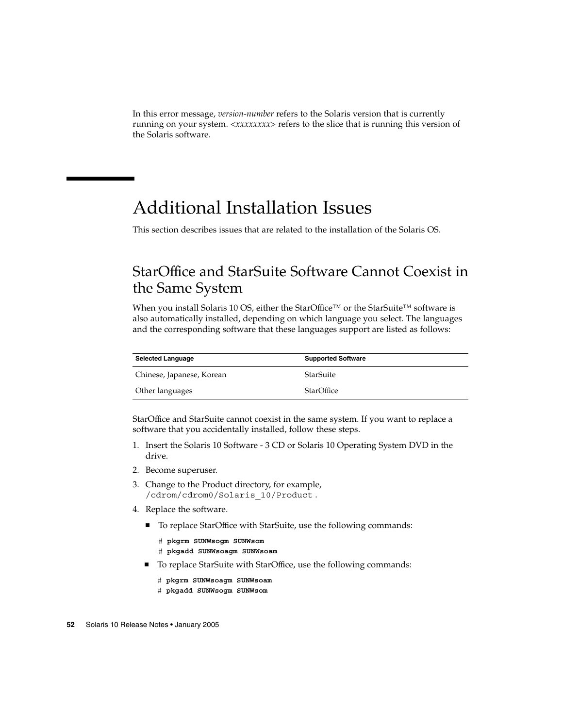In this error message, *version-number* refers to the Solaris version that is currently running on your system. *<xxxxxxxx>* refers to the slice that is running this version of the Solaris software.

### Additional Installation Issues

This section describes issues that are related to the installation of the Solaris OS.

#### StarOffice and StarSuite Software Cannot Coexist in the Same System

When you install Solaris 10 OS, either the StarOffice™ or the StarSuite™ software is also automatically installed, depending on which language you select. The languages and the corresponding software that these languages support are listed as follows:

| <b>Selected Language</b>  | <b>Supported Software</b> |
|---------------------------|---------------------------|
| Chinese, Japanese, Korean | <b>StarSuite</b>          |
| Other languages           | <b>StarOffice</b>         |

StarOffice and StarSuite cannot coexist in the same system. If you want to replace a software that you accidentally installed, follow these steps.

- 1. Insert the Solaris 10 Software 3 CD or Solaris 10 Operating System DVD in the drive.
- 2. Become superuser.
- 3. Change to the Product directory, for example, /cdrom/cdrom0/Solaris\_10/Product .
- 4. Replace the software.
	- To replace StarOffice with StarSuite, use the following commands:
		- # **pkgrm SUNWsogm SUNWsom**
		- # **pkgadd SUNWsoagm SUNWsoam**
	- To replace StarSuite with StarOffice, use the following commands:
		- # **pkgrm SUNWsoagm SUNWsoam**
		- # **pkgadd SUNWsogm SUNWsom**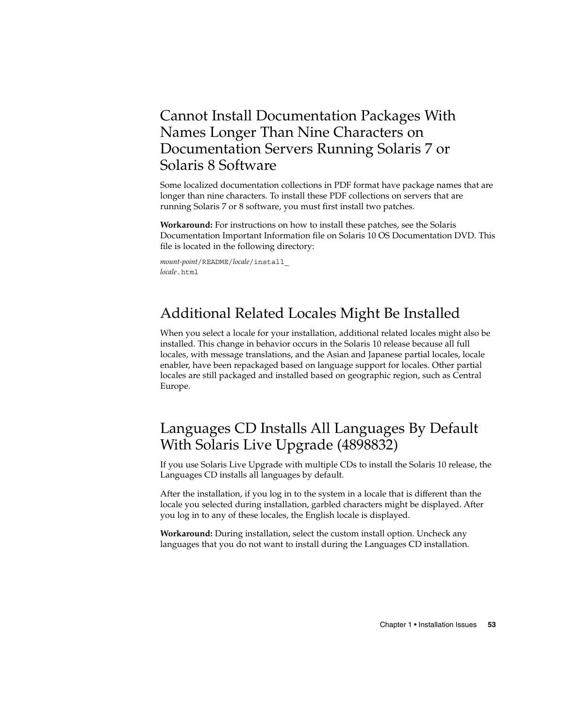#### Cannot Install Documentation Packages With Names Longer Than Nine Characters on Documentation Servers Running Solaris 7 or Solaris 8 Software

Some localized documentation collections in PDF format have package names that are longer than nine characters. To install these PDF collections on servers that are running Solaris 7 or 8 software, you must first install two patches.

**Workaround:** For instructions on how to install these patches, see the Solaris Documentation Important Information file on Solaris 10 OS Documentation DVD. This file is located in the following directory:

*mount-point*/README/*locale*/install\_ *locale*.html

#### Additional Related Locales Might Be Installed

When you select a locale for your installation, additional related locales might also be installed. This change in behavior occurs in the Solaris 10 release because all full locales, with message translations, and the Asian and Japanese partial locales, locale enabler, have been repackaged based on language support for locales. Other partial locales are still packaged and installed based on geographic region, such as Central Europe.

#### Languages CD Installs All Languages By Default With Solaris Live Upgrade (4898832)

If you use Solaris Live Upgrade with multiple CDs to install the Solaris 10 release, the Languages CD installs all languages by default.

After the installation, if you log in to the system in a locale that is different than the locale you selected during installation, garbled characters might be displayed. After you log in to any of these locales, the English locale is displayed.

**Workaround:** During installation, select the custom install option. Uncheck any languages that you do not want to install during the Languages CD installation.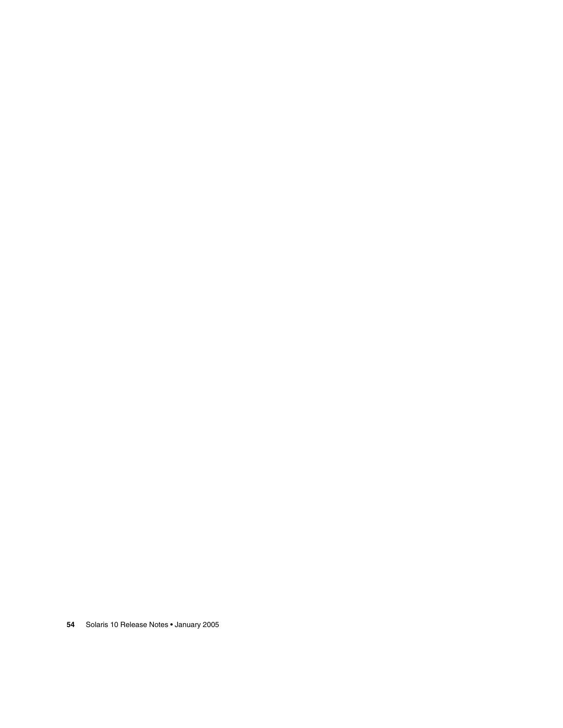Solaris 10 Release Notes • January 2005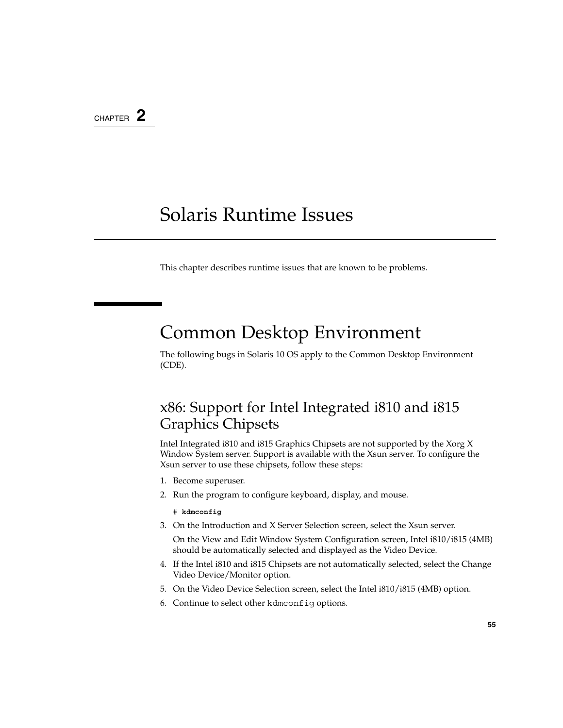#### CHAPTER **2**

### Solaris Runtime Issues

This chapter describes runtime issues that are known to be problems.

### Common Desktop Environment

The following bugs in Solaris 10 OS apply to the Common Desktop Environment (CDE).

#### x86: Support for Intel Integrated i810 and i815 Graphics Chipsets

Intel Integrated i810 and i815 Graphics Chipsets are not supported by the Xorg X Window System server. Support is available with the Xsun server. To configure the Xsun server to use these chipsets, follow these steps:

- 1. Become superuser.
- 2. Run the program to configure keyboard, display, and mouse.

# **kdmconfig**

3. On the Introduction and X Server Selection screen, select the Xsun server.

On the View and Edit Window System Configuration screen, Intel i810/i815 (4MB) should be automatically selected and displayed as the Video Device.

- 4. If the Intel i810 and i815 Chipsets are not automatically selected, select the Change Video Device/Monitor option.
- 5. On the Video Device Selection screen, select the Intel i810/i815 (4MB) option.
- 6. Continue to select other kdmconfig options.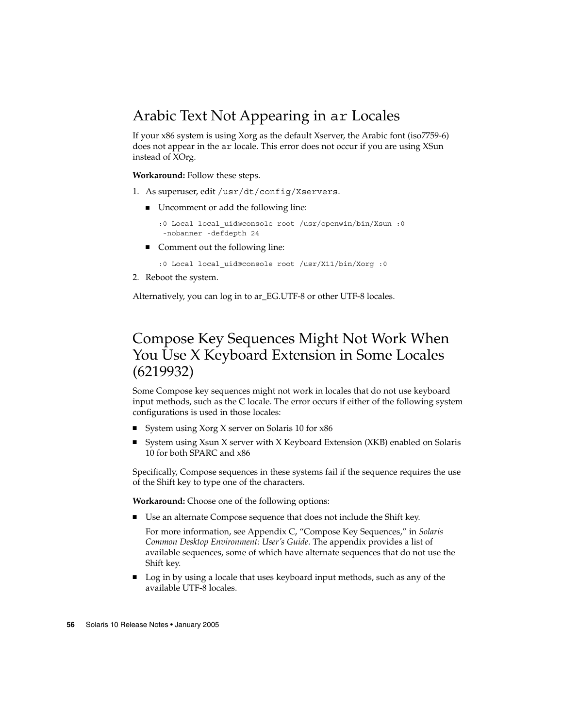#### Arabic Text Not Appearing in ar Locales

If your x86 system is using Xorg as the default Xserver, the Arabic font (iso7759-6) does not appear in the ar locale. This error does not occur if you are using XSun instead of XOrg.

**Workaround:** Follow these steps.

- 1. As superuser, edit /usr/dt/config/Xservers.
	- Uncomment or add the following line:

:0 Local local\_uid@console root /usr/openwin/bin/Xsun :0 -nobanner -defdepth 24

■ Comment out the following line:

:0 Local local\_uid@console root /usr/X11/bin/Xorg :0

2. Reboot the system.

Alternatively, you can log in to ar\_EG.UTF-8 or other UTF-8 locales.

#### Compose Key Sequences Might Not Work When You Use X Keyboard Extension in Some Locales (6219932)

Some Compose key sequences might not work in locales that do not use keyboard input methods, such as the C locale. The error occurs if either of the following system configurations is used in those locales:

- System using Xorg X server on Solaris 10 for x86
- System using Xsun X server with X Keyboard Extension (XKB) enabled on Solaris 10 for both SPARC and x86

Specifically, Compose sequences in these systems fail if the sequence requires the use of the Shift key to type one of the characters.

**Workaround:** Choose one of the following options:

■ Use an alternate Compose sequence that does not include the Shift key.

For more information, see Appendix C, "Compose Key Sequences," in *Solaris Common Desktop Environment: User's Guide*. The appendix provides a list of available sequences, some of which have alternate sequences that do not use the Shift key.

■ Log in by using a locale that uses keyboard input methods, such as any of the available UTF-8 locales.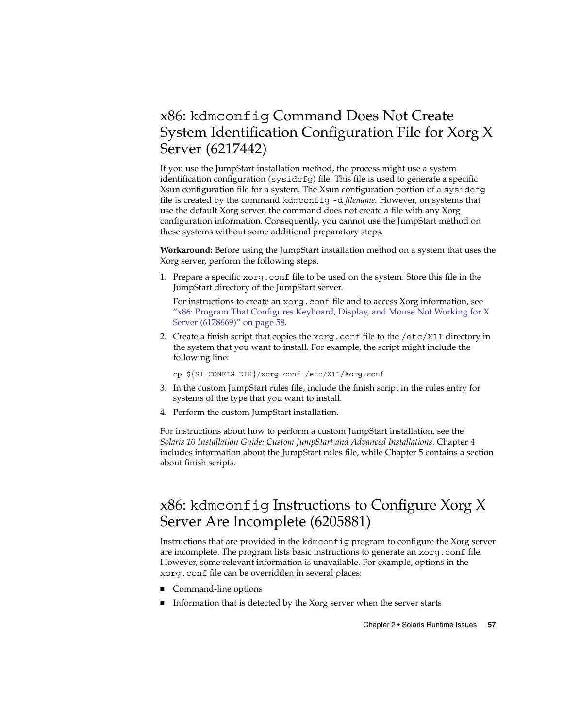#### x86: kdmconfig Command Does Not Create System Identification Configuration File for Xorg X Server (6217442)

If you use the JumpStart installation method, the process might use a system identification configuration ( $s$ ysidc $f$ q) file. This file is used to generate a specific Xsun configuration file for a system. The Xsun configuration portion of a sysidcfg file is created by the command kdmconfig -d *filename*. However, on systems that use the default Xorg server, the command does not create a file with any Xorg configuration information. Consequently, you cannot use the JumpStart method on these systems without some additional preparatory steps.

**Workaround:** Before using the JumpStart installation method on a system that uses the Xorg server, perform the following steps.

1. Prepare a specific xorg.conf file to be used on the system. Store this file in the JumpStart directory of the JumpStart server.

For instructions to create an xorg.conf file and to access Xorg information, see ["x86: Program That Configures Keyboard, Display, and Mouse Not Working for X](#page-57-0) [Server \(6178669\)"](#page-57-0) on page 58.

2. Create a finish script that copies the xorg.conf file to the /etc/X11 directory in the system that you want to install. For example, the script might include the following line:

cp \${SI\_CONFIG\_DIR}/xorg.conf /etc/X11/Xorg.conf

- 3. In the custom JumpStart rules file, include the finish script in the rules entry for systems of the type that you want to install.
- 4. Perform the custom JumpStart installation.

For instructions about how to perform a custom JumpStart installation, see the *Solaris 10 Installation Guide: Custom JumpStart and Advanced Installations*. Chapter 4 includes information about the JumpStart rules file, while Chapter 5 contains a section about finish scripts.

#### x86: kdmconfig Instructions to Configure Xorg X Server Are Incomplete (6205881)

Instructions that are provided in the kdmconfig program to configure the Xorg server are incomplete. The program lists basic instructions to generate an xorg.conf file. However, some relevant information is unavailable. For example, options in the xorg.conf file can be overridden in several places:

- Command-line options
- Information that is detected by the Xorg server when the server starts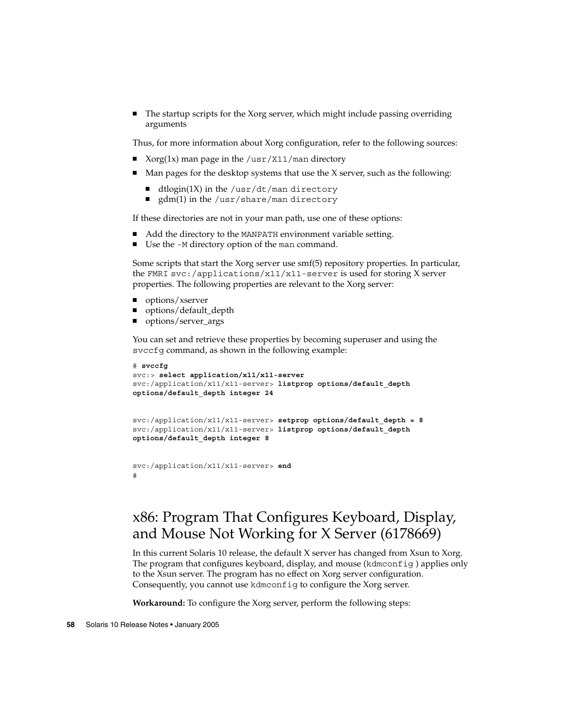<span id="page-57-0"></span>■ The startup scripts for the Xorg server, which might include passing overriding arguments

Thus, for more information about Xorg configuration, refer to the following sources:

- Norg(1x) man page in the /usr/X11/man directory
- Man pages for the desktop systems that use the X server, such as the following:
	- dtlogin(1X) in the /usr/dt/man directory
	- $\blacksquare$  gdm(1) in the /usr/share/man directory

If these directories are not in your man path, use one of these options:

- Add the directory to the MANPATH environment variable setting.
- Use the -M directory option of the man command.

Some scripts that start the Xorg server use smf(5) repository properties. In particular, the FMRI svc:/applications/x11/x11-server is used for storing X server properties. The following properties are relevant to the Xorg server:

- options/xserver
- options/default\_depth
- options/server\_args

You can set and retrieve these properties by becoming superuser and using the svccfg command, as shown in the following example:

```
# svccfg
svc:> select application/x11/x11-server
svc:/application/x11/x11-server> listprop options/default_depth
options/default_depth integer 24
```

```
svc:/application/x11/x11-server> setprop options/default_depth = 8
svc:/application/x11/x11-server> listprop options/default_depth
options/default_depth integer 8
```

```
svc:/application/x11/x11-server> end
#
```
#### x86: Program That Configures Keyboard, Display, and Mouse Not Working for X Server (6178669)

In this current Solaris 10 release, the default X server has changed from Xsun to Xorg. The program that configures keyboard, display, and mouse (kdmconfig ) applies only to the Xsun server. The program has no effect on Xorg server configuration. Consequently, you cannot use kdmconfig to configure the Xorg server.

**Workaround:** To configure the Xorg server, perform the following steps: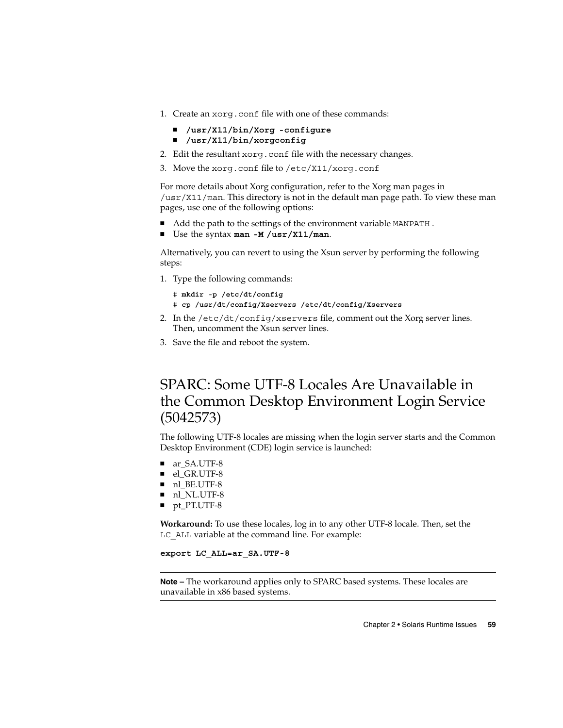- 1. Create an xorg.conf file with one of these commands:
	- **/usr/X11/bin/Xorg -configure**
	- **/usr/X11/bin/xorgconfig**
- 2. Edit the resultant xorg.conf file with the necessary changes.
- 3. Move the xorg.conf file to /etc/X11/xorg.conf

For more details about Xorg configuration, refer to the Xorg man pages in /usr/X11/man. This directory is not in the default man page path. To view these man pages, use one of the following options:

- Add the path to the settings of the environment variable MANPATH.
- Use the syntax **man -M /usr/X11/man**.

Alternatively, you can revert to using the Xsun server by performing the following steps:

1. Type the following commands:

# **mkdir -p /etc/dt/config** # **cp /usr/dt/config/Xservers /etc/dt/config/Xservers**

- 2. In the /etc/dt/config/xservers file, comment out the Xorg server lines. Then, uncomment the Xsun server lines.
- 3. Save the file and reboot the system.

#### SPARC: Some UTF-8 Locales Are Unavailable in the Common Desktop Environment Login Service (5042573)

The following UTF-8 locales are missing when the login server starts and the Common Desktop Environment (CDE) login service is launched:

- ar\_SA.UTF-8
- el\_GR.UTF-8
- nl\_BE.UTF-8
- nl\_NL.UTF-8
- pt\_PT.UTF-8

**Workaround:** To use these locales, log in to any other UTF-8 locale. Then, set the LC\_ALL variable at the command line. For example:

**export LC\_ALL=ar\_SA.UTF-8**

**Note –** The workaround applies only to SPARC based systems. These locales are unavailable in x86 based systems.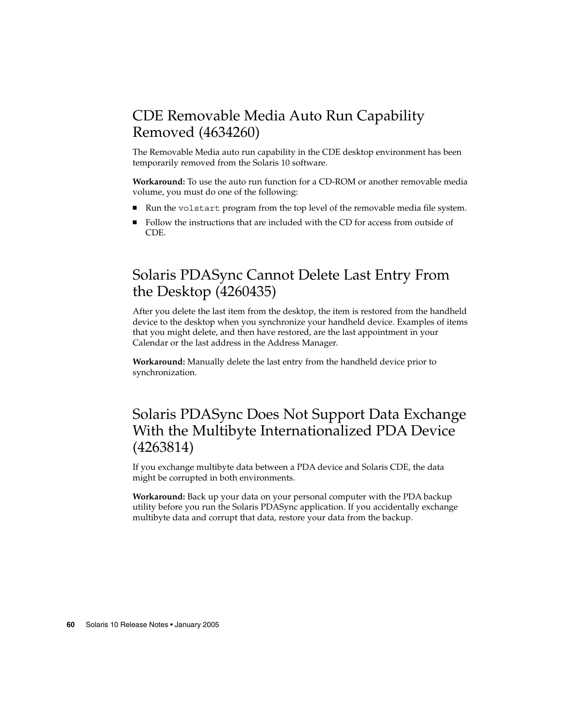#### CDE Removable Media Auto Run Capability Removed (4634260)

The Removable Media auto run capability in the CDE desktop environment has been temporarily removed from the Solaris 10 software.

**Workaround:** To use the auto run function for a CD-ROM or another removable media volume, you must do one of the following:

- Run the volstart program from the top level of the removable media file system.
- Follow the instructions that are included with the CD for access from outside of CDE.

#### Solaris PDASync Cannot Delete Last Entry From the Desktop (4260435)

After you delete the last item from the desktop, the item is restored from the handheld device to the desktop when you synchronize your handheld device. Examples of items that you might delete, and then have restored, are the last appointment in your Calendar or the last address in the Address Manager.

**Workaround:** Manually delete the last entry from the handheld device prior to synchronization.

#### Solaris PDASync Does Not Support Data Exchange With the Multibyte Internationalized PDA Device (4263814)

If you exchange multibyte data between a PDA device and Solaris CDE, the data might be corrupted in both environments.

**Workaround:** Back up your data on your personal computer with the PDA backup utility before you run the Solaris PDASync application. If you accidentally exchange multibyte data and corrupt that data, restore your data from the backup.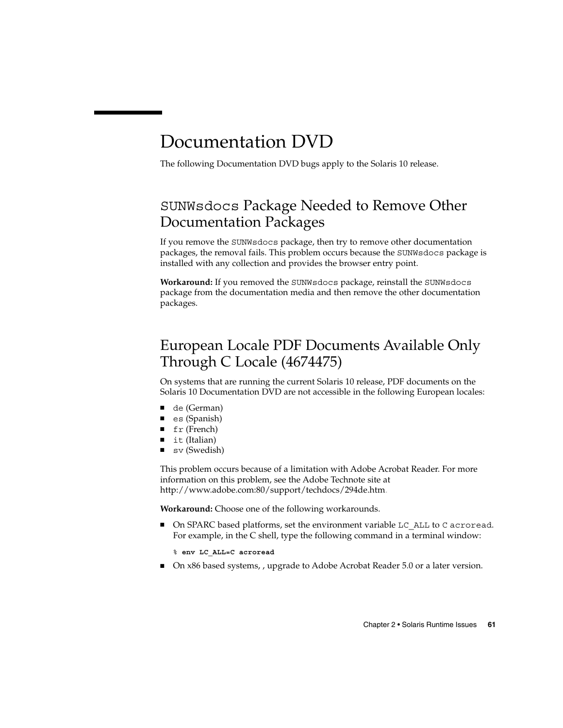### Documentation DVD

The following Documentation DVD bugs apply to the Solaris 10 release.

#### SUNWsdocs Package Needed to Remove Other Documentation Packages

If you remove the SUNWsdocs package, then try to remove other documentation packages, the removal fails. This problem occurs because the SUNWsdocs package is installed with any collection and provides the browser entry point.

**Workaround:** If you removed the SUNWsdocs package, reinstall the SUNWsdocs package from the documentation media and then remove the other documentation packages.

### European Locale PDF Documents Available Only Through C Locale (4674475)

On systems that are running the current Solaris 10 release, PDF documents on the Solaris 10 Documentation DVD are not accessible in the following European locales:

- de (German)
- es (Spanish)
- fr (French)
- it (Italian)
- sv (Swedish)

This problem occurs because of a limitation with Adobe Acrobat Reader. For more information on this problem, see the Adobe Technote site at [http://www.adobe.com:80/support/techdocs/294de.htm.](http://www.adobe.com:80/support/techdocs/294de.htm)

**Workaround:** Choose one of the following workarounds.

- On SPARC based platforms, set the environment variable LC\_ALL to C acroread. For example, in the C shell, type the following command in a terminal window:
	- % **env LC\_ALL=C acroread**
- On x86 based systems, , upgrade to Adobe Acrobat Reader 5.0 or a later version.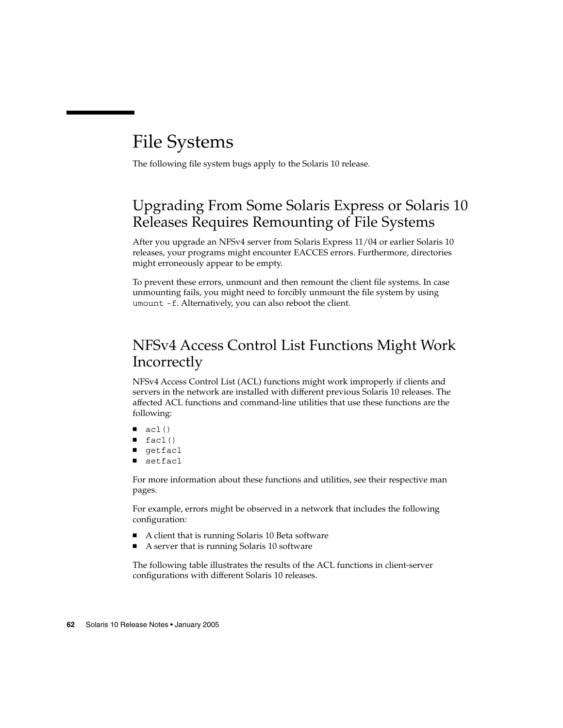# File Systems

The following file system bugs apply to the Solaris 10 release.

#### Upgrading From Some Solaris Express or Solaris 10 Releases Requires Remounting of File Systems

After you upgrade an NFSv4 server from Solaris Express 11/04 or earlier Solaris 10 releases, your programs might encounter EACCES errors. Furthermore, directories might erroneously appear to be empty.

To prevent these errors, unmount and then remount the client file systems. In case unmounting fails, you might need to forcibly unmount the file system by using umount -f. Alternatively, you can also reboot the client.

### NFSv4 Access Control List Functions Might Work **Incorrectly**

NFSv4 Access Control List (ACL) functions might work improperly if clients and servers in the network are installed with different previous Solaris 10 releases. The affected ACL functions and command-line utilities that use these functions are the following:

- $\blacksquare$  acl()
- facl()
- getfacl
- setfacl

For more information about these functions and utilities, see their respective man pages.

For example, errors might be observed in a network that includes the following configuration:

- A client that is running Solaris 10 Beta software
- A server that is running Solaris 10 software

The following table illustrates the results of the ACL functions in client-server configurations with different Solaris 10 releases.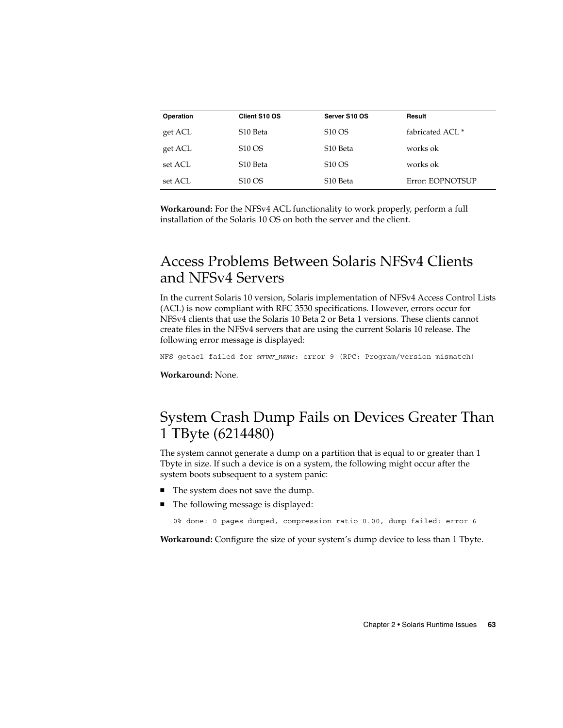| Operation | Client S10 OS        | Server S10 OS        | Result                      |
|-----------|----------------------|----------------------|-----------------------------|
| get ACL   | S <sub>10</sub> Beta | <b>S10 OS</b>        | fabricated ACL <sup>*</sup> |
| get ACL   | <b>S10 OS</b>        | S <sub>10</sub> Beta | works ok                    |
| set ACL   | S <sub>10</sub> Beta | <b>S10 OS</b>        | works ok                    |
| set ACL   | S <sub>10</sub> OS   | S <sub>10</sub> Beta | Error: EOPNOTSUP            |

**Workaround:** For the NFSv4 ACL functionality to work properly, perform a full installation of the Solaris 10 OS on both the server and the client.

#### Access Problems Between Solaris NFSv4 Clients and NFSv4 Servers

In the current Solaris 10 version, Solaris implementation of NFSv4 Access Control Lists (ACL) is now compliant with RFC 3530 specifications. However, errors occur for NFSv4 clients that use the Solaris 10 Beta 2 or Beta 1 versions. These clients cannot create files in the NFSv4 servers that are using the current Solaris 10 release. The following error message is displayed:

NFS getacl failed for *server\_name*: error 9 (RPC: Program/version mismatch)

**Workaround:** None.

#### System Crash Dump Fails on Devices Greater Than 1 TByte (6214480)

The system cannot generate a dump on a partition that is equal to or greater than 1 Tbyte in size. If such a device is on a system, the following might occur after the system boots subsequent to a system panic:

- The system does not save the dump.
- The following message is displayed:

0% done: 0 pages dumped, compression ratio 0.00, dump failed: error 6

**Workaround:** Configure the size of your system's dump device to less than 1 Tbyte.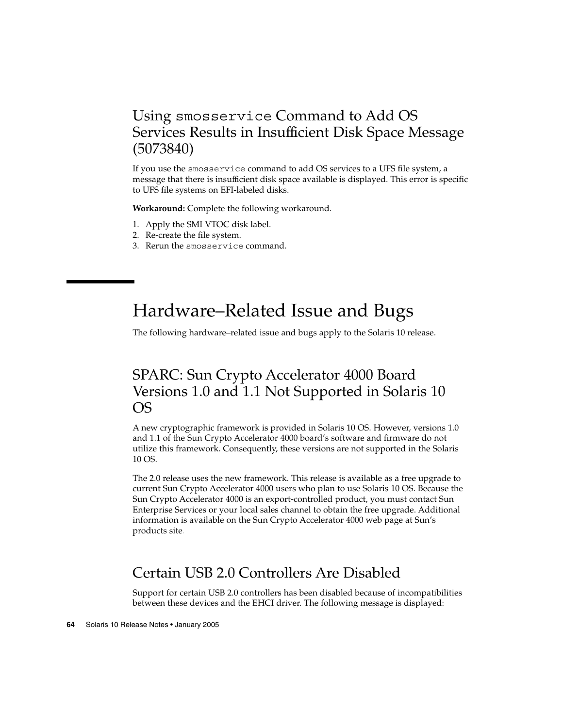#### Using smosservice Command to Add OS Services Results in Insufficient Disk Space Message (5073840)

If you use the smosservice command to add OS services to a UFS file system, a message that there is insufficient disk space available is displayed. This error is specific to UFS file systems on EFI-labeled disks.

**Workaround:** Complete the following workaround.

- 1. Apply the SMI VTOC disk label.
- 2. Re-create the file system.
- 3. Rerun the smosservice command.

# Hardware–Related Issue and Bugs

The following hardware–related issue and bugs apply to the Solaris 10 release.

#### SPARC: Sun Crypto Accelerator 4000 Board Versions 1.0 and 1.1 Not Supported in Solaris 10 OS

A new cryptographic framework is provided in Solaris 10 OS. However, versions 1.0 and 1.1 of the Sun Crypto Accelerator 4000 board's software and firmware do not utilize this framework. Consequently, these versions are not supported in the Solaris 10 OS.

The 2.0 release uses the new framework. This release is available as a free upgrade to current Sun Crypto Accelerator 4000 users who plan to use Solaris 10 OS. Because the Sun Crypto Accelerator 4000 is an export-controlled product, you must contact Sun Enterprise Services or your local sales channel to obtain the free upgrade. Additional information is available on the Sun Crypto Accelerator 4000 web page at Sun's [products site.](http://www.sun.com/products/networking/sslaccel/suncryptoaccel4000/)

#### Certain USB 2.0 Controllers Are Disabled

Support for certain USB 2.0 controllers has been disabled because of incompatibilities between these devices and the EHCI driver. The following message is displayed: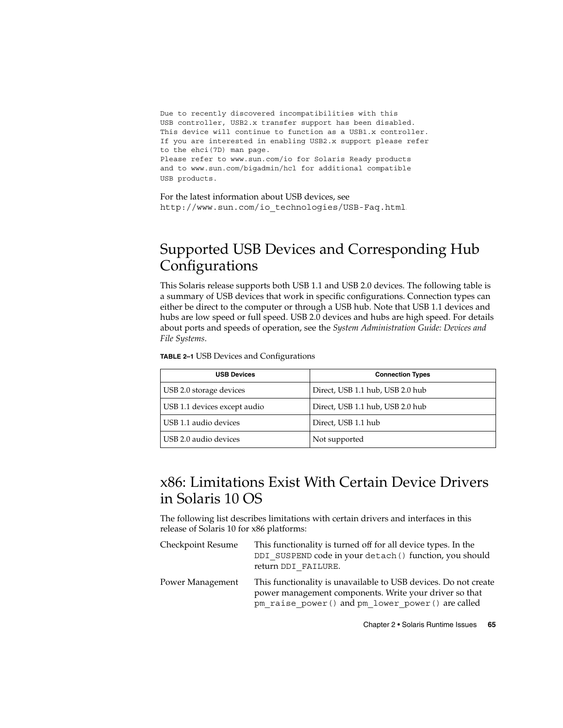Due to recently discovered incompatibilities with this USB controller, USB2.x transfer support has been disabled. This device will continue to function as a USB1.x controller. If you are interested in enabling USB2.x support please refer to the ehci(7D) man page. Please refer to www.sun.com/io for Solaris Ready products and to www.sun.com/bigadmin/hcl for additional compatible USB products.

For the latest information about USB devices, see [http://www.sun.com/io\\_technologies/USB-Faq.html](http://www.sun.com/io_technologies/USB-Faq.html).

#### Supported USB Devices and Corresponding Hub Configurations

This Solaris release supports both USB 1.1 and USB 2.0 devices. The following table is a summary of USB devices that work in specific configurations. Connection types can either be direct to the computer or through a USB hub. Note that USB 1.1 devices and hubs are low speed or full speed. USB 2.0 devices and hubs are high speed. For details about ports and speeds of operation, see the *System Administration Guide: Devices and File Systems*.

| <b>USB Devices</b>           | <b>Connection Types</b>          |
|------------------------------|----------------------------------|
| USB 2.0 storage devices      | Direct, USB 1.1 hub, USB 2.0 hub |
| USB 1.1 devices except audio | Direct, USB 1.1 hub, USB 2.0 hub |
| USB 1.1 audio devices        | Direct, USB 1.1 hub              |
| USB 2.0 audio devices        | Not supported                    |

**TABLE 2–1** USB Devices and Configurations

#### x86: Limitations Exist With Certain Device Drivers in Solaris 10 OS

The following list describes limitations with certain drivers and interfaces in this release of Solaris 10 for x86 platforms:

| Checkpoint Resume | This functionality is turned off for all device types. In the<br>DDI SUSPEND code in your detach () function, you should<br>return DDI FAILURE.                               |
|-------------------|-------------------------------------------------------------------------------------------------------------------------------------------------------------------------------|
| Power Management  | This functionality is unavailable to USB devices. Do not create<br>power management components. Write your driver so that<br>pm raise power() and pm lower power() are called |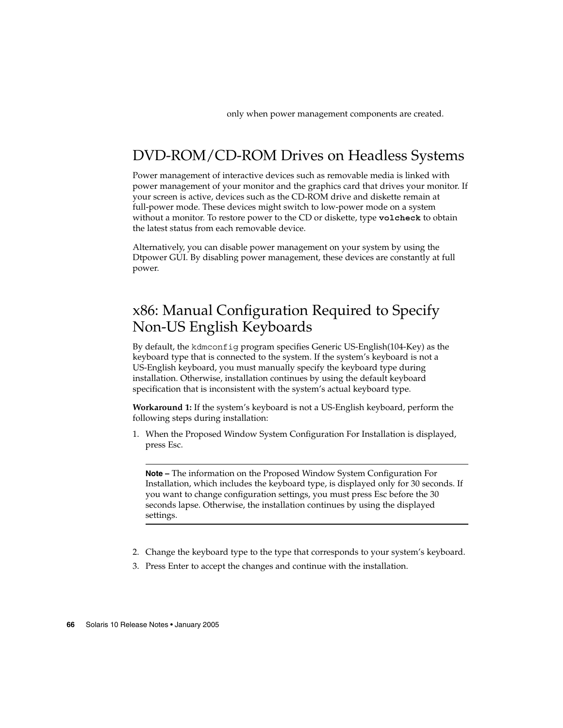only when power management components are created.

#### DVD-ROM/CD-ROM Drives on Headless Systems

Power management of interactive devices such as removable media is linked with power management of your monitor and the graphics card that drives your monitor. If your screen is active, devices such as the CD-ROM drive and diskette remain at full-power mode. These devices might switch to low-power mode on a system without a monitor. To restore power to the CD or diskette, type **volcheck** to obtain the latest status from each removable device.

Alternatively, you can disable power management on your system by using the Dtpower GUI. By disabling power management, these devices are constantly at full power.

#### x86: Manual Configuration Required to Specify Non-US English Keyboards

By default, the kdmconfig program specifies Generic US-English(104-Key) as the keyboard type that is connected to the system. If the system's keyboard is not a US-English keyboard, you must manually specify the keyboard type during installation. Otherwise, installation continues by using the default keyboard specification that is inconsistent with the system's actual keyboard type.

**Workaround 1:** If the system's keyboard is not a US-English keyboard, perform the following steps during installation:

1. When the Proposed Window System Configuration For Installation is displayed, press Esc.

**Note –** The information on the Proposed Window System Configuration For Installation, which includes the keyboard type, is displayed only for 30 seconds. If you want to change configuration settings, you must press Esc before the 30 seconds lapse. Otherwise, the installation continues by using the displayed settings.

- 2. Change the keyboard type to the type that corresponds to your system's keyboard.
- 3. Press Enter to accept the changes and continue with the installation.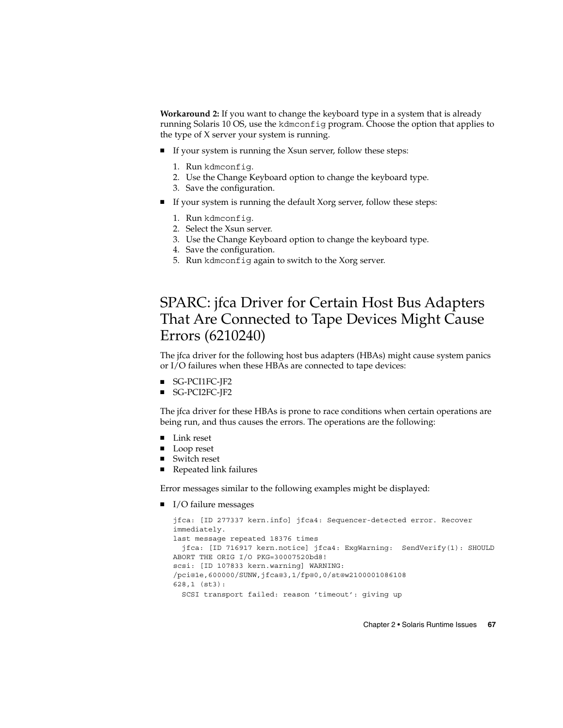**Workaround 2:** If you want to change the keyboard type in a system that is already running Solaris 10 OS, use the kdmconfig program. Choose the option that applies to the type of X server your system is running.

- If your system is running the Xsun server, follow these steps:
	- 1. Run kdmconfig.
	- 2. Use the Change Keyboard option to change the keyboard type.
	- 3. Save the configuration.
- If your system is running the default Xorg server, follow these steps:
	- 1. Run kdmconfig.
	- 2. Select the Xsun server.
	- 3. Use the Change Keyboard option to change the keyboard type.
	- 4. Save the configuration.
	- 5. Run kdmconfig again to switch to the Xorg server.

#### SPARC: jfca Driver for Certain Host Bus Adapters That Are Connected to Tape Devices Might Cause Errors (6210240)

The jfca driver for the following host bus adapters (HBAs) might cause system panics or I/O failures when these HBAs are connected to tape devices:

- SG-PCI1FC-IF2
- SG-PCI2FC-JF2

The jfca driver for these HBAs is prone to race conditions when certain operations are being run, and thus causes the errors. The operations are the following:

- Link reset
- Loop reset
- Switch reset
- Repeated link failures

Error messages similar to the following examples might be displayed:

■ I/O failure messages

```
jfca: [ID 277337 kern.info] jfca4: Sequencer-detected error. Recover
immediately.
last message repeated 18376 times
 jfca: [ID 716917 kern.notice] jfca4: ExgWarning: SendVerify(1): SHOULD
ABORT THE ORIG I/O PKG=30007520bd8!
scsi: [ID 107833 kern.warning] WARNING:
/pci@1e,600000/SUNW,jfca@3,1/fp@0,0/st@w2100001086108
628,1 (st3):
 SCSI transport failed: reason 'timeout': giving up
```
Chapter 2 • Solaris Runtime Issues **67**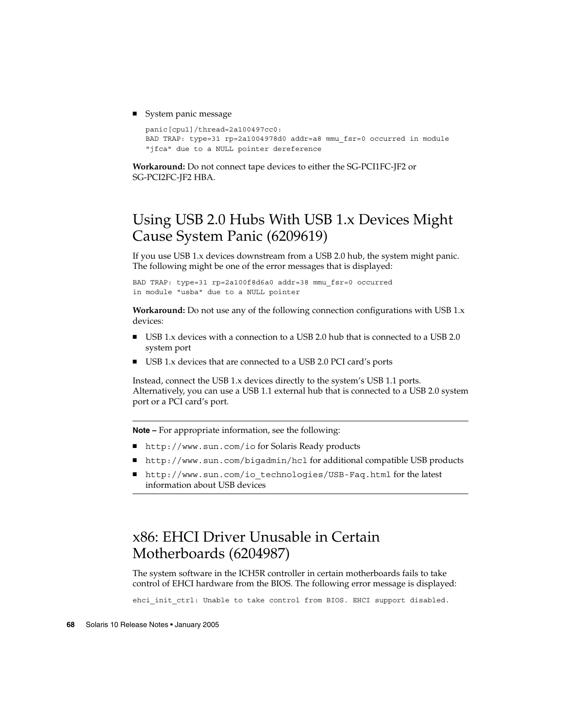■ System panic message

```
panic[cpu1]/thread=2a100497cc0:
BAD TRAP: type=31 rp=2a1004978d0 addr=a8 mmu_fsr=0 occurred in module
"jfca" due to a NULL pointer dereference
```
**Workaround:** Do not connect tape devices to either the SG-PCI1FC-JF2 or SG-PCI2FC-JF2 HBA.

#### Using USB 2.0 Hubs With USB 1.x Devices Might Cause System Panic (6209619)

If you use USB 1.x devices downstream from a USB 2.0 hub, the system might panic. The following might be one of the error messages that is displayed:

BAD TRAP: type=31 rp=2a100f8d6a0 addr=38 mmu\_fsr=0 occurred in module "usba" due to a NULL pointer

**Workaround:** Do not use any of the following connection configurations with USB 1.x devices:

- USB 1.x devices with a connection to a USB 2.0 hub that is connected to a USB 2.0 system port
- USB 1.x devices that are connected to a USB 2.0 PCI card's ports

Instead, connect the USB 1.x devices directly to the system's USB 1.1 ports. Alternatively, you can use a USB 1.1 external hub that is connected to a USB 2.0 system port or a PCI card's port.

**Note –** For appropriate information, see the following:

- <http://www.sun.com/io> for Solaris Ready products
- <http://www.sun.com/bigadmin/hcl> for additional compatible USB products
- http://www.sun.com/io technologies/USB-Faq.html for the latest information about USB devices

#### x86: EHCI Driver Unusable in Certain Motherboards (6204987)

The system software in the ICH5R controller in certain motherboards fails to take control of EHCI hardware from the BIOS. The following error message is displayed:

ehci init ctrl: Unable to take control from BIOS. EHCI support disabled.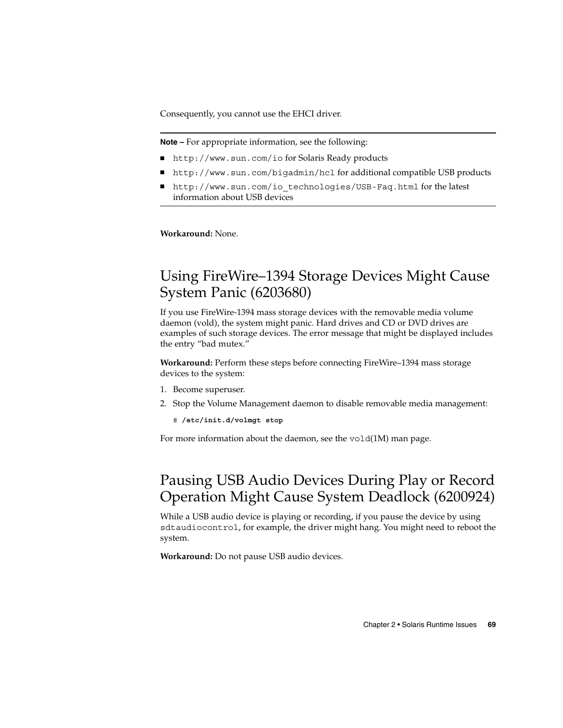Consequently, you cannot use the EHCI driver.

**Note –** For appropriate information, see the following:

- <http://www.sun.com/io> for Solaris Ready products
- <http://www.sun.com/bigadmin/hcl> for additional compatible USB products
- http://www.sun.com/io technologies/USB-Faq.html for the latest information about USB devices

**Workaround:** None.

#### Using FireWire–1394 Storage Devices Might Cause System Panic (6203680)

If you use FireWire-1394 mass storage devices with the removable media volume daemon (vold), the system might panic. Hard drives and CD or DVD drives are examples of such storage devices. The error message that might be displayed includes the entry "bad mutex."

**Workaround:** Perform these steps before connecting FireWire–1394 mass storage devices to the system:

- 1. Become superuser.
- 2. Stop the Volume Management daemon to disable removable media management:
	- # **/etc/init.d/volmgt stop**

For more information about the daemon, see the vold(1M) man page.

#### Pausing USB Audio Devices During Play or Record Operation Might Cause System Deadlock (6200924)

While a USB audio device is playing or recording, if you pause the device by using sdtaudiocontrol, for example, the driver might hang. You might need to reboot the system.

**Workaround:** Do not pause USB audio devices.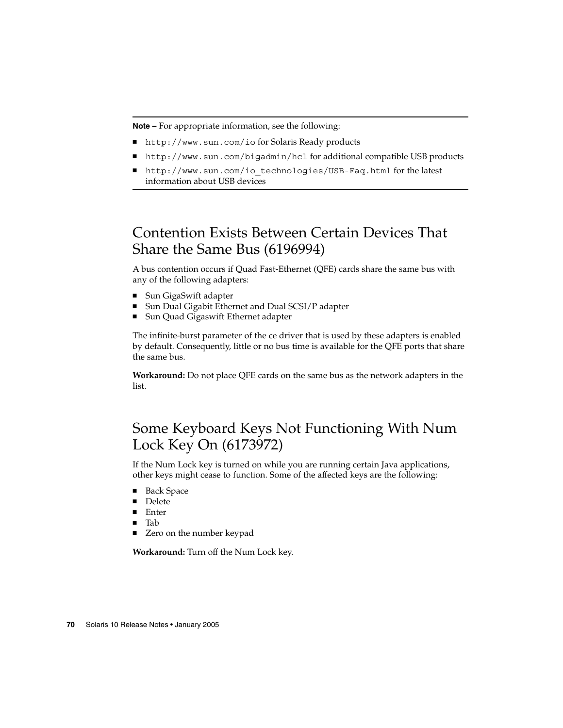**Note –** For appropriate information, see the following:

- <http://www.sun.com/io> for Solaris Ready products
- <http://www.sun.com/bigadmin/hcl> for additional compatible USB products
- [http://www.sun.com/io\\_technologies/USB-Faq.html](http://www.sun.com/io_technologies/USB-Faq.html) for the latest information about USB devices

#### Contention Exists Between Certain Devices That Share the Same Bus (6196994)

A bus contention occurs if Quad Fast-Ethernet (QFE) cards share the same bus with any of the following adapters:

- Sun GigaSwift adapter
- Sun Dual Gigabit Ethernet and Dual SCSI/P adapter
- Sun Quad Gigaswift Ethernet adapter

The infinite-burst parameter of the ce driver that is used by these adapters is enabled by default. Consequently, little or no bus time is available for the QFE ports that share the same bus.

**Workaround:** Do not place QFE cards on the same bus as the network adapters in the list.

#### Some Keyboard Keys Not Functioning With Num Lock Key On (6173972)

If the Num Lock key is turned on while you are running certain Java applications, other keys might cease to function. Some of the affected keys are the following:

- **Back Space**
- Delete
- Enter
- Tab
- Zero on the number keypad

**Workaround:** Turn off the Num Lock key.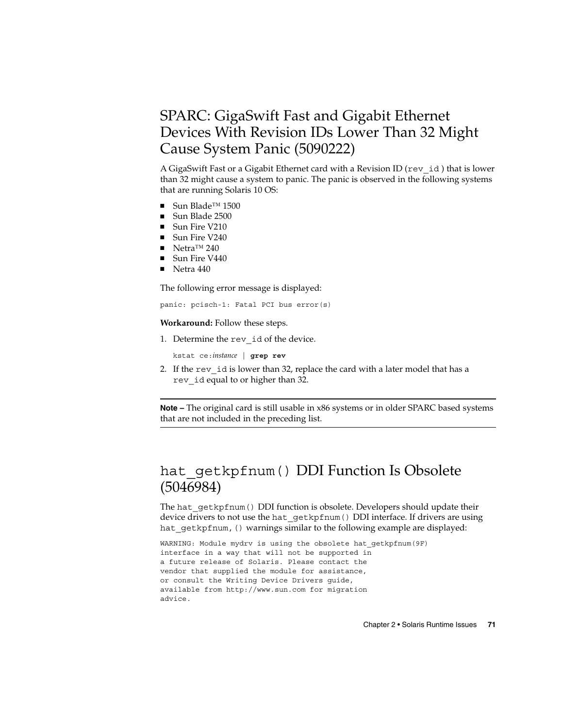#### SPARC: GigaSwift Fast and Gigabit Ethernet Devices With Revision IDs Lower Than 32 Might Cause System Panic (5090222)

A GigaSwift Fast or a Gigabit Ethernet card with a Revision ID ( $rev_id$ ) that is lower than 32 might cause a system to panic. The panic is observed in the following systems that are running Solaris 10 OS:

- Sun Blade™ 1500
- Sun Blade 2500
- Sun Fire V210
- Sun Fire V240
- Netra<sup>™</sup> 240
- Sun Fire V440
- Netra 440

The following error message is displayed:

panic: pcisch-1: Fatal PCI bus error(s)

**Workaround:** Follow these steps.

1. Determine the rev id of the device.

kstat ce:*instance* **| grep rev**

2. If the rev id is lower than 32, replace the card with a later model that has a rev id equal to or higher than 32.

**Note –** The original card is still usable in x86 systems or in older SPARC based systems that are not included in the preceding list.

#### hat getkpfnum() DDI Function Is Obsolete (5046984)

The hat getkpfnum() DDI function is obsolete. Developers should update their device drivers to not use the hat qetkpfnum() DDI interface. If drivers are using hat getkpfnum, () warnings similar to the following example are displayed:

```
WARNING: Module mydrv is using the obsolete hat getkpfnum(9F)
interface in a way that will not be supported in
a future release of Solaris. Please contact the
vendor that supplied the module for assistance,
or consult the Writing Device Drivers guide,
available from http://www.sun.com for migration
advice.
```
Chapter 2 • Solaris Runtime Issues **71**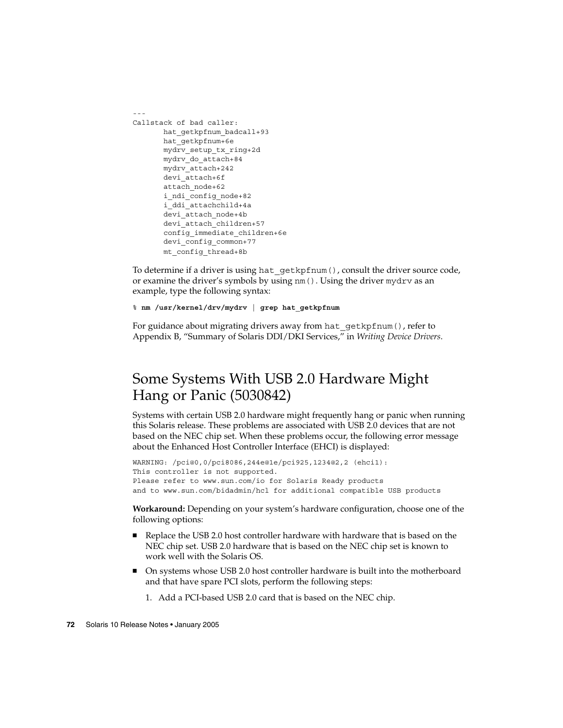```
---
Callstack of bad caller:
      hat_getkpfnum_badcall+93
      hat getkpfnum+6e
       mydrv_setup_tx_ring+2d
      mydrv_do_attach+84
      mydrv_attach+242
      devi_attach+6f
      attach_node+62
       i_ndi_config_node+82
       i_ddi_attachchild+4a
       devi_attach_node+4b
       devi_attach_children+57
       config_immediate_children+6e
       devi_config_common+77
       mt_config_thread+8b
```
To determine if a driver is using hat\_getkpfnum(), consult the driver source code, or examine the driver's symbols by using nm(). Using the driver mydrv as an example, type the following syntax:

```
% nm /usr/kernel/drv/mydrv | grep hat_getkpfnum
```
For guidance about migrating drivers away from hat getkpfnum(), refer to Appendix B, "Summary of Solaris DDI/DKI Services," in *Writing Device Drivers*.

#### Some Systems With USB 2.0 Hardware Might Hang or Panic (5030842)

Systems with certain USB 2.0 hardware might frequently hang or panic when running this Solaris release. These problems are associated with USB 2.0 devices that are not based on the NEC chip set. When these problems occur, the following error message about the Enhanced Host Controller Interface (EHCI) is displayed:

```
WARNING: /pci@0,0/pci8086,244e@1e/pci925,1234@2,2 (ehci1):
This controller is not supported.
Please refer to www.sun.com/io for Solaris Ready products
and to www.sun.com/bidadmin/hcl for additional compatible USB products
```
**Workaround:** Depending on your system's hardware configuration, choose one of the following options:

- Replace the USB 2.0 host controller hardware with hardware that is based on the NEC chip set. USB 2.0 hardware that is based on the NEC chip set is known to work well with the Solaris OS.
- On systems whose USB 2.0 host controller hardware is built into the motherboard and that have spare PCI slots, perform the following steps:
	- 1. Add a PCI-based USB 2.0 card that is based on the NEC chip.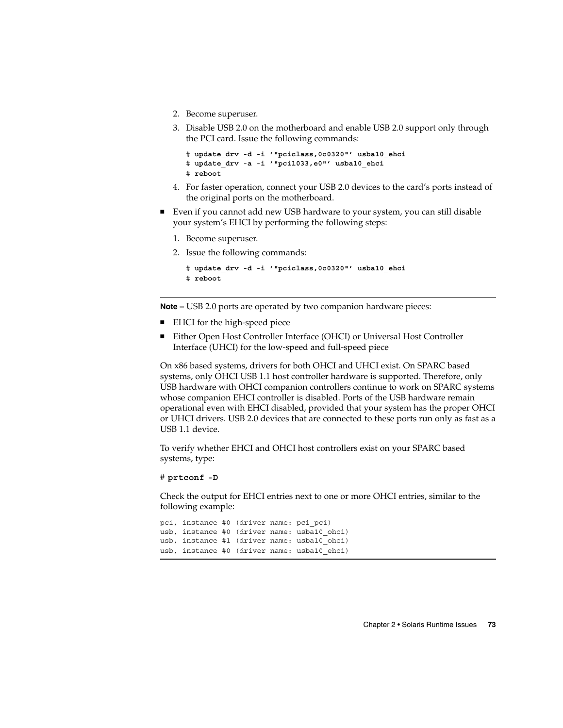- 2. Become superuser.
- 3. Disable USB 2.0 on the motherboard and enable USB 2.0 support only through the PCI card. Issue the following commands:

```
# update_drv -d -i '"pciclass,0c0320"' usba10_ehci
# update_drv -a -i '"pci1033,e0"' usba10_ehci
# reboot
```
- 4. For faster operation, connect your USB 2.0 devices to the card's ports instead of the original ports on the motherboard.
- Even if you cannot add new USB hardware to your system, you can still disable your system's EHCI by performing the following steps:
	- 1. Become superuser.
	- 2. Issue the following commands:

```
# update_drv -d -i '"pciclass,0c0320"' usba10_ehci
# reboot
```
**Note –** USB 2.0 ports are operated by two companion hardware pieces:

- EHCI for the high-speed piece
- Either Open Host Controller Interface (OHCI) or Universal Host Controller Interface (UHCI) for the low-speed and full-speed piece

On x86 based systems, drivers for both OHCI and UHCI exist. On SPARC based systems, only OHCI USB 1.1 host controller hardware is supported. Therefore, only USB hardware with OHCI companion controllers continue to work on SPARC systems whose companion EHCI controller is disabled. Ports of the USB hardware remain operational even with EHCI disabled, provided that your system has the proper OHCI or UHCI drivers. USB 2.0 devices that are connected to these ports run only as fast as a USB 1.1 device.

To verify whether EHCI and OHCI host controllers exist on your SPARC based systems, type:

#### # **prtconf -D**

Check the output for EHCI entries next to one or more OHCI entries, similar to the following example:

pci, instance #0 (driver name: pci\_pci) usb, instance #0 (driver name: usba10 ohci) usb, instance #1 (driver name: usba10 ohci) usb, instance #0 (driver name: usba10 ehci)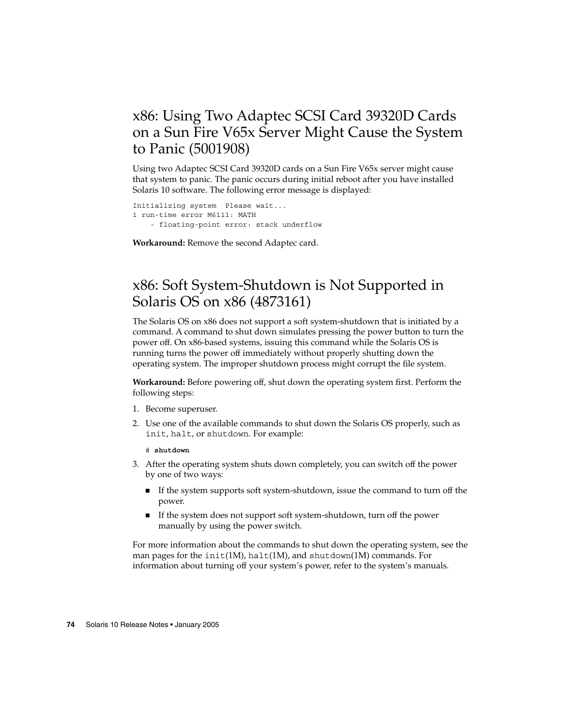#### x86: Using Two Adaptec SCSI Card 39320D Cards on a Sun Fire V65x Server Might Cause the System to Panic (5001908)

Using two Adaptec SCSI Card 39320D cards on a Sun Fire V65x server might cause that system to panic. The panic occurs during initial reboot after you have installed Solaris 10 software. The following error message is displayed:

```
Initializing system Please wait...
1 run-time error M6111: MATH
   - floating-point error: stack underflow
```
**Workaround:** Remove the second Adaptec card.

### x86: Soft System-Shutdown is Not Supported in Solaris OS on x86 (4873161)

The Solaris OS on x86 does not support a soft system-shutdown that is initiated by a command. A command to shut down simulates pressing the power button to turn the power off. On x86-based systems, issuing this command while the Solaris OS is running turns the power off immediately without properly shutting down the operating system. The improper shutdown process might corrupt the file system.

**Workaround:** Before powering off, shut down the operating system first. Perform the following steps:

- 1. Become superuser.
- 2. Use one of the available commands to shut down the Solaris OS properly, such as init, halt, or shutdown. For example:
	- # **shutdown**
- 3. After the operating system shuts down completely, you can switch off the power by one of two ways:
	- If the system supports soft system-shutdown, issue the command to turn off the power.
	- If the system does not support soft system-shutdown, turn off the power manually by using the power switch.

For more information about the commands to shut down the operating system, see the man pages for the  $init(1M)$ , halt $(1M)$ , and shutdown(1M) commands. For information about turning off your system's power, refer to the system's manuals.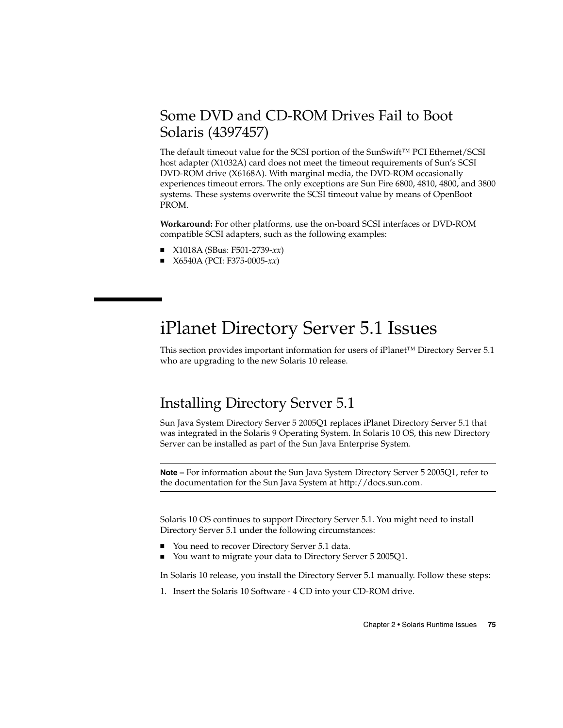#### <span id="page-74-0"></span>Some DVD and CD-ROM Drives Fail to Boot Solaris (4397457)

The default timeout value for the SCSI portion of the SunSwift™ PCI Ethernet/SCSI host adapter (X1032A) card does not meet the timeout requirements of Sun's SCSI DVD-ROM drive (X6168A). With marginal media, the DVD-ROM occasionally experiences timeout errors. The only exceptions are Sun Fire 6800, 4810, 4800, and 3800 systems. These systems overwrite the SCSI timeout value by means of OpenBoot PROM.

**Workaround:** For other platforms, use the on-board SCSI interfaces or DVD-ROM compatible SCSI adapters, such as the following examples:

- X1018A (SBus: F501-2739-*xx*)
- X6540A (PCI: F375-0005-*xx*)

# iPlanet Directory Server 5.1 Issues

This section provides important information for users of iPlanet™ Directory Server 5.1 who are upgrading to the new Solaris 10 release.

#### Installing Directory Server 5.1

Sun Java System Directory Server 5 2005Q1 replaces iPlanet Directory Server 5.1 that was integrated in the Solaris 9 Operating System. In Solaris 10 OS, this new Directory Server can be installed as part of the Sun Java Enterprise System.

**Note –** For information about the Sun Java System Directory Server 5 2005Q1, refer to the documentation for the Sun Java System at [http://docs.sun.com.](http://docs.sun.com)

Solaris 10 OS continues to support Directory Server 5.1. You might need to install Directory Server 5.1 under the following circumstances:

- You need to recover Directory Server 5.1 data.
- You want to migrate your data to Directory Server 5 2005Q1.

In Solaris 10 release, you install the Directory Server 5.1 manually. Follow these steps:

1. Insert the Solaris 10 Software - 4 CD into your CD-ROM drive.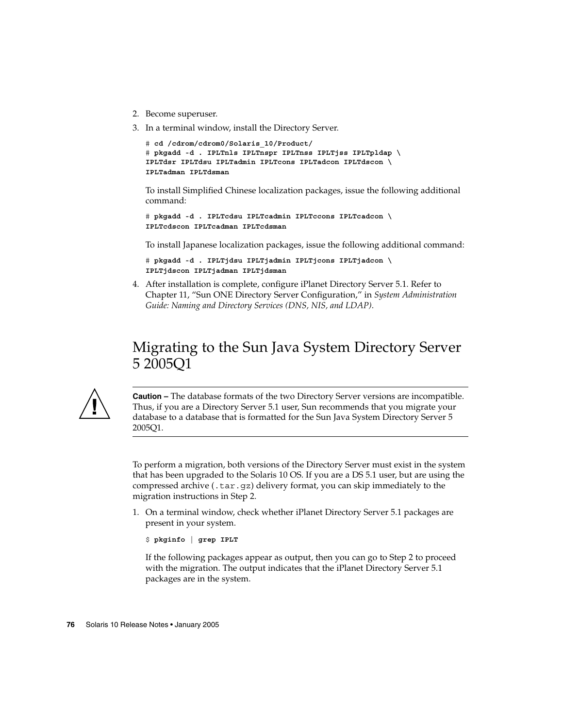- 2. Become superuser.
- 3. In a terminal window, install the Directory Server.

```
# cd /cdrom/cdrom0/Solaris_10/Product/
# pkgadd -d . IPLTnls IPLTnspr IPLTnss IPLTjss IPLTpldap \
IPLTdsr IPLTdsu IPLTadmin IPLTcons IPLTadcon IPLTdscon \
IPLTadman IPLTdsman
```
To install Simplified Chinese localization packages, issue the following additional command:

# **pkgadd -d . IPLTcdsu IPLTcadmin IPLTccons IPLTcadcon \ IPLTcdscon IPLTcadman IPLTcdsman**

To install Japanese localization packages, issue the following additional command:

# **pkgadd -d . IPLTjdsu IPLTjadmin IPLTjcons IPLTjadcon \ IPLTjdscon IPLTjadman IPLTjdsman**

4. After installation is complete, configure iPlanet Directory Server 5.1. Refer to Chapter 11, "Sun ONE Directory Server Configuration," in *System Administration Guide: Naming and Directory Services (DNS, NIS, and LDAP)*.

### Migrating to the Sun Java System Directory Server 5 2005Q1



**Caution –** The database formats of the two Directory Server versions are incompatible. Thus, if you are a Directory Server 5.1 user, Sun recommends that you migrate your database to a database that is formatted for the Sun Java System Directory Server 5 2005Q1.

To perform a migration, both versions of the Directory Server must exist in the system that has been upgraded to the Solaris 10 OS. If you are a DS 5.1 user, but are using the compressed archive (.tar.gz) delivery format, you can skip immediately to the migration instructions in Step 2.

1. On a terminal window, check whether iPlanet Directory Server 5.1 packages are present in your system.

\$ **pkginfo | grep IPLT**

If the following packages appear as output, then you can go to Step 2 to proceed with the migration. The output indicates that the iPlanet Directory Server 5.1 packages are in the system.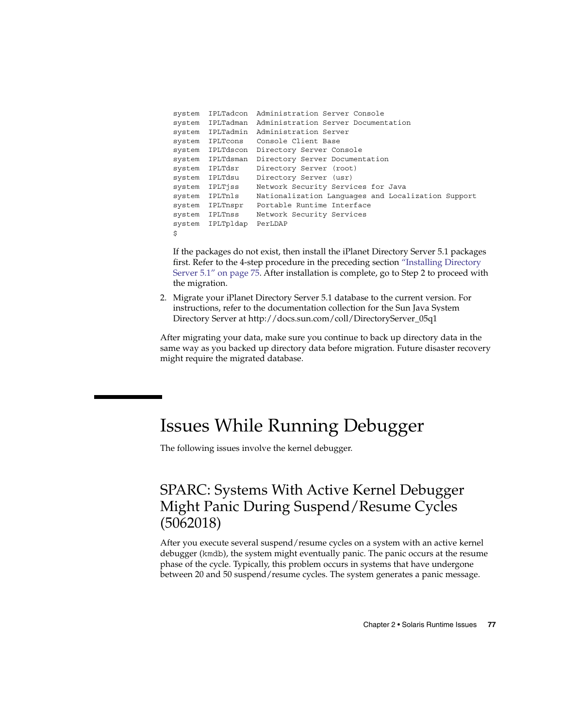```
system IPLTadcon Administration Server Console
system IPLTadman Administration Server Documentation
system IPLTadmin Administration Server
system IPLTcons Console Client Base
system IPLTdscon Directory Server Console
system IPLTdsman Directory Server Documentation
system IPLTdsr Directory Server (root)
system IPLTdsu Directory Server (usr)
system IPLTjss Network Security Services for Java
system IPLTnls Nationalization Languages and Localization Support
system IPLTnspr Portable Runtime Interface
system IPLTnss Network Security Services
system IPLTpldap PerLDAP
$
```
If the packages do not exist, then install the iPlanet Directory Server 5.1 packages first. Refer to the 4-step procedure in the preceding section ["Installing Directory](#page-74-0) Server 5.1" [on page 75.](#page-74-0) After installation is complete, go to Step 2 to proceed with the migration.

2. Migrate your iPlanet Directory Server 5.1 database to the current version. For instructions, refer to the documentation collection for the Sun Java System Directory Server at [http://docs.sun.com/coll/DirectoryServer\\_05q1.](http://docs.sun.com/coll/DirectoryServer_05q1)

After migrating your data, make sure you continue to back up directory data in the same way as you backed up directory data before migration. Future disaster recovery might require the migrated database.

## Issues While Running Debugger

The following issues involve the kernel debugger.

#### SPARC: Systems With Active Kernel Debugger Might Panic During Suspend/Resume Cycles (5062018)

After you execute several suspend/resume cycles on a system with an active kernel debugger (kmdb), the system might eventually panic. The panic occurs at the resume phase of the cycle. Typically, this problem occurs in systems that have undergone between 20 and 50 suspend/resume cycles. The system generates a panic message.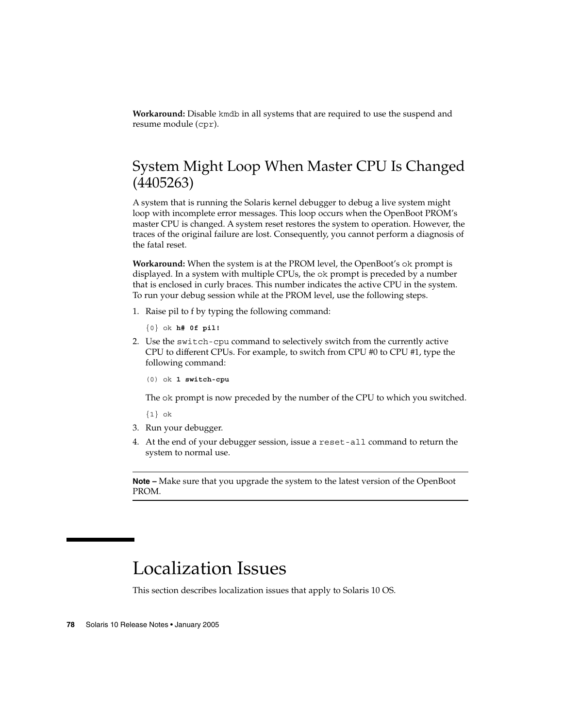**Workaround:** Disable kmdb in all systems that are required to use the suspend and resume module (cpr).

#### System Might Loop When Master CPU Is Changed (4405263)

A system that is running the Solaris kernel debugger to debug a live system might loop with incomplete error messages. This loop occurs when the OpenBoot PROM's master CPU is changed. A system reset restores the system to operation. However, the traces of the original failure are lost. Consequently, you cannot perform a diagnosis of the fatal reset.

**Workaround:** When the system is at the PROM level, the OpenBoot's ok prompt is displayed. In a system with multiple CPUs, the ok prompt is preceded by a number that is enclosed in curly braces. This number indicates the active CPU in the system. To run your debug session while at the PROM level, use the following steps.

- 1. Raise pil to f by typing the following command:
	- {0} ok **h# 0f pil!**
- 2. Use the switch-cpu command to selectively switch from the currently active CPU to different CPUs. For example, to switch from CPU #0 to CPU #1, type the following command:
	- (0) ok **1 switch-cpu**

The ok prompt is now preceded by the number of the CPU to which you switched.

- ${1}$  ok
- 3. Run your debugger.
- 4. At the end of your debugger session, issue a reset-all command to return the system to normal use.

**Note –** Make sure that you upgrade the system to the latest version of the OpenBoot PROM.

# Localization Issues

This section describes localization issues that apply to Solaris 10 OS.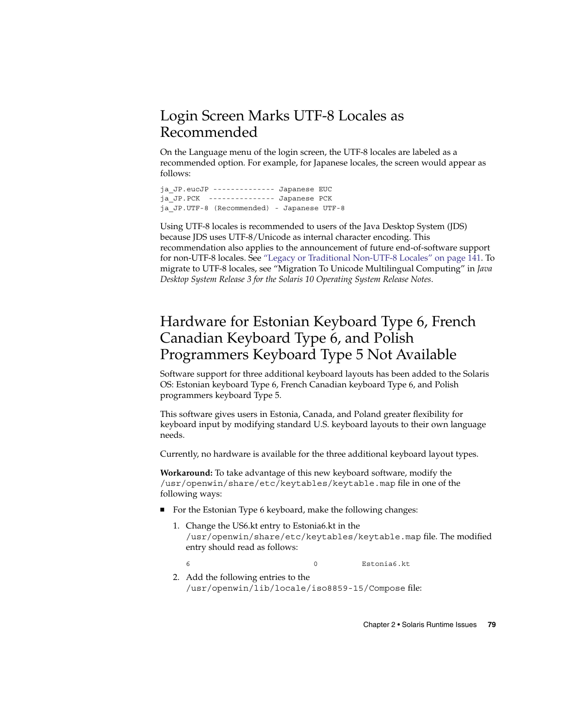#### Login Screen Marks UTF-8 Locales as Recommended

On the Language menu of the login screen, the UTF-8 locales are labeled as a recommended option. For example, for Japanese locales, the screen would appear as follows:

| ja JP.eucJP -------------- Japanese EUC    |  |
|--------------------------------------------|--|
| ja JP.PCK --------------- Japanese PCK     |  |
| ja JP.UTF-8 (Recommended) - Japanese UTF-8 |  |

Using UTF-8 locales is recommended to users of the Java Desktop System (JDS) because JDS uses UTF-8/Unicode as internal character encoding. This recommendation also applies to the announcement of future end-of-software support for non-UTF-8 locales. See ["Legacy or Traditional Non-UTF-8 Locales"](#page-140-0) on page 141. To migrate to UTF-8 locales, see "Migration To Unicode Multilingual Computing" in *Java Desktop System Release 3 for the Solaris 10 Operating System Release Notes*.

#### Hardware for Estonian Keyboard Type 6, French Canadian Keyboard Type 6, and Polish Programmers Keyboard Type 5 Not Available

Software support for three additional keyboard layouts has been added to the Solaris OS: Estonian keyboard Type 6, French Canadian keyboard Type 6, and Polish programmers keyboard Type 5.

This software gives users in Estonia, Canada, and Poland greater flexibility for keyboard input by modifying standard U.S. keyboard layouts to their own language needs.

Currently, no hardware is available for the three additional keyboard layout types.

**Workaround:** To take advantage of this new keyboard software, modify the /usr/openwin/share/etc/keytables/keytable.map file in one of the following ways:

- For the Estonian Type 6 keyboard, make the following changes:
	- 1. Change the US6.kt entry to Estonia6.kt in the /usr/openwin/share/etc/keytables/keytable.map file. The modified entry should read as follows:
		- 6 0 Estonia6.kt
	- 2. Add the following entries to the /usr/openwin/lib/locale/iso8859-15/Compose file: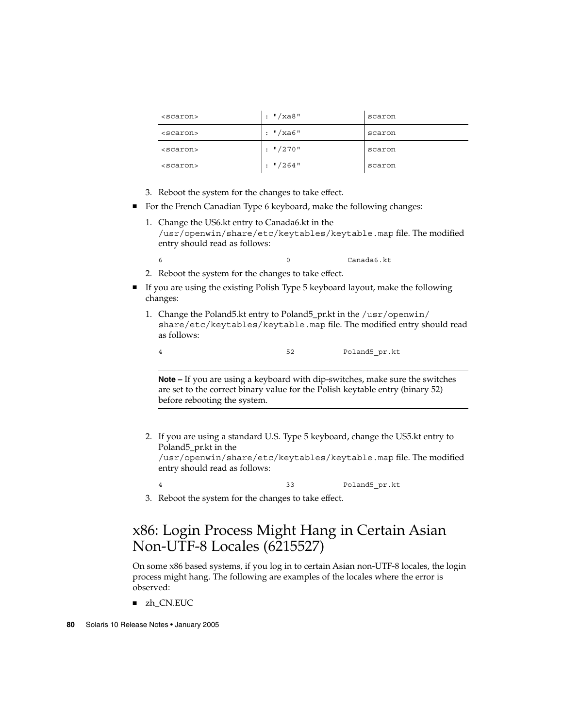| <scaron></scaron> | : "/xa8"   | scaron |
|-------------------|------------|--------|
| <scaron></scaron> | : "/хаб"   | scaron |
| <scaron></scaron> | : " / 270" | scaron |
| <scaron></scaron> | : " / 264" | scaron |

- 3. Reboot the system for the changes to take effect.
- For the French Canadian Type 6 keyboard, make the following changes:
	- 1. Change the US6.kt entry to Canada6.kt in the /usr/openwin/share/etc/keytables/keytable.map file. The modified entry should read as follows:
		- 6 0 Canada6.kt
	- 2. Reboot the system for the changes to take effect.
- If you are using the existing Polish Type 5 keyboard layout, make the following changes:
	- 1. Change the Poland5.kt entry to Poland5\_pr.kt in the /usr/openwin/ share/etc/keytables/keytable.map file. The modified entry should read as follows:
		- 4 52 Poland5 pr.kt

**Note –** If you are using a keyboard with dip-switches, make sure the switches are set to the correct binary value for the Polish keytable entry (binary 52) before rebooting the system.

- 2. If you are using a standard U.S. Type 5 keyboard, change the US5.kt entry to Poland5\_pr.kt in the /usr/openwin/share/etc/keytables/keytable.map file. The modified entry should read as follows:
	- 4 33 Poland5 pr.kt
- 3. Reboot the system for the changes to take effect.

#### x86: Login Process Might Hang in Certain Asian Non-UTF-8 Locales (6215527)

On some x86 based systems, if you log in to certain Asian non-UTF-8 locales, the login process might hang. The following are examples of the locales where the error is observed:

■ zh\_CN.EUC

**<sup>80</sup>** Solaris 10 Release Notes • January 2005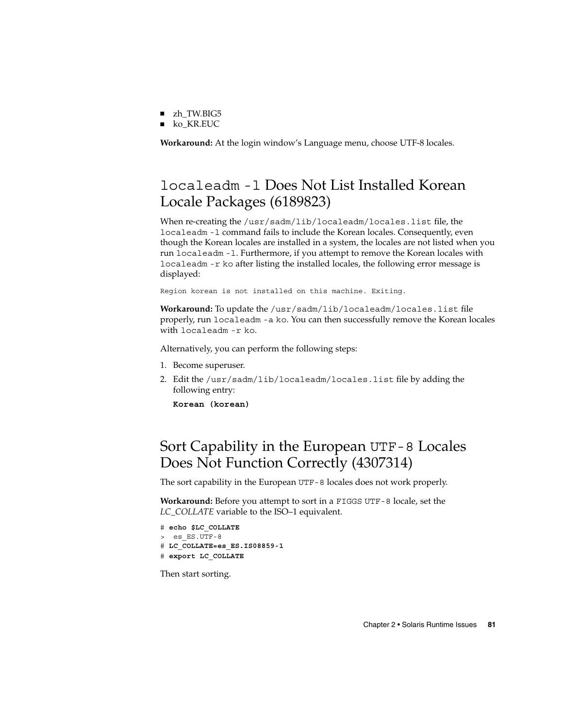- zh\_TW.BIG5
- ko KR.EUC

**Workaround:** At the login window's Language menu, choose UTF-8 locales.

#### localeadm -l Does Not List Installed Korean Locale Packages (6189823)

When re-creating the /usr/sadm/lib/localeadm/locales.list file, the localeadm -l command fails to include the Korean locales. Consequently, even though the Korean locales are installed in a system, the locales are not listed when you run localeadm -l. Furthermore, if you attempt to remove the Korean locales with localeadm -r ko after listing the installed locales, the following error message is displayed:

Region korean is not installed on this machine. Exiting.

**Workaround:** To update the /usr/sadm/lib/localeadm/locales.list file properly, run localeadm -a ko. You can then successfully remove the Korean locales with localeadm -r ko.

Alternatively, you can perform the following steps:

- 1. Become superuser.
- 2. Edit the /usr/sadm/lib/localeadm/locales.list file by adding the following entry:

**Korean (korean)**

#### Sort Capability in the European UTF-8 Locales Does Not Function Correctly (4307314)

The sort capability in the European UTF-8 locales does not work properly.

**Workaround:** Before you attempt to sort in a FIGGS UTF-8 locale, set the *LC\_COLLATE* variable to the ISO–1 equivalent.

```
# echo $LC_COLLATE
> es_ES.UTF-8
# LC_COLLATE=es_ES.IS08859-1
# export LC_COLLATE
```
Then start sorting.

Chapter 2 • Solaris Runtime Issues **81**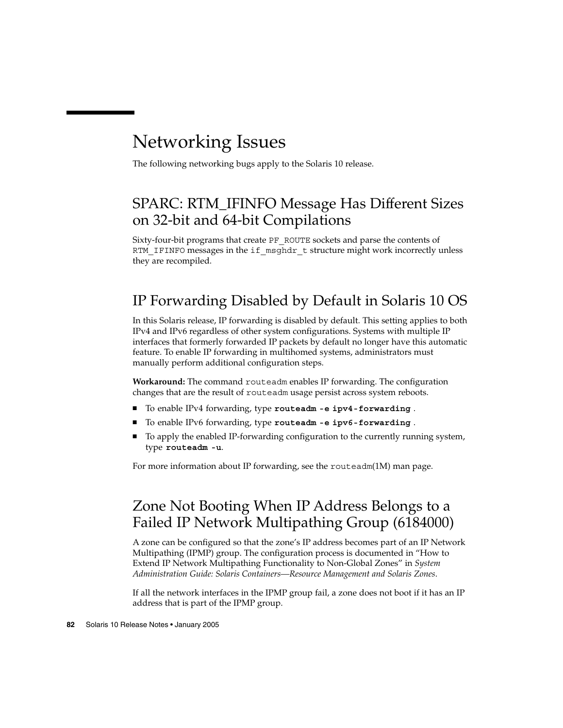# Networking Issues

The following networking bugs apply to the Solaris 10 release.

## SPARC: RTM\_IFINFO Message Has Different Sizes on 32-bit and 64-bit Compilations

Sixty-four-bit programs that create PF\_ROUTE sockets and parse the contents of RTM\_IFINFO messages in the if\_msghdr\_t structure might work incorrectly unless they are recompiled.

## IP Forwarding Disabled by Default in Solaris 10 OS

In this Solaris release, IP forwarding is disabled by default. This setting applies to both IPv4 and IPv6 regardless of other system configurations. Systems with multiple IP interfaces that formerly forwarded IP packets by default no longer have this automatic feature. To enable IP forwarding in multihomed systems, administrators must manually perform additional configuration steps.

**Workaround:** The command routeadm enables IP forwarding. The configuration changes that are the result of routeadm usage persist across system reboots.

- To enable IPv4 forwarding, type routeadm -e ipv4-forwarding.
- To enable IPv6 forwarding, type **routeadm -e ipv6-forwarding** .
- To apply the enabled IP-forwarding configuration to the currently running system, type **routeadm -u**.

For more information about IP forwarding, see the routeadm(1M) man page.

#### Zone Not Booting When IP Address Belongs to a Failed IP Network Multipathing Group (6184000)

A zone can be configured so that the zone's IP address becomes part of an IP Network Multipathing (IPMP) group. The configuration process is documented in "How to Extend IP Network Multipathing Functionality to Non-Global Zones" in *System Administration Guide: Solaris Containers—Resource Management and Solaris Zones*.

If all the network interfaces in the IPMP group fail, a zone does not boot if it has an IP address that is part of the IPMP group.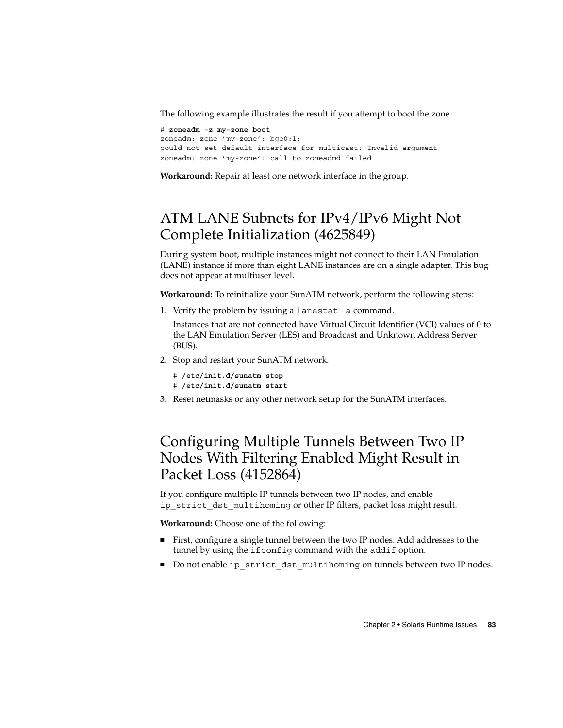The following example illustrates the result if you attempt to boot the zone.

```
# zoneadm -z my-zone boot
zoneadm: zone 'my-zone': bge0:1:
could not set default interface for multicast: Invalid argument
zoneadm: zone 'my-zone': call to zoneadmd failed
```
**Workaround:** Repair at least one network interface in the group.

## ATM LANE Subnets for IPv4/IPv6 Might Not Complete Initialization (4625849)

During system boot, multiple instances might not connect to their LAN Emulation (LANE) instance if more than eight LANE instances are on a single adapter. This bug does not appear at multiuser level.

**Workaround:** To reinitialize your SunATM network, perform the following steps:

1. Verify the problem by issuing a lanestat -a command.

Instances that are not connected have Virtual Circuit Identifier (VCI) values of 0 to the LAN Emulation Server (LES) and Broadcast and Unknown Address Server (BUS).

- 2. Stop and restart your SunATM network.
	- # **/etc/init.d/sunatm stop**
	- # **/etc/init.d/sunatm start**
- 3. Reset netmasks or any other network setup for the SunATM interfaces.

#### Configuring Multiple Tunnels Between Two IP Nodes With Filtering Enabled Might Result in Packet Loss (4152864)

If you configure multiple IP tunnels between two IP nodes, and enable ip\_strict\_dst\_multihoming or other IP filters, packet loss might result.

**Workaround:** Choose one of the following:

- First, configure a single tunnel between the two IP nodes. Add addresses to the tunnel by using the ifconfig command with the addif option.
- Do not enable ip strict dst multihoming on tunnels between two IP nodes.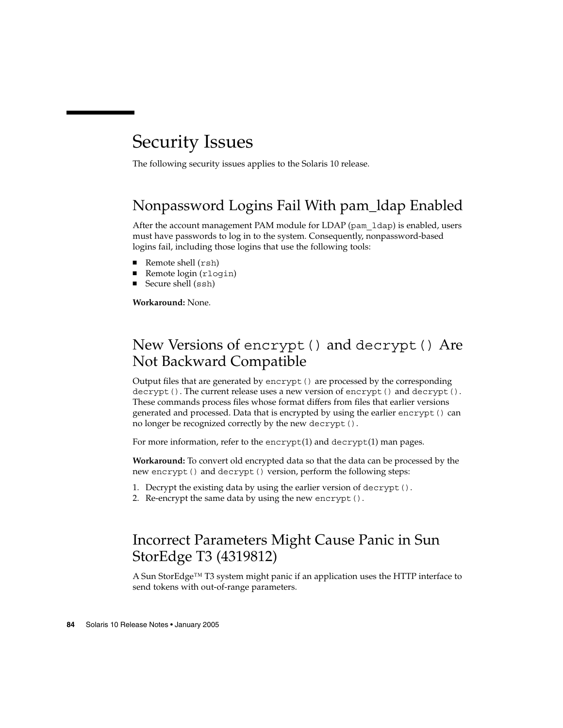## Security Issues

The following security issues applies to the Solaris 10 release.

#### Nonpassword Logins Fail With pam\_ldap Enabled

After the account management PAM module for LDAP (pam\_ldap) is enabled, users must have passwords to log in to the system. Consequently, nonpassword-based logins fail, including those logins that use the following tools:

- Remote shell (rsh)
- Remote login (rlogin)
- Secure shell (ssh)

**Workaround:** None.

#### New Versions of encrypt() and decrypt() Are Not Backward Compatible

Output files that are generated by encrypt () are processed by the corresponding decrypt(). The current release uses a new version of encrypt() and decrypt(). These commands process files whose format differs from files that earlier versions generated and processed. Data that is encrypted by using the earlier encrypt() can no longer be recognized correctly by the new decrypt().

For more information, refer to the encrypt(1) and decrypt(1) man pages.

**Workaround:** To convert old encrypted data so that the data can be processed by the new encrypt() and decrypt() version, perform the following steps:

- 1. Decrypt the existing data by using the earlier version of decrypt  $()$ .
- 2. Re-encrypt the same data by using the new encrypt ().

#### Incorrect Parameters Might Cause Panic in Sun StorEdge T3 (4319812)

A Sun StorEdge™ T3 system might panic if an application uses the HTTP interface to send tokens with out-of-range parameters.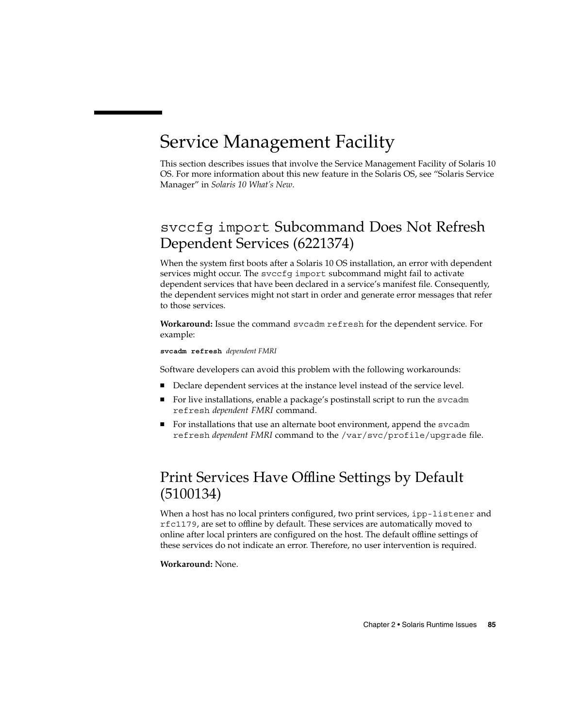# Service Management Facility

This section describes issues that involve the Service Management Facility of Solaris 10 OS. For more information about this new feature in the Solaris OS, see "Solaris Service Manager" in *Solaris 10 What's New*.

#### svccfg import Subcommand Does Not Refresh Dependent Services (6221374)

When the system first boots after a Solaris 10 OS installation, an error with dependent services might occur. The svccfg import subcommand might fail to activate dependent services that have been declared in a service's manifest file. Consequently, the dependent services might not start in order and generate error messages that refer to those services.

**Workaround:** Issue the command svcadm refresh for the dependent service. For example:

#### **svcadm refresh** *dependent FMRI*

Software developers can avoid this problem with the following workarounds:

- Declare dependent services at the instance level instead of the service level.
- For live installations, enable a package's postinstall script to run the svcadm refresh *dependent FMRI* command.
- For installations that use an alternate boot environment, append the svcadm refresh *dependent FMRI* command to the /var/svc/profile/upgrade file.

## Print Services Have Offline Settings by Default (5100134)

When a host has no local printers configured, two print services, ipp-listener and rfc1179, are set to offline by default. These services are automatically moved to online after local printers are configured on the host. The default offline settings of these services do not indicate an error. Therefore, no user intervention is required.

**Workaround:** None.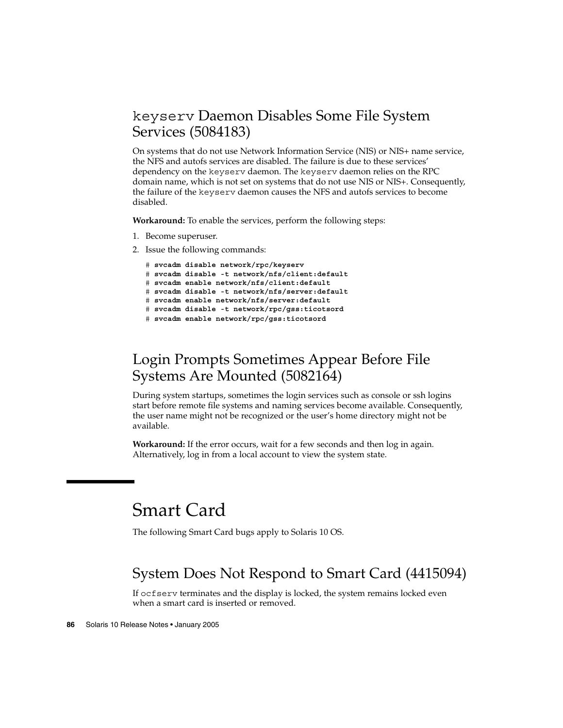#### keyserv Daemon Disables Some File System Services (5084183)

On systems that do not use Network Information Service (NIS) or NIS+ name service, the NFS and autofs services are disabled. The failure is due to these services' dependency on the keyserv daemon. The keyserv daemon relies on the RPC domain name, which is not set on systems that do not use NIS or NIS+. Consequently, the failure of the keyserv daemon causes the NFS and autofs services to become disabled.

**Workaround:** To enable the services, perform the following steps:

- 1. Become superuser.
- 2. Issue the following commands:

|  | # svcadm disable network/rpc/keyserv           |
|--|------------------------------------------------|
|  | # svcadm disable -t network/nfs/client:default |

- # **svcadm enable network/nfs/client:default**
- # **svcadm disable -t network/nfs/server:default**
- # **svcadm enable network/nfs/server:default**
- # **svcadm disable -t network/rpc/gss:ticotsord**
- # **svcadm enable network/rpc/gss:ticotsord**

#### Login Prompts Sometimes Appear Before File Systems Are Mounted (5082164)

During system startups, sometimes the login services such as console or ssh logins start before remote file systems and naming services become available. Consequently, the user name might not be recognized or the user's home directory might not be available.

**Workaround:** If the error occurs, wait for a few seconds and then log in again. Alternatively, log in from a local account to view the system state.

## Smart Card

The following Smart Card bugs apply to Solaris 10 OS.

#### System Does Not Respond to Smart Card (4415094)

If ocfserv terminates and the display is locked, the system remains locked even when a smart card is inserted or removed.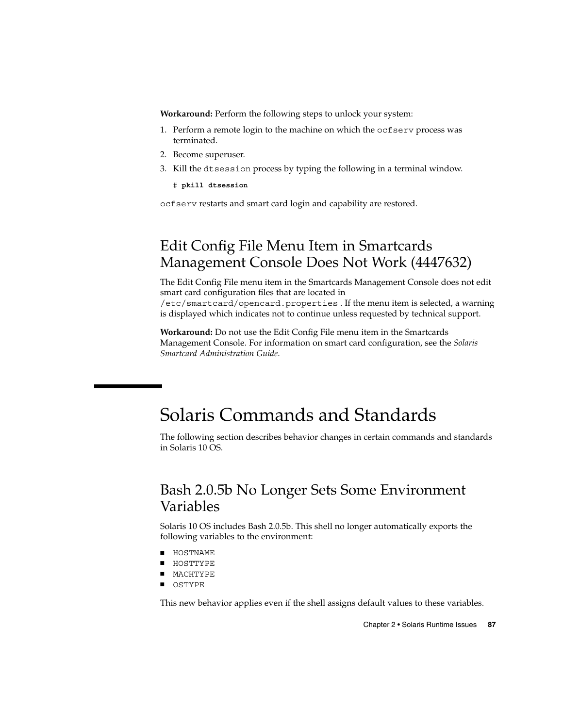**Workaround:** Perform the following steps to unlock your system:

- 1. Perform a remote login to the machine on which the ocfserv process was terminated.
- 2. Become superuser.
- 3. Kill the dtsession process by typing the following in a terminal window.

```
# pkill dtsession
```
ocfserv restarts and smart card login and capability are restored.

### Edit Config File Menu Item in Smartcards Management Console Does Not Work (4447632)

The Edit Config File menu item in the Smartcards Management Console does not edit smart card configuration files that are located in /etc/smartcard/opencard.properties . If the menu item is selected, a warning

is displayed which indicates not to continue unless requested by technical support.

**Workaround:** Do not use the Edit Config File menu item in the Smartcards Management Console. For information on smart card configuration, see the *Solaris Smartcard Administration Guide*.

## Solaris Commands and Standards

The following section describes behavior changes in certain commands and standards in Solaris 10 OS.

#### Bash 2.0.5b No Longer Sets Some Environment Variables

Solaris 10 OS includes Bash 2.0.5b. This shell no longer automatically exports the following variables to the environment:

- HOSTNAME
- HOSTTYPE
- MACHTYPE
- OSTYPE

This new behavior applies even if the shell assigns default values to these variables.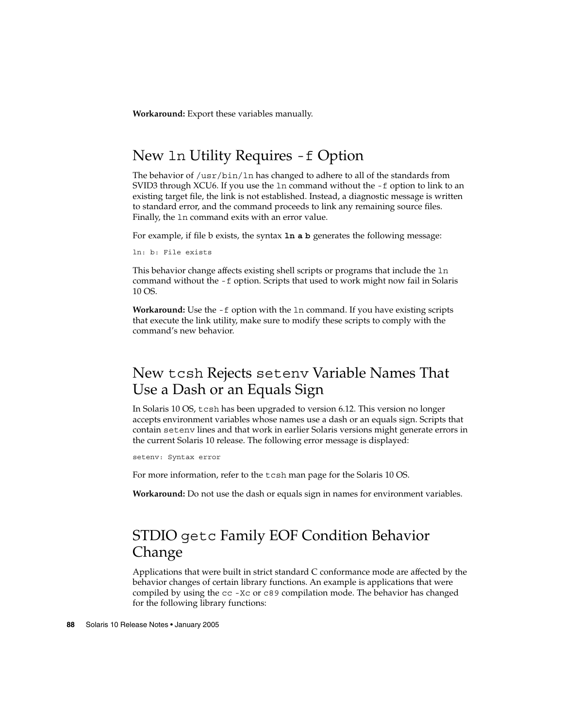**Workaround:** Export these variables manually.

#### New ln Utility Requires -f Option

The behavior of /usr/bin/ln has changed to adhere to all of the standards from SVID3 through XCU6. If you use the ln command without the -f option to link to an existing target file, the link is not established. Instead, a diagnostic message is written to standard error, and the command proceeds to link any remaining source files. Finally, the ln command exits with an error value.

For example, if file b exists, the syntax **ln a b** generates the following message:

ln: b: File exists

This behavior change affects existing shell scripts or programs that include the ln command without the -f option. Scripts that used to work might now fail in Solaris 10 OS.

**Workaround:** Use the -f option with the ln command. If you have existing scripts that execute the link utility, make sure to modify these scripts to comply with the command's new behavior.

#### New tcsh Rejects setenv Variable Names That Use a Dash or an Equals Sign

In Solaris 10 OS, tcsh has been upgraded to version 6.12. This version no longer accepts environment variables whose names use a dash or an equals sign. Scripts that contain setenv lines and that work in earlier Solaris versions might generate errors in the current Solaris 10 release. The following error message is displayed:

setenv: Syntax error

For more information, refer to the tcsh man page for the Solaris 10 OS.

**Workaround:** Do not use the dash or equals sign in names for environment variables.

## STDIO getc Family EOF Condition Behavior Change

Applications that were built in strict standard C conformance mode are affected by the behavior changes of certain library functions. An example is applications that were compiled by using the cc -Xc or c89 compilation mode. The behavior has changed for the following library functions: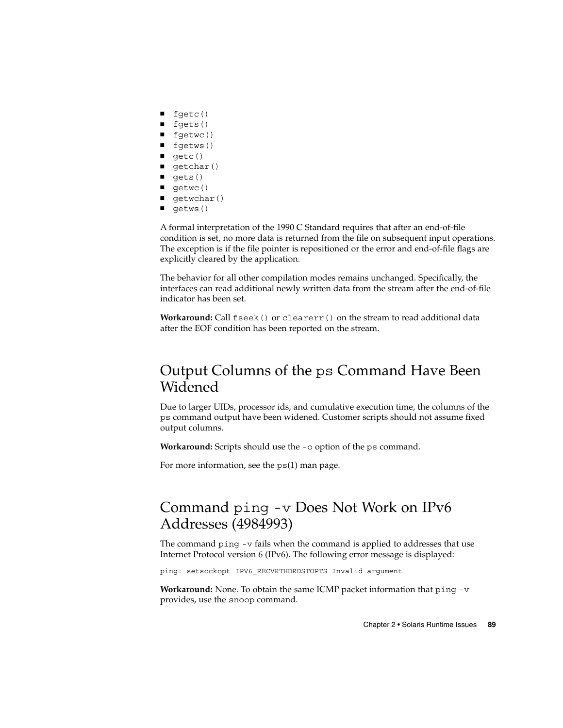- fqetc()
- fgets()
- fgetwc()
- fgetws()
- qetc()
- getchar()
- gets()
- getwc()
- qetwchar()
- getws()

A formal interpretation of the 1990 C Standard requires that after an end-of-file condition is set, no more data is returned from the file on subsequent input operations. The exception is if the file pointer is repositioned or the error and end-of-file flags are explicitly cleared by the application.

The behavior for all other compilation modes remains unchanged. Specifically, the interfaces can read additional newly written data from the stream after the end-of-file indicator has been set.

**Workaround:** Call fseek() or clearerr() on the stream to read additional data after the EOF condition has been reported on the stream.

#### Output Columns of the ps Command Have Been Widened

Due to larger UIDs, processor ids, and cumulative execution time, the columns of the ps command output have been widened. Customer scripts should not assume fixed output columns.

**Workaround:** Scripts should use the -o option of the ps command.

For more information, see the ps(1) man page.

### Command ping -v Does Not Work on IPv6 Addresses (4984993)

The command ping -v fails when the command is applied to addresses that use Internet Protocol version 6 (IPv6). The following error message is displayed:

ping: setsockopt IPV6\_RECVRTHDRDSTOPTS Invalid argument

**Workaround:** None. To obtain the same ICMP packet information that ping -v provides, use the snoop command.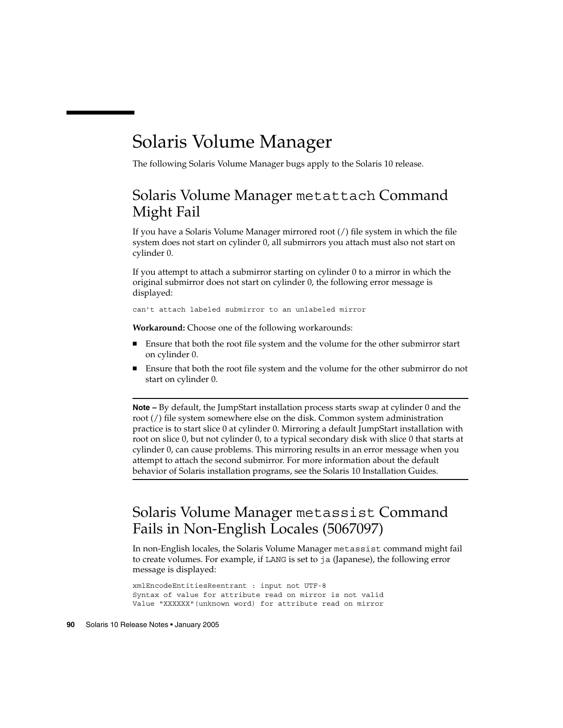# Solaris Volume Manager

The following Solaris Volume Manager bugs apply to the Solaris 10 release.

#### Solaris Volume Manager metattach Command Might Fail

If you have a Solaris Volume Manager mirrored root (/) file system in which the file system does not start on cylinder 0, all submirrors you attach must also not start on cylinder 0.

If you attempt to attach a submirror starting on cylinder 0 to a mirror in which the original submirror does not start on cylinder 0, the following error message is displayed:

can't attach labeled submirror to an unlabeled mirror

**Workaround:** Choose one of the following workarounds:

- Ensure that both the root file system and the volume for the other submirror start on cylinder 0.
- Ensure that both the root file system and the volume for the other submirror do not start on cylinder 0.

**Note –** By default, the JumpStart installation process starts swap at cylinder 0 and the root (/) file system somewhere else on the disk. Common system administration practice is to start slice 0 at cylinder 0. Mirroring a default JumpStart installation with root on slice 0, but not cylinder 0, to a typical secondary disk with slice 0 that starts at cylinder 0, can cause problems. This mirroring results in an error message when you attempt to attach the second submirror. For more information about the default behavior of Solaris installation programs, see the Solaris 10 Installation Guides.

#### Solaris Volume Manager metassist Command Fails in Non-English Locales (5067097)

In non-English locales, the Solaris Volume Manager metassist command might fail to create volumes. For example, if LANG is set to ja (Japanese), the following error message is displayed:

```
xmlEncodeEntitiesReentrant : input not UTF-8
Syntax of value for attribute read on mirror is not valid
Value "XXXXXX"(unknown word) for attribute read on mirror
```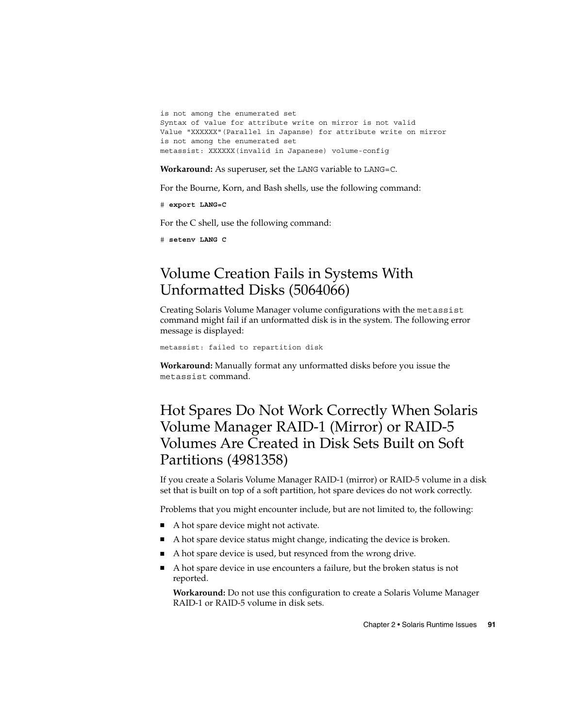```
is not among the enumerated set
Syntax of value for attribute write on mirror is not valid
Value "XXXXXX"(Parallel in Japanse) for attribute write on mirror
is not among the enumerated set
metassist: XXXXXX(invalid in Japanese) volume-config
```
**Workaround:** As superuser, set the LANG variable to LANG=C.

For the Bourne, Korn, and Bash shells, use the following command:

# **export LANG=C**

For the C shell, use the following command:

# **setenv LANG C**

#### Volume Creation Fails in Systems With Unformatted Disks (5064066)

Creating Solaris Volume Manager volume configurations with the metassist command might fail if an unformatted disk is in the system. The following error message is displayed:

metassist: failed to repartition disk

**Workaround:** Manually format any unformatted disks before you issue the metassist command.

#### Hot Spares Do Not Work Correctly When Solaris Volume Manager RAID-1 (Mirror) or RAID-5 Volumes Are Created in Disk Sets Built on Soft Partitions (4981358)

If you create a Solaris Volume Manager RAID-1 (mirror) or RAID-5 volume in a disk set that is built on top of a soft partition, hot spare devices do not work correctly.

Problems that you might encounter include, but are not limited to, the following:

- A hot spare device might not activate.
- A hot spare device status might change, indicating the device is broken.
- A hot spare device is used, but resynced from the wrong drive.
- A hot spare device in use encounters a failure, but the broken status is not reported.

**Workaround:** Do not use this configuration to create a Solaris Volume Manager RAID-1 or RAID-5 volume in disk sets.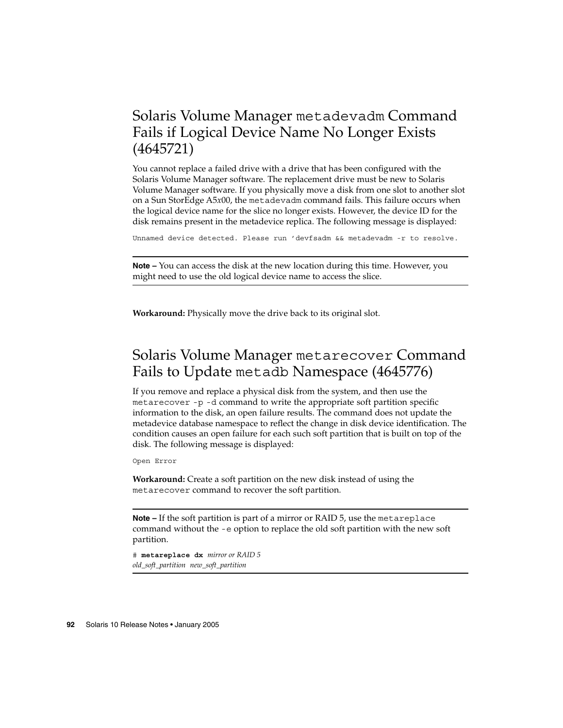#### Solaris Volume Manager metadevadm Command Fails if Logical Device Name No Longer Exists (4645721)

You cannot replace a failed drive with a drive that has been configured with the Solaris Volume Manager software. The replacement drive must be new to Solaris Volume Manager software. If you physically move a disk from one slot to another slot on a Sun StorEdge A5*x*00, the metadevadm command fails. This failure occurs when the logical device name for the slice no longer exists. However, the device ID for the disk remains present in the metadevice replica. The following message is displayed:

Unnamed device detected. Please run 'devfsadm && metadevadm -r to resolve.

**Note –** You can access the disk at the new location during this time. However, you might need to use the old logical device name to access the slice.

**Workaround:** Physically move the drive back to its original slot.

#### Solaris Volume Manager metarecover Command Fails to Update metadb Namespace (4645776)

If you remove and replace a physical disk from the system, and then use the metarecover -p -d command to write the appropriate soft partition specific information to the disk, an open failure results. The command does not update the metadevice database namespace to reflect the change in disk device identification. The condition causes an open failure for each such soft partition that is built on top of the disk. The following message is displayed:

Open Error

**Workaround:** Create a soft partition on the new disk instead of using the metarecover command to recover the soft partition.

**Note –** If the soft partition is part of a mirror or RAID 5, use the metareplace command without the -e option to replace the old soft partition with the new soft partition.

# **metareplace dx** *mirror or RAID 5 old\_soft\_partition new\_soft\_partition*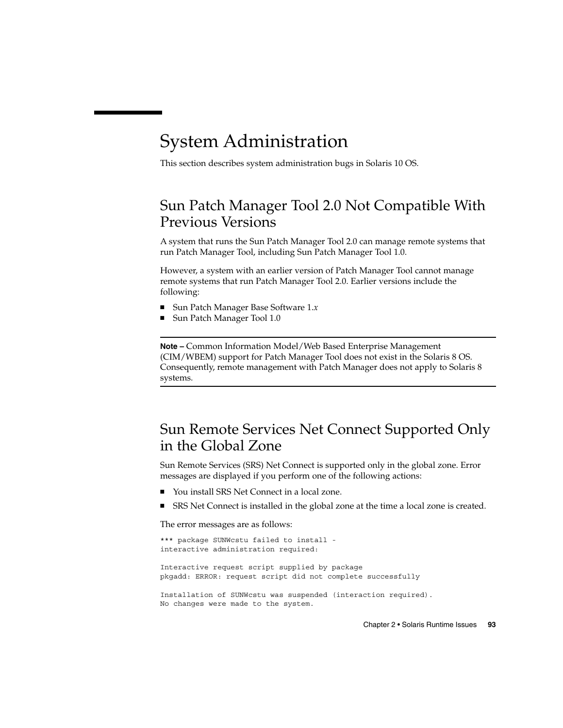## System Administration

This section describes system administration bugs in Solaris 10 OS.

#### Sun Patch Manager Tool 2.0 Not Compatible With Previous Versions

A system that runs the Sun Patch Manager Tool 2.0 can manage remote systems that run Patch Manager Tool, including Sun Patch Manager Tool 1.0.

However, a system with an earlier version of Patch Manager Tool cannot manage remote systems that run Patch Manager Tool 2.0. Earlier versions include the following:

- Sun Patch Manager Base Software 1.*x*
- Sun Patch Manager Tool 1.0

**Note –** Common Information Model/Web Based Enterprise Management (CIM/WBEM) support for Patch Manager Tool does not exist in the Solaris 8 OS. Consequently, remote management with Patch Manager does not apply to Solaris 8 systems.

#### Sun Remote Services Net Connect Supported Only in the Global Zone

Sun Remote Services (SRS) Net Connect is supported only in the global zone. Error messages are displayed if you perform one of the following actions:

- You install SRS Net Connect in a local zone.
- SRS Net Connect is installed in the global zone at the time a local zone is created.

The error messages are as follows:

```
*** package SUNWcstu failed to install -
interactive administration required:
Interactive request script supplied by package
pkgadd: ERROR: request script did not complete successfully
Installation of SUNWcstu was suspended (interaction required).
No changes were made to the system.
```
Chapter 2 • Solaris Runtime Issues **93**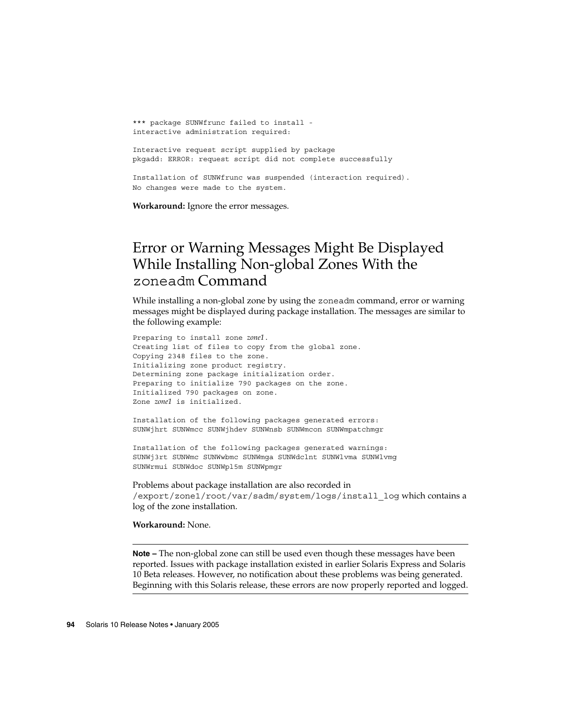```
*** package SUNWfrunc failed to install -
interactive administration required:
Interactive request script supplied by package
pkgadd: ERROR: request script did not complete successfully
Installation of SUNWfrunc was suspended (interaction required).
No changes were made to the system.
```
**Workaround:** Ignore the error messages.

## Error or Warning Messages Might Be Displayed While Installing Non-global Zones With the zoneadm Command

While installing a non-global zone by using the zoneadm command, error or warning messages might be displayed during package installation. The messages are similar to the following example:

```
Preparing to install zone zone1.
Creating list of files to copy from the global zone.
Copying 2348 files to the zone.
Initializing zone product registry.
Determining zone package initialization order.
Preparing to initialize 790 packages on the zone.
Initialized 790 packages on zone.
Zone zone1 is initialized.
```
Installation of the following packages generated errors: SUNWjhrt SUNWmcc SUNWjhdev SUNWnsb SUNWmcon SUNWmpatchmgr

```
Installation of the following packages generated warnings:
SUNWj3rt SUNWmc SUNWwbmc SUNWmga SUNWdclnt SUNWlvma SUNWlvmg
SUNWrmui SUNWdoc SUNWpl5m SUNWpmgr
```

```
Problems about package installation are also recorded in
/export/zone1/root/var/sadm/system/logs/install_log which contains a
log of the zone installation.
```
#### **Workaround:** None.

**Note –** The non-global zone can still be used even though these messages have been reported. Issues with package installation existed in earlier Solaris Express and Solaris 10 Beta releases. However, no notification about these problems was being generated. Beginning with this Solaris release, these errors are now properly reported and logged.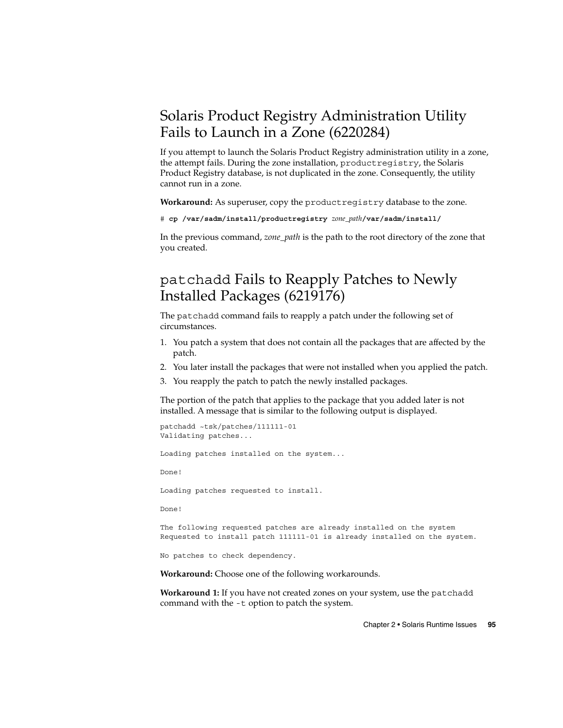#### Solaris Product Registry Administration Utility Fails to Launch in a Zone (6220284)

If you attempt to launch the Solaris Product Registry administration utility in a zone, the attempt fails. During the zone installation, productregistry, the Solaris Product Registry database, is not duplicated in the zone. Consequently, the utility cannot run in a zone.

**Workaround:** As superuser, copy the productregistry database to the zone.

# **cp /var/sadm/install/productregistry** *zone\_path***/var/sadm/install/**

In the previous command, *zone\_path* is the path to the root directory of the zone that you created.

#### patchadd Fails to Reapply Patches to Newly Installed Packages (6219176)

The patchadd command fails to reapply a patch under the following set of circumstances.

- 1. You patch a system that does not contain all the packages that are affected by the patch.
- 2. You later install the packages that were not installed when you applied the patch.
- 3. You reapply the patch to patch the newly installed packages.

The portion of the patch that applies to the package that you added later is not installed. A message that is similar to the following output is displayed.

```
patchadd ~tsk/patches/111111-01
Validating patches...
```
Loading patches installed on the system...

Done!

Loading patches requested to install.

Done!

The following requested patches are already installed on the system Requested to install patch 111111-01 is already installed on the system.

No patches to check dependency.

**Workaround:** Choose one of the following workarounds.

**Workaround 1:** If you have not created zones on your system, use the patchadd command with the -t option to patch the system.

Chapter 2 • Solaris Runtime Issues **95**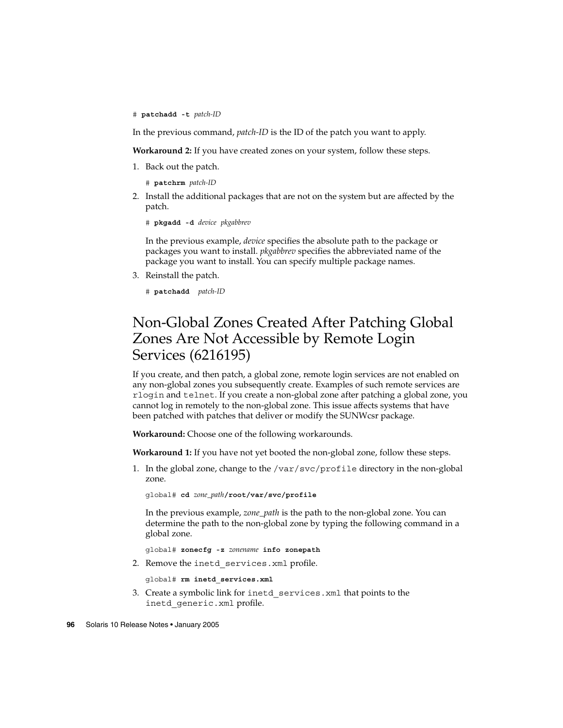# **patchadd -t** *patch-ID*

In the previous command, *patch-ID* is the ID of the patch you want to apply.

**Workaround 2:** If you have created zones on your system, follow these steps.

- 1. Back out the patch.
	- # **patchrm** *patch-ID*
- 2. Install the additional packages that are not on the system but are affected by the patch.
	- # **pkgadd -d** *device pkgabbrev*

In the previous example, *device* specifies the absolute path to the package or packages you want to install. *pkgabbrev* specifies the abbreviated name of the package you want to install. You can specify multiple package names.

- 3. Reinstall the patch.
	- # **patchadd** *patch-ID*

#### Non-Global Zones Created After Patching Global Zones Are Not Accessible by Remote Login Services (6216195)

If you create, and then patch, a global zone, remote login services are not enabled on any non-global zones you subsequently create. Examples of such remote services are rlogin and telnet. If you create a non-global zone after patching a global zone, you cannot log in remotely to the non-global zone. This issue affects systems that have been patched with patches that deliver or modify the SUNWcsr package.

**Workaround:** Choose one of the following workarounds.

**Workaround 1:** If you have not yet booted the non-global zone, follow these steps.

1. In the global zone, change to the /var/svc/profile directory in the non-global zone.

global# **cd** *zone\_path***/root/var/svc/profile**

In the previous example, *zone\_path* is the path to the non-global zone. You can determine the path to the non-global zone by typing the following command in a global zone.

global# **zonecfg -z** *zonename* **info zonepath**

2. Remove the inetd services.xml profile.

global# **rm inetd\_services.xml**

3. Create a symbolic link for inetd\_services.xml that points to the inetd\_generic.xml profile.

**96** Solaris 10 Release Notes • January 2005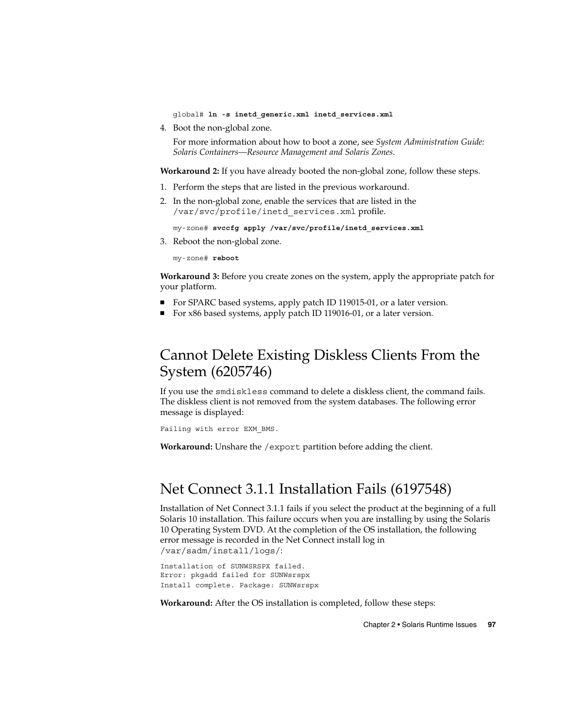global# **ln -s inetd\_generic.xml inetd\_services.xml**

4. Boot the non-global zone.

For more information about how to boot a zone, see *System Administration Guide: Solaris Containers—Resource Management and Solaris Zones*.

**Workaround 2:** If you have already booted the non-global zone, follow these steps.

- 1. Perform the steps that are listed in the previous workaround.
- 2. In the non-global zone, enable the services that are listed in the /var/svc/profile/inetd\_services.xml profile.

my-zone# **svccfg apply /var/svc/profile/inetd\_services.xml**

3. Reboot the non-global zone.

my-zone# **reboot**

**Workaround 3:** Before you create zones on the system, apply the appropriate patch for your platform.

- For SPARC based systems, apply patch ID 119015-01, or a later version.
- For x86 based systems, apply patch ID 119016-01, or a later version.

#### Cannot Delete Existing Diskless Clients From the System (6205746)

If you use the smdiskless command to delete a diskless client, the command fails. The diskless client is not removed from the system databases. The following error message is displayed:

Failing with error EXM\_BMS.

**Workaround:** Unshare the /export partition before adding the client.

#### Net Connect 3.1.1 Installation Fails (6197548)

Installation of Net Connect 3.1.1 fails if you select the product at the beginning of a full Solaris 10 installation. This failure occurs when you are installing by using the Solaris 10 Operating System DVD. At the completion of the OS installation, the following error message is recorded in the Net Connect install log in

/var/sadm/install/logs/:

Installation of SUNWSRSPX failed. Error: pkgadd failed for SUNWsrspx Install complete. Package: SUNWsrspx

**Workaround:** After the OS installation is completed, follow these steps: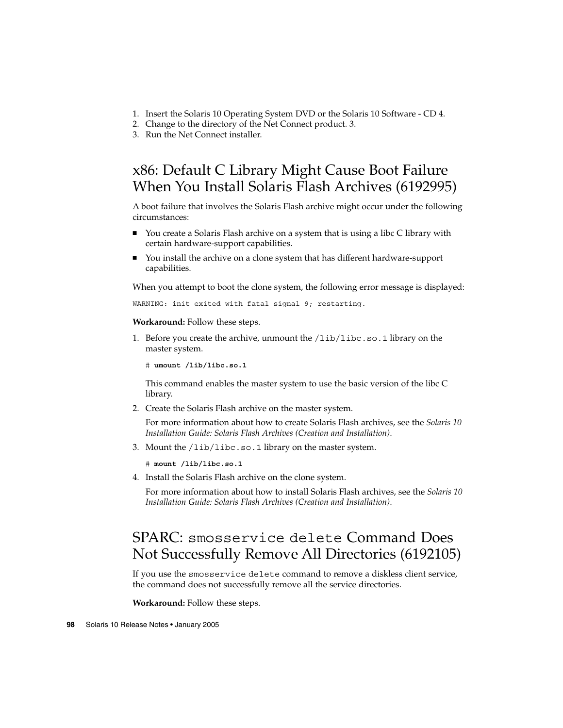- 1. Insert the Solaris 10 Operating System DVD or the Solaris 10 Software CD 4.
- 2. Change to the directory of the Net Connect product. 3.
- 3. Run the Net Connect installer.

#### x86: Default C Library Might Cause Boot Failure When You Install Solaris Flash Archives (6192995)

A boot failure that involves the Solaris Flash archive might occur under the following circumstances:

- You create a Solaris Flash archive on a system that is using a libc C library with certain hardware-support capabilities.
- You install the archive on a clone system that has different hardware-support capabilities.

When you attempt to boot the clone system, the following error message is displayed:

WARNING: init exited with fatal signal 9; restarting.

**Workaround:** Follow these steps.

- 1. Before you create the archive, unmount the /lib/libc.so.1 library on the master system.
	- # **umount /lib/libc.so.1**

This command enables the master system to use the basic version of the libc C library.

2. Create the Solaris Flash archive on the master system.

For more information about how to create Solaris Flash archives, see the *Solaris 10 Installation Guide: Solaris Flash Archives (Creation and Installation)*.

3. Mount the /lib/libc.so.1 library on the master system.

# **mount /lib/libc.so.1**

4. Install the Solaris Flash archive on the clone system.

For more information about how to install Solaris Flash archives, see the *Solaris 10 Installation Guide: Solaris Flash Archives (Creation and Installation)*.

#### SPARC: smosservice delete Command Does Not Successfully Remove All Directories (6192105)

If you use the smosservice delete command to remove a diskless client service, the command does not successfully remove all the service directories.

**Workaround:** Follow these steps.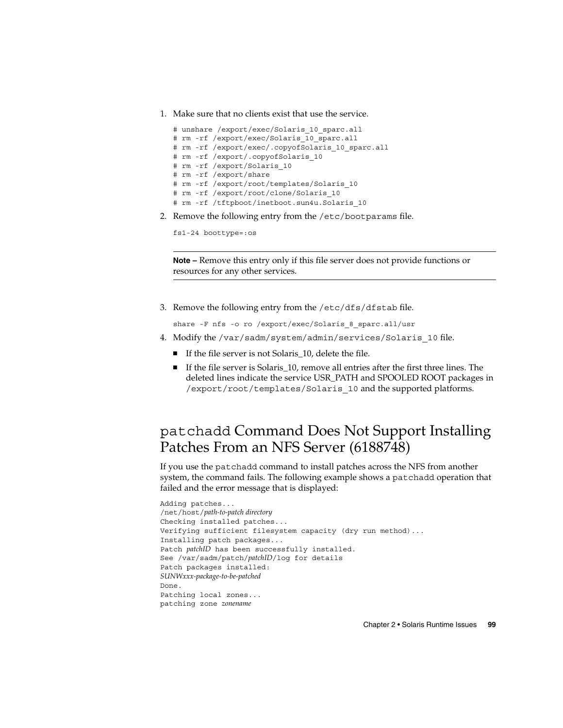1. Make sure that no clients exist that use the service.

|  | # unshare /export/exec/Solaris 10 sparc.all       |
|--|---------------------------------------------------|
|  | # rm -rf /export/exec/Solaris 10 sparc.all        |
|  | # rm -rf /export/exec/.copyofSolaris 10 sparc.all |
|  | # rm -rf /export/.copyofSolaris 10                |
|  | # rm -rf /export/Solaris 10                       |
|  | # rm -rf /export/share                            |
|  | # rm -rf /export/root/templates/Solaris 10        |
|  | # rm -rf /export/root/clone/Solaris 10            |
|  | # rm -rf /tftpboot/inetboot.sun4u.Solaris 10      |

2. Remove the following entry from the /etc/bootparams file.

fs1-24 boottype=:os

**Note –** Remove this entry only if this file server does not provide functions or resources for any other services.

3. Remove the following entry from the /etc/dfs/dfstab file.

share -F nfs -o ro /export/exec/Solaris\_8\_sparc.all/usr

- 4. Modify the /var/sadm/system/admin/services/Solaris\_10 file.
	- If the file server is not Solaris\_10, delete the file.
	- If the file server is Solaris\_10, remove all entries after the first three lines. The deleted lines indicate the service USR\_PATH and SPOOLED ROOT packages in /export/root/templates/Solaris\_10 and the supported platforms.

#### patchadd Command Does Not Support Installing Patches From an NFS Server (6188748)

If you use the patchadd command to install patches across the NFS from another system, the command fails. The following example shows a patchadd operation that failed and the error message that is displayed:

```
Adding patches...
/net/host/path-to-patch directory
Checking installed patches...
Verifying sufficient filesystem capacity (dry run method)...
Installing patch packages...
Patch patchID has been successfully installed.
See /var/sadm/patch/patchID/log for details
Patch packages installed:
SUNWxxx-package-to-be-patched
Done.
Patching local zones...
patching zone zonename
```
Chapter 2 • Solaris Runtime Issues **99**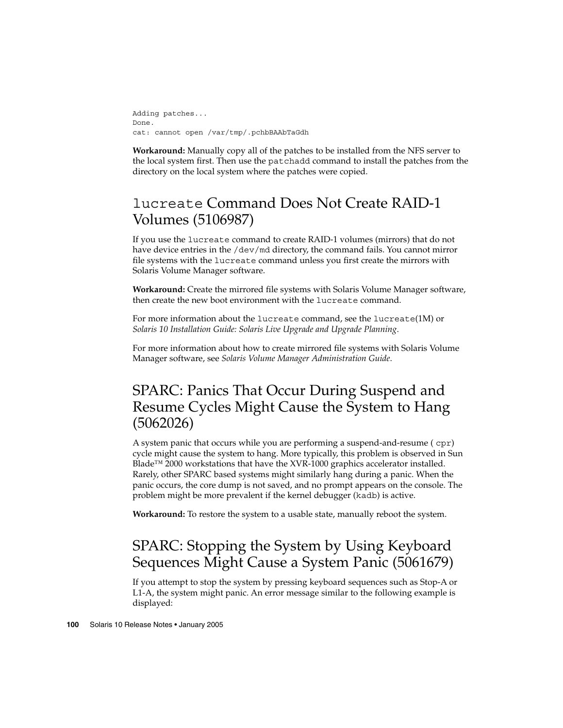Adding patches... Done. cat: cannot open /var/tmp/.pchbBAAbTaGdh

**Workaround:** Manually copy all of the patches to be installed from the NFS server to the local system first. Then use the patchadd command to install the patches from the directory on the local system where the patches were copied.

### lucreate Command Does Not Create RAID-1 Volumes (5106987)

If you use the lucreate command to create RAID-1 volumes (mirrors) that do not have device entries in the /dev/md directory, the command fails. You cannot mirror file systems with the lucreate command unless you first create the mirrors with Solaris Volume Manager software.

**Workaround:** Create the mirrored file systems with Solaris Volume Manager software, then create the new boot environment with the lucreate command.

For more information about the lucreate command, see the lucreate(1M) or *Solaris 10 Installation Guide: Solaris Live Upgrade and Upgrade Planning*.

For more information about how to create mirrored file systems with Solaris Volume Manager software, see *Solaris Volume Manager Administration Guide*.

#### SPARC: Panics That Occur During Suspend and Resume Cycles Might Cause the System to Hang (5062026)

A system panic that occurs while you are performing a suspend-and-resume ( cpr) cycle might cause the system to hang. More typically, this problem is observed in Sun Blade™ 2000 workstations that have the XVR-1000 graphics accelerator installed. Rarely, other SPARC based systems might similarly hang during a panic. When the panic occurs, the core dump is not saved, and no prompt appears on the console. The problem might be more prevalent if the kernel debugger (kadb) is active.

**Workaround:** To restore the system to a usable state, manually reboot the system.

## SPARC: Stopping the System by Using Keyboard Sequences Might Cause a System Panic (5061679)

If you attempt to stop the system by pressing keyboard sequences such as Stop-A or L1-A, the system might panic. An error message similar to the following example is displayed: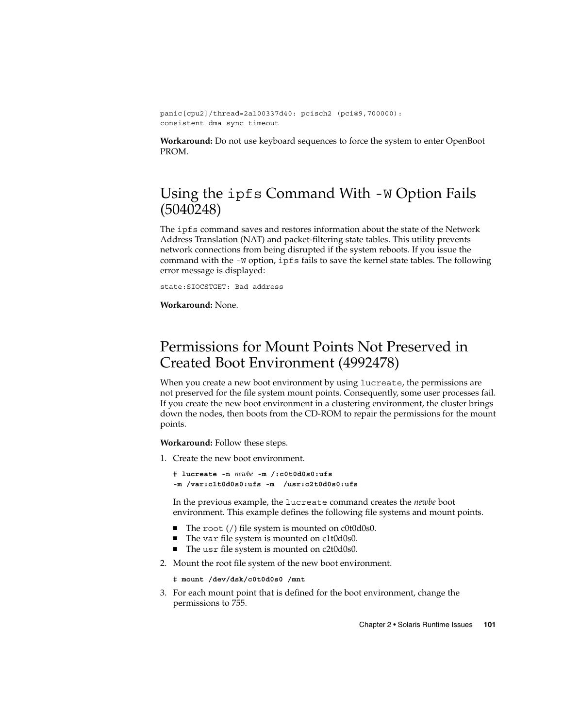panic[cpu2]/thread=2a100337d40: pcisch2 (pci@9,700000): consistent dma sync timeout

**Workaround:** Do not use keyboard sequences to force the system to enter OpenBoot PROM.

#### Using the ipfs Command With -W Option Fails (5040248)

The ipfs command saves and restores information about the state of the Network Address Translation (NAT) and packet-filtering state tables. This utility prevents network connections from being disrupted if the system reboots. If you issue the command with the -W option, ipfs fails to save the kernel state tables. The following error message is displayed:

state:SIOCSTGET: Bad address

**Workaround:** None.

#### Permissions for Mount Points Not Preserved in Created Boot Environment (4992478)

When you create a new boot environment by using lucreate, the permissions are not preserved for the file system mount points. Consequently, some user processes fail. If you create the new boot environment in a clustering environment, the cluster brings down the nodes, then boots from the CD-ROM to repair the permissions for the mount points.

**Workaround:** Follow these steps.

1. Create the new boot environment.

```
# lucreate -n newbe -m /:c0t0d0s0:ufs
-m /var:c1t0d0s0:ufs -m /usr:c2t0d0s0:ufs
```
In the previous example, the lucreate command creates the *newbe* boot environment. This example defines the following file systems and mount points.

- The root (/) file system is mounted on c0t0d0s0.
- The var file system is mounted on c1t0d0s0.
- The usr file system is mounted on c2t0d0s0.
- 2. Mount the root file system of the new boot environment.

# **mount /dev/dsk/c0t0d0s0 /mnt**

3. For each mount point that is defined for the boot environment, change the permissions to 755.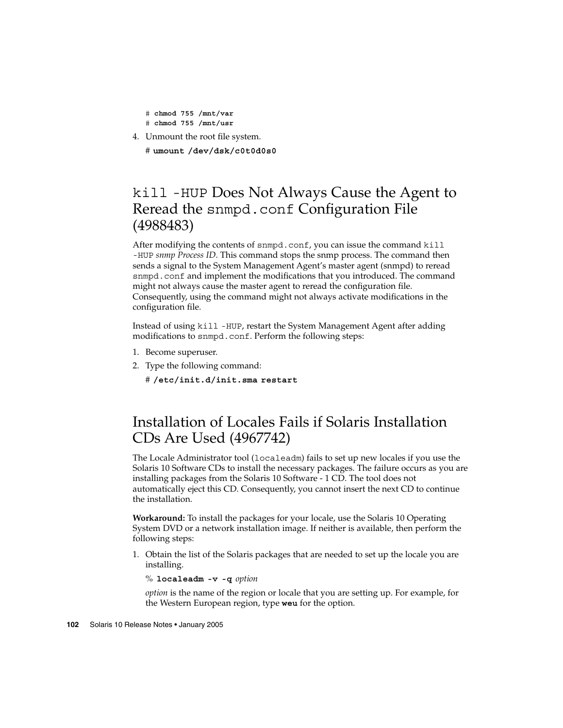- # **chmod 755 /mnt/var**
- # **chmod 755 /mnt/usr**
- 4. Unmount the root file system.
	- # **umount /dev/dsk/c0t0d0s0**

#### kill -HUP Does Not Always Cause the Agent to Reread the snmpd.conf Configuration File (4988483)

After modifying the contents of snmpd.conf, you can issue the command kill -HUP *snmp Process ID*. This command stops the snmp process. The command then sends a signal to the System Management Agent's master agent (snmpd) to reread snmpd.conf and implement the modifications that you introduced. The command might not always cause the master agent to reread the configuration file. Consequently, using the command might not always activate modifications in the configuration file.

Instead of using kill -HUP, restart the System Management Agent after adding modifications to snmpd.conf. Perform the following steps:

- 1. Become superuser.
- 2. Type the following command:
	- # **/etc/init.d/init.sma restart**

#### Installation of Locales Fails if Solaris Installation CDs Are Used (4967742)

The Locale Administrator tool (localeadm) fails to set up new locales if you use the Solaris 10 Software CDs to install the necessary packages. The failure occurs as you are installing packages from the Solaris 10 Software - 1 CD. The tool does not automatically eject this CD. Consequently, you cannot insert the next CD to continue the installation.

**Workaround:** To install the packages for your locale, use the Solaris 10 Operating System DVD or a network installation image. If neither is available, then perform the following steps:

1. Obtain the list of the Solaris packages that are needed to set up the locale you are installing.

% **localeadm -v -q** *option*

*option* is the name of the region or locale that you are setting up. For example, for the Western European region, type **weu** for the option.

**102** Solaris 10 Release Notes • January 2005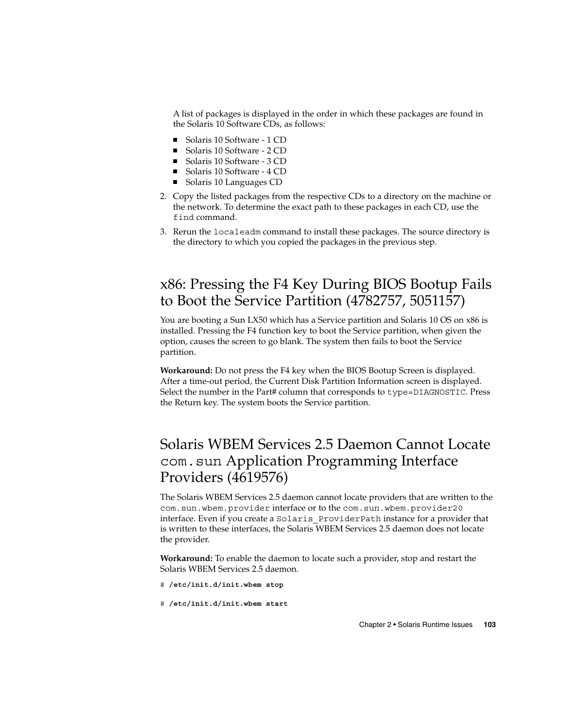A list of packages is displayed in the order in which these packages are found in the Solaris 10 Software CDs, as follows:

- Solaris 10 Software 1 CD
- Solaris 10 Software 2 CD
- Solaris 10 Software 3 CD
- Solaris 10 Software 4 CD
- Solaris 10 Languages CD
- 2. Copy the listed packages from the respective CDs to a directory on the machine or the network. To determine the exact path to these packages in each CD, use the find command.
- 3. Rerun the localeadm command to install these packages. The source directory is the directory to which you copied the packages in the previous step.

#### x86: Pressing the F4 Key During BIOS Bootup Fails to Boot the Service Partition (4782757, 5051157)

You are booting a Sun LX50 which has a Service partition and Solaris 10 OS on x86 is installed. Pressing the F4 function key to boot the Service partition, when given the option, causes the screen to go blank. The system then fails to boot the Service partition.

**Workaround:** Do not press the F4 key when the BIOS Bootup Screen is displayed. After a time-out period, the Current Disk Partition Information screen is displayed. Select the number in the Part# column that corresponds to type=DIAGNOSTIC. Press the Return key. The system boots the Service partition.

#### Solaris WBEM Services 2.5 Daemon Cannot Locate com.sun Application Programming Interface Providers (4619576)

The Solaris WBEM Services 2.5 daemon cannot locate providers that are written to the com.sun.wbem.provider interface or to the com.sun.wbem.provider20 interface. Even if you create a Solaris\_ProviderPath instance for a provider that is written to these interfaces, the Solaris WBEM Services 2.5 daemon does not locate the provider.

**Workaround:** To enable the daemon to locate such a provider, stop and restart the Solaris WBEM Services 2.5 daemon.

# **/etc/init.d/init.wbem stop**

# **/etc/init.d/init.wbem start**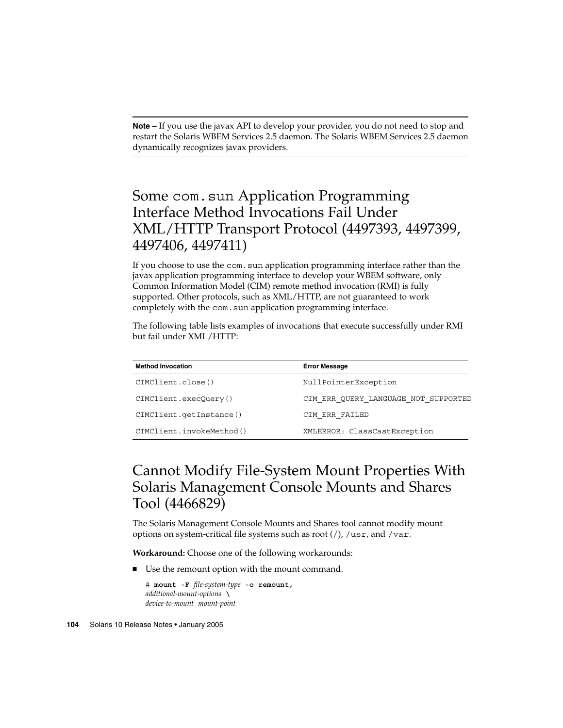**Note –** If you use the javax API to develop your provider, you do not need to stop and restart the Solaris WBEM Services 2.5 daemon. The Solaris WBEM Services 2.5 daemon dynamically recognizes javax providers.

#### Some com. sun Application Programming Interface Method Invocations Fail Under XML/HTTP Transport Protocol (4497393, 4497399, 4497406, 4497411)

If you choose to use the com.sun application programming interface rather than the javax application programming interface to develop your WBEM software, only Common Information Model (CIM) remote method invocation (RMI) is fully supported. Other protocols, such as XML/HTTP, are not guaranteed to work completely with the com. sun application programming interface.

The following table lists examples of invocations that execute successfully under RMI but fail under XML/HTTP:

| <b>Method Invocation</b> | <b>Error Message</b>                 |
|--------------------------|--------------------------------------|
| CIMClient.close()        | NullPointerException                 |
| CIMClient.execQuery()    | CIM ERR QUERY LANGUAGE NOT SUPPORTED |
| CIMClient.getInstance()  | CIM ERR FAILED                       |
| CIMClient.invokeMethod() | XMLERROR: ClassCastException         |

#### Cannot Modify File-System Mount Properties With Solaris Management Console Mounts and Shares Tool (4466829)

The Solaris Management Console Mounts and Shares tool cannot modify mount options on system-critical file systems such as root (/), /usr, and /var.

**Workaround:** Choose one of the following workarounds:

■ Use the remount option with the mount command.

# **mount -F** *file-system-type* **-o remount,** *additional-mount-options* **\** *device-to-mount mount-point*

**104** Solaris 10 Release Notes • January 2005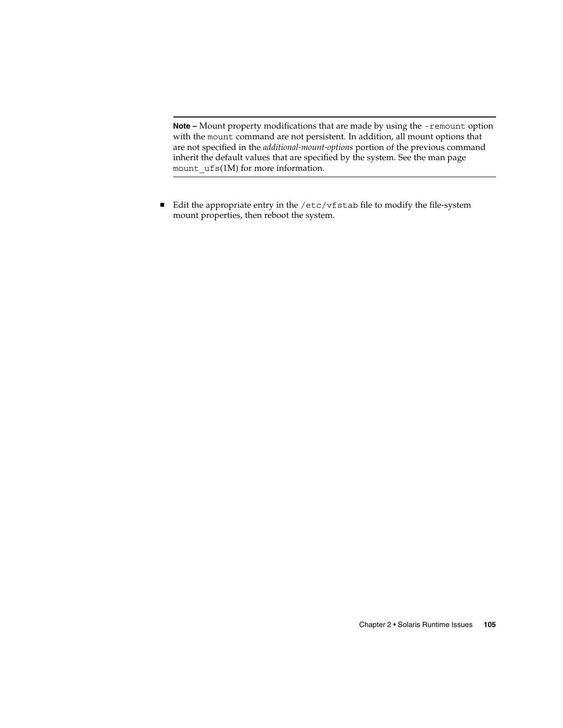**Note –** Mount property modifications that are made by using the -remount option with the mount command are not persistent. In addition, all mount options that are not specified in the *additional-mount-options* portion of the previous command inherit the default values that are specified by the system. See the man page mount ufs(1M) for more information.

■ Edit the appropriate entry in the /etc/vfstab file to modify the file-system mount properties, then reboot the system.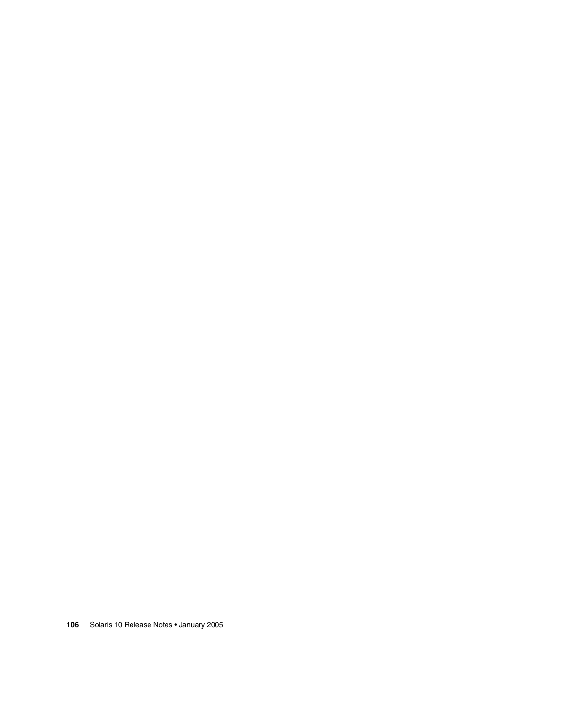Solaris 10 Release Notes • January 2005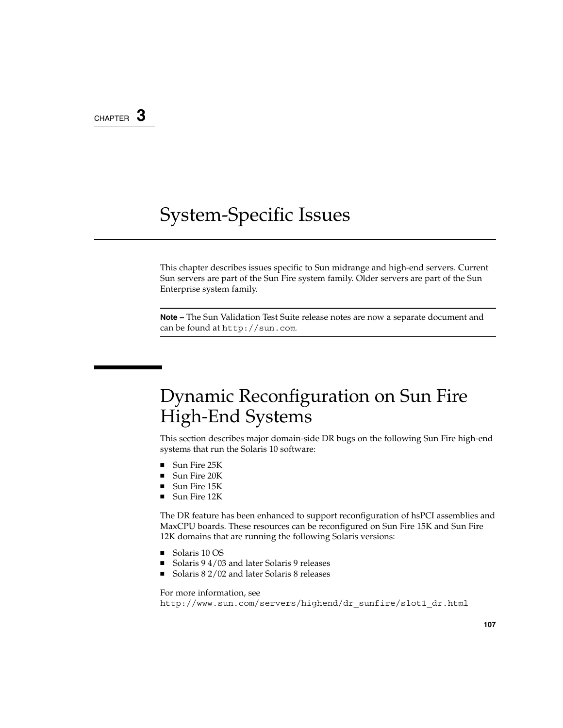## CHAPTER **3**

# System-Specific Issues

This chapter describes issues specific to Sun midrange and high-end servers. Current Sun servers are part of the Sun Fire system family. Older servers are part of the Sun Enterprise system family.

**Note –** The Sun Validation Test Suite release notes are now a separate document and can be found at <http://sun.com>.

# Dynamic Reconfiguration on Sun Fire High-End Systems

This section describes major domain-side DR bugs on the following Sun Fire high-end systems that run the Solaris 10 software:

- Sun Fire 25K
- Sun Fire 20K
- Sun Fire 15K
- Sun Fire 12K

The DR feature has been enhanced to support reconfiguration of hsPCI assemblies and MaxCPU boards. These resources can be reconfigured on Sun Fire 15K and Sun Fire 12K domains that are running the following Solaris versions:

- Solaris 10 OS
- Solaris 9 4/03 and later Solaris 9 releases
- Solaris 8 2/02 and later Solaris 8 releases

For more information, see

[http://www.sun.com/servers/highend/dr\\_sunfire/slot1\\_dr.html](http://www.sun.com/servers/highend/dr_sunfire/slot1_dr.html)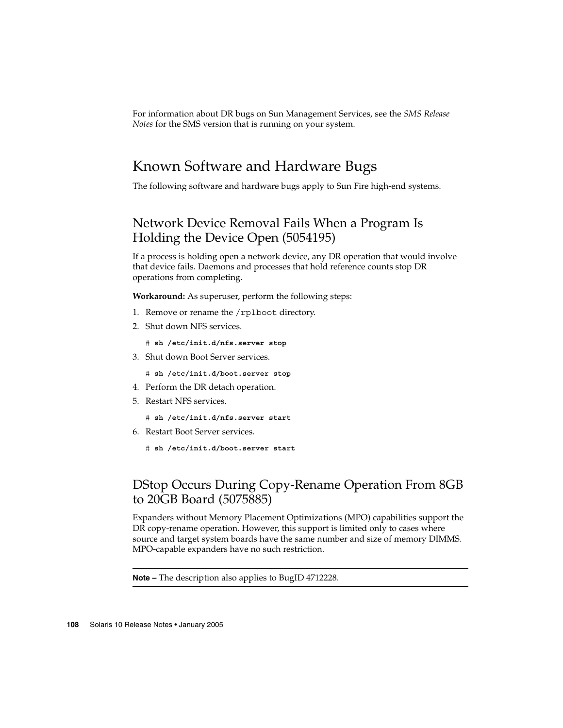For information about DR bugs on Sun Management Services, see the *SMS Release Notes* for the SMS version that is running on your system.

#### Known Software and Hardware Bugs

The following software and hardware bugs apply to Sun Fire high-end systems.

#### Network Device Removal Fails When a Program Is Holding the Device Open (5054195)

If a process is holding open a network device, any DR operation that would involve that device fails. Daemons and processes that hold reference counts stop DR operations from completing.

**Workaround:** As superuser, perform the following steps:

- 1. Remove or rename the /rplboot directory.
- 2. Shut down NFS services.
	- # **sh /etc/init.d/nfs.server stop**
- 3. Shut down Boot Server services.
	- # **sh /etc/init.d/boot.server stop**
- 4. Perform the DR detach operation.
- 5. Restart NFS services.
	- # **sh /etc/init.d/nfs.server start**
- 6. Restart Boot Server services.
	- # **sh /etc/init.d/boot.server start**

#### DStop Occurs During Copy-Rename Operation From 8GB to 20GB Board (5075885)

Expanders without Memory Placement Optimizations (MPO) capabilities support the DR copy-rename operation. However, this support is limited only to cases where source and target system boards have the same number and size of memory DIMMS. MPO-capable expanders have no such restriction.

**Note –** The description also applies to BugID 4712228.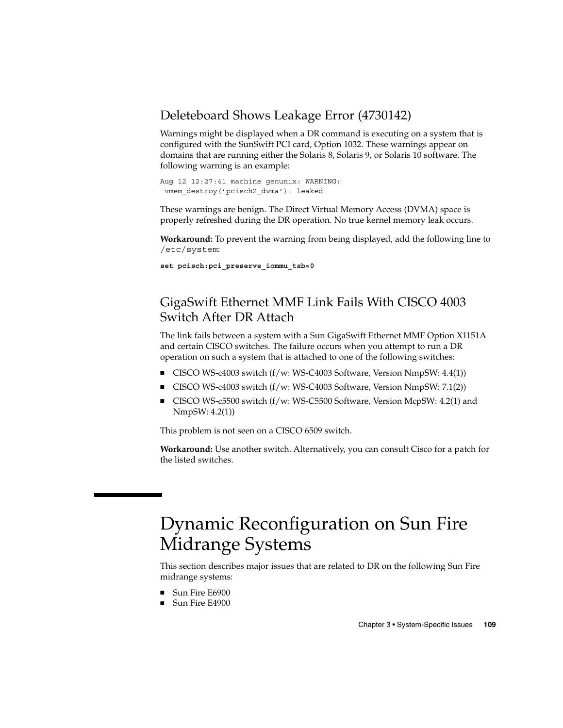#### Deleteboard Shows Leakage Error (4730142)

Warnings might be displayed when a DR command is executing on a system that is configured with the SunSwift PCI card, Option 1032. These warnings appear on domains that are running either the Solaris 8, Solaris 9, or Solaris 10 software. The following warning is an example:

```
Aug 12 12:27:41 machine genunix: WARNING:
vmem_destroy('pcisch2_dvma'): leaked
```
These warnings are benign. The Direct Virtual Memory Access (DVMA) space is properly refreshed during the DR operation. No true kernel memory leak occurs.

**Workaround:** To prevent the warning from being displayed, add the following line to /etc/system:

**set pcisch:pci\_preserve\_iommu\_tsb=0**

#### GigaSwift Ethernet MMF Link Fails With CISCO 4003 Switch After DR Attach

The link fails between a system with a Sun GigaSwift Ethernet MMF Option X1151A and certain CISCO switches. The failure occurs when you attempt to run a DR operation on such a system that is attached to one of the following switches:

- CISCO WS-c4003 switch (f/w: WS-C4003 Software, Version NmpSW: 4.4(1))
- CISCO WS-c4003 switch (f/w: WS-C4003 Software, Version NmpSW: 7.1(2))
- CISCO WS-c5500 switch (f/w: WS-C5500 Software, Version McpSW: 4.2(1) and NmpSW: 4.2(1))

This problem is not seen on a CISCO 6509 switch.

**Workaround:** Use another switch. Alternatively, you can consult Cisco for a patch for the listed switches.

# Dynamic Reconfiguration on Sun Fire Midrange Systems

This section describes major issues that are related to DR on the following Sun Fire midrange systems:

- Sun Fire E6900
- Sun Fire E4900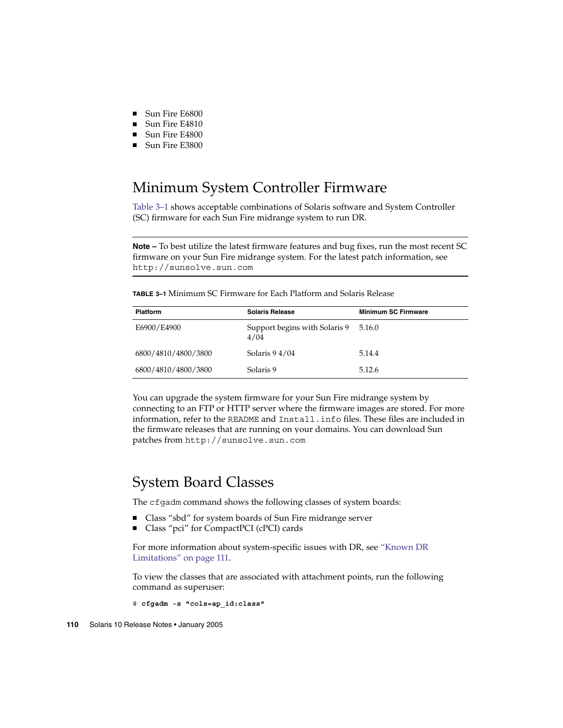- Sun Fire E6800
- Sun Fire E4810
- Sun Fire E4800
- Sun Fire E3800

#### Minimum System Controller Firmware

Table 3–1 shows acceptable combinations of Solaris software and System Controller (SC) firmware for each Sun Fire midrange system to run DR.

**Note –** To best utilize the latest firmware features and bug fixes, run the most recent SC firmware on your Sun Fire midrange system. For the latest patch information, see <http://sunsolve.sun.com>.

| <b>Platform</b>     | <b>Solaris Release</b>                       | <b>Minimum SC Firmware</b> |  |
|---------------------|----------------------------------------------|----------------------------|--|
| E6900/E4900         | Support begins with Solaris 9 5.16.0<br>4/04 |                            |  |
| 6800/4810/4800/3800 | Solaris $94/04$                              | 5.14.4                     |  |

**TABLE 3–1** Minimum SC Firmware for Each Platform and Solaris Release

6800/4810/4800/3800 Solaris 9 5.12.6

You can upgrade the system firmware for your Sun Fire midrange system by connecting to an FTP or HTTP server where the firmware images are stored. For more information, refer to the README and Install.info files. These files are included in the firmware releases that are running on your domains. You can download Sun patches from <http://sunsolve.sun.com>.

## System Board Classes

The cfgadm command shows the following classes of system boards:

- Class "sbd" for system boards of Sun Fire midrange server
- Class "pci" for CompactPCI (cPCI) cards

For more information about system-specific issues with DR, see ["Known DR](#page-110-0) [Limitations"](#page-110-0) on page 111.

To view the classes that are associated with attachment points, run the following command as superuser:

# **cfgadm -s "cols=ap\_id:class"**

**110** Solaris 10 Release Notes • January 2005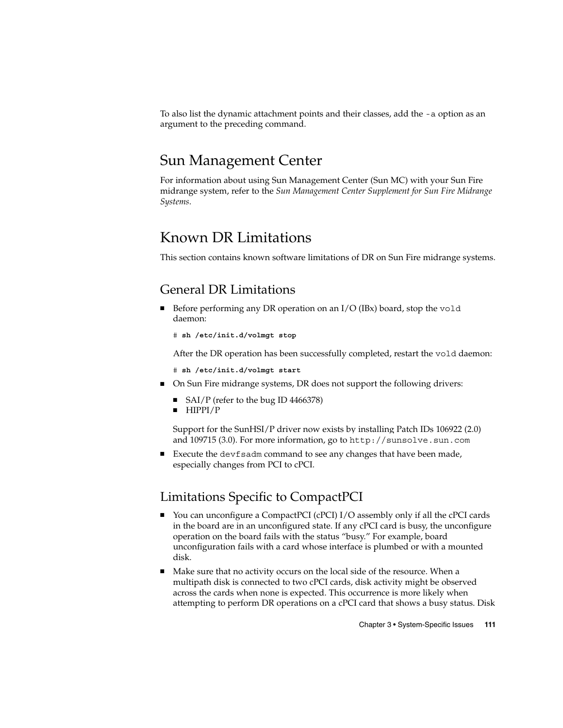<span id="page-110-0"></span>To also list the dynamic attachment points and their classes, add the -a option as an argument to the preceding command.

#### Sun Management Center

For information about using Sun Management Center (Sun MC) with your Sun Fire midrange system, refer to the *Sun Management Center Supplement for Sun Fire Midrange Systems*.

#### Known DR Limitations

This section contains known software limitations of DR on Sun Fire midrange systems.

#### General DR Limitations

Before performing any DR operation on an  $I/O$  (IBx) board, stop the vold daemon:

```
# sh /etc/init.d/volmgt stop
```
After the DR operation has been successfully completed, restart the vold daemon:

# **sh /etc/init.d/volmgt start**

- On Sun Fire midrange systems, DR does not support the following drivers:
	- SAI/P (refer to the bug ID 4466378)
	- HIPPI/P

Support for the SunHSI/P driver now exists by installing Patch IDs 106922 (2.0) and 109715 (3.0). For more information, go to <http://sunsolve.sun.com>

Execute the devfsadm command to see any changes that have been made, especially changes from PCI to cPCI.

#### Limitations Specific to CompactPCI

- You can unconfigure a CompactPCI (cPCI) I/O assembly only if all the cPCI cards in the board are in an unconfigured state. If any cPCI card is busy, the unconfigure operation on the board fails with the status "busy." For example, board unconfiguration fails with a card whose interface is plumbed or with a mounted disk.
- Make sure that no activity occurs on the local side of the resource. When a multipath disk is connected to two cPCI cards, disk activity might be observed across the cards when none is expected. This occurrence is more likely when attempting to perform DR operations on a cPCI card that shows a busy status. Disk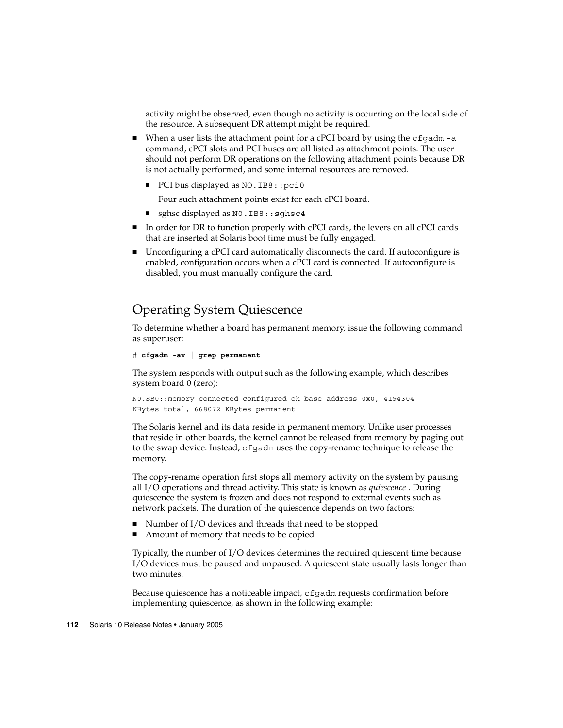activity might be observed, even though no activity is occurring on the local side of the resource. A subsequent DR attempt might be required.

- When a user lists the attachment point for a cPCI board by using the  $cf$  gadm  $-a$ command, cPCI slots and PCI buses are all listed as attachment points. The user should not perform DR operations on the following attachment points because DR is not actually performed, and some internal resources are removed.
	- PCI bus displayed as NO.IB8::pci0
	- Four such attachment points exist for each cPCI board.
	- sghsc displayed as N0.IB8::sghsc4
- In order for DR to function properly with cPCI cards, the levers on all cPCI cards that are inserted at Solaris boot time must be fully engaged.
- Unconfiguring a cPCI card automatically disconnects the card. If autoconfigure is enabled, configuration occurs when a cPCI card is connected. If autoconfigure is disabled, you must manually configure the card.

#### Operating System Quiescence

To determine whether a board has permanent memory, issue the following command as superuser:

# **cfgadm -av | grep permanent**

The system responds with output such as the following example, which describes system board 0 (zero):

N0.SB0::memory connected configured ok base address 0x0, 4194304 KBytes total, 668072 KBytes permanent

The Solaris kernel and its data reside in permanent memory. Unlike user processes that reside in other boards, the kernel cannot be released from memory by paging out to the swap device. Instead, cfgadm uses the copy-rename technique to release the memory.

The copy-rename operation first stops all memory activity on the system by pausing all I/O operations and thread activity. This state is known as *quiescence* . During quiescence the system is frozen and does not respond to external events such as network packets. The duration of the quiescence depends on two factors:

- Number of I/O devices and threads that need to be stopped
- Amount of memory that needs to be copied

Typically, the number of I/O devices determines the required quiescent time because I/O devices must be paused and unpaused. A quiescent state usually lasts longer than two minutes.

Because quiescence has a noticeable impact, cfgadm requests confirmation before implementing quiescence, as shown in the following example: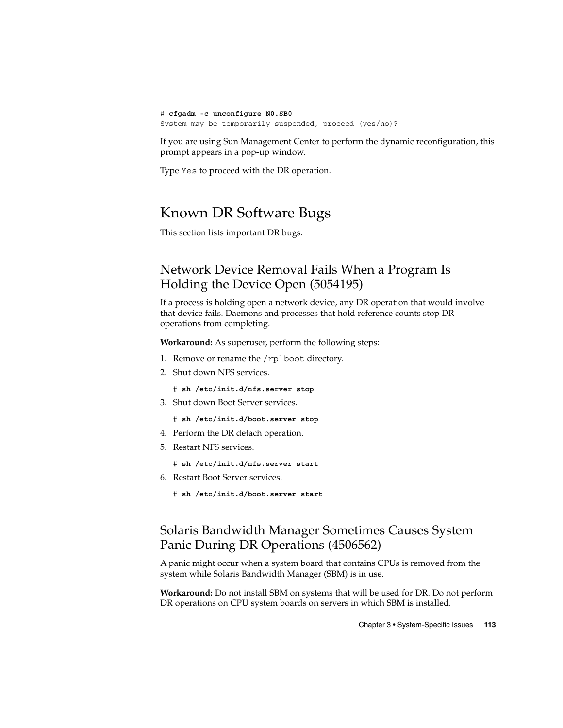```
# cfgadm -c unconfigure N0.SB0
System may be temporarily suspended, proceed (yes/no)?
```
If you are using Sun Management Center to perform the dynamic reconfiguration, this prompt appears in a pop-up window.

Type Yes to proceed with the DR operation.

#### Known DR Software Bugs

This section lists important DR bugs.

#### Network Device Removal Fails When a Program Is Holding the Device Open (5054195)

If a process is holding open a network device, any DR operation that would involve that device fails. Daemons and processes that hold reference counts stop DR operations from completing.

**Workaround:** As superuser, perform the following steps:

- 1. Remove or rename the /rplboot directory.
- 2. Shut down NFS services.

# **sh /etc/init.d/nfs.server stop**

3. Shut down Boot Server services.

# **sh /etc/init.d/boot.server stop**

- 4. Perform the DR detach operation.
- 5. Restart NFS services.

# **sh /etc/init.d/nfs.server start**

6. Restart Boot Server services.

# **sh /etc/init.d/boot.server start**

#### Solaris Bandwidth Manager Sometimes Causes System Panic During DR Operations (4506562)

A panic might occur when a system board that contains CPUs is removed from the system while Solaris Bandwidth Manager (SBM) is in use.

**Workaround:** Do not install SBM on systems that will be used for DR. Do not perform DR operations on CPU system boards on servers in which SBM is installed.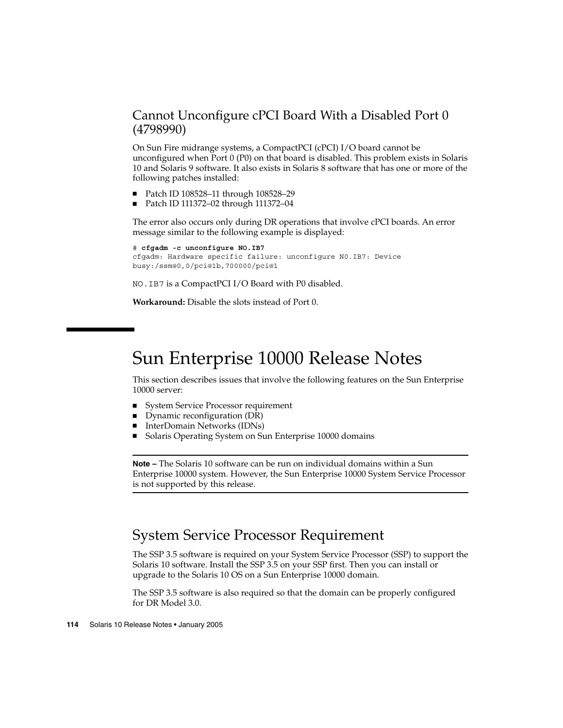#### Cannot Unconfigure cPCI Board With a Disabled Port 0 (4798990)

On Sun Fire midrange systems, a CompactPCI (cPCI) I/O board cannot be unconfigured when Port 0 (P0) on that board is disabled. This problem exists in Solaris 10 and Solaris 9 software. It also exists in Solaris 8 software that has one or more of the following patches installed:

- Patch ID 108528-11 through 108528-29
- Patch ID 111372–02 through 111372–04

The error also occurs only during DR operations that involve cPCI boards. An error message similar to the following example is displayed:

```
# cfgadm -c unconfigure NO.IB7
cfgadm: Hardware specific failure: unconfigure N0.IB7: Device
busy:/ssm@0,0/pci@1b,700000/pci@1
```
NO.IB7 is a CompactPCI I/O Board with P0 disabled.

**Workaround:** Disable the slots instead of Port 0.

# Sun Enterprise 10000 Release Notes

This section describes issues that involve the following features on the Sun Enterprise 10000 server:

- System Service Processor requirement
- Dynamic reconfiguration (DR)
- InterDomain Networks (IDNs)
- Solaris Operating System on Sun Enterprise 10000 domains

**Note –** The Solaris 10 software can be run on individual domains within a Sun Enterprise 10000 system. However, the Sun Enterprise 10000 System Service Processor is not supported by this release.

#### System Service Processor Requirement

The SSP 3.5 software is required on your System Service Processor (SSP) to support the Solaris 10 software. Install the SSP 3.5 on your SSP first. Then you can install or upgrade to the Solaris 10 OS on a Sun Enterprise 10000 domain.

The SSP 3.5 software is also required so that the domain can be properly configured for DR Model 3.0.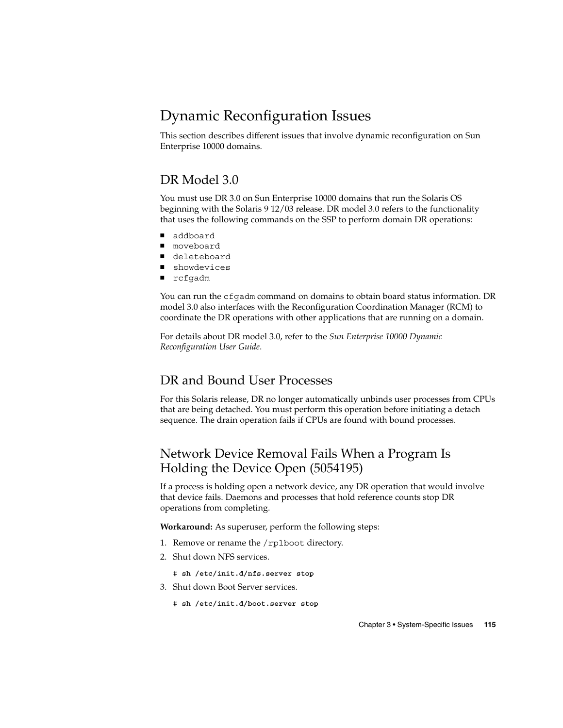## Dynamic Reconfiguration Issues

This section describes different issues that involve dynamic reconfiguration on Sun Enterprise 10000 domains.

#### DR Model 3.0

You must use DR 3.0 on Sun Enterprise 10000 domains that run the Solaris OS beginning with the Solaris 9 12/03 release. DR model 3.0 refers to the functionality that uses the following commands on the SSP to perform domain DR operations:

- addboard
- moveboard
- deleteboard
- showdevices
- rcfgadm

You can run the cfgadm command on domains to obtain board status information. DR model 3.0 also interfaces with the Reconfiguration Coordination Manager (RCM) to coordinate the DR operations with other applications that are running on a domain.

For details about DR model 3.0, refer to the *Sun Enterprise 10000 Dynamic Reconfiguration User Guide*.

#### DR and Bound User Processes

For this Solaris release, DR no longer automatically unbinds user processes from CPUs that are being detached. You must perform this operation before initiating a detach sequence. The drain operation fails if CPUs are found with bound processes.

#### Network Device Removal Fails When a Program Is Holding the Device Open (5054195)

If a process is holding open a network device, any DR operation that would involve that device fails. Daemons and processes that hold reference counts stop DR operations from completing.

**Workaround:** As superuser, perform the following steps:

- 1. Remove or rename the /rplboot directory.
- 2. Shut down NFS services.

# **sh /etc/init.d/nfs.server stop**

3. Shut down Boot Server services.

```
# sh /etc/init.d/boot.server stop
```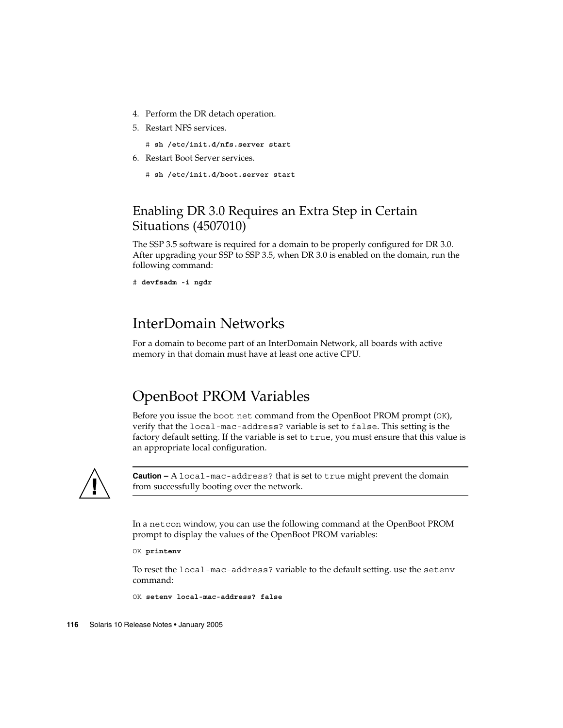- 4. Perform the DR detach operation.
- 5. Restart NFS services.

# **sh /etc/init.d/nfs.server start**

- 6. Restart Boot Server services.
	- # **sh /etc/init.d/boot.server start**

#### Enabling DR 3.0 Requires an Extra Step in Certain Situations (4507010)

The SSP 3.5 software is required for a domain to be properly configured for DR 3.0. After upgrading your SSP to SSP 3.5, when DR 3.0 is enabled on the domain, run the following command:

```
# devfsadm -i ngdr
```
## InterDomain Networks

For a domain to become part of an InterDomain Network, all boards with active memory in that domain must have at least one active CPU.

# OpenBoot PROM Variables

Before you issue the boot net command from the OpenBoot PROM prompt (OK), verify that the local-mac-address? variable is set to false. This setting is the factory default setting. If the variable is set to true, you must ensure that this value is an appropriate local configuration.



**Caution –** A local-mac-address? that is set to true might prevent the domain from successfully booting over the network.

In a netcon window, you can use the following command at the OpenBoot PROM prompt to display the values of the OpenBoot PROM variables:

OK **printenv**

To reset the local-mac-address? variable to the default setting. use the setenv command:

```
OK setenv local-mac-address? false
```
**116** Solaris 10 Release Notes • January 2005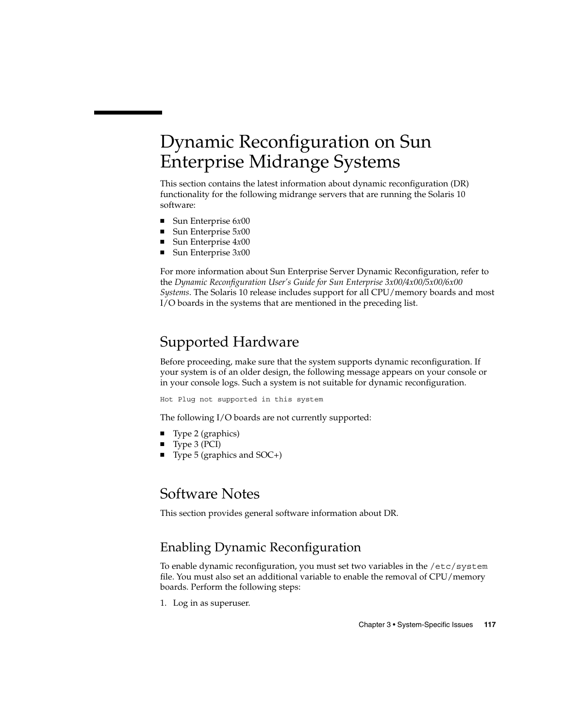# Dynamic Reconfiguration on Sun Enterprise Midrange Systems

This section contains the latest information about dynamic reconfiguration (DR) functionality for the following midrange servers that are running the Solaris 10 software:

- Sun Enterprise 6*x*00
- Sun Enterprise 5*x*00
- Sun Enterprise 4*x*00
- Sun Enterprise 3*x*00

For more information about Sun Enterprise Server Dynamic Reconfiguration, refer to the *Dynamic Reconfiguration User's Guide for Sun Enterprise 3x00/4x00/5x00/6x00 Systems*. The Solaris 10 release includes support for all CPU/memory boards and most I/O boards in the systems that are mentioned in the preceding list.

# Supported Hardware

Before proceeding, make sure that the system supports dynamic reconfiguration. If your system is of an older design, the following message appears on your console or in your console logs. Such a system is not suitable for dynamic reconfiguration.

Hot Plug not supported in this system

The following I/O boards are not currently supported:

- Type 2 (graphics)
- Type 3 (PCI)
- Type 5 (graphics and SOC+)

## Software Notes

This section provides general software information about DR.

#### Enabling Dynamic Reconfiguration

To enable dynamic reconfiguration, you must set two variables in the /etc/system file. You must also set an additional variable to enable the removal of CPU/memory boards. Perform the following steps:

1. Log in as superuser.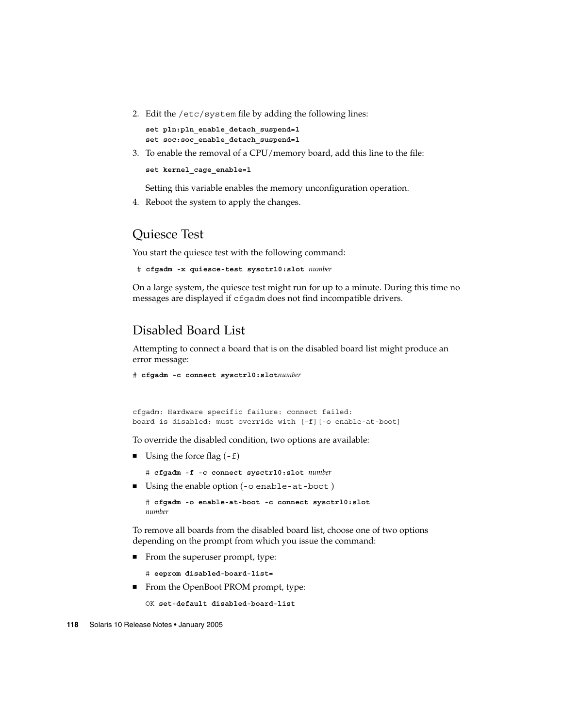2. Edit the /etc/system file by adding the following lines:

**set pln:pln\_enable\_detach\_suspend=1 set soc:soc\_enable\_detach\_suspend=1**

3. To enable the removal of a CPU/memory board, add this line to the file:

**set kernel\_cage\_enable=1**

Setting this variable enables the memory unconfiguration operation.

4. Reboot the system to apply the changes.

#### Quiesce Test

You start the quiesce test with the following command:

# **cfgadm -x quiesce-test sysctr10:slot** *number*

On a large system, the quiesce test might run for up to a minute. During this time no messages are displayed if cfgadm does not find incompatible drivers.

#### Disabled Board List

Attempting to connect a board that is on the disabled board list might produce an error message:

```
# cfgadm -c connect sysctrl0:slotnumber
```
cfgadm: Hardware specific failure: connect failed: board is disabled: must override with [-f][-o enable-at-boot]

To override the disabled condition, two options are available:

■ Using the force flag (-f)

# **cfgadm -f -c connect sysctrl0:slot** *number*

■ Using the enable option (-o enable-at-boot)

# **cfgadm -o enable-at-boot -c connect sysctrl0:slot** *number*

To remove all boards from the disabled board list, choose one of two options depending on the prompt from which you issue the command:

- From the superuser prompt, type:
	- # **eeprom disabled-board-list=**
- From the OpenBoot PROM prompt, type:

OK **set-default disabled-board-list**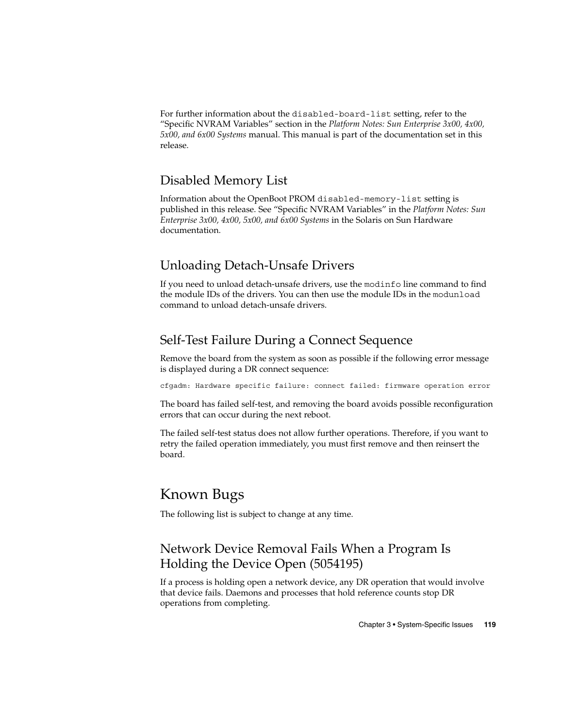For further information about the disabled-board-list setting, refer to the "Specific NVRAM Variables" section in the *Platform Notes: Sun Enterprise 3x00, 4x00, 5x00, and 6x00 Systems* manual. This manual is part of the documentation set in this release.

#### Disabled Memory List

Information about the OpenBoot PROM disabled-memory-list setting is published in this release. See "Specific NVRAM Variables" in the *Platform Notes: Sun Enterprise 3x00, 4x00, 5x00, and 6x00 Systems* in the Solaris on Sun Hardware documentation.

#### Unloading Detach-Unsafe Drivers

If you need to unload detach-unsafe drivers, use the modinfo line command to find the module IDs of the drivers. You can then use the module IDs in the modunload command to unload detach-unsafe drivers.

#### Self-Test Failure During a Connect Sequence

Remove the board from the system as soon as possible if the following error message is displayed during a DR connect sequence:

cfgadm: Hardware specific failure: connect failed: firmware operation error

The board has failed self-test, and removing the board avoids possible reconfiguration errors that can occur during the next reboot.

The failed self-test status does not allow further operations. Therefore, if you want to retry the failed operation immediately, you must first remove and then reinsert the board.

# Known Bugs

The following list is subject to change at any time.

#### Network Device Removal Fails When a Program Is Holding the Device Open (5054195)

If a process is holding open a network device, any DR operation that would involve that device fails. Daemons and processes that hold reference counts stop DR operations from completing.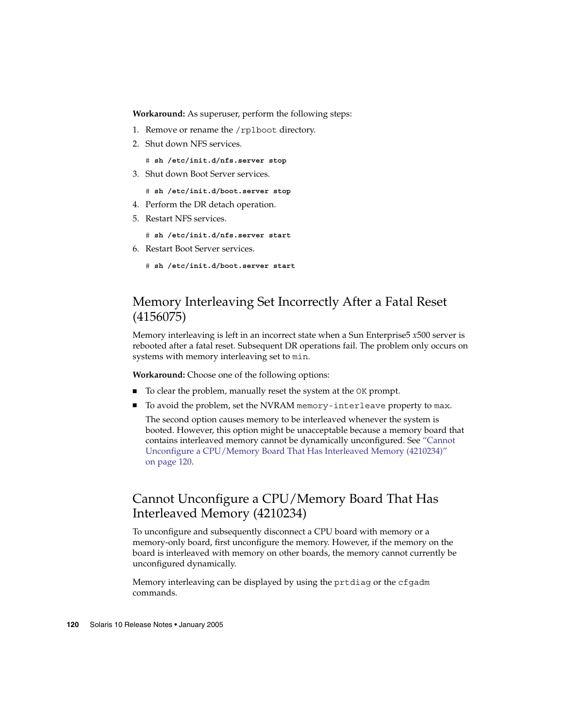<span id="page-119-0"></span>**Workaround:** As superuser, perform the following steps:

- 1. Remove or rename the /rplboot directory.
- 2. Shut down NFS services.
	- # **sh /etc/init.d/nfs.server stop**
- 3. Shut down Boot Server services.
	- # **sh /etc/init.d/boot.server stop**
- 4. Perform the DR detach operation.
- 5. Restart NFS services.

# **sh /etc/init.d/nfs.server start**

- 6. Restart Boot Server services.
	- # **sh /etc/init.d/boot.server start**

#### Memory Interleaving Set Incorrectly After a Fatal Reset (4156075)

Memory interleaving is left in an incorrect state when a Sun Enterprise5 *x*500 server is rebooted after a fatal reset. Subsequent DR operations fail. The problem only occurs on systems with memory interleaving set to min.

**Workaround:** Choose one of the following options:

- To clear the problem, manually reset the system at the OK prompt.
- To avoid the problem, set the NVRAM memory-interleave property to max.

The second option causes memory to be interleaved whenever the system is booted. However, this option might be unacceptable because a memory board that contains interleaved memory cannot be dynamically unconfigured. See "Cannot Unconfigure a CPU/Memory Board That Has Interleaved Memory (4210234)" on page 120.

#### Cannot Unconfigure a CPU/Memory Board That Has Interleaved Memory (4210234)

To unconfigure and subsequently disconnect a CPU board with memory or a memory-only board, first unconfigure the memory. However, if the memory on the board is interleaved with memory on other boards, the memory cannot currently be unconfigured dynamically.

Memory interleaving can be displayed by using the prtdiag or the cfgadm commands.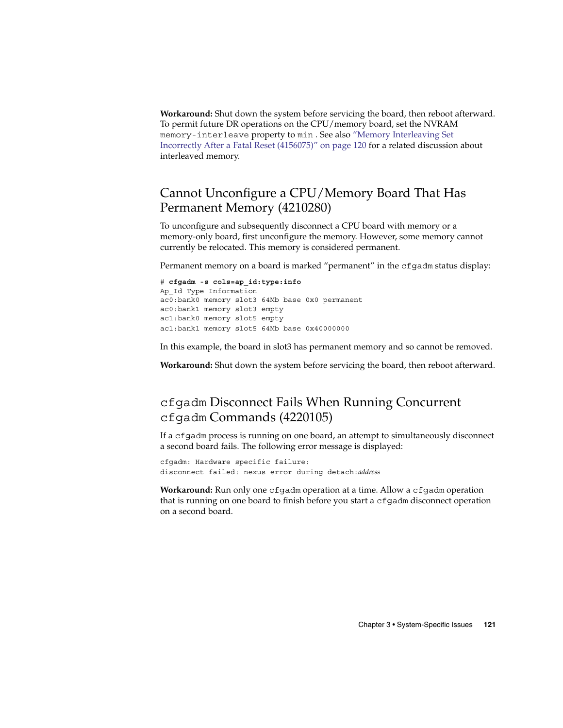**Workaround:** Shut down the system before servicing the board, then reboot afterward. To permit future DR operations on the CPU/memory board, set the NVRAM memory-interleave property to min . See also ["Memory Interleaving Set](#page-119-0) [Incorrectly After a Fatal Reset \(4156075\)"](#page-119-0) on page 120 for a related discussion about interleaved memory.

#### Cannot Unconfigure a CPU/Memory Board That Has Permanent Memory (4210280)

To unconfigure and subsequently disconnect a CPU board with memory or a memory-only board, first unconfigure the memory. However, some memory cannot currently be relocated. This memory is considered permanent.

Permanent memory on a board is marked "permanent" in the cfgadm status display:

```
# cfgadm -s cols=ap_id:type:info
Ap_Id Type Information
ac0:bank0 memory slot3 64Mb base 0x0 permanent
ac0:bank1 memory slot3 empty
ac1:bank0 memory slot5 empty
ac1:bank1 memory slot5 64Mb base 0x40000000
```
In this example, the board in slot3 has permanent memory and so cannot be removed.

**Workaround:** Shut down the system before servicing the board, then reboot afterward.

#### cfgadm Disconnect Fails When Running Concurrent cfgadm Commands (4220105)

If a cfgadm process is running on one board, an attempt to simultaneously disconnect a second board fails. The following error message is displayed:

cfgadm: Hardware specific failure: disconnect failed: nexus error during detach:*address*

Workaround: Run only one cf qadm operation at a time. Allow a cf qadm operation that is running on one board to finish before you start a cfgadm disconnect operation on a second board.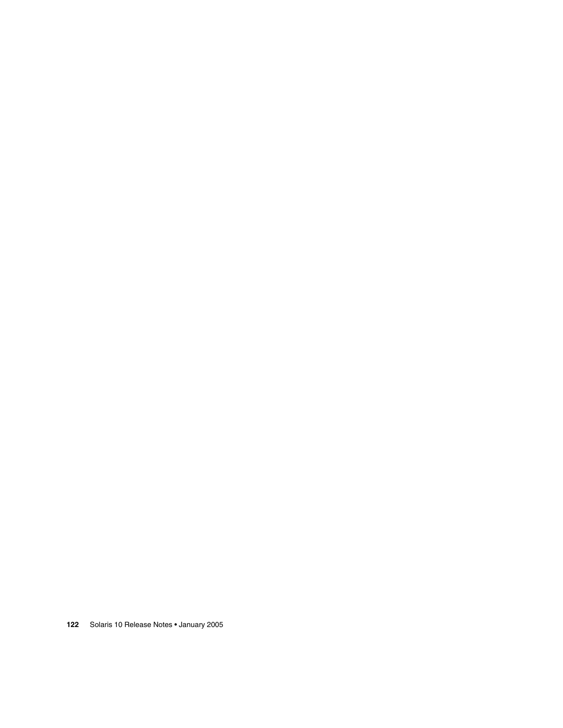Solaris 10 Release Notes • January 2005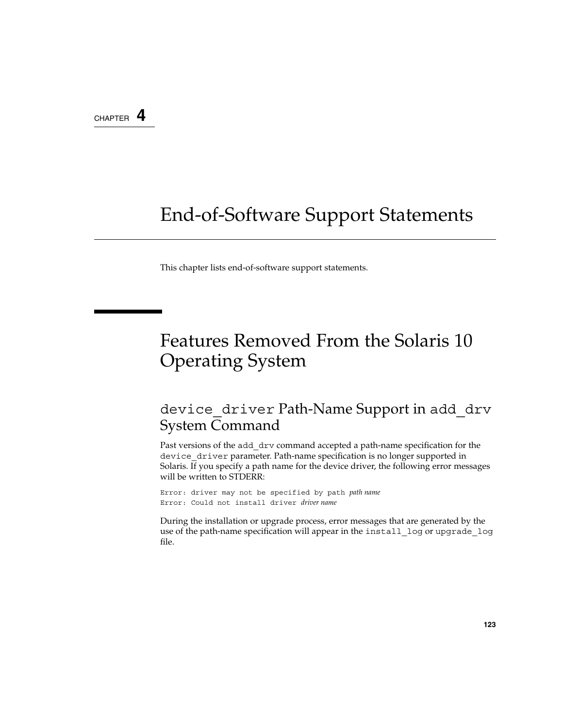#### CHAPTER **4**

# End-of-Software Support Statements

This chapter lists end-of-software support statements.

# Features Removed From the Solaris 10 Operating System

# device driver Path-Name Support in add drv System Command

Past versions of the add drv command accepted a path-name specification for the device driver parameter. Path-name specification is no longer supported in Solaris. If you specify a path name for the device driver, the following error messages will be written to STDERR:

Error: driver may not be specified by path *path name* Error: Could not install driver *driver name*

During the installation or upgrade process, error messages that are generated by the use of the path-name specification will appear in the install\_log or upgrade\_log file.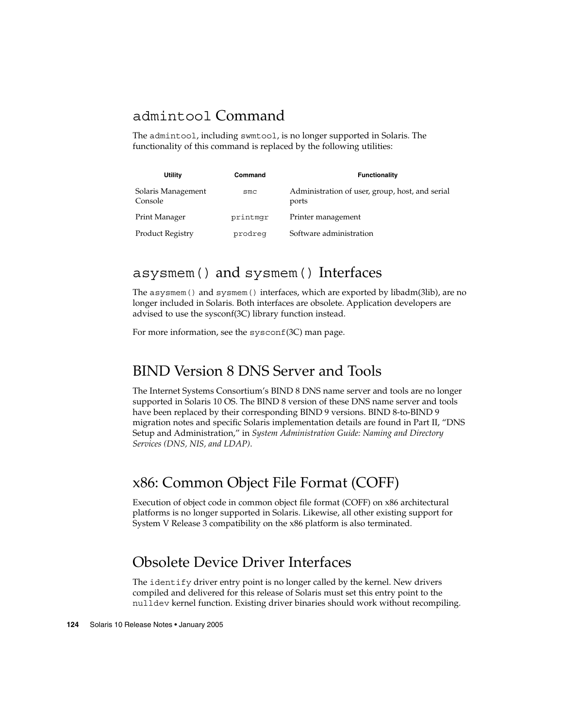## admintool Command

The admintool, including swmtool, is no longer supported in Solaris. The functionality of this command is replaced by the following utilities:

| Utility                       | Command  | <b>Functionality</b>                                     |
|-------------------------------|----------|----------------------------------------------------------|
| Solaris Management<br>Console | smc      | Administration of user, group, host, and serial<br>ports |
| Print Manager                 | printmqr | Printer management                                       |
| <b>Product Registry</b>       | prodreg  | Software administration                                  |

## asysmem() and sysmem() Interfaces

The asysmem() and sysmem() interfaces, which are exported by libadm(3lib), are no longer included in Solaris. Both interfaces are obsolete. Application developers are advised to use the sysconf(3C) library function instead.

For more information, see the  $s$ yscon $f(3C)$  man page.

## BIND Version 8 DNS Server and Tools

The Internet Systems Consortium's BIND 8 DNS name server and tools are no longer supported in Solaris 10 OS. The BIND 8 version of these DNS name server and tools have been replaced by their corresponding BIND 9 versions. BIND 8-to-BIND 9 migration notes and specific Solaris implementation details are found in Part II, "DNS Setup and Administration," in *System Administration Guide: Naming and Directory Services (DNS, NIS, and LDAP)*.

## x86: Common Object File Format (COFF)

Execution of object code in common object file format (COFF) on x86 architectural platforms is no longer supported in Solaris. Likewise, all other existing support for System V Release 3 compatibility on the x86 platform is also terminated.

# Obsolete Device Driver Interfaces

The identify driver entry point is no longer called by the kernel. New drivers compiled and delivered for this release of Solaris must set this entry point to the nulldev kernel function. Existing driver binaries should work without recompiling.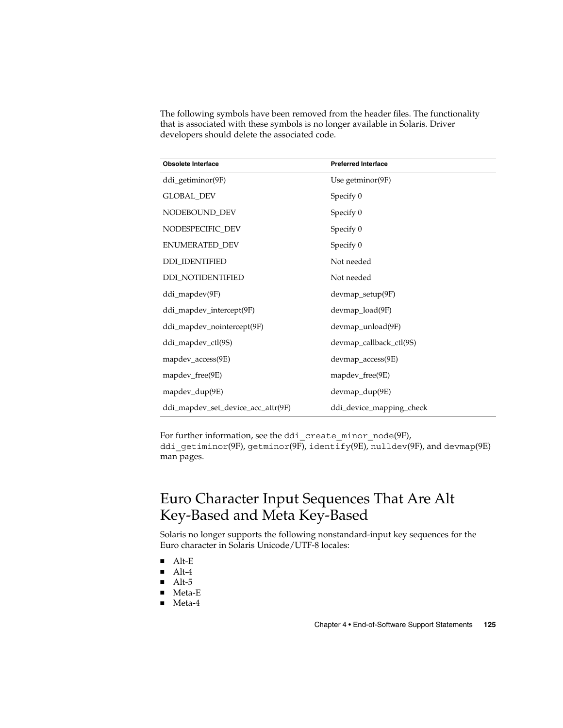The following symbols have been removed from the header files. The functionality that is associated with these symbols is no longer available in Solaris. Driver developers should delete the associated code.

| <b>Obsolete Interface</b>          | <b>Preferred Interface</b> |
|------------------------------------|----------------------------|
| ddi_getiminor(9F)                  | Use getminor $(9F)$        |
| <b>GLOBAL_DEV</b>                  | Specify 0                  |
| NODEBOUND_DEV                      | Specify 0                  |
| NODESPECIFIC_DEV                   | Specify 0                  |
| <b>ENUMERATED_DEV</b>              | Specify 0                  |
| <b>DDI_IDENTIFIED</b>              | Not needed                 |
| DDI_NOTIDENTIFIED                  | Not needed                 |
| $ddi$ _mapdev $(9F)$               | $devmap_setup(9F)$         |
| ddi_mapdev_intercept(9F)           | devmap_load(9F)            |
| ddi_mapdev_nointercept(9F)         | devmap_unload(9F)          |
| ddi_mapdev_ctl(9S)                 | devmap_callback_ctl(9S)    |
| mapdev_access(9E)                  | devmap_access(9E)          |
| mapdev_free(9E)                    | mapdev_free(9E)            |
| $mapdev_dup(9E)$                   | $d$ evmap_ $d$ up $(9E)$   |
| ddi_mapdev_set_device_acc_attr(9F) | ddi_device_mapping_check   |

For further information, see the ddi create minor node(9F), ddi getiminor(9F), getminor(9F), identify(9E), nulldev(9F), and devmap(9E) man pages.

# Euro Character Input Sequences That Are Alt Key-Based and Meta Key-Based

Solaris no longer supports the following nonstandard-input key sequences for the Euro character in Solaris Unicode/UTF-8 locales:

- Alt-E
- Alt-4
- Alt-5
- Meta-E
- Meta-4

Chapter 4 • End-of-Software Support Statements **125**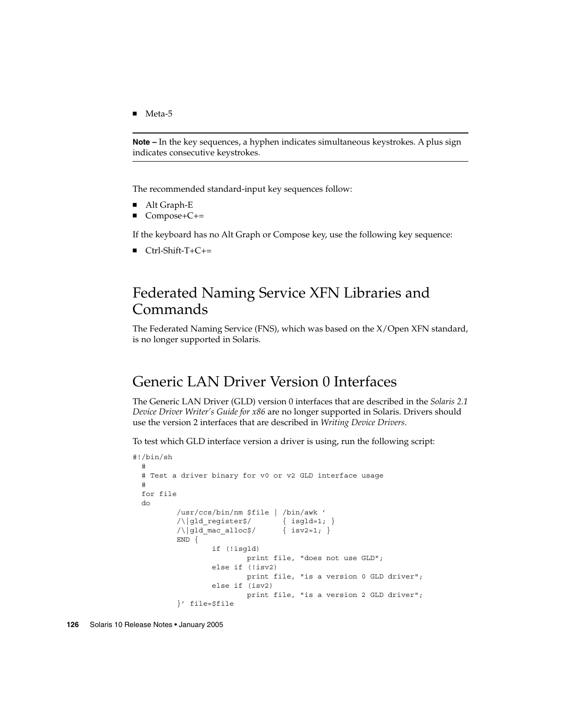■ Meta-5

**Note –** In the key sequences, a hyphen indicates simultaneous keystrokes. A plus sign indicates consecutive keystrokes.

The recommended standard-input key sequences follow:

- Alt Graph-E
- Compose+C+=

If the keyboard has no Alt Graph or Compose key, use the following key sequence:

 $\blacksquare$  Ctrl-Shift-T+C+=

## Federated Naming Service XFN Libraries and Commands

The Federated Naming Service (FNS), which was based on the X/Open XFN standard, is no longer supported in Solaris.

## Generic LAN Driver Version 0 Interfaces

The Generic LAN Driver (GLD) version 0 interfaces that are described in the *Solaris 2.1 Device Driver Writer's Guide for x86* are no longer supported in Solaris. Drivers should use the version 2 interfaces that are described in *Writing Device Drivers*.

To test which GLD interface version a driver is using, run the following script:

```
#!/bin/sh
 #
 # Test a driver binary for v0 or v2 GLD interface usage
 #
 for file
 do
          /usr/ccs/bin/nm $file | /bin/awk '
          /\backslash|gld_register$/ { isgld=1; }
          /\sqrt{gld_mac\_alloc} { isv2=1; }
         END {
                 if (!isgld)
                         print file, "does not use GLD";
                  else if (!isv2)
                         print file, "is a version 0 GLD driver";
                  else if (isv2)
                         print file, "is a version 2 GLD driver";
          }' file=$file
```
**126** Solaris 10 Release Notes • January 2005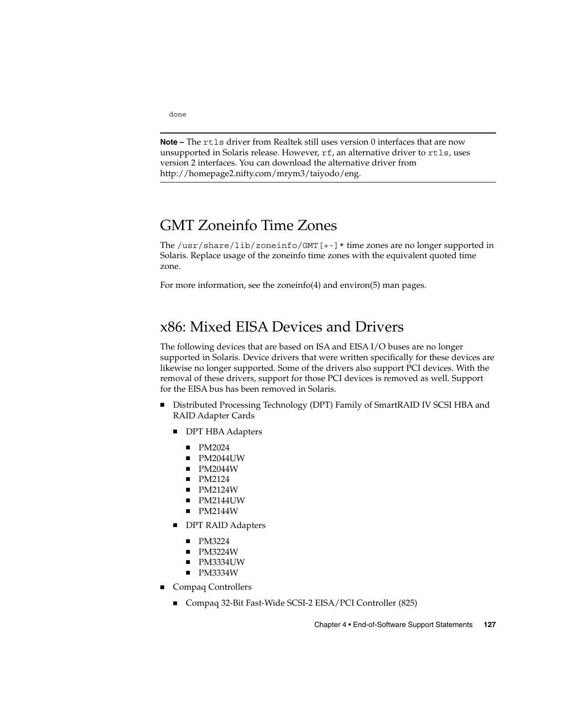**Note –** The rtls driver from Realtek still uses version 0 interfaces that are now unsupported in Solaris release. However, rf, an alternative driver to rtls, uses version 2 interfaces. You can download the alternative driver from [http://homepage2.nifty.com/mrym3/taiyodo/eng.](http://homepage2.nifty.com/mrym3/taiyodo/eng)

## GMT Zoneinfo Time Zones

The /usr/share/lib/zoneinfo/GMT[+-]\* time zones are no longer supported in Solaris. Replace usage of the zoneinfo time zones with the equivalent quoted time zone.

For more information, see the zoneinfo(4) and environ(5) man pages.

# x86: Mixed EISA Devices and Drivers

The following devices that are based on ISA and EISA I/O buses are no longer supported in Solaris. Device drivers that were written specifically for these devices are likewise no longer supported. Some of the drivers also support PCI devices. With the removal of these drivers, support for those PCI devices is removed as well. Support for the EISA bus has been removed in Solaris.

- Distributed Processing Technology (DPT) Family of SmartRAID IV SCSI HBA and RAID Adapter Cards
	- DPT HBA Adapters
		- PM2024
		- PM2044UW
		- PM2044W
		- PM2124
		- PM2124W
		- PM2144UW
		- PM2144W
	- DPT RAID Adapters
		- PM3224
		- PM3224W
		- PM3334UW
		- PM3334W
- Compaq Controllers
	- Compaq 32-Bit Fast-Wide SCSI-2 EISA/PCI Controller (825)

Chapter 4 • End-of-Software Support Statements **127**

done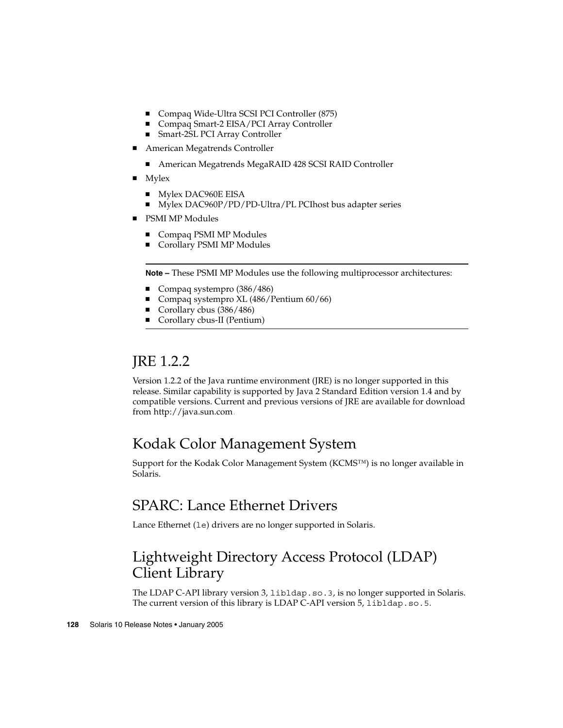- Compaq Wide-Ultra SCSI PCI Controller (875)
- Compaq Smart-2 EISA/PCI Array Controller
- Smart-2SL PCI Array Controller
- American Megatrends Controller
	- American Megatrends MegaRAID 428 SCSI RAID Controller
- Mylex
	- Mylex DAC960E EISA
	- Mylex DAC960P/PD/PD-Ultra/PL PCIhost bus adapter series
- PSMI MP Modules
	- Compaq PSMI MP Modules
	- Corollary PSMI MP Modules

**Note –** These PSMI MP Modules use the following multiprocessor architectures:

- Compaq systempro (386/486)
- Compaq systempro XL (486/Pentium 60/66)
- Corollary cbus (386/486)
- Corollary cbus-II (Pentium)

#### JRE 1.2.2

Version 1.2.2 of the Java runtime environment (JRE) is no longer supported in this release. Similar capability is supported by Java 2 Standard Edition version 1.4 and by compatible versions. Current and previous versions of JRE are available for download from [http://java.sun.com.](http://java.sun.com)

# Kodak Color Management System

Support for the Kodak Color Management System (KCMS™) is no longer available in Solaris.

## SPARC: Lance Ethernet Drivers

Lance Ethernet (le) drivers are no longer supported in Solaris.

# Lightweight Directory Access Protocol (LDAP) Client Library

The LDAP C-API library version 3, libldap.so.3, is no longer supported in Solaris. The current version of this library is LDAP C-API version 5, libldap.so.5.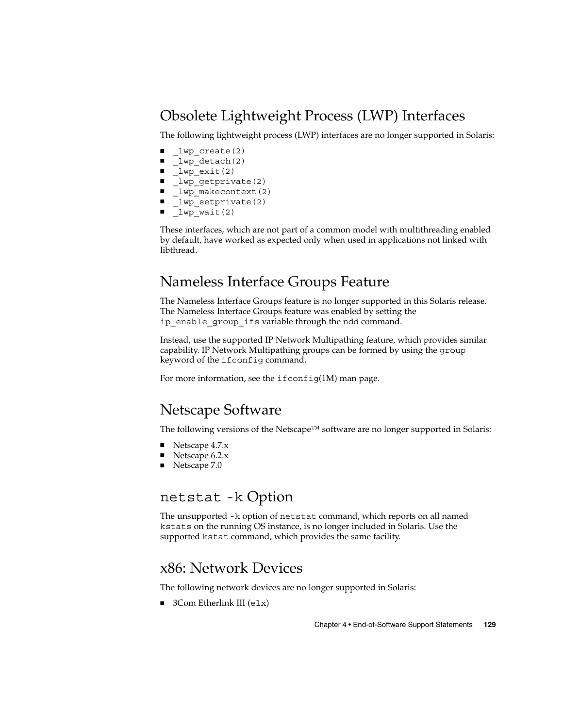# Obsolete Lightweight Process (LWP) Interfaces

The following lightweight process (LWP) interfaces are no longer supported in Solaris:

- $_lwp\_create(2)$
- \_lwp\_detach(2)
- lwp exit(2)
- lwp getprivate(2)
- lwp makecontext(2)
- \_lwp\_setprivate(2)
- \_lwp\_wait(2)

These interfaces, which are not part of a common model with multithreading enabled by default, have worked as expected only when used in applications not linked with libthread.

#### Nameless Interface Groups Feature

The Nameless Interface Groups feature is no longer supported in this Solaris release. The Nameless Interface Groups feature was enabled by setting the ip enable group ifs variable through the ndd command.

Instead, use the supported IP Network Multipathing feature, which provides similar capability. IP Network Multipathing groups can be formed by using the group keyword of the ifconfig command.

For more information, see the  $if$ con $fi$ q $(1M)$  man page.

## Netscape Software

The following versions of the Netscape™ software are no longer supported in Solaris:

- Netscape 4.7.x
- Netscape 6.2.x
- Netscape 7.0

#### netstat -k Option

The unsupported -k option of netstat command, which reports on all named kstats on the running OS instance, is no longer included in Solaris. Use the supported kstat command, which provides the same facility.

### x86: Network Devices

The following network devices are no longer supported in Solaris:

■ 3Com Etherlink III (e1x)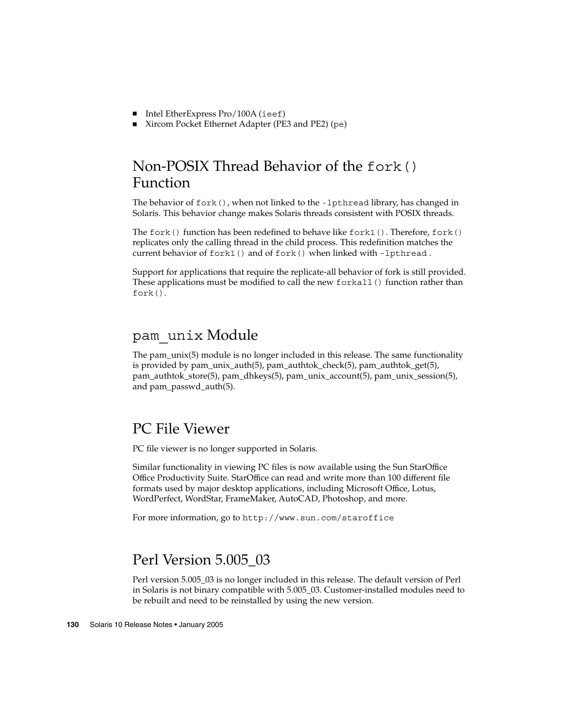- Intel EtherExpress Pro/100A (ieef)
- Xircom Pocket Ethernet Adapter (PE3 and PE2) (pe)

# Non-POSIX Thread Behavior of the fork() Function

The behavior of fork(), when not linked to the -lpthread library, has changed in Solaris. This behavior change makes Solaris threads consistent with POSIX threads.

The fork() function has been redefined to behave like fork1(). Therefore, fork() replicates only the calling thread in the child process. This redefinition matches the current behavior of fork1() and of fork() when linked with -lpthread .

Support for applications that require the replicate-all behavior of fork is still provided. These applications must be modified to call the new forkall() function rather than fork().

#### pam\_unix Module

The pam\_unix(5) module is no longer included in this release. The same functionality is provided by pam\_unix\_auth(5), pam\_authtok\_check(5), pam\_authtok\_get(5), pam\_authtok\_store(5), pam\_dhkeys(5), pam\_unix\_account(5), pam\_unix\_session(5), and pam\_passwd\_auth(5).

## PC File Viewer

PC file viewer is no longer supported in Solaris.

Similar functionality in viewing PC files is now available using the Sun StarOffice Office Productivity Suite. StarOffice can read and write more than 100 different file formats used by major desktop applications, including Microsoft Office, Lotus, WordPerfect, WordStar, FrameMaker, AutoCAD, Photoshop, and more.

For more information, go to <http://www.sun.com/staroffice>

## Perl Version 5.005\_03

Perl version 5.005\_03 is no longer included in this release. The default version of Perl in Solaris is not binary compatible with 5.005\_03. Customer-installed modules need to be rebuilt and need to be reinstalled by using the new version.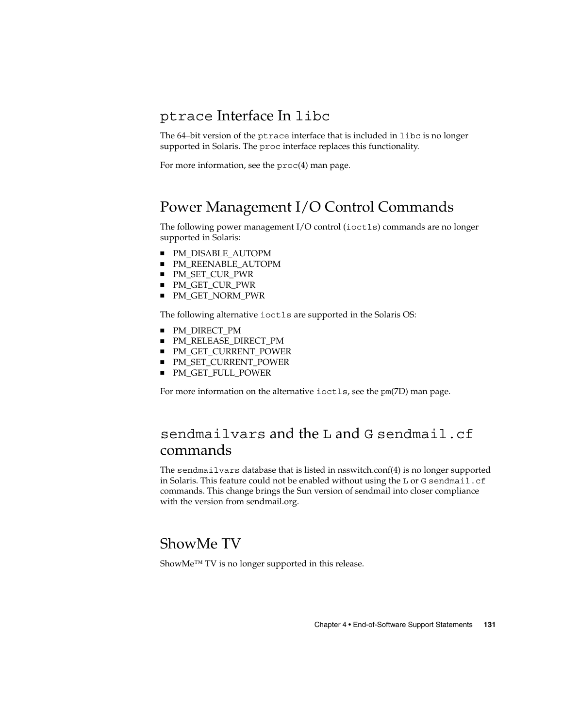#### ptrace Interface In libc

The 64–bit version of the ptrace interface that is included in libc is no longer supported in Solaris. The proc interface replaces this functionality.

For more information, see the proc(4) man page.

## Power Management I/O Control Commands

The following power management I/O control (ioctls) commands are no longer supported in Solaris:

- PM\_DISABLE\_AUTOPM
- PM\_REENABLE\_AUTOPM
- PM\_SET\_CUR\_PWR
- PM\_GET\_CUR\_PWR
- PM\_GET\_NORM\_PWR

The following alternative ioctls are supported in the Solaris OS:

- PM\_DIRECT\_PM
- PM\_RELEASE\_DIRECT\_PM
- PM\_GET\_CURRENT\_POWER
- PM\_SET\_CURRENT\_POWER
- PM\_GET\_FULL\_POWER

For more information on the alternative ioctls, see the pm(7D) man page.

## sendmailvars and the L and G sendmail.cf commands

The sendmailvars database that is listed in nsswitch.conf(4) is no longer supported in Solaris. This feature could not be enabled without using the L or G sendmail.cf commands. This change brings the Sun version of sendmail into closer compliance with the version from sendmail.org.

#### ShowMe TV

ShowMe<sup>™</sup> TV is no longer supported in this release.

Chapter 4 • End-of-Software Support Statements **131**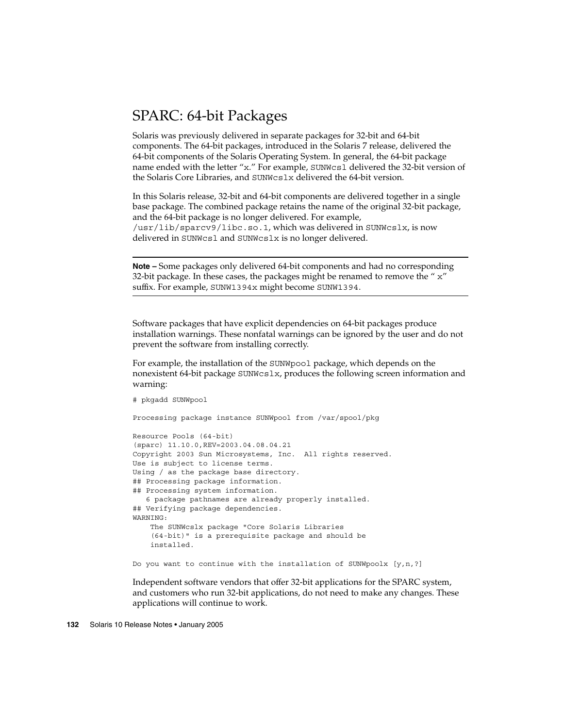#### SPARC: 64-bit Packages

Solaris was previously delivered in separate packages for 32-bit and 64-bit components. The 64-bit packages, introduced in the Solaris 7 release, delivered the 64-bit components of the Solaris Operating System. In general, the 64-bit package name ended with the letter "x." For example, SUNWcsl delivered the 32-bit version of the Solaris Core Libraries, and SUNWcslx delivered the 64-bit version.

In this Solaris release, 32-bit and 64-bit components are delivered together in a single base package. The combined package retains the name of the original 32-bit package, and the 64-bit package is no longer delivered. For example, /usr/lib/sparcv9/libc.so.1, which was delivered in SUNWcslx, is now delivered in SUNWcsl and SUNWcslx is no longer delivered.

**Note –** Some packages only delivered 64-bit components and had no corresponding 32-bit package. In these cases, the packages might be renamed to remove the " $x$ " suffix. For example, SUNW1394x might become SUNW1394.

Software packages that have explicit dependencies on 64-bit packages produce installation warnings. These nonfatal warnings can be ignored by the user and do not prevent the software from installing correctly.

For example, the installation of the SUNWpool package, which depends on the nonexistent 64-bit package SUNWcslx, produces the following screen information and warning:

# pkgadd SUNWpool Processing package instance SUNWpool from /var/spool/pkg Resource Pools (64-bit) (sparc) 11.10.0,REV=2003.04.08.04.21 Copyright 2003 Sun Microsystems, Inc. All rights reserved. Use is subject to license terms. Using / as the package base directory. ## Processing package information. ## Processing system information. 6 package pathnames are already properly installed. ## Verifying package dependencies. WARNING: The SUNWcslx package "Core Solaris Libraries (64-bit)" is a prerequisite package and should be installed. Do you want to continue with the installation of SUNWpoolx  $[y,n,?]$ 

Independent software vendors that offer 32-bit applications for the SPARC system, and customers who run 32-bit applications, do not need to make any changes. These applications will continue to work.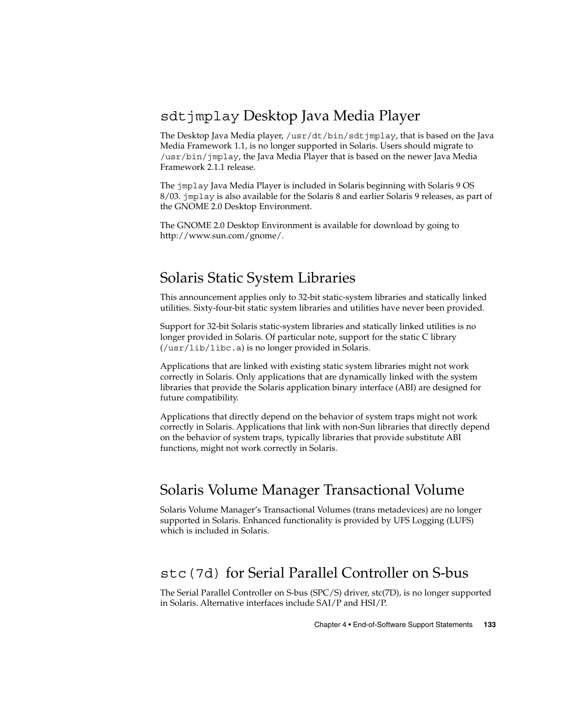# sdtjmplay Desktop Java Media Player

The Desktop Java Media player, /usr/dt/bin/sdtjmplay, that is based on the Java Media Framework 1.1, is no longer supported in Solaris. Users should migrate to /usr/bin/jmplay, the Java Media Player that is based on the newer Java Media Framework 2.1.1 release.

The jmplay Java Media Player is included in Solaris beginning with Solaris 9 OS 8/03. jmplay is also available for the Solaris 8 and earlier Solaris 9 releases, as part of the GNOME 2.0 Desktop Environment.

The GNOME 2.0 Desktop Environment is available for download by going to [http://www.sun.com/gnome/.](http://www.sun.com/gnome/)

#### Solaris Static System Libraries

This announcement applies only to 32-bit static-system libraries and statically linked utilities. Sixty-four-bit static system libraries and utilities have never been provided.

Support for 32-bit Solaris static-system libraries and statically linked utilities is no longer provided in Solaris. Of particular note, support for the static C library (/usr/lib/libc.a) is no longer provided in Solaris.

Applications that are linked with existing static system libraries might not work correctly in Solaris. Only applications that are dynamically linked with the system libraries that provide the Solaris application binary interface (ABI) are designed for future compatibility.

Applications that directly depend on the behavior of system traps might not work correctly in Solaris. Applications that link with non-Sun libraries that directly depend on the behavior of system traps, typically libraries that provide substitute ABI functions, might not work correctly in Solaris.

## Solaris Volume Manager Transactional Volume

Solaris Volume Manager's Transactional Volumes (trans metadevices) are no longer supported in Solaris. Enhanced functionality is provided by UFS Logging (LUFS) which is included in Solaris.

# stc(7d) for Serial Parallel Controller on S-bus

The Serial Parallel Controller on S-bus (SPC/S) driver, stc(7D), is no longer supported in Solaris. Alternative interfaces include SAI/P and HSI/P.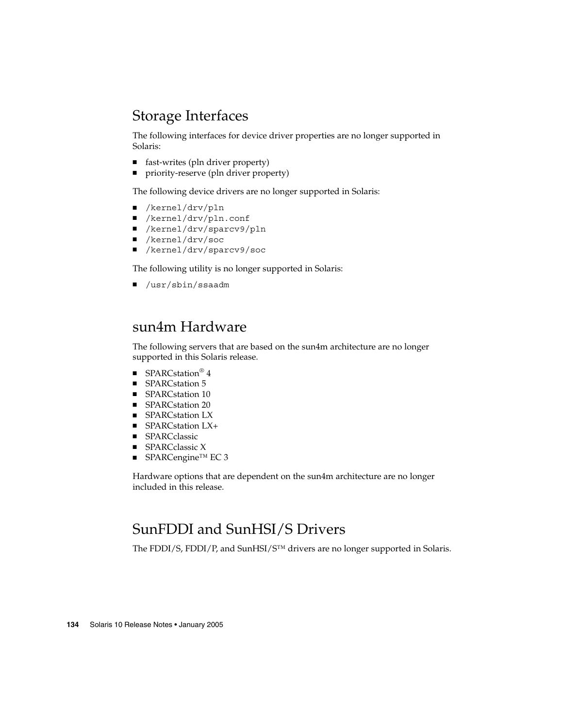# Storage Interfaces

The following interfaces for device driver properties are no longer supported in Solaris:

- fast-writes (pln driver property)
- priority-reserve (pln driver property)

The following device drivers are no longer supported in Solaris:

- /kernel/drv/pln
- /kernel/drv/pln.conf
- /kernel/drv/sparcv9/pln
- /kernel/drv/soc
- /kernel/drv/sparcv9/soc

The following utility is no longer supported in Solaris:

■ /usr/sbin/ssaadm

## sun4m Hardware

The following servers that are based on the sun4m architecture are no longer supported in this Solaris release.

- SPARCstation<sup>®</sup> 4
- SPARCstation 5
- SPARCstation 10
- SPARCstation 20
- SPARCstation LX
- SPARCstation LX+
- SPARCclassic
- SPARCclassic X
- SPARCengine™ EC 3

Hardware options that are dependent on the sun4m architecture are no longer included in this release.

## SunFDDI and SunHSI/S Drivers

The FDDI/S, FDDI/P, and SunHSI/S™ drivers are no longer supported in Solaris.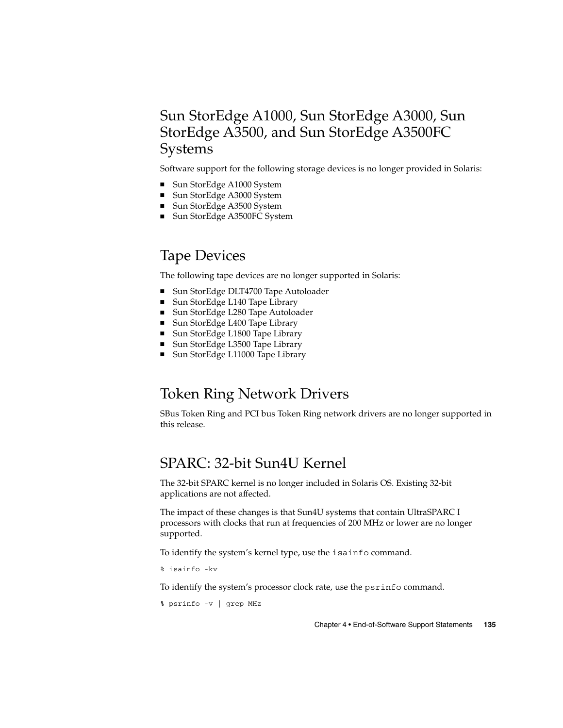## Sun StorEdge A1000, Sun StorEdge A3000, Sun StorEdge A3500, and Sun StorEdge A3500FC Systems

Software support for the following storage devices is no longer provided in Solaris:

- Sun StorEdge A1000 System
- Sun StorEdge A3000 System
- Sun StorEdge A3500 System
- Sun StorEdge A3500FC System

## Tape Devices

The following tape devices are no longer supported in Solaris:

- Sun StorEdge DLT4700 Tape Autoloader
- Sun StorEdge L140 Tape Library
- Sun StorEdge L280 Tape Autoloader
- Sun StorEdge L400 Tape Library
- Sun StorEdge L1800 Tape Library
- Sun StorEdge L3500 Tape Library
- Sun StorEdge L11000 Tape Library

#### Token Ring Network Drivers

SBus Token Ring and PCI bus Token Ring network drivers are no longer supported in this release.

#### SPARC: 32-bit Sun4U Kernel

The 32-bit SPARC kernel is no longer included in Solaris OS. Existing 32-bit applications are not affected.

The impact of these changes is that Sun4U systems that contain UltraSPARC I processors with clocks that run at frequencies of 200 MHz or lower are no longer supported.

To identify the system's kernel type, use the isainfo command.

```
% isainfo -kv
```
To identify the system's processor clock rate, use the psrinfo command.

% psrinfo -v | grep MHz

Chapter 4 • End-of-Software Support Statements **135**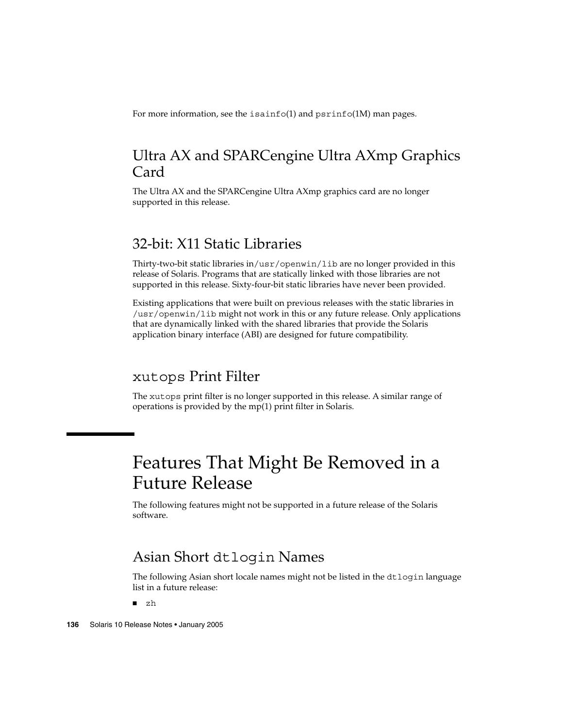For more information, see the isainfo(1) and psrinfo(1M) man pages.

## Ultra AX and SPARCengine Ultra AXmp Graphics Card

The Ultra AX and the SPARCengine Ultra AXmp graphics card are no longer supported in this release.

#### 32-bit: X11 Static Libraries

Thirty-two-bit static libraries in/usr/openwin/lib are no longer provided in this release of Solaris. Programs that are statically linked with those libraries are not supported in this release. Sixty-four-bit static libraries have never been provided.

Existing applications that were built on previous releases with the static libraries in /usr/openwin/lib might not work in this or any future release. Only applications that are dynamically linked with the shared libraries that provide the Solaris application binary interface (ABI) are designed for future compatibility.

#### xutops Print Filter

The xutops print filter is no longer supported in this release. A similar range of operations is provided by the mp(1) print filter in Solaris.

# Features That Might Be Removed in a Future Release

The following features might not be supported in a future release of the Solaris software.

## Asian Short dtlogin Names

The following Asian short locale names might not be listed in the dtlogin language list in a future release:

■ zh

**136** Solaris 10 Release Notes • January 2005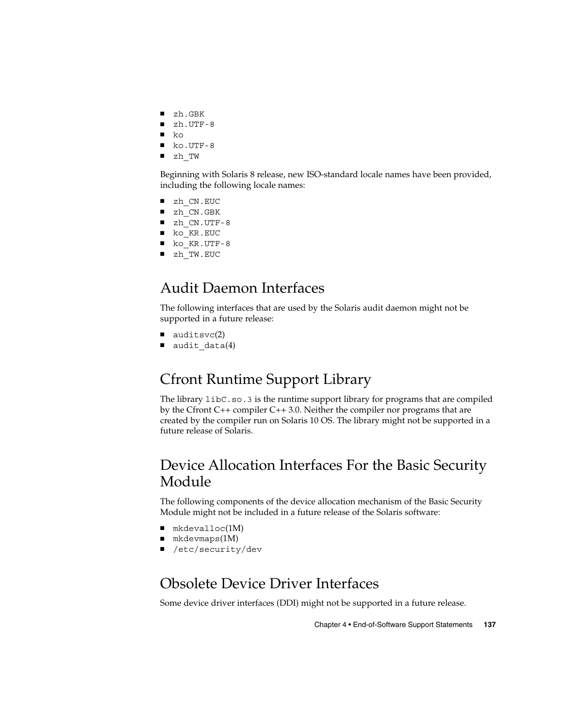- zh.GBK
- zh.UTF-8
- ko
- ko.UTF-8
- $\blacksquare$  zh\_TW

Beginning with Solaris 8 release, new ISO-standard locale names have been provided, including the following locale names:

- zh CN.EUC
- zh CN.GBK
- zh CN.UTF-8
- ko KR.EUC
- ko KR.UTF-8
- zh\_TW.EUC

#### Audit Daemon Interfaces

The following interfaces that are used by the Solaris audit daemon might not be supported in a future release:

- auditsvc(2)
- audit data(4)

#### Cfront Runtime Support Library

The library libC.so.3 is the runtime support library for programs that are compiled by the Cfront C++ compiler C++ 3.0. Neither the compiler nor programs that are created by the compiler run on Solaris 10 OS. The library might not be supported in a future release of Solaris.

#### Device Allocation Interfaces For the Basic Security Module

The following components of the device allocation mechanism of the Basic Security Module might not be included in a future release of the Solaris software:

- mkdevalloc(1M)
- $\blacksquare$  mkdevmaps $(1M)$
- /etc/security/dev

## Obsolete Device Driver Interfaces

Some device driver interfaces (DDI) might not be supported in a future release.

Chapter 4 • End-of-Software Support Statements **137**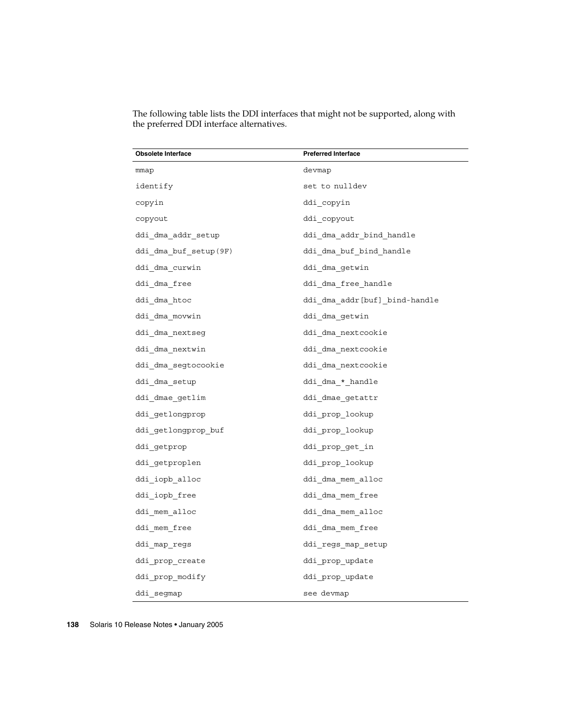| <b>Obsolete Interface</b> | <b>Preferred Interface</b>    |
|---------------------------|-------------------------------|
| mmap                      | devmap                        |
| identify                  | set to nulldev                |
| copyin                    | ddi copyin                    |
| copyout                   | ddi copyout                   |
| ddi dma addr setup        | ddi dma addr bind handle      |
| ddi dma buf setup(9F)     | ddi dma buf bind handle       |
| ddi dma curwin            | ddi dma getwin                |
| ddi dma free              | ddi dma free handle           |
| ddi dma htoc              | ddi dma addr[buf] bind-handle |
| ddi dma movwin            | ddi dma getwin                |
| ddi dma nextseg           | ddi dma nextcookie            |
| ddi dma nextwin           | ddi dma nextcookie            |
| ddi dma seqtocookie       | ddi dma nextcookie            |
| ddi dma setup             | ddi dma * handle              |
| ddi dmae getlim           | ddi dmae getattr              |
| ddi getlongprop           | ddi prop lookup               |
| ddi getlongprop buf       | ddi prop lookup               |
| ddi getprop               | ddi prop get in               |
| ddi getproplen            | ddi prop lookup               |
| ddi iopb alloc            | ddi dma mem alloc             |
| ddi_iopb_free             | ddi dma mem free              |
| ddi mem alloc             | ddi dma mem alloc             |
| ddi mem free              | $ddi\_dma\_mem\_free$         |
| ddi map regs              | ddi regs map setup            |
| ddi prop create           | ddi prop update               |
| ddi prop modify           | ddi prop update               |
| ddi_segmap                | see devmap                    |

The following table lists the DDI interfaces that might not be supported, along with the preferred DDI interface alternatives.

**138** Solaris 10 Release Notes • January 2005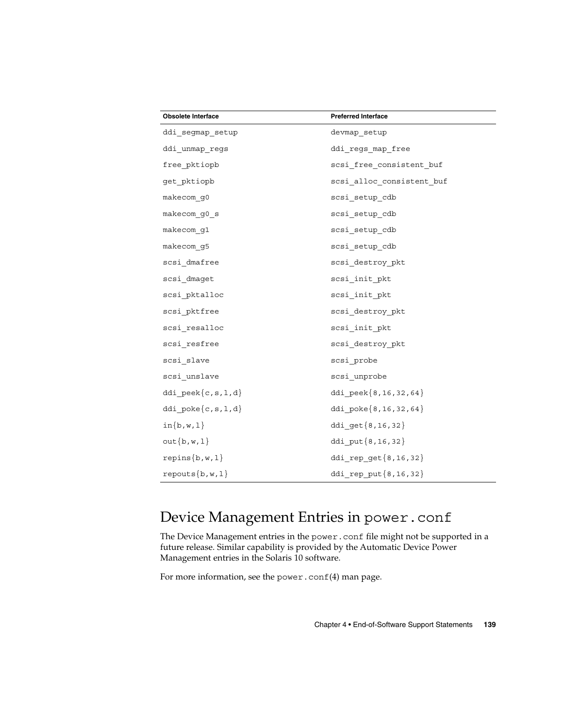| <b>Obsolete Interface</b>                                   | <b>Preferred Interface</b> |
|-------------------------------------------------------------|----------------------------|
| ddi segmap setup                                            | devmap setup               |
| ddi unmap regs                                              | ddi regs map free          |
| free pktiopb                                                | scsi free consistent buf   |
| get_pktiopb                                                 | scsi alloc consistent buf  |
| makecom_g0                                                  | scsi setup cdb             |
| makecom g0 s                                                | scsi setup cdb             |
| makecom_g1                                                  | scsi setup cdb             |
| makecom g5                                                  | scsi setup cdb             |
| scsi dmafree                                                | scsi destroy pkt           |
| scsi_dmaget                                                 | scsi init pkt              |
| scsi pktalloc                                               | scsi_init_pkt              |
| scsi_pktfree                                                | scsi_destroy_pkt           |
| scsi resalloc                                               | scsi init pkt              |
| scsi_resfree                                                | scsi destroy pkt           |
| scsi_slave                                                  | scsi probe                 |
| scsi unslave                                                | scsi unprobe               |
| ddi $\text{peak}\{\text{c}, \text{s}, 1, \text{d}\}\$       | ddi peek{8,16,32,64}       |
| ddi $\text{poke}\{\text{c}, \text{s}, \text{l}, \text{d}\}$ | ddi poke{8,16,32,64}       |
| $in{b,w,1}$                                                 | ddi $get{8,16,32}$         |
| $out{b,w,1}$                                                | ddi put {8, 16, 32}        |
| $repins{b,w,1}$                                             | ddi rep $get{8,16,32}$     |
| $reputs{b,w,1}$                                             | ddi rep put {8, 16, 32}    |

# Device Management Entries in power.conf

The Device Management entries in the power.conf file might not be supported in a future release. Similar capability is provided by the Automatic Device Power Management entries in the Solaris 10 software.

For more information, see the power.conf(4) man page.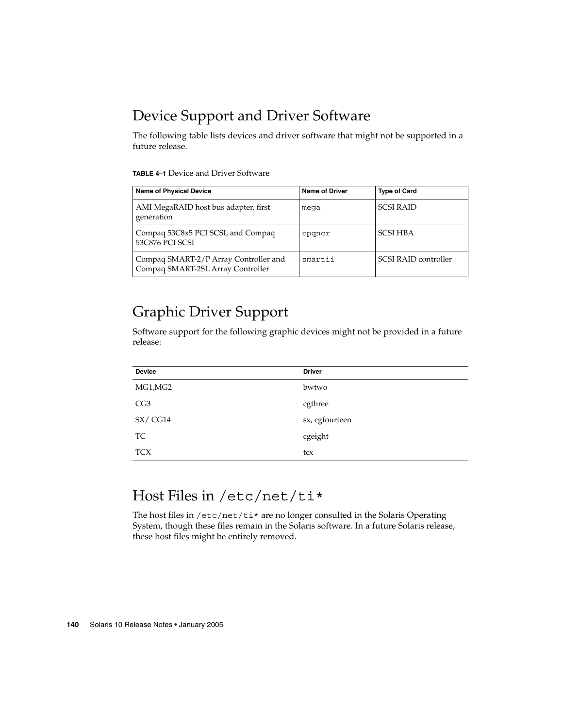# Device Support and Driver Software

The following table lists devices and driver software that might not be supported in a future release.

#### **TABLE 4–1** Device and Driver Software

| <b>Name of Physical Device</b>                                             | <b>Name of Driver</b> | <b>Type of Card</b>  |
|----------------------------------------------------------------------------|-----------------------|----------------------|
| AMI MegaRAID host bus adapter, first<br>generation                         | mega                  | <b>SCSI RAID</b>     |
| Compag 53C8x5 PCI SCSI, and Compag<br>53C876 PCI SCSI                      | cpqncr                | <b>SCSI HBA</b>      |
| Compaq SMART-2/P Array Controller and<br>Compaq SMART-2SL Array Controller | smartii               | SCSI RAID controller |

# Graphic Driver Support

Software support for the following graphic devices might not be provided in a future release:

| <b>Device</b>   | <b>Driver</b>  |
|-----------------|----------------|
| MG1,MG2         | bwtwo          |
| CG <sub>3</sub> | cgthree        |
| SX/CG14         | sx, cgfourteen |
| TC              | cgeight        |
| <b>TCX</b>      | tcx            |

#### Host Files in /etc/net/ti\*

The host files in /etc/net/ti\* are no longer consulted in the Solaris Operating System, though these files remain in the Solaris software. In a future Solaris release, these host files might be entirely removed.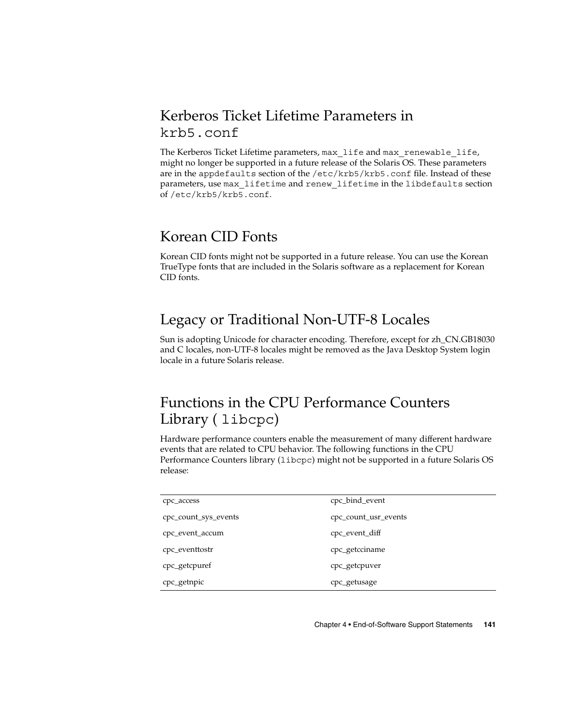## Kerberos Ticket Lifetime Parameters in krb5.conf

The Kerberos Ticket Lifetime parameters, max life and max renewable life, might no longer be supported in a future release of the Solaris OS. These parameters are in the appdefaults section of the /etc/krb5/krb5.conf file. Instead of these parameters, use max\_lifetime and renew\_lifetime in the libdefaults section of /etc/krb5/krb5.conf.

## Korean CID Fonts

Korean CID fonts might not be supported in a future release. You can use the Korean TrueType fonts that are included in the Solaris software as a replacement for Korean CID fonts.

## Legacy or Traditional Non-UTF-8 Locales

Sun is adopting Unicode for character encoding. Therefore, except for zh\_CN.GB18030 and C locales, non-UTF-8 locales might be removed as the Java Desktop System login locale in a future Solaris release.

# Functions in the CPU Performance Counters Library ( libcpc)

Hardware performance counters enable the measurement of many different hardware events that are related to CPU behavior. The following functions in the CPU Performance Counters library (libcpc) might not be supported in a future Solaris OS release:

| cpc_access           | cpc_bind_event       |
|----------------------|----------------------|
| cpc_count_sys_events | cpc_count_usr_events |
| cpc_event_accum      | cpc_event_diff       |
| cpc_eventtostr       | cpc_getcciname       |
| cpc_getcpuref        | cpc_getcpuver        |
| cpc_getnpic          | cpc_getusage         |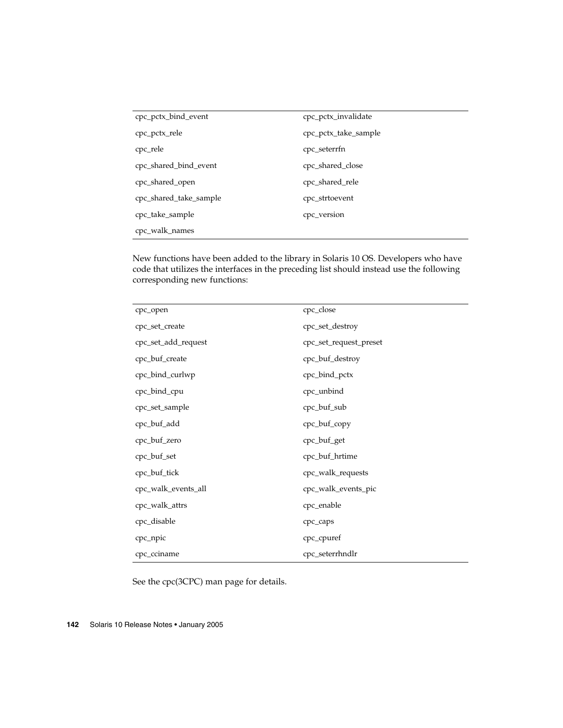| cpc_pctx_bind_event    | cpc_pctx_invalidate  |
|------------------------|----------------------|
| cpc_pctx_rele          | cpc_pctx_take_sample |
| cpc_rele               | cpc_seterrfn         |
| cpc_shared_bind_event  | cpc_shared_close     |
| cpc_shared_open        | cpc_shared_rele      |
| cpc_shared_take_sample | cpc_strtoevent       |
| cpc_take_sample        | cpc_version          |
| cpc_walk_names         |                      |

New functions have been added to the library in Solaris 10 OS. Developers who have code that utilizes the interfaces in the preceding list should instead use the following corresponding new functions:

| cpc_open            | cpc_close              |
|---------------------|------------------------|
| cpc_set_create      | cpc_set_destroy        |
| cpc_set_add_request | cpc_set_request_preset |
| cpc_buf_create      | cpc_buf_destroy        |
| cpc_bind_curlwp     | cpc_bind_pctx          |
| cpc_bind_cpu        | cpc_unbind             |
| cpc_set_sample      | cpc_buf_sub            |
| cpc_buf_add         | cpc_buf_copy           |
| cpc_buf_zero        | cpc_buf_get            |
| cpc_buf_set         | cpc_buf_hrtime         |
| cpc_buf_tick        | cpc_walk_requests      |
| cpc_walk_events_all | cpc_walk_events_pic    |
| cpc_walk_attrs      | cpc_enable             |
| cpc_disable         | cpc_caps               |
| cpc_npic            | cpc_cpuref             |
| cpc_cciname         | cpc_seterrhndlr        |

See the cpc(3CPC) man page for details.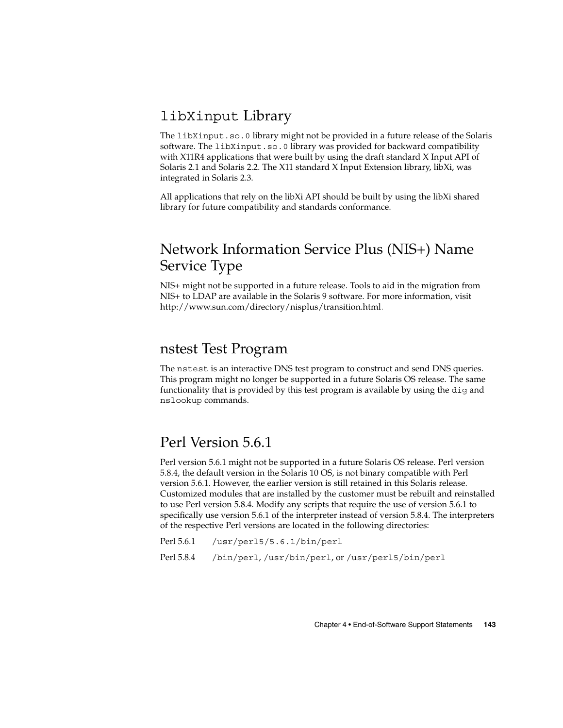#### libXinput Library

The libXinput.so.0 library might not be provided in a future release of the Solaris software. The libXinput.so.0 library was provided for backward compatibility with X11R4 applications that were built by using the draft standard X Input API of Solaris 2.1 and Solaris 2.2. The X11 standard X Input Extension library, libXi, was integrated in Solaris 2.3.

All applications that rely on the libXi API should be built by using the libXi shared library for future compatibility and standards conformance.

## Network Information Service Plus (NIS+) Name Service Type

NIS+ might not be supported in a future release. Tools to aid in the migration from NIS+ to LDAP are available in the Solaris 9 software. For more information, visit [http://www.sun.com/directory/nisplus/transition.html.](http://www.sun.com/directory/nisplus/transition.html)

#### nstest Test Program

The nstest is an interactive DNS test program to construct and send DNS queries. This program might no longer be supported in a future Solaris OS release. The same functionality that is provided by this test program is available by using the dig and nslookup commands.

## Perl Version 5.6.1

Perl version 5.6.1 might not be supported in a future Solaris OS release. Perl version 5.8.4, the default version in the Solaris 10 OS, is not binary compatible with Perl version 5.6.1. However, the earlier version is still retained in this Solaris release. Customized modules that are installed by the customer must be rebuilt and reinstalled to use Perl version 5.8.4. Modify any scripts that require the use of version 5.6.1 to specifically use version 5.6.1 of the interpreter instead of version 5.8.4. The interpreters of the respective Perl versions are located in the following directories:

Perl 5.6.1 /usr/perl5/5.6.1/bin/perl

Perl 5.8.4 /bin/perl, /usr/bin/perl, or /usr/perl5/bin/perl

Chapter 4 • End-of-Software Support Statements **143**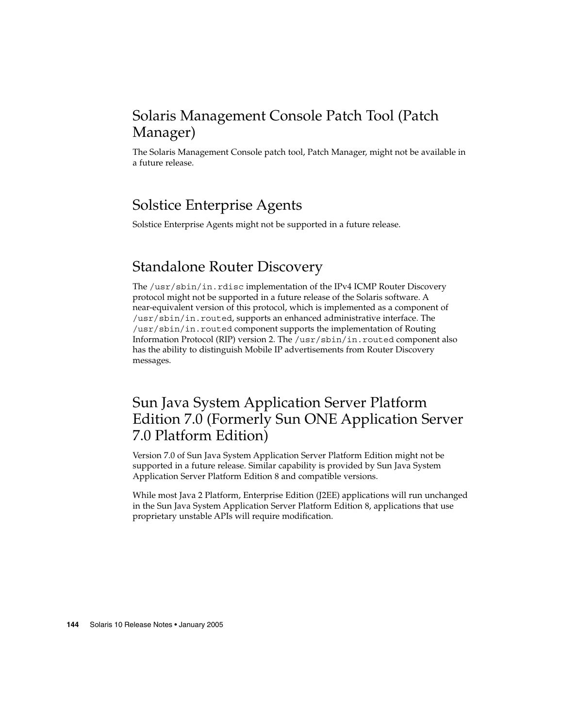# Solaris Management Console Patch Tool (Patch Manager)

The Solaris Management Console patch tool, Patch Manager, might not be available in a future release.

## Solstice Enterprise Agents

Solstice Enterprise Agents might not be supported in a future release.

# Standalone Router Discovery

The /usr/sbin/in.rdisc implementation of the IPv4 ICMP Router Discovery protocol might not be supported in a future release of the Solaris software. A near-equivalent version of this protocol, which is implemented as a component of /usr/sbin/in.routed, supports an enhanced administrative interface. The /usr/sbin/in.routed component supports the implementation of Routing Information Protocol (RIP) version 2. The /usr/sbin/in.routed component also has the ability to distinguish Mobile IP advertisements from Router Discovery messages.

# Sun Java System Application Server Platform Edition 7.0 (Formerly Sun ONE Application Server 7.0 Platform Edition)

Version 7.0 of Sun Java System Application Server Platform Edition might not be supported in a future release. Similar capability is provided by Sun Java System Application Server Platform Edition 8 and compatible versions.

While most Java 2 Platform, Enterprise Edition (J2EE) applications will run unchanged in the Sun Java System Application Server Platform Edition 8, applications that use proprietary unstable APIs will require modification.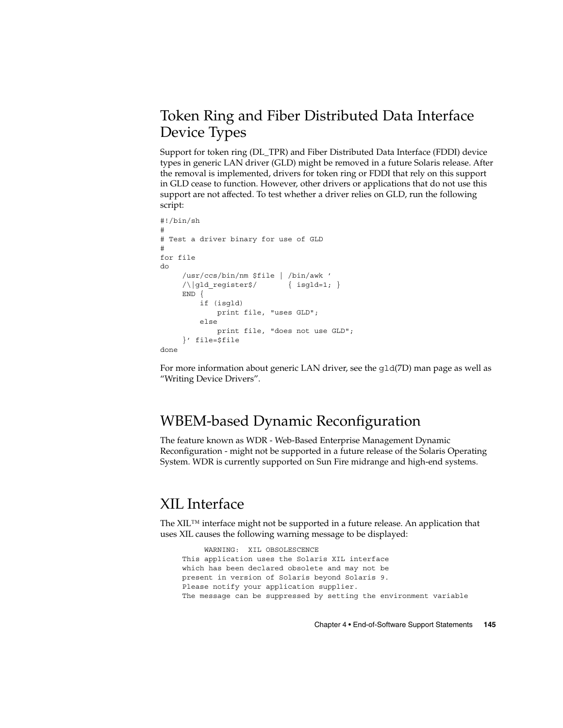#### Token Ring and Fiber Distributed Data Interface Device Types

Support for token ring (DL\_TPR) and Fiber Distributed Data Interface (FDDI) device types in generic LAN driver (GLD) might be removed in a future Solaris release. After the removal is implemented, drivers for token ring or FDDI that rely on this support in GLD cease to function. However, other drivers or applications that do not use this support are not affected. To test whether a driver relies on GLD, run the following script:

```
#!/bin/sh
#
# Test a driver binary for use of GLD
#
for file
do
      /usr/ccs/bin/nm $file | /bin/awk '
      /\lceil \text{gld} \rceil / \lceil \text{gld} \rceil / \lceil \text{gld} \rceil / \lceil \text{gld} \rceil /
      END {
           if (isgld)
                print file, "uses GLD";
           else
               print file, "does not use GLD";
      }' file=$file
done
```
For more information about generic LAN driver, see the gld(7D) man page as well as "Writing Device Drivers".

#### WBEM-based Dynamic Reconfiguration

The feature known as WDR - Web-Based Enterprise Management Dynamic Reconfiguration - might not be supported in a future release of the Solaris Operating System. WDR is currently supported on Sun Fire midrange and high-end systems.

#### XIL Interface

The XIL™ interface might not be supported in a future release. An application that uses XIL causes the following warning message to be displayed:

```
WARNING: XIL OBSOLESCENCE
This application uses the Solaris XIL interface
which has been declared obsolete and may not be
present in version of Solaris beyond Solaris 9.
Please notify your application supplier.
The message can be suppressed by setting the environment variable
```
Chapter 4 • End-of-Software Support Statements **145**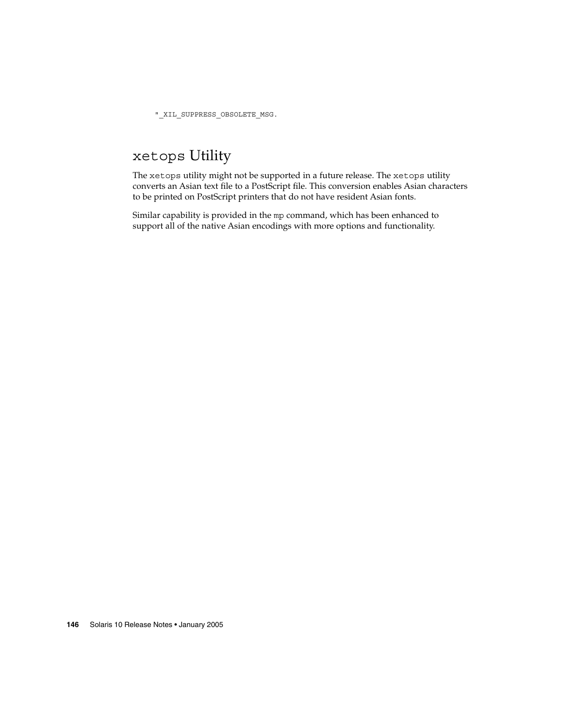"\_XIL\_SUPPRESS\_OBSOLETE\_MSG.

## xetops Utility

The xetops utility might not be supported in a future release. The xetops utility converts an Asian text file to a PostScript file. This conversion enables Asian characters to be printed on PostScript printers that do not have resident Asian fonts.

Similar capability is provided in the mp command, which has been enhanced to support all of the native Asian encodings with more options and functionality.

**146** Solaris 10 Release Notes • January 2005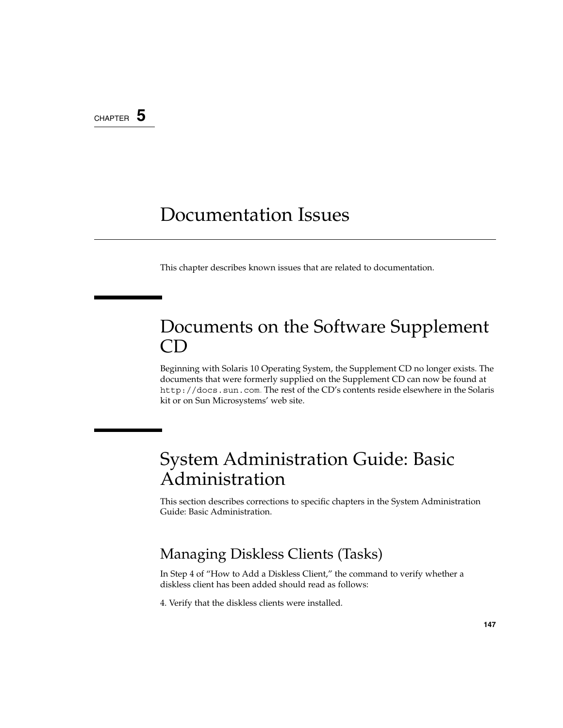#### CHAPTER **5**

## Documentation Issues

This chapter describes known issues that are related to documentation.

## Documents on the Software Supplement CD

Beginning with Solaris 10 Operating System, the Supplement CD no longer exists. The documents that were formerly supplied on the Supplement CD can now be found at <http://docs.sun.com>. The rest of the CD's contents reside elsewhere in the Solaris kit or on Sun Microsystems' web site.

## System Administration Guide: Basic Administration

This section describes corrections to specific chapters in the System Administration Guide: Basic Administration.

#### Managing Diskless Clients (Tasks)

In Step 4 of "How to Add a Diskless Client," the command to verify whether a diskless client has been added should read as follows:

4. Verify that the diskless clients were installed.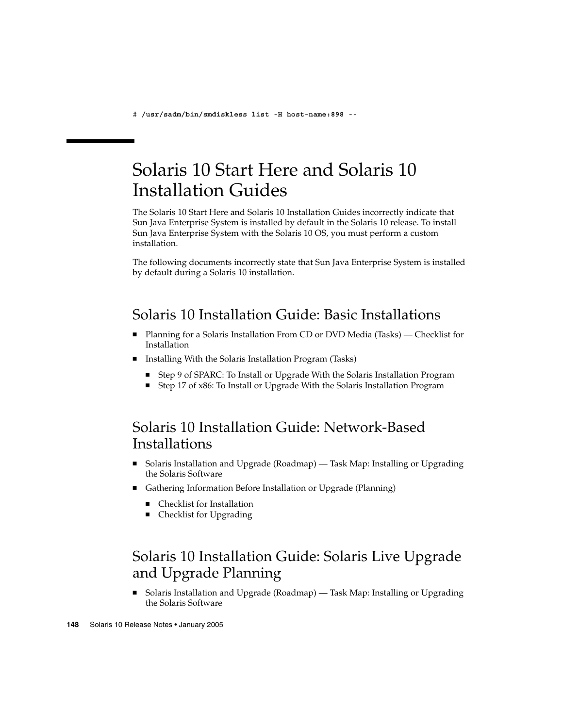# **/usr/sadm/bin/smdiskless list -H host-name:898 --**

# Solaris 10 Start Here and Solaris 10 Installation Guides

The Solaris 10 Start Here and Solaris 10 Installation Guides incorrectly indicate that Sun Java Enterprise System is installed by default in the Solaris 10 release. To install Sun Java Enterprise System with the Solaris 10 OS, you must perform a custom installation.

The following documents incorrectly state that Sun Java Enterprise System is installed by default during a Solaris 10 installation.

## Solaris 10 Installation Guide: Basic Installations

- Planning for a Solaris Installation From CD or DVD Media (Tasks) Checklist for Installation
- Installing With the Solaris Installation Program (Tasks)
	- Step 9 of SPARC: To Install or Upgrade With the Solaris Installation Program
	- Step 17 of x86: To Install or Upgrade With the Solaris Installation Program

#### Solaris 10 Installation Guide: Network-Based Installations

- Solaris Installation and Upgrade (Roadmap) Task Map: Installing or Upgrading the Solaris Software
- Gathering Information Before Installation or Upgrade (Planning)
	- Checklist for Installation
	- Checklist for Upgrading

## Solaris 10 Installation Guide: Solaris Live Upgrade and Upgrade Planning

■ Solaris Installation and Upgrade (Roadmap) — Task Map: Installing or Upgrading the Solaris Software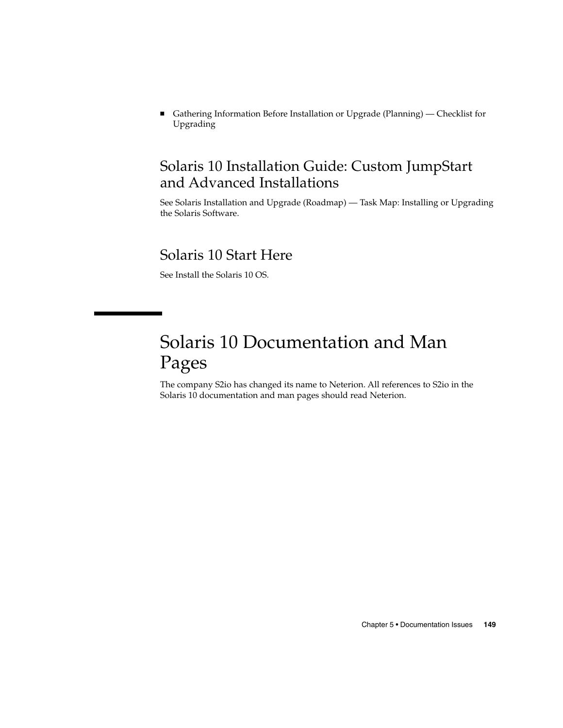■ Gathering Information Before Installation or Upgrade (Planning) — Checklist for Upgrading

## Solaris 10 Installation Guide: Custom JumpStart and Advanced Installations

See Solaris Installation and Upgrade (Roadmap) — Task Map: Installing or Upgrading the Solaris Software.

### Solaris 10 Start Here

See Install the Solaris 10 OS.

# Solaris 10 Documentation and Man Pages

The company S2io has changed its name to Neterion. All references to S2io in the Solaris 10 documentation and man pages should read Neterion.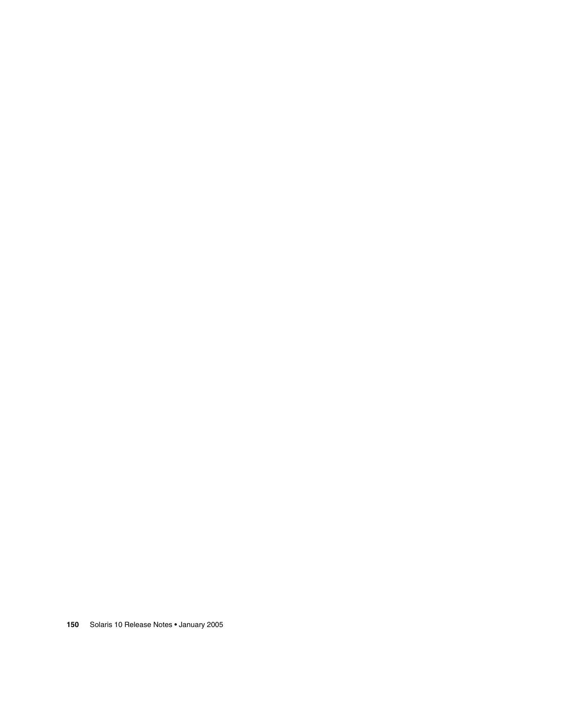Solaris 10 Release Notes • January 2005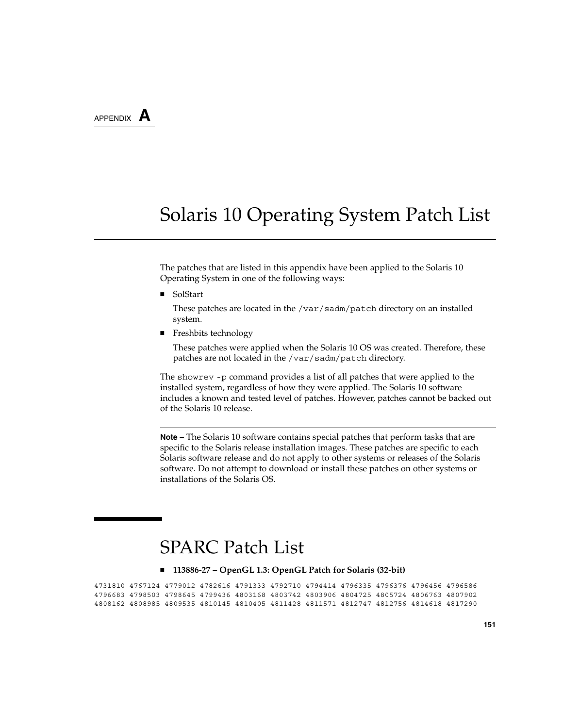APPENDIX **A**

# Solaris 10 Operating System Patch List

The patches that are listed in this appendix have been applied to the Solaris 10 Operating System in one of the following ways:

■ SolStart

These patches are located in the /var/sadm/patch directory on an installed system.

■ Freshbits technology

These patches were applied when the Solaris 10 OS was created. Therefore, these patches are not located in the /var/sadm/patch directory.

The showrev -p command provides a list of all patches that were applied to the installed system, regardless of how they were applied. The Solaris 10 software includes a known and tested level of patches. However, patches cannot be backed out of the Solaris 10 release.

**Note –** The Solaris 10 software contains special patches that perform tasks that are specific to the Solaris release installation images. These patches are specific to each Solaris software release and do not apply to other systems or releases of the Solaris software. Do not attempt to download or install these patches on other systems or installations of the Solaris OS.

## SPARC Patch List

#### ■ **113886-27 – OpenGL 1.3: OpenGL Patch for Solaris (32-bit)**

4731810 4767124 4779012 4782616 4791333 4792710 4794414 4796335 4796376 4796456 4796586 4796683 4798503 4798645 4799436 4803168 4803742 4803906 4804725 4805724 4806763 4807902 4808162 4808985 4809535 4810145 4810405 4811428 4811571 4812747 4812756 4814618 4817290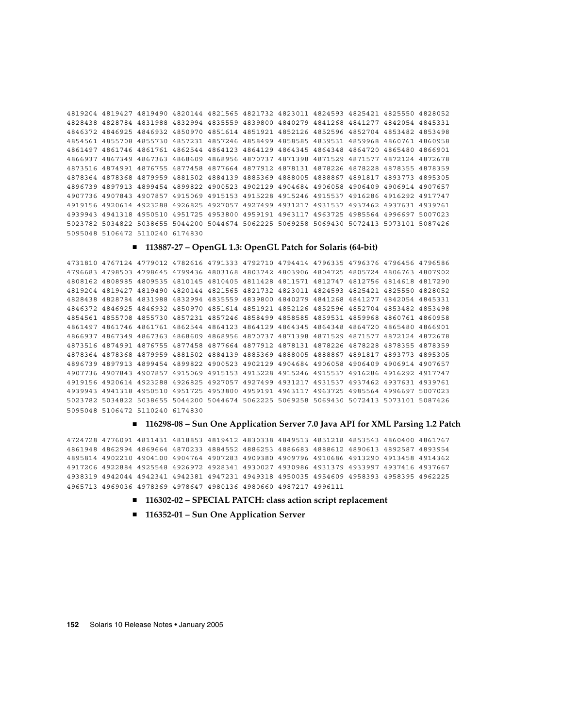4819204 4819427 4819490 4820144 4821565 4821732 4823011 4824593 4825421 4825550 4828052 4828438 4828784 4831988 4832994 4835559 4839800 4840279 4841268 4841277 4842054 4845331 4846372 4846925 4846932 4850970 4851614 4851921 4852126 4852596 4852704 4853482 4853498 4854561 4855708 4855730 4857231 4857246 4858499 4858585 4859531 4859968 4860761 4860958 4861497 4861746 4861761 4862544 4864123 4864129 4864345 4864348 4864720 4865480 4866901 4866937 4867349 4867363 4868609 4868956 4870737 4871398 4871529 4871577 4872124 4872678 4873516 4874991 4876755 4877458 4877664 4877912 4878131 4878226 4878228 4878355 4878359 4878364 4878368 4879959 4881502 4884139 4885369 4888005 4888867 4891817 4893773 4895305 4896739 4897913 4899454 4899822 4900523 4902129 4904684 4906058 4906409 4906914 4907657 4907736 4907843 4907857 4915069 4915153 4915228 4915246 4915537 4916286 4916292 4917747 4919156 4920614 4923288 4926825 4927057 4927499 4931217 4931537 4937462 4937631 4939761 4939943 4941318 4950510 4951725 4953800 4959191 4963117 4963725 4985564 4996697 5007023 5023782 5034822 5038655 5044200 5044674 5062225 5069258 5069430 5072413 5073101 5087426 5095048 5106472 5110240 6174830

#### ■ **113887-27 – OpenGL 1.3: OpenGL Patch for Solaris (64-bit)**

4731810 4767124 4779012 4782616 4791333 4792710 4794414 4796335 4796376 4796456 4796586 4796683 4798503 4798645 4799436 4803168 4803742 4803906 4804725 4805724 4806763 4807902 4808162 4808985 4809535 4810145 4810405 4811428 4811571 4812747 4812756 4814618 4817290 4819204 4819427 4819490 4820144 4821565 4821732 4823011 4824593 4825421 4825550 4828052 4828438 4828784 4831988 4832994 4835559 4839800 4840279 4841268 4841277 4842054 4845331 4846372 4846925 4846932 4850970 4851614 4851921 4852126 4852596 4852704 4853482 4853498 4854561 4855708 4855730 4857231 4857246 4858499 4858585 4859531 4859968 4860761 4860958 4861497 4861746 4861761 4862544 4864123 4864129 4864345 4864348 4864720 4865480 4866901 4866937 4867349 4867363 4868609 4868956 4870737 4871398 4871529 4871577 4872124 4872678 4873516 4874991 4876755 4877458 4877664 4877912 4878131 4878226 4878228 4878355 4878359 4878364 4878368 4879959 4881502 4884139 4885369 4888005 4888867 4891817 4893773 4895305 4896739 4897913 4899454 4899822 4900523 4902129 4904684 4906058 4906409 4906914 4907657 4907736 4907843 4907857 4915069 4915153 4915228 4915246 4915537 4916286 4916292 4917747 4919156 4920614 4923288 4926825 4927057 4927499 4931217 4931537 4937462 4937631 4939761 4939943 4941318 4950510 4951725 4953800 4959191 4963117 4963725 4985564 4996697 5007023 5023782 5034822 5038655 5044200 5044674 5062225 5069258 5069430 5072413 5073101 5087426 5095048 5106472 5110240 6174830

#### ■ **116298-08** – Sun One Application Server 7.0 Java API for XML Parsing 1.2 Patch

4724728 4776091 4811431 4818853 4819412 4830338 4849513 4851218 4853543 4860400 4861767 4861948 4862994 4869664 4870233 4884552 4886253 4886683 4888612 4890613 4892587 4893954 4895814 4902210 4904100 4904764 4907283 4909380 4909796 4910686 4913290 4913458 4914362 4917206 4922884 4925548 4926972 4928341 4930027 4930986 4931379 4933997 4937416 4937667 4938319 4942044 4942341 4942381 4947231 4949318 4950035 4954609 4958393 4958395 4962225 4965713 4969036 4978369 4978647 4980136 4980660 4987217 4996111

- **116302-02 – SPECIAL PATCH: class action script replacement**
- **116352-01 – Sun One Application Server**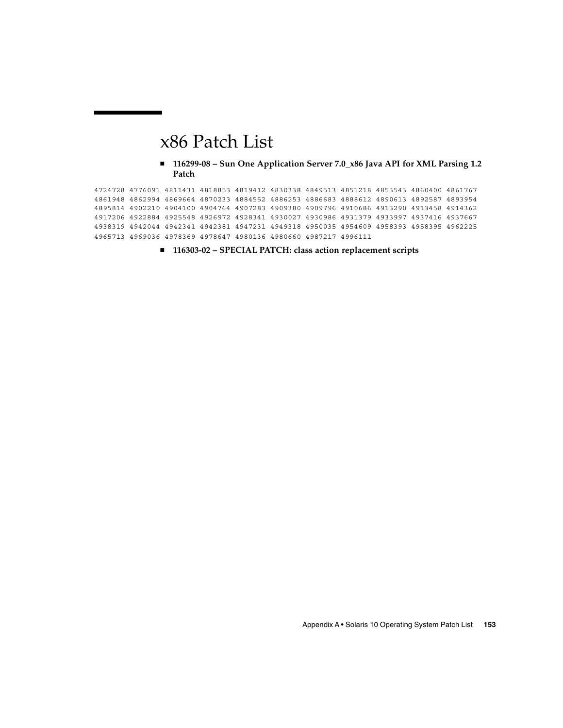## x86 Patch List

■ **116299-08 – Sun One Application Server 7.0\_x86 Java API for XML Parsing 1.2 Patch**

4724728 4776091 4811431 4818853 4819412 4830338 4849513 4851218 4853543 4860400 4861767 4861948 4862994 4869664 4870233 4884552 4886253 4886683 4888612 4890613 4892587 4893954 4895814 4902210 4904100 4904764 4907283 4909380 4909796 4910686 4913290 4913458 4914362 4917206 4922884 4925548 4926972 4928341 4930027 4930986 4931379 4933997 4937416 4937667 4938319 4942044 4942341 4942381 4947231 4949318 4950035 4954609 4958393 4958395 4962225 4965713 4969036 4978369 4978647 4980136 4980660 4987217 4996111

■ **116303-02 – SPECIAL PATCH: class action replacement scripts**